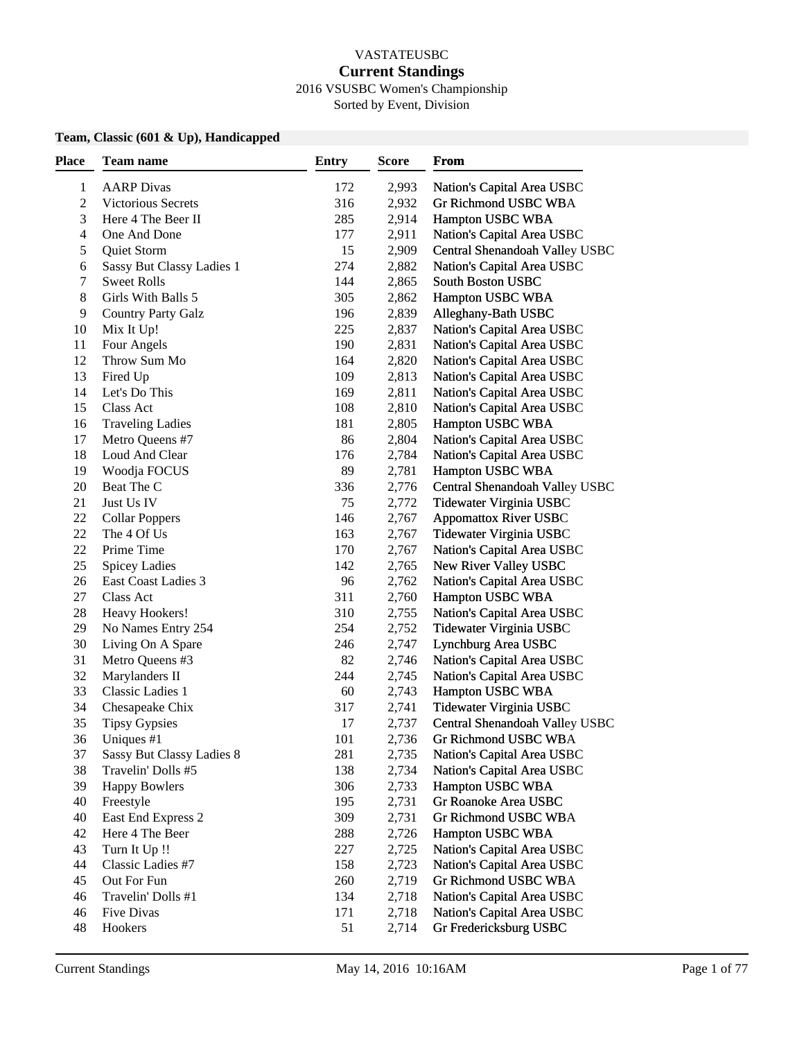#### VASTATEUSBC **Current Standings** 2016 VSUSBC Women's Championship

Sorted by Event, Division

#### **Team, Classic (601 & Up), Handicapped**

| Place | Team name                        | <b>Entry</b> | <b>Score</b> | From                           |
|-------|----------------------------------|--------------|--------------|--------------------------------|
| 1     | <b>AARP</b> Divas                | 172          | 2,993        | Nation's Capital Area USBC     |
| 2     | Victorious Secrets               | 316          | 2,932        | Gr Richmond USBC WBA           |
| 3     | Here 4 The Beer II               | 285          | 2,914        | Hampton USBC WBA               |
| 4     | One And Done                     | 177          | 2,911        | Nation's Capital Area USBC     |
| 5     | Quiet Storm                      | 15           | 2,909        | Central Shenandoah Valley USBC |
| 6     | Sassy But Classy Ladies 1        | 274          | 2,882        | Nation's Capital Area USBC     |
| 7     | <b>Sweet Rolls</b>               | 144          | 2,865        | South Boston USBC              |
| 8     | Girls With Balls 5               | 305          | 2,862        | Hampton USBC WBA               |
| 9     | <b>Country Party Galz</b>        | 196          | 2,839        | Alleghany-Bath USBC            |
| 10    | Mix It Up!                       | 225          | 2,837        | Nation's Capital Area USBC     |
| 11    | Four Angels                      | 190          | 2,831        | Nation's Capital Area USBC     |
| 12    | Throw Sum Mo                     | 164          | 2,820        | Nation's Capital Area USBC     |
| 13    | Fired Up                         | 109          | 2,813        | Nation's Capital Area USBC     |
| 14    | Let's Do This                    | 169          | 2,811        | Nation's Capital Area USBC     |
| 15    | Class Act                        | 108          | 2,810        | Nation's Capital Area USBC     |
| 16    | <b>Traveling Ladies</b>          | 181          | 2,805        | Hampton USBC WBA               |
| 17    | Metro Queens #7                  | 86           | 2,804        | Nation's Capital Area USBC     |
| 18    | Loud And Clear                   | 176          | 2,784        | Nation's Capital Area USBC     |
| 19    | Woodja FOCUS                     | 89           | 2,781        | Hampton USBC WBA               |
| 20    | Beat The C                       | 336          | 2,776        | Central Shenandoah Valley USBC |
| 21    | Just Us IV                       | 75           | 2,772        | Tidewater Virginia USBC        |
| 22    | <b>Collar Poppers</b>            | 146          | 2,767        | <b>Appomattox River USBC</b>   |
| 22    | The 4 Of Us                      | 163          | 2,767        | Tidewater Virginia USBC        |
| 22    | Prime Time                       | 170          | 2,767        | Nation's Capital Area USBC     |
| 25    | <b>Spicey Ladies</b>             | 142          | 2,765        | New River Valley USBC          |
| 26    | East Coast Ladies 3              | 96           | 2,762        | Nation's Capital Area USBC     |
| 27    | Class Act                        | 311          | 2,760        | Hampton USBC WBA               |
| 28    | Heavy Hookers!                   | 310          | 2,755        | Nation's Capital Area USBC     |
| 29    | No Names Entry 254               | 254          | 2,752        | Tidewater Virginia USBC        |
| 30    | Living On A Spare                | 246          | 2,747        | Lynchburg Area USBC            |
| 31    | Metro Queens #3                  | 82           | 2,746        | Nation's Capital Area USBC     |
| 32    | Marylanders II                   | 244          | 2,745        | Nation's Capital Area USBC     |
| 33    | Classic Ladies 1                 | 60           | 2,743        | Hampton USBC WBA               |
| 34    | Chesapeake Chix                  | 317          | 2,741        | Tidewater Virginia USBC        |
| 35    | <b>Tipsy Gypsies</b>             | 17           | 2,737        | Central Shenandoah Valley USBC |
| 36    | Uniques #1                       | 101          | 2,736        | Gr Richmond USBC WBA           |
| 37    | <b>Sassy But Classy Ladies 8</b> | 281          | 2,735        | Nation's Capital Area USBC     |
| 38    | Travelin' Dolls #5               | 138          | 2,734        | Nation's Capital Area USBC     |
| 39    | <b>Happy Bowlers</b>             | 306          | 2,733        | Hampton USBC WBA               |
| 40    | Freestyle                        | 195          | 2,731        | Gr Roanoke Area USBC           |
| 40    | East End Express 2               | 309          | 2,731        | Gr Richmond USBC WBA           |
| 42    | Here 4 The Beer                  | 288          | 2,726        | Hampton USBC WBA               |
| 43    | Turn It Up !!                    | 227          | 2,725        | Nation's Capital Area USBC     |
| 44    | Classic Ladies #7                | 158          | 2,723        | Nation's Capital Area USBC     |
| 45    | Out For Fun                      | 260          | 2,719        | Gr Richmond USBC WBA           |
| 46    | Travelin' Dolls #1               | 134          | 2,718        | Nation's Capital Area USBC     |
| 46    | Five Divas                       | 171          | 2,718        | Nation's Capital Area USBC     |
| 48    | Hookers                          | 51           | 2,714        | Gr Fredericksburg USBC         |
|       |                                  |              |              |                                |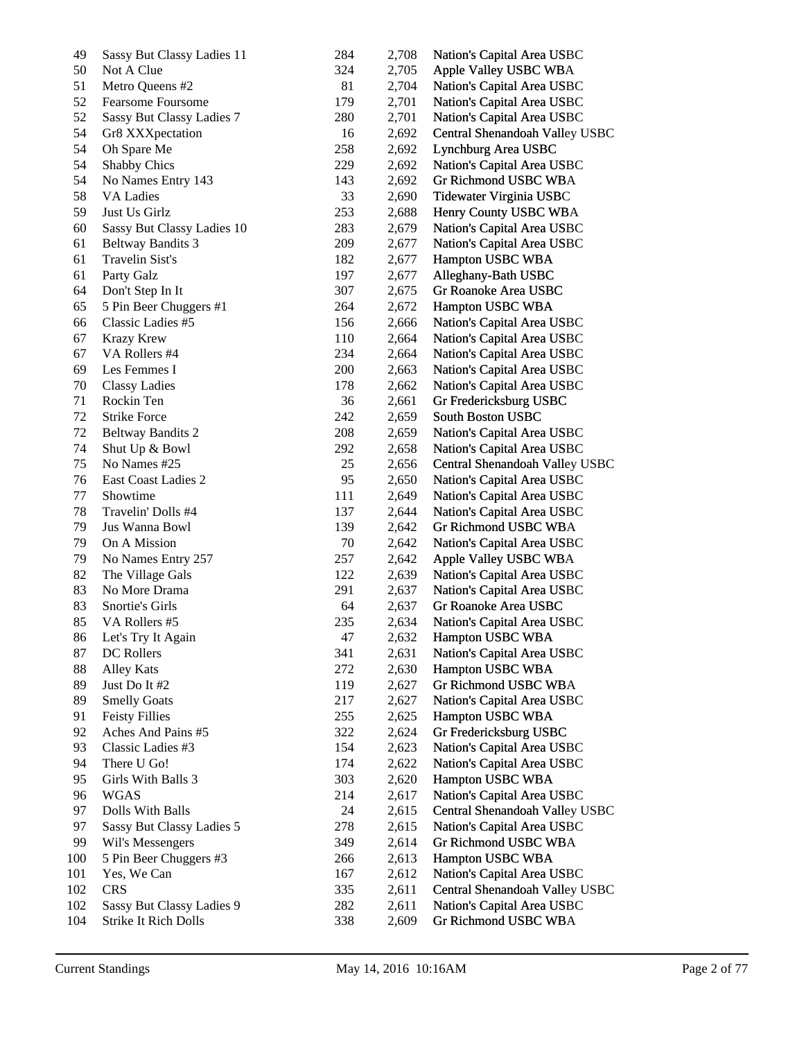| 49  | Sassy But Classy Ladies 11 | 284 | 2,708 | Nation's Capital Area USBC     |
|-----|----------------------------|-----|-------|--------------------------------|
| 50  | Not A Clue                 | 324 | 2,705 | Apple Valley USBC WBA          |
| 51  | Metro Queens #2            | 81  | 2,704 | Nation's Capital Area USBC     |
| 52  | Fearsome Foursome          | 179 | 2,701 | Nation's Capital Area USBC     |
| 52  | Sassy But Classy Ladies 7  | 280 | 2,701 | Nation's Capital Area USBC     |
| 54  | Gr8 XXXpectation           | 16  | 2,692 | Central Shenandoah Valley USBC |
| 54  | Oh Spare Me                | 258 | 2,692 | Lynchburg Area USBC            |
| 54  | <b>Shabby Chics</b>        | 229 | 2,692 | Nation's Capital Area USBC     |
| 54  | No Names Entry 143         | 143 | 2,692 | Gr Richmond USBC WBA           |
| 58  | <b>VA Ladies</b>           | 33  | 2,690 | Tidewater Virginia USBC        |
| 59  | Just Us Girlz              | 253 | 2,688 | Henry County USBC WBA          |
| 60  | Sassy But Classy Ladies 10 | 283 | 2,679 | Nation's Capital Area USBC     |
| 61  | <b>Beltway Bandits 3</b>   | 209 | 2,677 | Nation's Capital Area USBC     |
| 61  | Travelin Sist's            | 182 | 2,677 | Hampton USBC WBA               |
| 61  | Party Galz                 | 197 | 2,677 | Alleghany-Bath USBC            |
| 64  | Don't Step In It           | 307 | 2,675 | Gr Roanoke Area USBC           |
| 65  | 5 Pin Beer Chuggers #1     | 264 | 2,672 | Hampton USBC WBA               |
| 66  | Classic Ladies #5          | 156 | 2,666 | Nation's Capital Area USBC     |
| 67  | <b>Krazy Krew</b>          | 110 | 2,664 | Nation's Capital Area USBC     |
| 67  | VA Rollers #4              | 234 | 2,664 | Nation's Capital Area USBC     |
| 69  | Les Femmes I               | 200 | 2,663 | Nation's Capital Area USBC     |
| 70  | <b>Classy Ladies</b>       | 178 | 2,662 | Nation's Capital Area USBC     |
| 71  | Rockin Ten                 | 36  | 2,661 | Gr Fredericksburg USBC         |
| 72  | <b>Strike Force</b>        | 242 | 2,659 | South Boston USBC              |
| 72  | <b>Beltway Bandits 2</b>   | 208 | 2,659 | Nation's Capital Area USBC     |
| 74  | Shut Up & Bowl             | 292 | 2,658 | Nation's Capital Area USBC     |
| 75  | No Names #25               | 25  | 2,656 | Central Shenandoah Valley USBC |
| 76  | East Coast Ladies 2        | 95  | 2,650 | Nation's Capital Area USBC     |
| 77  | Showtime                   | 111 | 2,649 | Nation's Capital Area USBC     |
| 78  | Travelin' Dolls #4         | 137 | 2,644 | Nation's Capital Area USBC     |
| 79  | Jus Wanna Bowl             | 139 | 2,642 | Gr Richmond USBC WBA           |
| 79  | On A Mission               | 70  | 2,642 | Nation's Capital Area USBC     |
| 79  | No Names Entry 257         | 257 | 2,642 | Apple Valley USBC WBA          |
| 82  | The Village Gals           | 122 | 2,639 | Nation's Capital Area USBC     |
| 83  | No More Drama              | 291 | 2,637 | Nation's Capital Area USBC     |
| 83  | Snortie's Girls            | 64  | 2,637 | Gr Roanoke Area USBC           |
| 85  | VA Rollers #5              | 235 | 2,634 | Nation's Capital Area USBC     |
| 86  | Let's Try It Again         | 47  | 2,632 | Hampton USBC WBA               |
| 87  | DC Rollers                 | 341 | 2,631 | Nation's Capital Area USBC     |
| 88  | <b>Alley Kats</b>          | 272 | 2,630 | Hampton USBC WBA               |
| 89  | Just Do It #2              | 119 | 2,627 | <b>Gr Richmond USBC WBA</b>    |
| 89  | <b>Smelly Goats</b>        | 217 | 2,627 | Nation's Capital Area USBC     |
| 91  | <b>Feisty Fillies</b>      | 255 | 2,625 | Hampton USBC WBA               |
| 92  | Aches And Pains #5         | 322 | 2,624 | Gr Fredericksburg USBC         |
| 93  | Classic Ladies #3          | 154 | 2,623 | Nation's Capital Area USBC     |
| 94  | There U Go!                | 174 | 2,622 | Nation's Capital Area USBC     |
| 95  | Girls With Balls 3         | 303 | 2,620 | Hampton USBC WBA               |
| 96  | WGAS                       | 214 | 2,617 | Nation's Capital Area USBC     |
| 97  | Dolls With Balls           | 24  | 2,615 | Central Shenandoah Valley USBC |
| 97  | Sassy But Classy Ladies 5  | 278 | 2,615 | Nation's Capital Area USBC     |
| 99  | Wil's Messengers           | 349 | 2,614 | Gr Richmond USBC WBA           |
| 100 | 5 Pin Beer Chuggers #3     | 266 | 2,613 | Hampton USBC WBA               |
| 101 | Yes, We Can                | 167 | 2,612 | Nation's Capital Area USBC     |
| 102 | <b>CRS</b>                 | 335 | 2,611 | Central Shenandoah Valley USBC |
| 102 | Sassy But Classy Ladies 9  | 282 | 2,611 | Nation's Capital Area USBC     |
| 104 | Strike It Rich Dolls       | 338 | 2,609 | Gr Richmond USBC WBA           |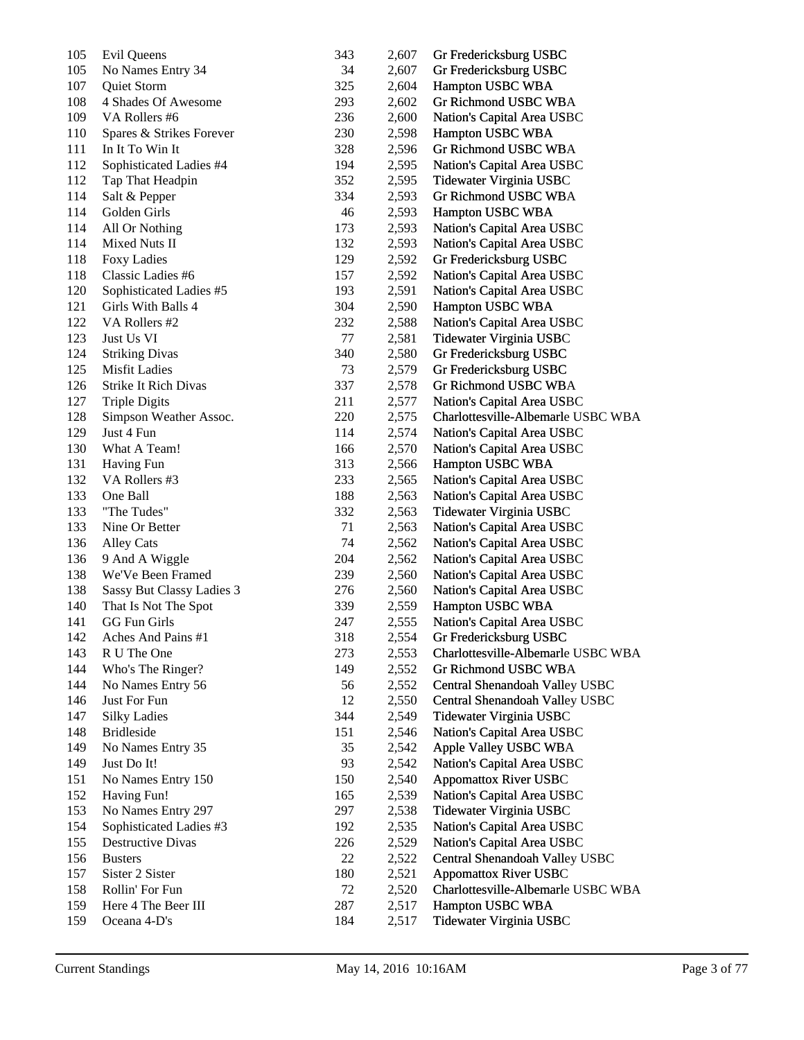| 105 | Evil Queens               | 343       | 2,607 | Gr Fredericksburg USBC             |
|-----|---------------------------|-----------|-------|------------------------------------|
| 105 | No Names Entry 34         | 34        | 2,607 | Gr Fredericksburg USBC             |
| 107 | Quiet Storm               | 325       | 2,604 | Hampton USBC WBA                   |
| 108 | 4 Shades Of Awesome       | 293       | 2,602 | Gr Richmond USBC WBA               |
| 109 | VA Rollers #6             | 236       | 2,600 | Nation's Capital Area USBC         |
| 110 | Spares & Strikes Forever  | 230       | 2,598 | Hampton USBC WBA                   |
| 111 | In It To Win It           | 328       | 2,596 | Gr Richmond USBC WBA               |
| 112 | Sophisticated Ladies #4   | 194       | 2,595 | Nation's Capital Area USBC         |
| 112 | Tap That Headpin          | 352       | 2,595 | Tidewater Virginia USBC            |
| 114 | Salt & Pepper             | 334       | 2,593 | Gr Richmond USBC WBA               |
| 114 | Golden Girls              | 46        | 2,593 | Hampton USBC WBA                   |
| 114 | All Or Nothing            | 173       | 2,593 | Nation's Capital Area USBC         |
| 114 | Mixed Nuts II             | 132       | 2,593 | Nation's Capital Area USBC         |
| 118 | Foxy Ladies               | 129       | 2,592 | Gr Fredericksburg USBC             |
| 118 | Classic Ladies #6         | 157       | 2,592 | Nation's Capital Area USBC         |
| 120 | Sophisticated Ladies #5   | 193       | 2,591 | Nation's Capital Area USBC         |
| 121 | Girls With Balls 4        | 304       | 2,590 | Hampton USBC WBA                   |
| 122 | VA Rollers #2             | 232       | 2,588 | Nation's Capital Area USBC         |
| 123 | Just Us VI                | 77        | 2,581 | Tidewater Virginia USBC            |
| 124 | <b>Striking Divas</b>     | 340       | 2,580 | Gr Fredericksburg USBC             |
| 125 | <b>Misfit Ladies</b>      | 73        | 2,579 | Gr Fredericksburg USBC             |
| 126 | Strike It Rich Divas      | 337       | 2,578 | Gr Richmond USBC WBA               |
| 127 | <b>Triple Digits</b>      | 211       | 2,577 | Nation's Capital Area USBC         |
| 128 | Simpson Weather Assoc.    | 220       | 2,575 | Charlottesville-Albemarle USBC WBA |
| 129 | Just 4 Fun                | 114       | 2,574 | Nation's Capital Area USBC         |
| 130 | What A Team!              | 166       | 2,570 | Nation's Capital Area USBC         |
| 131 | <b>Having Fun</b>         | 313       | 2,566 | Hampton USBC WBA                   |
| 132 | VA Rollers #3             | 233       | 2,565 | Nation's Capital Area USBC         |
| 133 | One Ball                  | 188       | 2,563 | Nation's Capital Area USBC         |
| 133 | "The Tudes"               | 332       | 2,563 | Tidewater Virginia USBC            |
| 133 | Nine Or Better            | 71        | 2,563 | Nation's Capital Area USBC         |
| 136 | <b>Alley Cats</b>         | 74        | 2,562 | Nation's Capital Area USBC         |
| 136 | 9 And A Wiggle            | 204       | 2,562 | Nation's Capital Area USBC         |
| 138 | We'Ve Been Framed         | 239       | 2,560 | Nation's Capital Area USBC         |
| 138 | Sassy But Classy Ladies 3 | 276       | 2,560 | Nation's Capital Area USBC         |
| 140 | That Is Not The Spot      | 339       | 2,559 | Hampton USBC WBA                   |
| 141 | GG Fun Girls              | 247       | 2,555 | Nation's Capital Area USBC         |
| 142 | Aches And Pains #1        | 318       | 2,554 | Gr Fredericksburg USBC             |
| 143 | R U The One               | 273       | 2,553 | Charlottesville-Albemarle USBC WBA |
| 144 | Who's The Ringer?         | 149       | 2,552 | Gr Richmond USBC WBA               |
| 144 | No Names Entry 56         | 56        | 2,552 | Central Shenandoah Valley USBC     |
| 146 | Just For Fun              | 12        | 2,550 | Central Shenandoah Valley USBC     |
| 147 | <b>Silky Ladies</b>       | 344       | 2,549 | Tidewater Virginia USBC            |
| 148 | <b>Bridleside</b>         | 151       | 2,546 | Nation's Capital Area USBC         |
| 149 | No Names Entry 35         | 35        | 2,542 | Apple Valley USBC WBA              |
| 149 | Just Do It!               | 93        | 2,542 | Nation's Capital Area USBC         |
| 151 | No Names Entry 150        | 150       | 2,540 | <b>Appomattox River USBC</b>       |
| 152 | Having Fun!               | 165       | 2,539 | Nation's Capital Area USBC         |
| 153 | No Names Entry 297        | 297       | 2,538 | Tidewater Virginia USBC            |
| 154 | Sophisticated Ladies #3   | 192       | 2,535 | Nation's Capital Area USBC         |
| 155 | <b>Destructive Divas</b>  | 226       | 2,529 | Nation's Capital Area USBC         |
| 156 | <b>Busters</b>            | 22        | 2,522 | Central Shenandoah Valley USBC     |
| 157 | Sister 2 Sister           | 180       |       |                                    |
|     |                           |           | 2,521 | <b>Appomattox River USBC</b>       |
| 158 | Rollin' For Fun           | 72<br>287 | 2,520 | Charlottesville-Albemarle USBC WBA |
| 159 | Here 4 The Beer III       |           | 2,517 | Hampton USBC WBA                   |
| 159 | Oceana 4-D's              | 184       | 2,517 | Tidewater Virginia USBC            |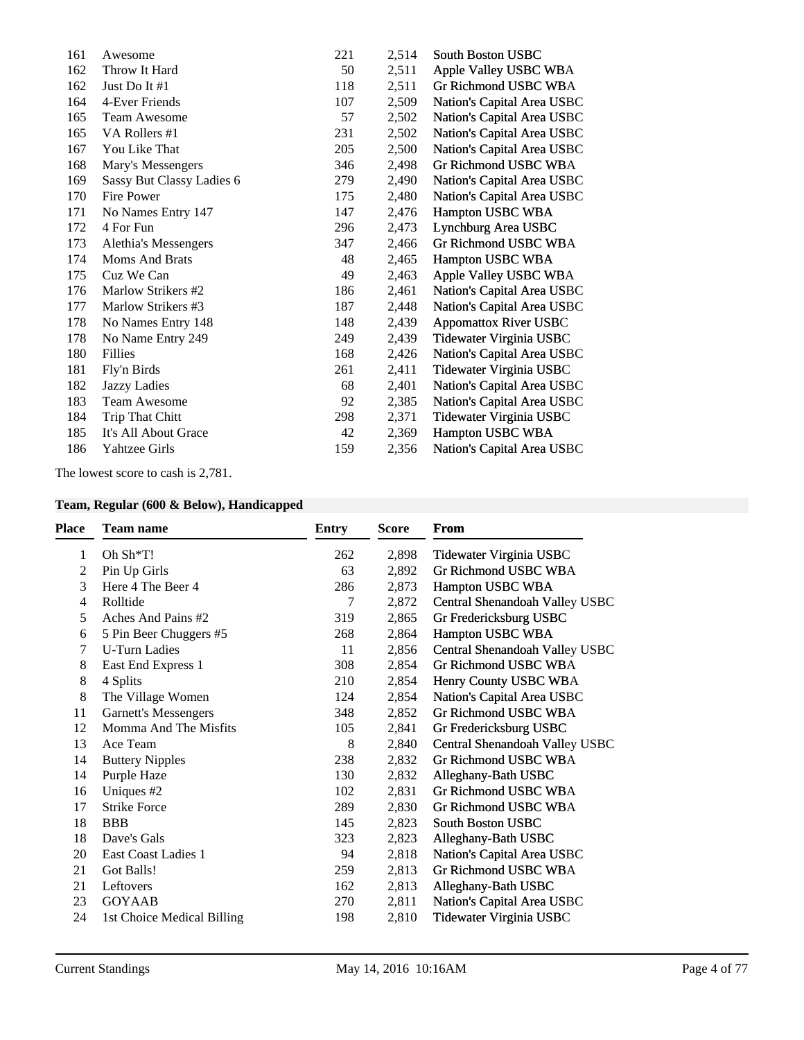| 161 | Awesome                   | 221 | 2,514 | <b>South Boston USBC</b>     |
|-----|---------------------------|-----|-------|------------------------------|
| 162 | Throw It Hard             | 50  | 2,511 | Apple Valley USBC WBA        |
| 162 | Just Do It $#1$           | 118 | 2,511 | Gr Richmond USBC WBA         |
| 164 | 4-Ever Friends            | 107 | 2,509 | Nation's Capital Area USBC   |
| 165 | <b>Team Awesome</b>       | 57  | 2,502 | Nation's Capital Area USBC   |
| 165 | VA Rollers #1             | 231 | 2,502 | Nation's Capital Area USBC   |
| 167 | You Like That             | 205 | 2,500 | Nation's Capital Area USBC   |
| 168 | Mary's Messengers         | 346 | 2,498 | Gr Richmond USBC WBA         |
| 169 | Sassy But Classy Ladies 6 | 279 | 2,490 | Nation's Capital Area USBC   |
| 170 | Fire Power                | 175 | 2,480 | Nation's Capital Area USBC   |
| 171 | No Names Entry 147        | 147 | 2,476 | Hampton USBC WBA             |
| 172 | 4 For Fun                 | 296 | 2,473 | Lynchburg Area USBC          |
| 173 | Alethia's Messengers      | 347 | 2,466 | Gr Richmond USBC WBA         |
| 174 | <b>Moms And Brats</b>     | 48  | 2,465 | Hampton USBC WBA             |
| 175 | Cuz We Can                | 49  | 2,463 | Apple Valley USBC WBA        |
| 176 | Marlow Strikers #2        | 186 | 2,461 | Nation's Capital Area USBC   |
| 177 | Marlow Strikers #3        | 187 | 2,448 | Nation's Capital Area USBC   |
| 178 | No Names Entry 148        | 148 | 2,439 | <b>Appomattox River USBC</b> |
| 178 | No Name Entry 249         | 249 | 2,439 | Tidewater Virginia USBC      |
| 180 | <b>Fillies</b>            | 168 | 2,426 | Nation's Capital Area USBC   |
| 181 | Fly'n Birds               | 261 | 2,411 | Tidewater Virginia USBC      |
| 182 | Jazzy Ladies              | 68  | 2,401 | Nation's Capital Area USBC   |
| 183 | <b>Team Awesome</b>       | 92  | 2,385 | Nation's Capital Area USBC   |
| 184 | Trip That Chitt           | 298 | 2,371 | Tidewater Virginia USBC      |
| 185 | It's All About Grace      | 42  | 2,369 | Hampton USBC WBA             |
| 186 | <b>Yahtzee Girls</b>      | 159 | 2,356 | Nation's Capital Area USBC   |
|     |                           |     |       |                              |

The lowest score to cash is 2,781.

# **Team, Regular (600 & Below), Handicapped**

| <b>Place</b> | <b>Team name</b>            | Entry | <b>Score</b> | From                           |
|--------------|-----------------------------|-------|--------------|--------------------------------|
| 1            | Oh $\text{Sh*T!}$           | 262   | 2,898        | Tidewater Virginia USBC        |
| 2            | Pin Up Girls                | 63    | 2,892        | Gr Richmond USBC WBA           |
| 3            | Here 4 The Beer 4           | 286   | 2,873        | Hampton USBC WBA               |
| 4            | Rolltide                    | 7     | 2,872        | Central Shenandoah Valley USBC |
| 5            | Aches And Pains #2          | 319   | 2,865        | Gr Fredericksburg USBC         |
| 6            | 5 Pin Beer Chuggers #5      | 268   | 2,864        | Hampton USBC WBA               |
| 7            | <b>U-Turn Ladies</b>        | 11    | 2,856        | Central Shenandoah Valley USBC |
| 8            | East End Express 1          | 308   | 2,854        | Gr Richmond USBC WBA           |
| 8            | 4 Splits                    | 210   | 2,854        | Henry County USBC WBA          |
| 8            | The Village Women           | 124   | 2,854        | Nation's Capital Area USBC     |
| 11           | <b>Garnett's Messengers</b> | 348   | 2,852        | Gr Richmond USBC WBA           |
| 12           | Momma And The Misfits       | 105   | 2,841        | Gr Fredericksburg USBC         |
| 13           | Ace Team                    | 8     | 2,840        | Central Shenandoah Valley USBC |
| 14           | <b>Buttery Nipples</b>      | 238   | 2,832        | Gr Richmond USBC WBA           |
| 14           | Purple Haze                 | 130   | 2,832        | Alleghany-Bath USBC            |
| 16           | Uniques #2                  | 102   | 2,831        | <b>Gr Richmond USBC WBA</b>    |
| 17           | <b>Strike Force</b>         | 289   | 2,830        | Gr Richmond USBC WBA           |
| 18           | <b>BBB</b>                  | 145   | 2,823        | <b>South Boston USBC</b>       |
| 18           | Dave's Gals                 | 323   | 2,823        | Alleghany-Bath USBC            |
| 20           | East Coast Ladies 1         | 94    | 2,818        | Nation's Capital Area USBC     |
| 21           | Got Balls!                  | 259   | 2,813        | Gr Richmond USBC WBA           |
| 21           | Leftovers                   | 162   | 2,813        | Alleghany-Bath USBC            |
| 23           | <b>GOYAAB</b>               | 270   | 2,811        | Nation's Capital Area USBC     |
| 24           | 1st Choice Medical Billing  | 198   | 2,810        | Tidewater Virginia USBC        |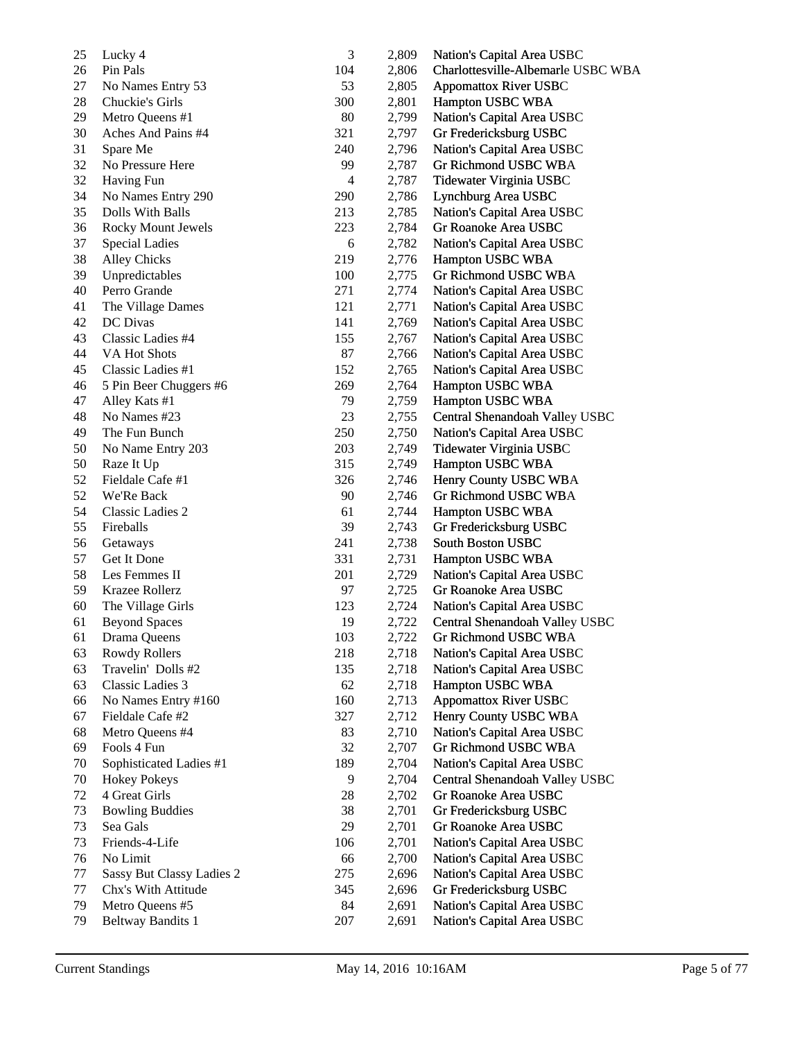| 25 | Lucky 4                   | 3         | 2,809 | Nation's Capital Area USBC         |
|----|---------------------------|-----------|-------|------------------------------------|
| 26 | Pin Pals                  | 104       | 2,806 | Charlottesville-Albemarle USBC WBA |
| 27 | No Names Entry 53         | 53        | 2,805 | <b>Appomattox River USBC</b>       |
| 28 | Chuckie's Girls           | 300       | 2,801 | Hampton USBC WBA                   |
| 29 | Metro Queens #1           | 80        | 2,799 | Nation's Capital Area USBC         |
| 30 | Aches And Pains #4        | 321       | 2,797 | Gr Fredericksburg USBC             |
| 31 | Spare Me                  | 240       | 2,796 | Nation's Capital Area USBC         |
| 32 | No Pressure Here          | 99        | 2,787 | Gr Richmond USBC WBA               |
| 32 | <b>Having Fun</b>         | 4         | 2,787 | Tidewater Virginia USBC            |
| 34 | No Names Entry 290        | 290       | 2,786 | Lynchburg Area USBC                |
| 35 | Dolls With Balls          | 213       | 2,785 | Nation's Capital Area USBC         |
| 36 | <b>Rocky Mount Jewels</b> | 223       | 2,784 | Gr Roanoke Area USBC               |
| 37 | <b>Special Ladies</b>     | 6         | 2,782 | Nation's Capital Area USBC         |
| 38 | <b>Alley Chicks</b>       | 219       | 2,776 | Hampton USBC WBA                   |
| 39 | Unpredictables            | 100       | 2,775 | Gr Richmond USBC WBA               |
| 40 | Perro Grande              | 271       | 2,774 | Nation's Capital Area USBC         |
| 41 | The Village Dames         | 121       | 2,771 | Nation's Capital Area USBC         |
| 42 | DC Divas                  | 141       | 2,769 | Nation's Capital Area USBC         |
| 43 | Classic Ladies #4         | 155       | 2,767 | Nation's Capital Area USBC         |
| 44 | VA Hot Shots              | 87        | 2,766 | Nation's Capital Area USBC         |
| 45 | Classic Ladies #1         | 152       | 2,765 | Nation's Capital Area USBC         |
| 46 | 5 Pin Beer Chuggers #6    | 269       | 2,764 | Hampton USBC WBA                   |
| 47 | Alley Kats #1             | 79        | 2,759 | Hampton USBC WBA                   |
| 48 | No Names #23              | 23        | 2,755 | Central Shenandoah Valley USBC     |
| 49 | The Fun Bunch             | 250       | 2,750 | Nation's Capital Area USBC         |
| 50 | No Name Entry 203         | 203       | 2,749 | Tidewater Virginia USBC            |
| 50 | Raze It Up                | 315       | 2,749 | Hampton USBC WBA                   |
| 52 | Fieldale Cafe #1          | 326       | 2,746 | Henry County USBC WBA              |
| 52 | We'Re Back                | 90        | 2,746 | Gr Richmond USBC WBA               |
| 54 | Classic Ladies 2          | 61        | 2,744 | Hampton USBC WBA                   |
| 55 | Fireballs                 | 39        | 2,743 | Gr Fredericksburg USBC             |
| 56 | Getaways                  | 241       | 2,738 | South Boston USBC                  |
| 57 | Get It Done               | 331       | 2,731 | Hampton USBC WBA                   |
| 58 | Les Femmes II             | 201       | 2,729 | Nation's Capital Area USBC         |
| 59 | Krazee Rollerz            | 97        | 2,725 | Gr Roanoke Area USBC               |
| 60 | The Village Girls         | 123       | 2,724 | Nation's Capital Area USBC         |
| 61 | <b>Beyond Spaces</b>      | 19        | 2,722 | Central Shenandoah Valley USBC     |
| 61 | Drama Queens              | 103       | 2,722 | Gr Richmond USBC WBA               |
| 63 | Rowdy Rollers             | 218       | 2,718 | Nation's Capital Area USBC         |
| 63 | Travelin' Dolls #2        | 135       | 2,718 | Nation's Capital Area USBC         |
| 63 | Classic Ladies 3          | 62        | 2,718 | Hampton USBC WBA                   |
| 66 | No Names Entry #160       | 160       | 2,713 | <b>Appomattox River USBC</b>       |
| 67 | Fieldale Cafe #2          | 327       | 2,712 | Henry County USBC WBA              |
| 68 | Metro Queens #4           | 83        | 2,710 | Nation's Capital Area USBC         |
| 69 | Fools 4 Fun               | 32        | 2,707 | Gr Richmond USBC WBA               |
| 70 | Sophisticated Ladies #1   | 189       | 2,704 | Nation's Capital Area USBC         |
| 70 | <b>Hokey Pokeys</b>       | 9         | 2,704 | Central Shenandoah Valley USBC     |
| 72 | 4 Great Girls             | 28        | 2,702 | Gr Roanoke Area USBC               |
| 73 | <b>Bowling Buddies</b>    | 38        | 2,701 | Gr Fredericksburg USBC             |
| 73 | Sea Gals                  | 29        |       | Gr Roanoke Area USBC               |
|    |                           |           | 2,701 |                                    |
| 73 | Friends-4-Life            | 106<br>66 | 2,701 | Nation's Capital Area USBC         |
| 76 | No Limit                  |           | 2,700 | Nation's Capital Area USBC         |
| 77 | Sassy But Classy Ladies 2 | 275       | 2,696 | Nation's Capital Area USBC         |
| 77 | Chx's With Attitude       | 345       | 2,696 | Gr Fredericksburg USBC             |
| 79 | Metro Queens #5           | 84        | 2,691 | Nation's Capital Area USBC         |
| 79 | <b>Beltway Bandits 1</b>  | 207       | 2,691 | Nation's Capital Area USBC         |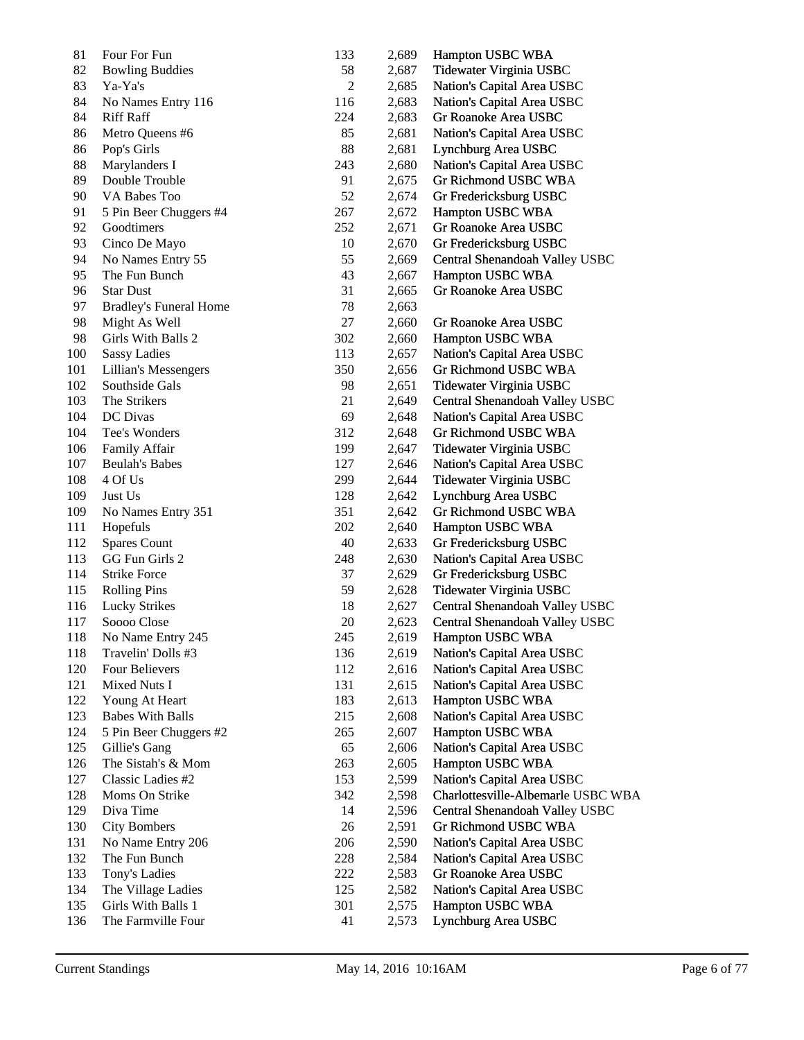| 81         | Four For Fun                  | 133 | 2,689 | Hampton USBC WBA                   |
|------------|-------------------------------|-----|-------|------------------------------------|
| 82         | <b>Bowling Buddies</b>        | 58  | 2,687 | Tidewater Virginia USBC            |
| 83         | Ya-Ya's                       | 2   | 2,685 | Nation's Capital Area USBC         |
| 84         | No Names Entry 116            | 116 | 2,683 | Nation's Capital Area USBC         |
| 84         | <b>Riff Raff</b>              | 224 | 2,683 | Gr Roanoke Area USBC               |
| 86         | Metro Queens #6               | 85  | 2,681 | Nation's Capital Area USBC         |
| 86         | Pop's Girls                   | 88  | 2,681 | Lynchburg Area USBC                |
| 88         | Marylanders I                 | 243 | 2,680 | Nation's Capital Area USBC         |
| 89         | Double Trouble                | 91  | 2,675 | Gr Richmond USBC WBA               |
| 90         | VA Babes Too                  | 52  | 2,674 | Gr Fredericksburg USBC             |
| 91         | 5 Pin Beer Chuggers #4        | 267 | 2,672 | Hampton USBC WBA                   |
| 92         | Goodtimers                    | 252 | 2,671 | Gr Roanoke Area USBC               |
| 93         | Cinco De Mayo                 | 10  | 2,670 | Gr Fredericksburg USBC             |
| 94         | No Names Entry 55             | 55  | 2,669 | Central Shenandoah Valley USBC     |
| 95         | The Fun Bunch                 | 43  | 2,667 | Hampton USBC WBA                   |
| 96         | <b>Star Dust</b>              | 31  | 2,665 | Gr Roanoke Area USBC               |
| 97         | <b>Bradley's Funeral Home</b> | 78  | 2,663 |                                    |
| 98         | Might As Well                 | 27  | 2,660 | Gr Roanoke Area USBC               |
| 98         | Girls With Balls 2            | 302 | 2,660 | Hampton USBC WBA                   |
| 100        | <b>Sassy Ladies</b>           | 113 | 2,657 | Nation's Capital Area USBC         |
| 101        | Lillian's Messengers          | 350 | 2,656 | Gr Richmond USBC WBA               |
| 102        | Southside Gals                | 98  | 2,651 | Tidewater Virginia USBC            |
| 103        | The Strikers                  | 21  | 2,649 | Central Shenandoah Valley USBC     |
| 104        | DC Divas                      | 69  | 2,648 | Nation's Capital Area USBC         |
| 104        | Tee's Wonders                 | 312 | 2,648 | Gr Richmond USBC WBA               |
| 106        | Family Affair                 | 199 | 2,647 | Tidewater Virginia USBC            |
| 107        | <b>Beulah's Babes</b>         | 127 | 2,646 | Nation's Capital Area USBC         |
| 108        | 4 Of Us                       | 299 | 2,644 | Tidewater Virginia USBC            |
| 109        | Just Us                       | 128 | 2,642 | Lynchburg Area USBC                |
| 109        | No Names Entry 351            | 351 | 2,642 | Gr Richmond USBC WBA               |
| 111        | Hopefuls                      | 202 | 2,640 | Hampton USBC WBA                   |
| 112        | <b>Spares Count</b>           | 40  | 2,633 | Gr Fredericksburg USBC             |
| 113        | GG Fun Girls 2                | 248 | 2,630 | Nation's Capital Area USBC         |
| 114        | <b>Strike Force</b>           | 37  | 2,629 | Gr Fredericksburg USBC             |
| 115        | <b>Rolling Pins</b>           | 59  | 2,628 | Tidewater Virginia USBC            |
| 116        | <b>Lucky Strikes</b>          | 18  | 2,627 | Central Shenandoah Valley USBC     |
| 117        | Soooo Close                   | 20  | 2,623 | Central Shenandoah Valley USBC     |
| 118        | No Name Entry 245             | 245 | 2,619 | Hampton USBC WBA                   |
| 118        | Travelin' Dolls #3            | 136 | 2,619 | Nation's Capital Area USBC         |
| 120        | Four Believers                | 112 | 2,616 | Nation's Capital Area USBC         |
| 121        | Mixed Nuts I                  | 131 | 2,615 | Nation's Capital Area USBC         |
| 122        | Young At Heart                | 183 | 2,613 | Hampton USBC WBA                   |
| 123        | <b>Babes With Balls</b>       | 215 | 2,608 | Nation's Capital Area USBC         |
| 124        | 5 Pin Beer Chuggers #2        | 265 | 2,607 | Hampton USBC WBA                   |
| 125        | Gillie's Gang                 | 65  | 2,606 | Nation's Capital Area USBC         |
| 126        | The Sistah's & Mom            | 263 | 2,605 | Hampton USBC WBA                   |
| 127        | Classic Ladies #2             | 153 | 2,599 | Nation's Capital Area USBC         |
|            |                               |     |       |                                    |
| 128<br>129 | Moms On Strike                | 342 | 2,598 | Charlottesville-Albemarle USBC WBA |
|            | Diva Time                     | 14  | 2,596 | Central Shenandoah Valley USBC     |
| 130        | <b>City Bombers</b>           | 26  | 2,591 | Gr Richmond USBC WBA               |
| 131        | No Name Entry 206             | 206 | 2,590 | Nation's Capital Area USBC         |
| 132        | The Fun Bunch                 | 228 | 2,584 | Nation's Capital Area USBC         |
| 133        | Tony's Ladies                 | 222 | 2,583 | Gr Roanoke Area USBC               |
| 134        | The Village Ladies            | 125 | 2,582 | Nation's Capital Area USBC         |
| 135        | Girls With Balls 1            | 301 | 2,575 | Hampton USBC WBA                   |
| 136        | The Farmville Four            | 41  | 2,573 | Lynchburg Area USBC                |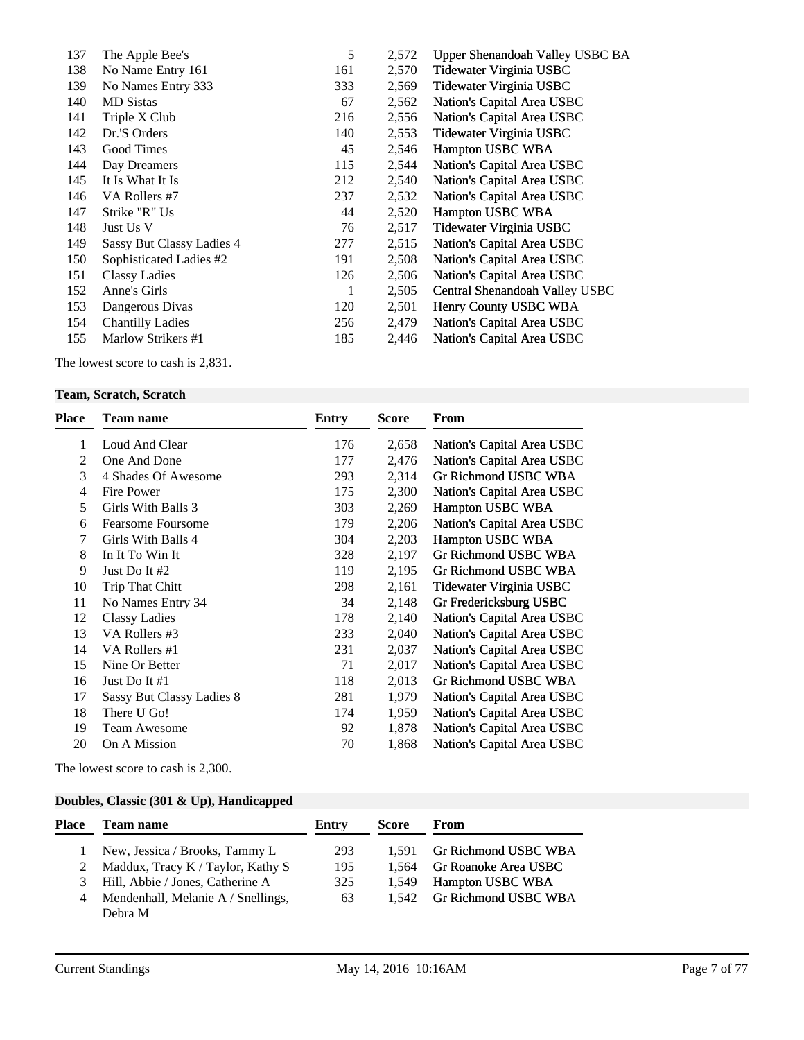| 137 | The Apple Bee's           | 5   | 2,572 | Upper Shenandoah Valley USBC BA |
|-----|---------------------------|-----|-------|---------------------------------|
| 138 | No Name Entry 161         | 161 | 2,570 | Tidewater Virginia USBC         |
| 139 | No Names Entry 333        | 333 | 2,569 | Tidewater Virginia USBC         |
| 140 | <b>MD</b> Sistas          | 67  | 2,562 | Nation's Capital Area USBC      |
| 141 | Triple X Club             | 216 | 2,556 | Nation's Capital Area USBC      |
| 142 | Dr.'S Orders              | 140 | 2,553 | Tidewater Virginia USBC         |
| 143 | Good Times                | 45  | 2,546 | Hampton USBC WBA                |
| 144 | Day Dreamers              | 115 | 2,544 | Nation's Capital Area USBC      |
| 145 | It Is What It Is          | 212 | 2,540 | Nation's Capital Area USBC      |
| 146 | VA Rollers #7             | 237 | 2,532 | Nation's Capital Area USBC      |
| 147 | Strike "R" Us             | 44  | 2,520 | <b>Hampton USBC WBA</b>         |
| 148 | Just Us V                 | 76  | 2,517 | Tidewater Virginia USBC         |
| 149 | Sassy But Classy Ladies 4 | 277 | 2,515 | Nation's Capital Area USBC      |
| 150 | Sophisticated Ladies #2   | 191 | 2,508 | Nation's Capital Area USBC      |
| 151 | Classy Ladies             | 126 | 2,506 | Nation's Capital Area USBC      |
| 152 | Anne's Girls              | 1   | 2,505 | Central Shenandoah Valley USBC  |
| 153 | Dangerous Divas           | 120 | 2,501 | Henry County USBC WBA           |
| 154 | <b>Chantilly Ladies</b>   | 256 | 2,479 | Nation's Capital Area USBC      |
| 155 | Marlow Strikers #1        | 185 | 2,446 | Nation's Capital Area USBC      |
|     |                           |     |       |                                 |

The lowest score to cash is 2,831.

# **Team, Scratch, Scratch**

| <b>Place</b> | Team name                 | <b>Entry</b> | <b>Score</b> | From                        |
|--------------|---------------------------|--------------|--------------|-----------------------------|
| 1            | Loud And Clear            | 176          | 2,658        | Nation's Capital Area USBC  |
| 2            | One And Done              | 177          | 2,476        | Nation's Capital Area USBC  |
| 3            | 4 Shades Of Awesome       | 293          | 2,314        | Gr Richmond USBC WBA        |
| 4            | Fire Power                | 175          | 2,300        | Nation's Capital Area USBC  |
| 5            | Girls With Balls 3        | 303          | 2,269        | Hampton USBC WBA            |
| 6            | <b>Fearsome Foursome</b>  | 179          | 2,206        | Nation's Capital Area USBC  |
| 7            | Girls With Balls 4        | 304          | 2,203        | Hampton USBC WBA            |
| 8            | In It To Win It           | 328          | 2,197        | <b>Gr Richmond USBC WBA</b> |
| 9            | Just Do It #2             | 119          | 2,195        | Gr Richmond USBC WBA        |
| 10           | Trip That Chitt           | 298          | 2,161        | Tidewater Virginia USBC     |
| 11           | No Names Entry 34         | 34           | 2,148        | Gr Fredericksburg USBC      |
| 12           | <b>Classy Ladies</b>      | 178          | 2,140        | Nation's Capital Area USBC  |
| 13           | VA Rollers #3             | 233          | 2,040        | Nation's Capital Area USBC  |
| 14           | VA Rollers #1             | 231          | 2,037        | Nation's Capital Area USBC  |
| 15           | Nine Or Better            | 71           | 2,017        | Nation's Capital Area USBC  |
| 16           | Just Do It #1             | 118          | 2,013        | Gr Richmond USBC WBA        |
| 17           | Sassy But Classy Ladies 8 | 281          | 1,979        | Nation's Capital Area USBC  |
| 18           | There U Go!               | 174          | 1,959        | Nation's Capital Area USBC  |
| 19           | <b>Team Awesome</b>       | 92           | 1,878        | Nation's Capital Area USBC  |
| 20           | On A Mission              | 70           | 1,868        | Nation's Capital Area USBC  |

The lowest score to cash is 2,300.

# **Doubles, Classic (301 & Up), Handicapped**

| Place | Team name                          | Entry | <b>Score</b> | From                       |
|-------|------------------------------------|-------|--------------|----------------------------|
|       | New, Jessica / Brooks, Tammy L     | 293   | 1.591        | Gr Richmond USBC WBA       |
| 2     | Maddux, Tracy K / Taylor, Kathy S  | 195   |              | 1,564 Gr Roanoke Area USBC |
|       | 3 Hill, Abbie / Jones, Catherine A | 325   | 1.549        | <b>Hampton USBC WBA</b>    |
| 4     | Mendenhall, Melanie A / Snellings, | 63    |              | 1,542 Gr Richmond USBC WBA |
|       | Debra M                            |       |              |                            |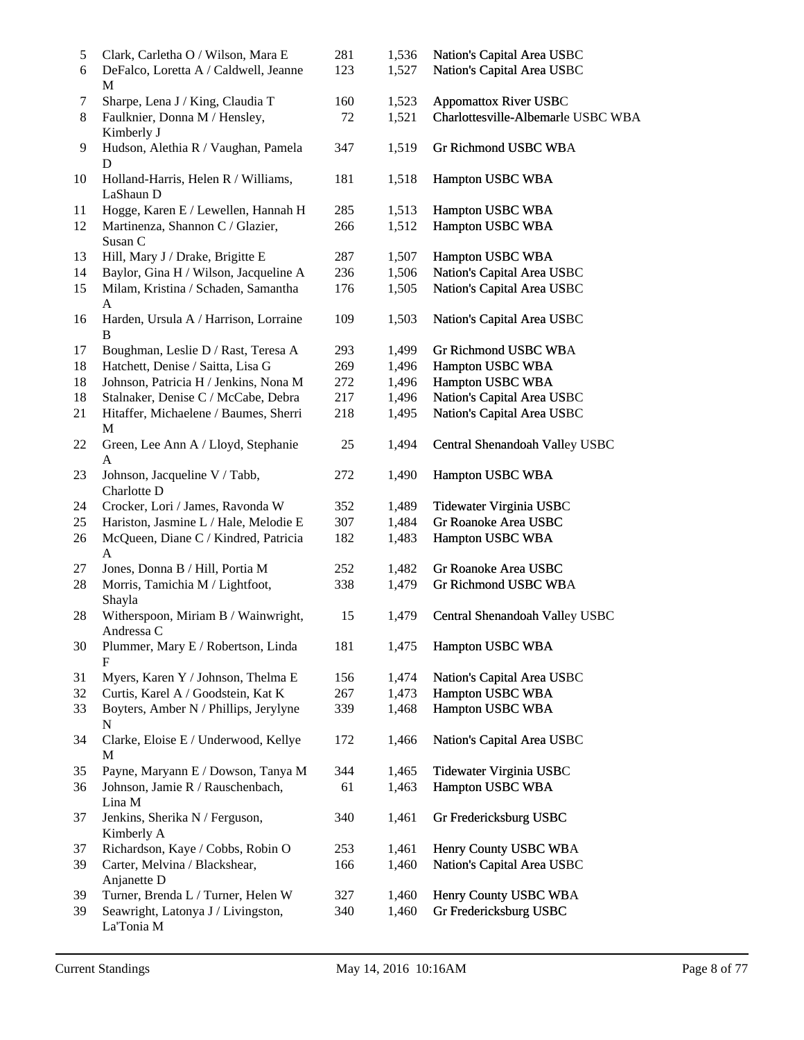| 5<br>6 | Clark, Carletha O / Wilson, Mara E<br>DeFalco, Loretta A / Caldwell, Jeanne | 281<br>123 | 1,536<br>1,527 | Nation's Capital Area USBC<br>Nation's Capital Area USBC |
|--------|-----------------------------------------------------------------------------|------------|----------------|----------------------------------------------------------|
|        | M                                                                           |            |                |                                                          |
| 7      | Sharpe, Lena J / King, Claudia T                                            | 160        | 1,523          | <b>Appomattox River USBC</b>                             |
| 8      | Faulknier, Donna M / Hensley,<br>Kimberly J                                 | 72         | 1,521          | Charlottesville-Albemarle USBC WBA                       |
| 9      | Hudson, Alethia R / Vaughan, Pamela<br>D                                    | 347        | 1,519          | Gr Richmond USBC WBA                                     |
| 10     | Holland-Harris, Helen R / Williams,<br>LaShaun D                            | 181        | 1,518          | Hampton USBC WBA                                         |
| 11     | Hogge, Karen E / Lewellen, Hannah H                                         | 285        | 1,513          | Hampton USBC WBA                                         |
| 12     | Martinenza, Shannon C / Glazier,<br>Susan C                                 | 266        | 1,512          | Hampton USBC WBA                                         |
| 13     | Hill, Mary J / Drake, Brigitte E                                            | 287        | 1,507          | Hampton USBC WBA                                         |
| 14     | Baylor, Gina H / Wilson, Jacqueline A                                       | 236        | 1,506          | Nation's Capital Area USBC                               |
| 15     | Milam, Kristina / Schaden, Samantha<br>$\mathbf{A}$                         | 176        | 1,505          | Nation's Capital Area USBC                               |
| 16     | Harden, Ursula A / Harrison, Lorraine<br>B                                  | 109        | 1,503          | Nation's Capital Area USBC                               |
| 17     | Boughman, Leslie D / Rast, Teresa A                                         | 293        | 1,499          | Gr Richmond USBC WBA                                     |
| 18     | Hatchett, Denise / Saitta, Lisa G                                           | 269        | 1,496          | Hampton USBC WBA                                         |
| 18     | Johnson, Patricia H / Jenkins, Nona M                                       | 272        | 1,496          | Hampton USBC WBA                                         |
| 18     | Stalnaker, Denise C / McCabe, Debra                                         | 217        | 1,496          | Nation's Capital Area USBC                               |
| 21     | Hitaffer, Michaelene / Baumes, Sherri                                       | 218        | 1,495          | Nation's Capital Area USBC                               |
|        | $\mathbf M$                                                                 |            |                |                                                          |
| 22     | Green, Lee Ann A / Lloyd, Stephanie<br>A                                    | 25         | 1,494          | Central Shenandoah Valley USBC                           |
| 23     | Johnson, Jacqueline V / Tabb,<br>Charlotte D                                | 272        | 1,490          | Hampton USBC WBA                                         |
| 24     | Crocker, Lori / James, Ravonda W                                            | 352        | 1,489          | Tidewater Virginia USBC                                  |
| 25     | Hariston, Jasmine L / Hale, Melodie E                                       | 307        | 1,484          | Gr Roanoke Area USBC                                     |
| 26     | McQueen, Diane C / Kindred, Patricia<br>A                                   | 182        | 1,483          | Hampton USBC WBA                                         |
| 27     | Jones, Donna B / Hill, Portia M                                             | 252        | 1,482          | Gr Roanoke Area USBC                                     |
| 28     | Morris, Tamichia M / Lightfoot,<br>Shayla                                   | 338        | 1,479          | Gr Richmond USBC WBA                                     |
| 28     | Witherspoon, Miriam B / Wainwright,<br>Andressa C                           | 15         | 1,479          | Central Shenandoah Valley USBC                           |
| 30     | Plummer, Mary E / Robertson, Linda<br>F                                     | 181        | 1,475          | Hampton USBC WBA                                         |
| 31     | Myers, Karen Y / Johnson, Thelma E                                          | 156        | 1,474          | Nation's Capital Area USBC                               |
| 32     | Curtis, Karel A / Goodstein, Kat K                                          | 267        | 1,473          | Hampton USBC WBA                                         |
| 33     | Boyters, Amber N / Phillips, Jerylyne<br>${\bf N}$                          | 339        | 1,468          | Hampton USBC WBA                                         |
| 34     | Clarke, Eloise E / Underwood, Kellye<br>M                                   | 172        | 1,466          | Nation's Capital Area USBC                               |
| 35     | Payne, Maryann E / Dowson, Tanya M                                          | 344        | 1,465          | Tidewater Virginia USBC                                  |
| 36     | Johnson, Jamie R / Rauschenbach,                                            | 61         | 1,463          | Hampton USBC WBA                                         |
|        | Lina M                                                                      |            |                |                                                          |
| 37     | Jenkins, Sherika N / Ferguson,<br>Kimberly A                                | 340        | 1,461          | Gr Fredericksburg USBC                                   |
| 37     | Richardson, Kaye / Cobbs, Robin O                                           | 253        | 1,461          | Henry County USBC WBA                                    |
| 39     | Carter, Melvina / Blackshear,                                               | 166        | 1,460          | Nation's Capital Area USBC                               |
|        | Anjanette D                                                                 |            |                |                                                          |
| 39     | Turner, Brenda L / Turner, Helen W                                          | 327        | 1,460          | Henry County USBC WBA                                    |
| 39     | Seawright, Latonya J / Livingston,                                          | 340        | 1,460          | Gr Fredericksburg USBC                                   |
|        | La'Tonia M                                                                  |            |                |                                                          |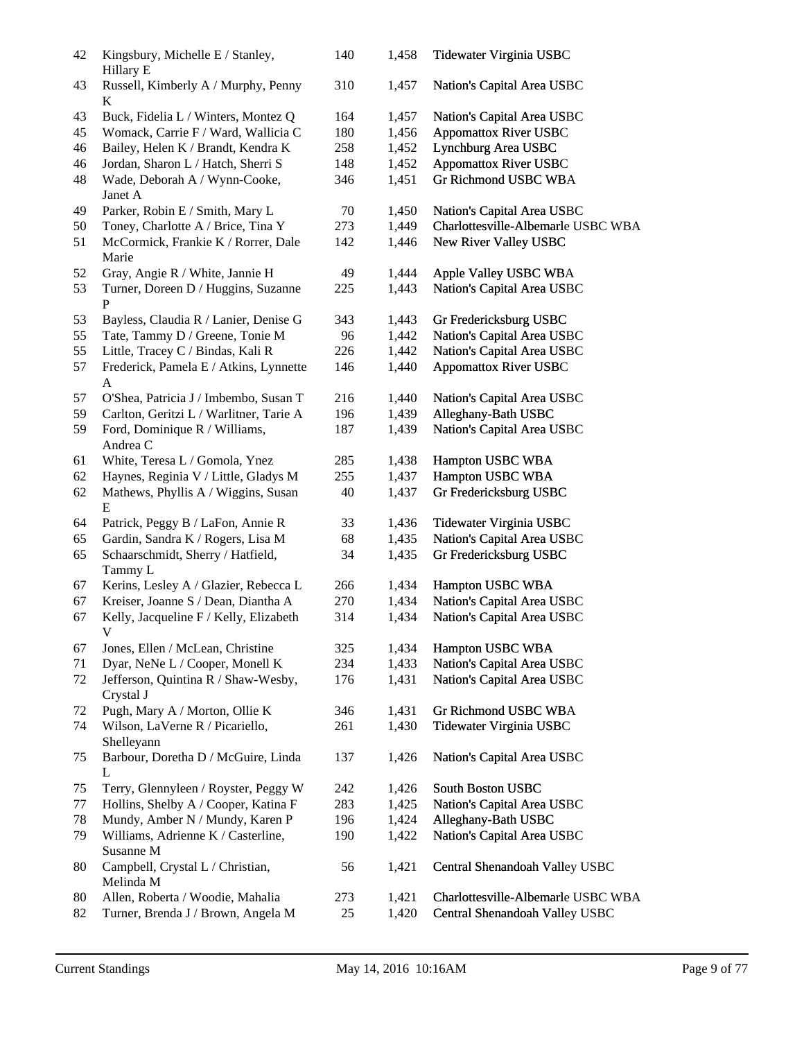| 42 | Kingsbury, Michelle E / Stanley,<br>Hillary E    | 140    | 1,458 | Tidewater Virginia USBC            |
|----|--------------------------------------------------|--------|-------|------------------------------------|
| 43 | Russell, Kimberly A / Murphy, Penny<br>K         | 310    | 1,457 | Nation's Capital Area USBC         |
| 43 | Buck, Fidelia L / Winters, Montez Q              | 164    | 1,457 | Nation's Capital Area USBC         |
| 45 | Womack, Carrie F / Ward, Wallicia C              | 180    | 1,456 | <b>Appomattox River USBC</b>       |
| 46 | Bailey, Helen K / Brandt, Kendra K               | 258    | 1,452 | Lynchburg Area USBC                |
| 46 | Jordan, Sharon L / Hatch, Sherri S               | 148    | 1,452 | <b>Appomattox River USBC</b>       |
| 48 | Wade, Deborah A / Wynn-Cooke,<br>Janet A         | 346    | 1,451 | Gr Richmond USBC WBA               |
| 49 | Parker, Robin E / Smith, Mary L                  | $70\,$ | 1,450 | Nation's Capital Area USBC         |
| 50 | Toney, Charlotte A / Brice, Tina Y               | 273    | 1,449 | Charlottesville-Albemarle USBC WBA |
| 51 | McCormick, Frankie K / Rorrer, Dale<br>Marie     | 142    | 1,446 | New River Valley USBC              |
| 52 | Gray, Angie R / White, Jannie H                  | 49     | 1,444 | Apple Valley USBC WBA              |
| 53 | Turner, Doreen D / Huggins, Suzanne<br>P         | 225    | 1,443 | Nation's Capital Area USBC         |
| 53 | Bayless, Claudia R / Lanier, Denise G            | 343    | 1,443 | Gr Fredericksburg USBC             |
| 55 | Tate, Tammy D / Greene, Tonie M                  | 96     | 1,442 | Nation's Capital Area USBC         |
| 55 | Little, Tracey C / Bindas, Kali R                | 226    | 1,442 | Nation's Capital Area USBC         |
| 57 | Frederick, Pamela E / Atkins, Lynnette<br>A      | 146    | 1,440 | <b>Appomattox River USBC</b>       |
| 57 | O'Shea, Patricia J / Imbembo, Susan T            | 216    | 1,440 | Nation's Capital Area USBC         |
| 59 | Carlton, Geritzi L / Warlitner, Tarie A          | 196    | 1,439 | Alleghany-Bath USBC                |
| 59 | Ford, Dominique R / Williams,<br>Andrea C        | 187    | 1,439 | Nation's Capital Area USBC         |
| 61 | White, Teresa L / Gomola, Ynez                   | 285    | 1,438 | Hampton USBC WBA                   |
| 62 | Haynes, Reginia V / Little, Gladys M             | 255    | 1,437 | Hampton USBC WBA                   |
| 62 | Mathews, Phyllis A / Wiggins, Susan<br>E         | 40     | 1,437 | Gr Fredericksburg USBC             |
| 64 | Patrick, Peggy B / LaFon, Annie R                | 33     | 1,436 | Tidewater Virginia USBC            |
| 65 | Gardin, Sandra K / Rogers, Lisa M                | 68     | 1,435 | Nation's Capital Area USBC         |
| 65 | Schaarschmidt, Sherry / Hatfield,<br>Tammy L     | 34     | 1,435 | Gr Fredericksburg USBC             |
| 67 | Kerins, Lesley A / Glazier, Rebecca L            | 266    | 1,434 | Hampton USBC WBA                   |
| 67 | Kreiser, Joanne S / Dean, Diantha A              | 270    | 1,434 | Nation's Capital Area USBC         |
| 67 | Kelly, Jacqueline F / Kelly, Elizabeth           | 314    | 1,434 | Nation's Capital Area USBC         |
| 67 | Jones, Ellen / McLean, Christine                 | 325    | 1,434 | Hampton USBC WBA                   |
| 71 | Dyar, NeNe L / Cooper, Monell K                  | 234    | 1,433 | Nation's Capital Area USBC         |
| 72 | Jefferson, Quintina R / Shaw-Wesby,<br>Crystal J | 176    | 1,431 | Nation's Capital Area USBC         |
| 72 | Pugh, Mary A / Morton, Ollie K                   | 346    | 1,431 | Gr Richmond USBC WBA               |
| 74 | Wilson, LaVerne R / Picariello,<br>Shelleyann    | 261    | 1,430 | Tidewater Virginia USBC            |
| 75 | Barbour, Doretha D / McGuire, Linda<br>L         | 137    | 1,426 | Nation's Capital Area USBC         |
| 75 | Terry, Glennyleen / Royster, Peggy W             | 242    | 1,426 | South Boston USBC                  |
| 77 | Hollins, Shelby A / Cooper, Katina F             | 283    | 1,425 | Nation's Capital Area USBC         |
| 78 | Mundy, Amber N / Mundy, Karen P                  | 196    | 1,424 | Alleghany-Bath USBC                |
| 79 | Williams, Adrienne K / Casterline,<br>Susanne M  | 190    | 1,422 | Nation's Capital Area USBC         |
| 80 | Campbell, Crystal L / Christian,<br>Melinda M    | 56     | 1,421 | Central Shenandoah Valley USBC     |
| 80 | Allen, Roberta / Woodie, Mahalia                 | 273    | 1,421 | Charlottesville-Albemarle USBC WBA |
| 82 | Turner, Brenda J / Brown, Angela M               | 25     | 1,420 | Central Shenandoah Valley USBC     |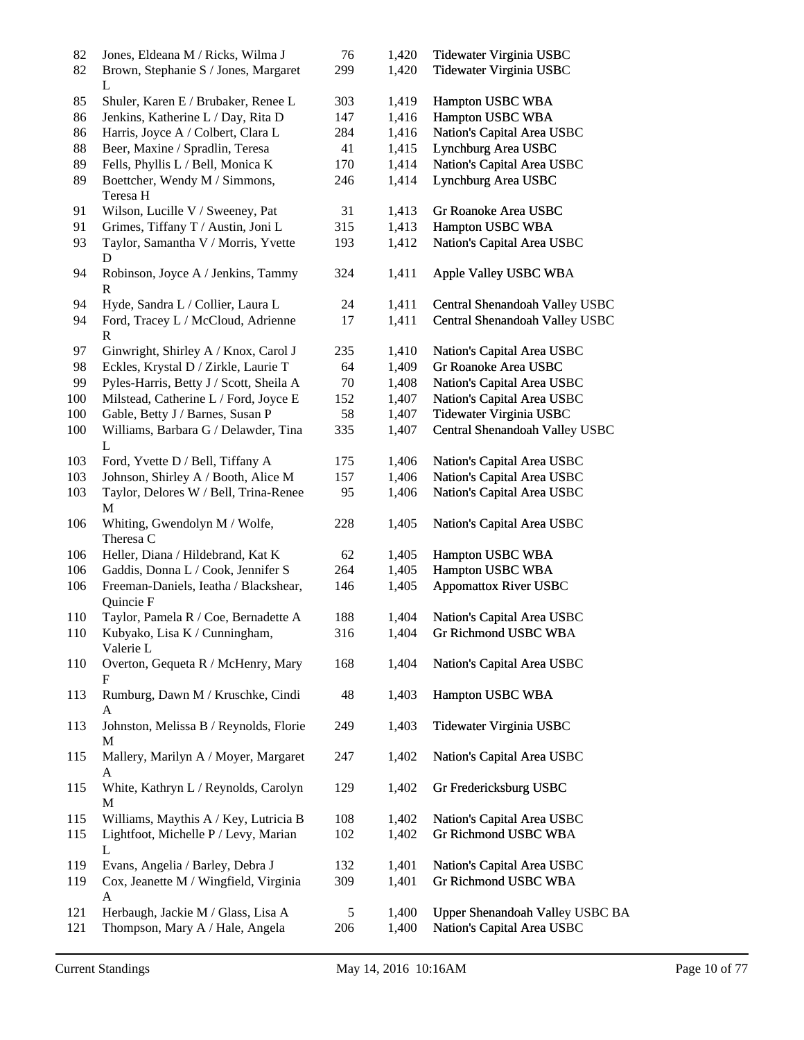| 82         | Jones, Eldeana M / Ricks, Wilma J                                     | 76       | 1,420          | Tidewater Virginia USBC                                       |
|------------|-----------------------------------------------------------------------|----------|----------------|---------------------------------------------------------------|
| 82         | Brown, Stephanie S / Jones, Margaret<br>L                             | 299      | 1,420          | Tidewater Virginia USBC                                       |
| 85         | Shuler, Karen E / Brubaker, Renee L                                   | 303      | 1,419          | Hampton USBC WBA                                              |
| 86         | Jenkins, Katherine L / Day, Rita D                                    | 147      | 1,416          | Hampton USBC WBA                                              |
| 86         | Harris, Joyce A / Colbert, Clara L                                    | 284      | 1,416          | Nation's Capital Area USBC                                    |
| 88         | Beer, Maxine / Spradlin, Teresa                                       | 41       | 1,415          | Lynchburg Area USBC                                           |
| 89         | Fells, Phyllis L / Bell, Monica K                                     | 170      | 1,414          | Nation's Capital Area USBC                                    |
| 89         | Boettcher, Wendy M / Simmons,<br>Teresa H                             | 246      | 1,414          | Lynchburg Area USBC                                           |
| 91         | Wilson, Lucille V / Sweeney, Pat                                      | 31       | 1,413          | Gr Roanoke Area USBC                                          |
| 91         | Grimes, Tiffany T / Austin, Joni L                                    | 315      | 1,413          | Hampton USBC WBA                                              |
| 93         | Taylor, Samantha V / Morris, Yvette<br>D                              | 193      | 1,412          | Nation's Capital Area USBC                                    |
| 94         | Robinson, Joyce A / Jenkins, Tammy<br>$\mathbf R$                     | 324      | 1,411          | Apple Valley USBC WBA                                         |
| 94         | Hyde, Sandra L / Collier, Laura L                                     | 24       | 1,411          | Central Shenandoah Valley USBC                                |
| 94         | Ford, Tracey L / McCloud, Adrienne<br>R                               | 17       | 1,411          | Central Shenandoah Valley USBC                                |
| 97         | Ginwright, Shirley A / Knox, Carol J                                  | 235      | 1,410          | Nation's Capital Area USBC                                    |
| 98         | Eckles, Krystal D / Zirkle, Laurie T                                  | 64       | 1,409          | Gr Roanoke Area USBC                                          |
| 99         | Pyles-Harris, Betty J / Scott, Sheila A                               | 70       | 1,408          | Nation's Capital Area USBC                                    |
| 100        | Milstead, Catherine L / Ford, Joyce E                                 | 152      | 1,407          | Nation's Capital Area USBC                                    |
| 100        | Gable, Betty J / Barnes, Susan P                                      | 58       | 1,407          | Tidewater Virginia USBC                                       |
| 100        | Williams, Barbara G / Delawder, Tina<br>L                             | 335      | 1,407          | Central Shenandoah Valley USBC                                |
| 103        | Ford, Yvette D / Bell, Tiffany A                                      | 175      | 1,406          | Nation's Capital Area USBC                                    |
| 103        | Johnson, Shirley A / Booth, Alice M                                   | 157      | 1,406          | Nation's Capital Area USBC                                    |
| 103        | Taylor, Delores W / Bell, Trina-Renee<br>M                            | 95       | 1,406          | Nation's Capital Area USBC                                    |
| 106        | Whiting, Gwendolyn M / Wolfe,<br>Theresa C                            | 228      | 1,405          | Nation's Capital Area USBC                                    |
| 106        | Heller, Diana / Hildebrand, Kat K                                     | 62       | 1,405          | Hampton USBC WBA                                              |
| 106        | Gaddis, Donna L / Cook, Jennifer S                                    | 264      | 1,405          | Hampton USBC WBA                                              |
| 106        | Freeman-Daniels, Ieatha / Blackshear,<br>Quincie F                    | 146      | 1,405          | <b>Appomattox River USBC</b>                                  |
| 110        | Taylor, Pamela R / Coe, Bernadette A                                  | 188      | 1,404          | Nation's Capital Area USBC                                    |
| 110        | Kubyako, Lisa K / Cunningham,<br>Valerie L                            | 316      | 1,404          | Gr Richmond USBC WBA                                          |
| 110        | Overton, Gequeta R / McHenry, Mary<br>F                               | 168      | 1,404          | Nation's Capital Area USBC                                    |
| 113        | Rumburg, Dawn M / Kruschke, Cindi<br>A                                | 48       | 1,403          | Hampton USBC WBA                                              |
| 113        | Johnston, Melissa B / Reynolds, Florie<br>М                           | 249      | 1,403          | Tidewater Virginia USBC                                       |
| 115        | Mallery, Marilyn A / Moyer, Margaret<br>A                             | 247      | 1,402          | Nation's Capital Area USBC                                    |
| 115        | White, Kathryn L / Reynolds, Carolyn<br>M                             | 129      | 1,402          | Gr Fredericksburg USBC                                        |
| 115        | Williams, Maythis A / Key, Lutricia B                                 | 108      | 1,402          | Nation's Capital Area USBC                                    |
| 115        | Lightfoot, Michelle P / Levy, Marian<br>L                             | 102      | 1,402          | Gr Richmond USBC WBA                                          |
| 119        | Evans, Angelia / Barley, Debra J                                      | 132      | 1,401          | Nation's Capital Area USBC                                    |
| 119        | Cox, Jeanette M / Wingfield, Virginia<br>A                            | 309      | 1,401          | Gr Richmond USBC WBA                                          |
| 121<br>121 | Herbaugh, Jackie M / Glass, Lisa A<br>Thompson, Mary A / Hale, Angela | 5<br>206 | 1,400<br>1,400 | Upper Shenandoah Valley USBC BA<br>Nation's Capital Area USBC |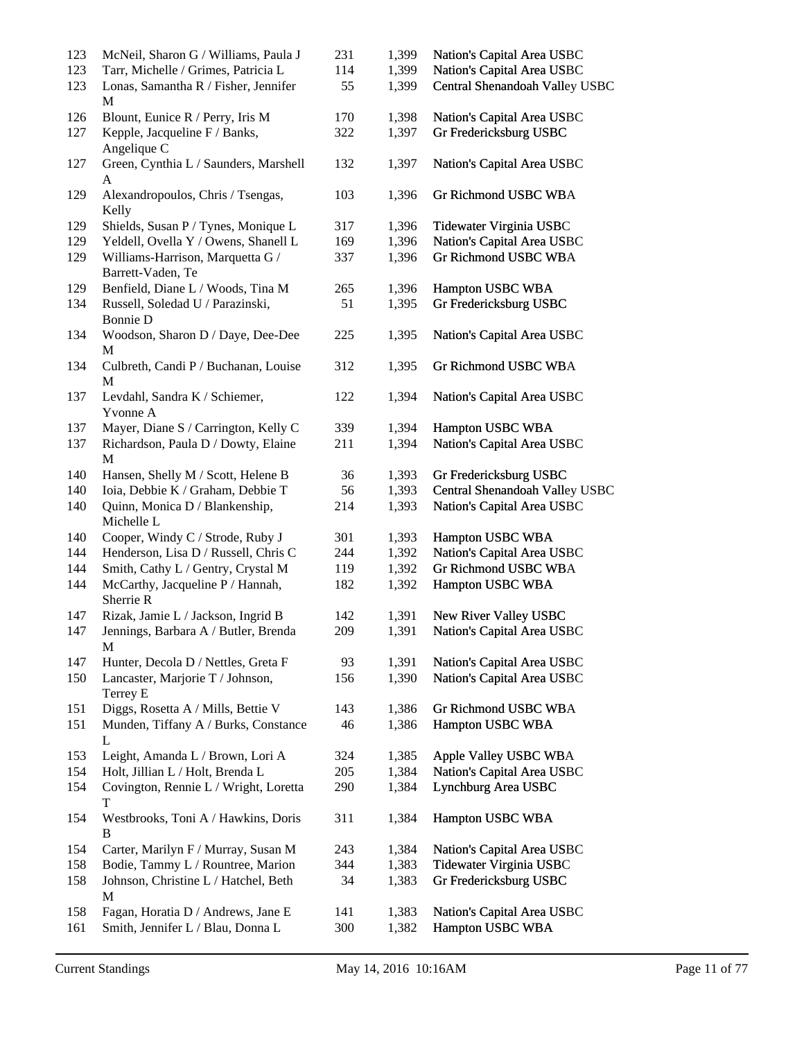| 123 | McNeil, Sharon G / Williams, Paula J                  | 231 | 1,399 | Nation's Capital Area USBC     |
|-----|-------------------------------------------------------|-----|-------|--------------------------------|
| 123 | Tarr, Michelle / Grimes, Patricia L                   | 114 | 1,399 | Nation's Capital Area USBC     |
| 123 | Lonas, Samantha R / Fisher, Jennifer<br>$\mathbf M$   | 55  | 1,399 | Central Shenandoah Valley USBC |
| 126 | Blount, Eunice R / Perry, Iris M                      | 170 | 1,398 | Nation's Capital Area USBC     |
| 127 | Kepple, Jacqueline F / Banks,<br>Angelique C          | 322 | 1,397 | Gr Fredericksburg USBC         |
| 127 | Green, Cynthia L / Saunders, Marshell<br>A            | 132 | 1,397 | Nation's Capital Area USBC     |
| 129 | Alexandropoulos, Chris / Tsengas,<br>Kelly            | 103 | 1,396 | <b>Gr Richmond USBC WBA</b>    |
| 129 | Shields, Susan P / Tynes, Monique L                   | 317 | 1,396 | Tidewater Virginia USBC        |
| 129 | Yeldell, Ovella Y / Owens, Shanell L                  | 169 | 1,396 | Nation's Capital Area USBC     |
| 129 | Williams-Harrison, Marquetta G /<br>Barrett-Vaden, Te | 337 | 1,396 | Gr Richmond USBC WBA           |
| 129 | Benfield, Diane L / Woods, Tina M                     | 265 | 1,396 | Hampton USBC WBA               |
| 134 | Russell, Soledad U / Parazinski,<br><b>Bonnie D</b>   | 51  | 1,395 | Gr Fredericksburg USBC         |
| 134 | Woodson, Sharon D / Daye, Dee-Dee<br>M                | 225 | 1,395 | Nation's Capital Area USBC     |
| 134 | Culbreth, Candi P / Buchanan, Louise<br>M             | 312 | 1,395 | Gr Richmond USBC WBA           |
| 137 | Levdahl, Sandra K / Schiemer,<br>Yvonne A             | 122 | 1,394 | Nation's Capital Area USBC     |
| 137 | Mayer, Diane S / Carrington, Kelly C                  | 339 | 1,394 | Hampton USBC WBA               |
| 137 | Richardson, Paula D / Dowty, Elaine<br>M              | 211 | 1,394 | Nation's Capital Area USBC     |
| 140 | Hansen, Shelly M / Scott, Helene B                    | 36  | 1,393 | Gr Fredericksburg USBC         |
| 140 | Ioia, Debbie K / Graham, Debbie T                     | 56  | 1,393 | Central Shenandoah Valley USBC |
| 140 | Quinn, Monica D / Blankenship,<br>Michelle L          | 214 | 1,393 | Nation's Capital Area USBC     |
| 140 | Cooper, Windy C / Strode, Ruby J                      | 301 | 1,393 | Hampton USBC WBA               |
| 144 | Henderson, Lisa D / Russell, Chris C                  | 244 | 1,392 | Nation's Capital Area USBC     |
| 144 | Smith, Cathy L / Gentry, Crystal M                    | 119 | 1,392 | Gr Richmond USBC WBA           |
| 144 | McCarthy, Jacqueline P / Hannah,<br>Sherrie R         | 182 | 1,392 | Hampton USBC WBA               |
| 147 | Rizak, Jamie L / Jackson, Ingrid B                    | 142 | 1,391 | New River Valley USBC          |
| 147 | Jennings, Barbara A / Butler, Brenda<br>M             | 209 | 1,391 | Nation's Capital Area USBC     |
| 147 | Hunter, Decola D / Nettles, Greta F                   | 93  | 1,391 | Nation's Capital Area USBC     |
| 150 | Lancaster, Marjorie T / Johnson,<br>Terrey E          | 156 | 1,390 | Nation's Capital Area USBC     |
| 151 | Diggs, Rosetta A / Mills, Bettie V                    | 143 | 1,386 | Gr Richmond USBC WBA           |
| 151 | Munden, Tiffany A / Burks, Constance<br>L             | 46  | 1,386 | Hampton USBC WBA               |
| 153 | Leight, Amanda L / Brown, Lori A                      | 324 | 1,385 | Apple Valley USBC WBA          |
| 154 | Holt, Jillian L / Holt, Brenda L                      | 205 | 1,384 | Nation's Capital Area USBC     |
| 154 | Covington, Rennie L / Wright, Loretta<br>T            | 290 | 1,384 | Lynchburg Area USBC            |
| 154 | Westbrooks, Toni A / Hawkins, Doris<br>B              | 311 | 1,384 | Hampton USBC WBA               |
| 154 | Carter, Marilyn F / Murray, Susan M                   | 243 | 1,384 | Nation's Capital Area USBC     |
| 158 | Bodie, Tammy L / Rountree, Marion                     | 344 | 1,383 | Tidewater Virginia USBC        |
| 158 | Johnson, Christine L / Hatchel, Beth<br>M             | 34  | 1,383 | Gr Fredericksburg USBC         |
| 158 | Fagan, Horatia D / Andrews, Jane E                    | 141 | 1,383 | Nation's Capital Area USBC     |
| 161 | Smith, Jennifer L / Blau, Donna L                     | 300 | 1,382 | Hampton USBC WBA               |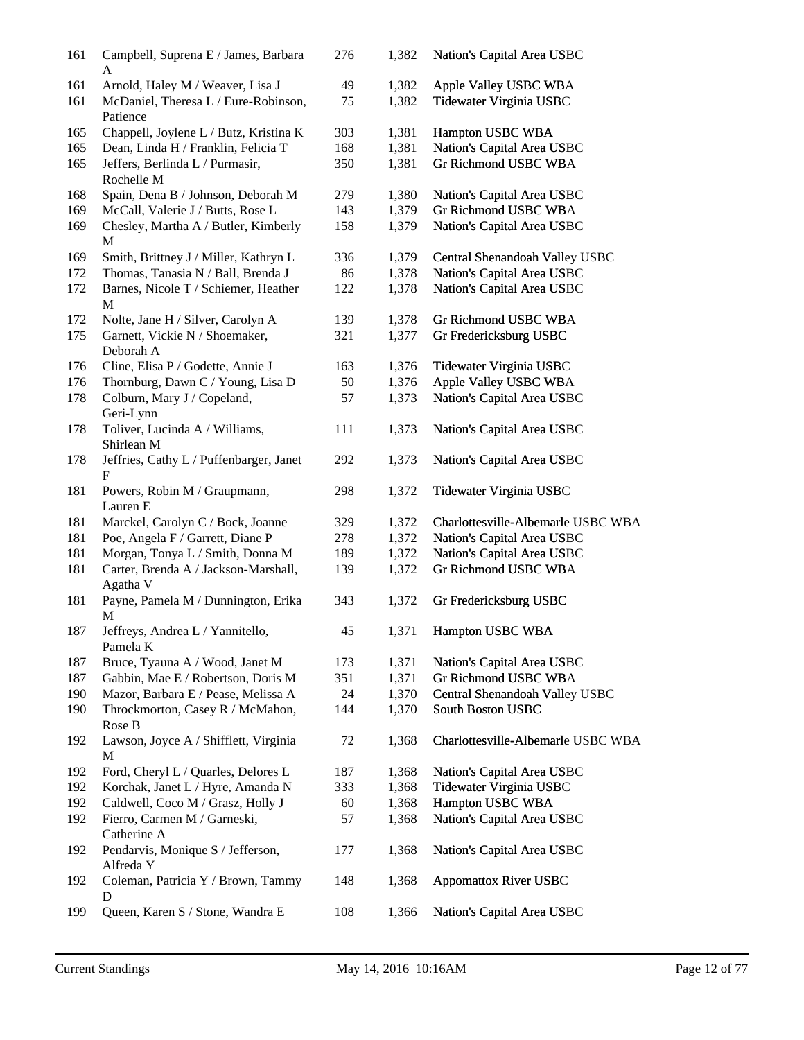| 161 | Campbell, Suprena E / James, Barbara<br>A        | 276 | 1,382 | Nation's Capital Area USBC         |
|-----|--------------------------------------------------|-----|-------|------------------------------------|
| 161 | Arnold, Haley M / Weaver, Lisa J                 | 49  | 1,382 | Apple Valley USBC WBA              |
| 161 | McDaniel, Theresa L / Eure-Robinson,<br>Patience | 75  | 1,382 | Tidewater Virginia USBC            |
| 165 | Chappell, Joylene L / Butz, Kristina K           | 303 | 1,381 | Hampton USBC WBA                   |
| 165 | Dean, Linda H / Franklin, Felicia T              | 168 | 1,381 | Nation's Capital Area USBC         |
| 165 | Jeffers, Berlinda L / Purmasir,<br>Rochelle M    | 350 | 1,381 | Gr Richmond USBC WBA               |
| 168 | Spain, Dena B / Johnson, Deborah M               | 279 | 1,380 | Nation's Capital Area USBC         |
| 169 | McCall, Valerie J / Butts, Rose L                | 143 | 1,379 | Gr Richmond USBC WBA               |
| 169 | Chesley, Martha A / Butler, Kimberly<br>M        | 158 | 1,379 | Nation's Capital Area USBC         |
| 169 | Smith, Brittney J / Miller, Kathryn L            | 336 | 1,379 | Central Shenandoah Valley USBC     |
| 172 | Thomas, Tanasia N / Ball, Brenda J               | 86  | 1,378 | Nation's Capital Area USBC         |
| 172 | Barnes, Nicole T / Schiemer, Heather<br>М        | 122 | 1,378 | Nation's Capital Area USBC         |
| 172 | Nolte, Jane H / Silver, Carolyn A                | 139 | 1,378 | Gr Richmond USBC WBA               |
| 175 | Garnett, Vickie N / Shoemaker,                   | 321 | 1,377 | Gr Fredericksburg USBC             |
|     | Deborah A                                        |     |       |                                    |
| 176 | Cline, Elisa P / Godette, Annie J                | 163 | 1,376 | Tidewater Virginia USBC            |
| 176 | Thornburg, Dawn C / Young, Lisa D                | 50  | 1,376 | Apple Valley USBC WBA              |
| 178 | Colburn, Mary J / Copeland,                      | 57  | 1,373 | Nation's Capital Area USBC         |
|     | Geri-Lynn                                        |     |       |                                    |
| 178 | Toliver, Lucinda A / Williams,<br>Shirlean M     | 111 | 1,373 | Nation's Capital Area USBC         |
| 178 | Jeffries, Cathy L / Puffenbarger, Janet<br>F     | 292 | 1,373 | Nation's Capital Area USBC         |
| 181 | Powers, Robin M / Graupmann,<br>Lauren E         | 298 | 1,372 | Tidewater Virginia USBC            |
| 181 | Marckel, Carolyn C / Bock, Joanne                | 329 | 1,372 | Charlottesville-Albemarle USBC WBA |
| 181 | Poe, Angela F / Garrett, Diane P                 | 278 | 1,372 | Nation's Capital Area USBC         |
| 181 | Morgan, Tonya L / Smith, Donna M                 | 189 | 1,372 | Nation's Capital Area USBC         |
| 181 | Carter, Brenda A / Jackson-Marshall,<br>Agatha V | 139 | 1,372 | Gr Richmond USBC WBA               |
| 181 | Payne, Pamela M / Dunnington, Erika<br>М         | 343 | 1,372 | Gr Fredericksburg USBC             |
| 187 | Jeffreys, Andrea L / Yannitello,<br>Pamela K     | 45  | 1,371 | Hampton USBC WBA                   |
| 187 | Bruce, Tyauna A / Wood, Janet M                  | 173 | 1,371 | Nation's Capital Area USBC         |
| 187 | Gabbin, Mae E / Robertson, Doris M               | 351 | 1,371 | <b>Gr Richmond USBC WBA</b>        |
| 190 | Mazor, Barbara E / Pease, Melissa A              | 24  | 1,370 | Central Shenandoah Valley USBC     |
| 190 | Throckmorton, Casey R / McMahon,                 | 144 | 1,370 | South Boston USBC                  |
|     | Rose B                                           |     |       |                                    |
| 192 | Lawson, Joyce A / Shifflett, Virginia<br>M       | 72  | 1,368 | Charlottesville-Albemarle USBC WBA |
| 192 | Ford, Cheryl L / Quarles, Delores L              | 187 | 1,368 | Nation's Capital Area USBC         |
| 192 | Korchak, Janet L / Hyre, Amanda N                | 333 | 1,368 | Tidewater Virginia USBC            |
| 192 | Caldwell, Coco M / Grasz, Holly J                | 60  | 1,368 | Hampton USBC WBA                   |
| 192 | Fierro, Carmen M / Garneski,<br>Catherine A      | 57  | 1,368 | Nation's Capital Area USBC         |
| 192 | Pendarvis, Monique S / Jefferson,<br>Alfreda Y   | 177 | 1,368 | Nation's Capital Area USBC         |
| 192 | Coleman, Patricia Y / Brown, Tammy<br>D          | 148 | 1,368 | <b>Appomattox River USBC</b>       |
| 199 | Queen, Karen S / Stone, Wandra E                 | 108 | 1,366 | Nation's Capital Area USBC         |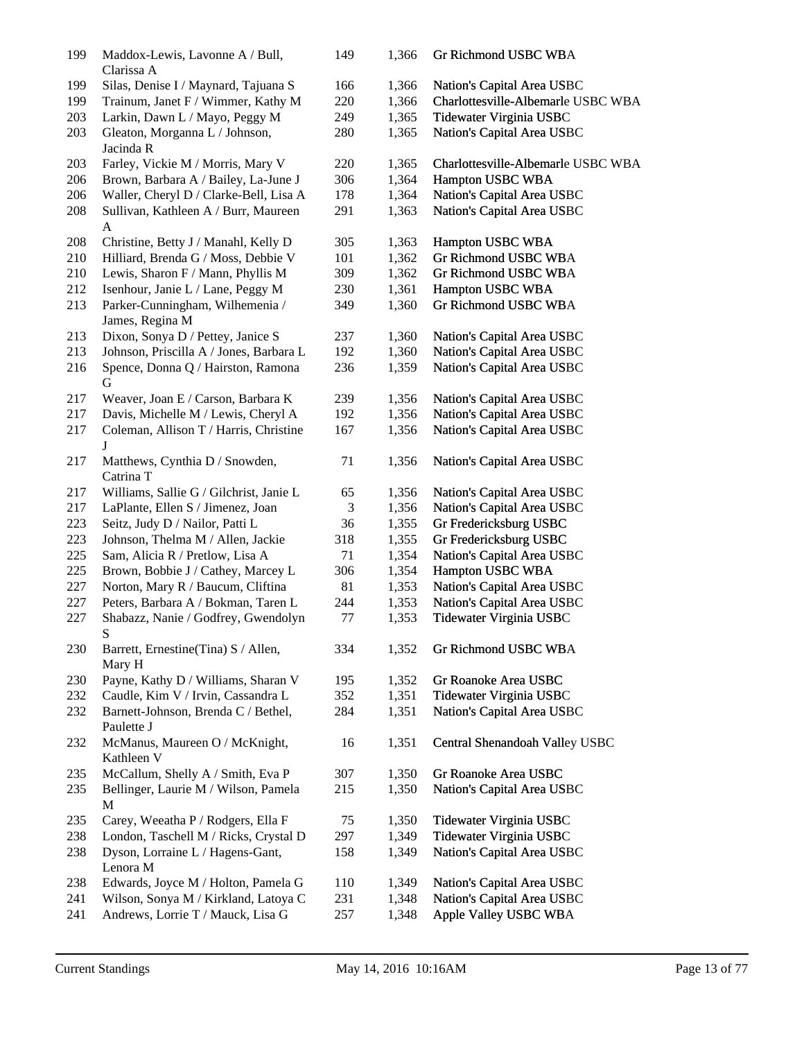| 199 | Maddox-Lewis, Lavonne A / Bull,<br>Clarissa A      | 149 | 1,366 | Gr Richmond USBC WBA               |
|-----|----------------------------------------------------|-----|-------|------------------------------------|
| 199 | Silas, Denise I / Maynard, Tajuana S               | 166 | 1,366 | Nation's Capital Area USBC         |
| 199 | Trainum, Janet F / Wimmer, Kathy M                 | 220 | 1,366 | Charlottesville-Albemarle USBC WBA |
| 203 | Larkin, Dawn L / Mayo, Peggy M                     | 249 | 1,365 | Tidewater Virginia USBC            |
| 203 | Gleaton, Morganna L / Johnson,<br>Jacinda R        | 280 | 1,365 | Nation's Capital Area USBC         |
| 203 | Farley, Vickie M / Morris, Mary V                  | 220 | 1,365 | Charlottesville-Albemarle USBC WBA |
|     |                                                    |     |       |                                    |
| 206 | Brown, Barbara A / Bailey, La-June J               | 306 | 1,364 | Hampton USBC WBA                   |
| 206 | Waller, Cheryl D / Clarke-Bell, Lisa A             | 178 | 1,364 | Nation's Capital Area USBC         |
| 208 | Sullivan, Kathleen A / Burr, Maureen<br>A          | 291 | 1,363 | Nation's Capital Area USBC         |
| 208 | Christine, Betty J / Manahl, Kelly D               | 305 | 1,363 | Hampton USBC WBA                   |
| 210 | Hilliard, Brenda G / Moss, Debbie V                | 101 | 1,362 | Gr Richmond USBC WBA               |
| 210 | Lewis, Sharon F / Mann, Phyllis M                  | 309 | 1,362 | Gr Richmond USBC WBA               |
| 212 | Isenhour, Janie L / Lane, Peggy M                  | 230 | 1,361 | Hampton USBC WBA                   |
|     |                                                    |     |       |                                    |
| 213 | Parker-Cunningham, Wilhemenia /<br>James, Regina M | 349 | 1,360 | Gr Richmond USBC WBA               |
| 213 | Dixon, Sonya D / Pettey, Janice S                  | 237 | 1,360 | Nation's Capital Area USBC         |
| 213 | Johnson, Priscilla A / Jones, Barbara L            | 192 | 1,360 | Nation's Capital Area USBC         |
| 216 | Spence, Donna Q / Hairston, Ramona<br>G            | 236 | 1,359 | Nation's Capital Area USBC         |
| 217 | Weaver, Joan E / Carson, Barbara K                 | 239 | 1,356 | Nation's Capital Area USBC         |
| 217 | Davis, Michelle M / Lewis, Cheryl A                | 192 | 1,356 | Nation's Capital Area USBC         |
| 217 | Coleman, Allison T / Harris, Christine<br>J        | 167 | 1,356 | Nation's Capital Area USBC         |
| 217 | Matthews, Cynthia D / Snowden,<br>Catrina T        | 71  | 1,356 | Nation's Capital Area USBC         |
| 217 | Williams, Sallie G / Gilchrist, Janie L            | 65  | 1,356 | Nation's Capital Area USBC         |
| 217 | LaPlante, Ellen S / Jimenez, Joan                  | 3   | 1,356 | Nation's Capital Area USBC         |
| 223 | Seitz, Judy D / Nailor, Patti L                    | 36  | 1,355 | Gr Fredericksburg USBC             |
|     |                                                    |     |       |                                    |
| 223 | Johnson, Thelma M / Allen, Jackie                  | 318 | 1,355 | Gr Fredericksburg USBC             |
| 225 | Sam, Alicia R / Pretlow, Lisa A                    | 71  | 1,354 | Nation's Capital Area USBC         |
| 225 | Brown, Bobbie J / Cathey, Marcey L                 | 306 | 1,354 | Hampton USBC WBA                   |
| 227 | Norton, Mary R / Baucum, Cliftina                  | 81  | 1,353 | Nation's Capital Area USBC         |
| 227 | Peters, Barbara A / Bokman, Taren L                | 244 | 1,353 | Nation's Capital Area USBC         |
| 227 | Shabazz, Nanie / Godfrey, Gwendolyn<br>S           | 77  | 1,353 | Tidewater Virginia USBC            |
| 230 | Barrett, Ernestine(Tina) S / Allen,<br>Mary H      | 334 | 1,352 | Gr Richmond USBC WBA               |
| 230 | Payne, Kathy D / Williams, Sharan V                | 195 | 1,352 | Gr Roanoke Area USBC               |
| 232 | Caudle, Kim V / Irvin, Cassandra L                 | 352 | 1,351 | Tidewater Virginia USBC            |
| 232 | Barnett-Johnson, Brenda C / Bethel,                | 284 | 1,351 | Nation's Capital Area USBC         |
|     | Paulette J                                         |     |       |                                    |
| 232 | McManus, Maureen O / McKnight,<br>Kathleen V       | 16  | 1,351 | Central Shenandoah Valley USBC     |
| 235 | McCallum, Shelly A / Smith, Eva P                  | 307 | 1,350 | Gr Roanoke Area USBC               |
|     |                                                    |     |       |                                    |
| 235 | Bellinger, Laurie M / Wilson, Pamela<br>M          | 215 | 1,350 | Nation's Capital Area USBC         |
| 235 | Carey, Weeatha P / Rodgers, Ella F                 | 75  | 1,350 | Tidewater Virginia USBC            |
| 238 | London, Taschell M / Ricks, Crystal D              | 297 | 1,349 | Tidewater Virginia USBC            |
| 238 | Dyson, Lorraine L / Hagens-Gant,<br>Lenora M       | 158 | 1,349 | Nation's Capital Area USBC         |
| 238 | Edwards, Joyce M / Holton, Pamela G                | 110 | 1,349 | Nation's Capital Area USBC         |
| 241 | Wilson, Sonya M / Kirkland, Latoya C               | 231 | 1,348 | Nation's Capital Area USBC         |
| 241 | Andrews, Lorrie T / Mauck, Lisa G                  | 257 | 1,348 | Apple Valley USBC WBA              |
|     |                                                    |     |       |                                    |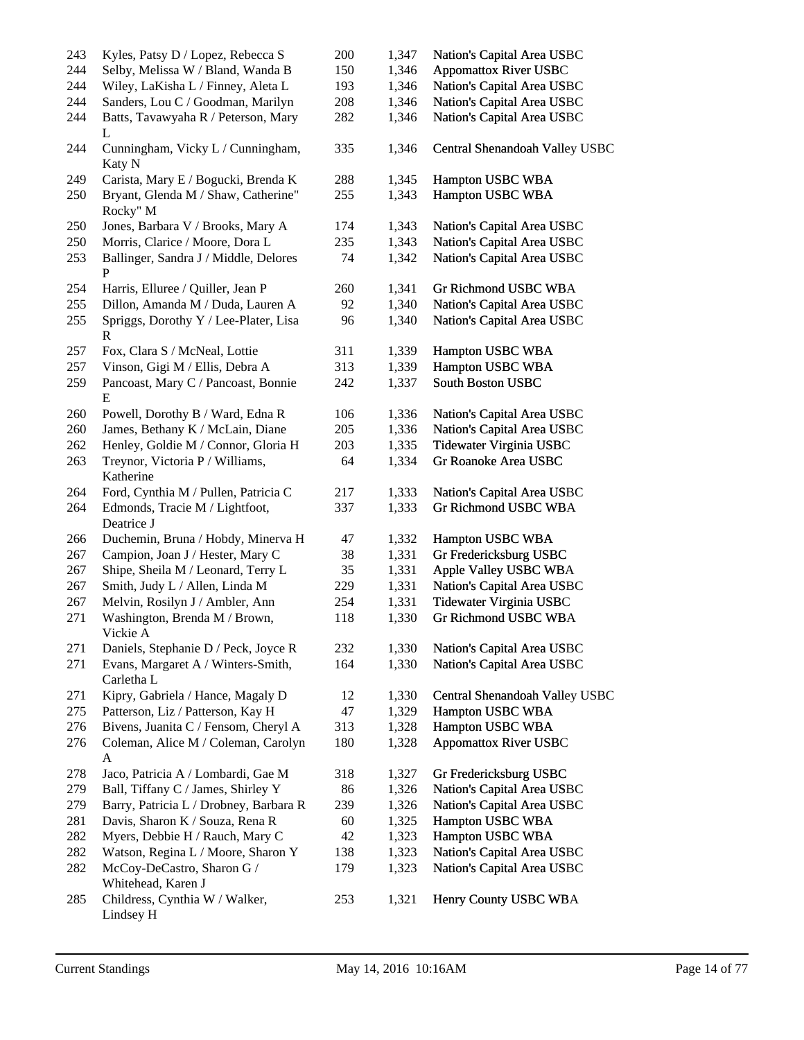| 243 | Kyles, Patsy D / Lopez, Rebecca S                     | 200 | 1,347 | Nation's Capital Area USBC     |
|-----|-------------------------------------------------------|-----|-------|--------------------------------|
| 244 | Selby, Melissa W / Bland, Wanda B                     | 150 | 1,346 | <b>Appomattox River USBC</b>   |
| 244 | Wiley, LaKisha L / Finney, Aleta L                    | 193 | 1,346 | Nation's Capital Area USBC     |
| 244 | Sanders, Lou C / Goodman, Marilyn                     | 208 | 1,346 | Nation's Capital Area USBC     |
| 244 | Batts, Tavawyaha R / Peterson, Mary<br>L              | 282 | 1,346 | Nation's Capital Area USBC     |
| 244 | Cunningham, Vicky L / Cunningham,<br>Katy N           | 335 | 1,346 | Central Shenandoah Valley USBC |
| 249 | Carista, Mary E / Bogucki, Brenda K                   | 288 | 1,345 | Hampton USBC WBA               |
| 250 | Bryant, Glenda M / Shaw, Catherine"<br>Rocky" M       | 255 | 1,343 | Hampton USBC WBA               |
| 250 | Jones, Barbara V / Brooks, Mary A                     | 174 | 1,343 | Nation's Capital Area USBC     |
| 250 | Morris, Clarice / Moore, Dora L                       | 235 | 1,343 | Nation's Capital Area USBC     |
| 253 | Ballinger, Sandra J / Middle, Delores<br>$\mathbf{P}$ | 74  | 1,342 | Nation's Capital Area USBC     |
| 254 | Harris, Elluree / Quiller, Jean P                     | 260 | 1,341 | Gr Richmond USBC WBA           |
| 255 | Dillon, Amanda M / Duda, Lauren A                     | 92  | 1,340 | Nation's Capital Area USBC     |
| 255 | Spriggs, Dorothy Y / Lee-Plater, Lisa<br>R            | 96  | 1,340 | Nation's Capital Area USBC     |
| 257 | Fox, Clara S / McNeal, Lottie                         | 311 | 1,339 | Hampton USBC WBA               |
| 257 | Vinson, Gigi M / Ellis, Debra A                       | 313 | 1,339 | Hampton USBC WBA               |
| 259 | Pancoast, Mary C / Pancoast, Bonnie<br>E              | 242 | 1,337 | South Boston USBC              |
| 260 | Powell, Dorothy B / Ward, Edna R                      | 106 | 1,336 | Nation's Capital Area USBC     |
| 260 | James, Bethany K / McLain, Diane                      | 205 | 1,336 | Nation's Capital Area USBC     |
| 262 | Henley, Goldie M / Connor, Gloria H                   | 203 | 1,335 | Tidewater Virginia USBC        |
| 263 | Treynor, Victoria P / Williams,<br>Katherine          | 64  | 1,334 | Gr Roanoke Area USBC           |
| 264 | Ford, Cynthia M / Pullen, Patricia C                  | 217 | 1,333 | Nation's Capital Area USBC     |
| 264 | Edmonds, Tracie M / Lightfoot,<br>Deatrice J          | 337 | 1,333 | Gr Richmond USBC WBA           |
| 266 | Duchemin, Bruna / Hobdy, Minerva H                    | 47  | 1,332 | Hampton USBC WBA               |
| 267 | Campion, Joan J / Hester, Mary C                      | 38  | 1,331 | Gr Fredericksburg USBC         |
| 267 | Shipe, Sheila M / Leonard, Terry L                    | 35  | 1,331 | Apple Valley USBC WBA          |
| 267 | Smith, Judy L / Allen, Linda M                        | 229 | 1,331 | Nation's Capital Area USBC     |
| 267 | Melvin, Rosilyn J / Ambler, Ann                       | 254 | 1,331 | Tidewater Virginia USBC        |
| 271 | Washington, Brenda M / Brown,<br>Vickie A             | 118 | 1,330 | <b>Gr Richmond USBC WBA</b>    |
| 271 | Daniels, Stephanie D / Peck, Joyce R                  | 232 | 1,330 | Nation's Capital Area USBC     |
| 271 | Evans, Margaret A / Winters-Smith,<br>Carletha L      | 164 | 1,330 | Nation's Capital Area USBC     |
| 271 | Kipry, Gabriela / Hance, Magaly D                     | 12  | 1,330 | Central Shenandoah Valley USBC |
| 275 | Patterson, Liz / Patterson, Kay H                     | 47  | 1,329 | Hampton USBC WBA               |
| 276 | Bivens, Juanita C / Fensom, Cheryl A                  | 313 | 1,328 | Hampton USBC WBA               |
| 276 | Coleman, Alice M / Coleman, Carolyn<br>A              | 180 | 1,328 | <b>Appomattox River USBC</b>   |
| 278 | Jaco, Patricia A / Lombardi, Gae M                    | 318 | 1,327 | Gr Fredericksburg USBC         |
| 279 | Ball, Tiffany C / James, Shirley Y                    | 86  | 1,326 | Nation's Capital Area USBC     |
| 279 | Barry, Patricia L / Drobney, Barbara R                | 239 | 1,326 | Nation's Capital Area USBC     |
| 281 | Davis, Sharon K / Souza, Rena R                       | 60  | 1,325 | Hampton USBC WBA               |
| 282 | Myers, Debbie H / Rauch, Mary C                       | 42  | 1,323 | Hampton USBC WBA               |
| 282 | Watson, Regina L / Moore, Sharon Y                    | 138 | 1,323 | Nation's Capital Area USBC     |
| 282 | McCoy-DeCastro, Sharon G /<br>Whitehead, Karen J      | 179 | 1,323 | Nation's Capital Area USBC     |
| 285 | Childress, Cynthia W / Walker,<br>Lindsey H           | 253 | 1,321 | Henry County USBC WBA          |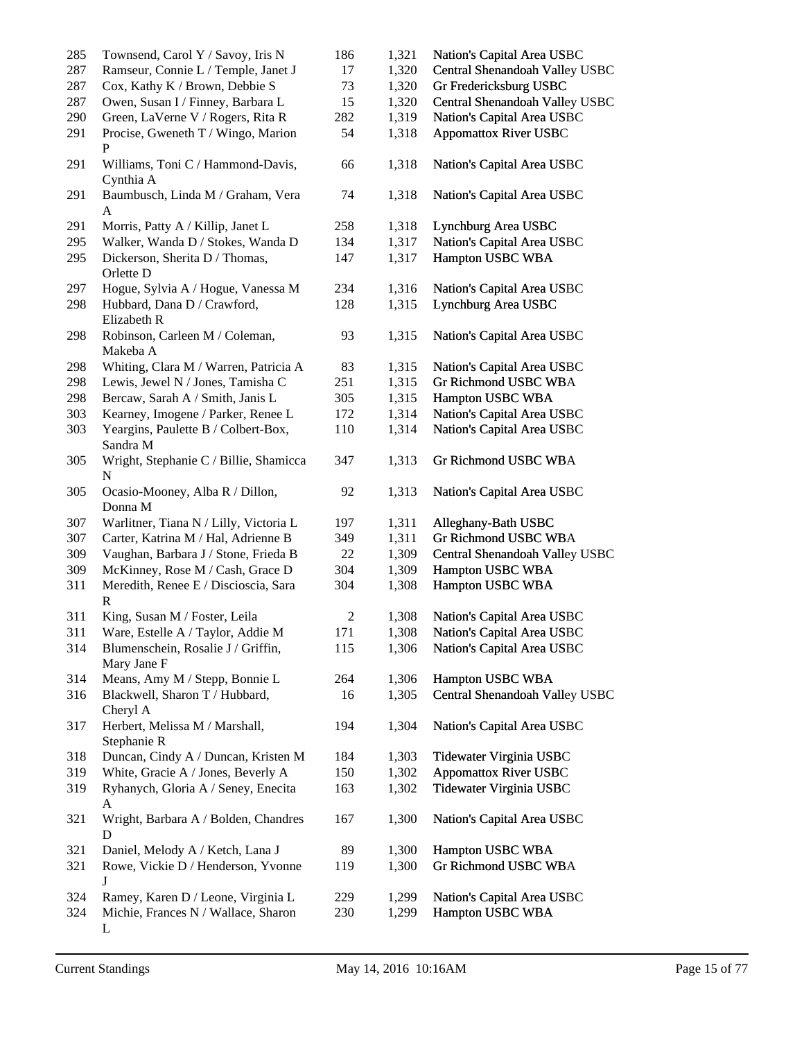| 285 | Townsend, Carol Y / Savoy, Iris N                 | 186            | 1,321 | Nation's Capital Area USBC     |
|-----|---------------------------------------------------|----------------|-------|--------------------------------|
| 287 | Ramseur, Connie L / Temple, Janet J               | 17             | 1,320 | Central Shenandoah Valley USBC |
| 287 | Cox, Kathy K / Brown, Debbie S                    | 73             | 1,320 | Gr Fredericksburg USBC         |
| 287 | Owen, Susan I / Finney, Barbara L                 | 15             | 1,320 | Central Shenandoah Valley USBC |
| 290 | Green, LaVerne V / Rogers, Rita R                 | 282            | 1,319 | Nation's Capital Area USBC     |
| 291 | Procise, Gweneth T / Wingo, Marion<br>P           | 54             | 1,318 | <b>Appomattox River USBC</b>   |
| 291 | Williams, Toni C / Hammond-Davis,<br>Cynthia A    | 66             | 1,318 | Nation's Capital Area USBC     |
| 291 | Baumbusch, Linda M / Graham, Vera<br>$\mathbf{A}$ | 74             | 1,318 | Nation's Capital Area USBC     |
| 291 | Morris, Patty A / Killip, Janet L                 | 258            | 1,318 | Lynchburg Area USBC            |
| 295 | Walker, Wanda D / Stokes, Wanda D                 | 134            | 1,317 | Nation's Capital Area USBC     |
| 295 | Dickerson, Sherita D / Thomas,<br>Orlette D       | 147            | 1,317 | Hampton USBC WBA               |
| 297 | Hogue, Sylvia A / Hogue, Vanessa M                | 234            | 1,316 | Nation's Capital Area USBC     |
| 298 | Hubbard, Dana D / Crawford,<br>Elizabeth R        | 128            | 1,315 | Lynchburg Area USBC            |
| 298 | Robinson, Carleen M / Coleman,<br>Makeba A        | 93             | 1,315 | Nation's Capital Area USBC     |
| 298 | Whiting, Clara M / Warren, Patricia A             | 83             | 1,315 | Nation's Capital Area USBC     |
| 298 | Lewis, Jewel N / Jones, Tamisha C                 | 251            | 1,315 | Gr Richmond USBC WBA           |
| 298 | Bercaw, Sarah A / Smith, Janis L                  | 305            | 1,315 | Hampton USBC WBA               |
| 303 | Kearney, Imogene / Parker, Renee L                | 172            | 1,314 | Nation's Capital Area USBC     |
| 303 | Yeargins, Paulette B / Colbert-Box,<br>Sandra M   | 110            | 1,314 | Nation's Capital Area USBC     |
| 305 | Wright, Stephanie C / Billie, Shamicca<br>N       | 347            | 1,313 | Gr Richmond USBC WBA           |
| 305 | Ocasio-Mooney, Alba R / Dillon,<br>Donna M        | 92             | 1,313 | Nation's Capital Area USBC     |
| 307 | Warlitner, Tiana N / Lilly, Victoria L            | 197            | 1,311 | Alleghany-Bath USBC            |
| 307 | Carter, Katrina M / Hal, Adrienne B               | 349            | 1,311 | Gr Richmond USBC WBA           |
| 309 | Vaughan, Barbara J / Stone, Frieda B              | 22             | 1,309 | Central Shenandoah Valley USBC |
| 309 | McKinney, Rose M / Cash, Grace D                  | 304            | 1,309 | Hampton USBC WBA               |
| 311 | Meredith, Renee E / Discioscia, Sara<br>R         | 304            | 1,308 | Hampton USBC WBA               |
| 311 | King, Susan M / Foster, Leila                     | $\overline{c}$ | 1,308 | Nation's Capital Area USBC     |
| 311 | Ware, Estelle A / Taylor, Addie M                 | 171            | 1,308 | Nation's Capital Area USBC     |
| 314 | Blumenschein, Rosalie J / Griffin,<br>Mary Jane F | 115            | 1,306 | Nation's Capital Area USBC     |
| 314 | Means, Amy M / Stepp, Bonnie L                    | 264            | 1,306 | Hampton USBC WBA               |
| 316 | Blackwell, Sharon T / Hubbard,<br>Cheryl A        | 16             | 1,305 | Central Shenandoah Valley USBC |
| 317 | Herbert, Melissa M / Marshall,<br>Stephanie R     | 194            | 1,304 | Nation's Capital Area USBC     |
| 318 | Duncan, Cindy A / Duncan, Kristen M               | 184            | 1,303 | Tidewater Virginia USBC        |
| 319 | White, Gracie A / Jones, Beverly A                | 150            | 1,302 | <b>Appomattox River USBC</b>   |
| 319 | Ryhanych, Gloria A / Seney, Enecita<br>A          | 163            | 1,302 | Tidewater Virginia USBC        |
| 321 | Wright, Barbara A / Bolden, Chandres<br>D         | 167            | 1,300 | Nation's Capital Area USBC     |
| 321 | Daniel, Melody A / Ketch, Lana J                  | 89             | 1,300 | Hampton USBC WBA               |
| 321 | Rowe, Vickie D / Henderson, Yvonne<br>J           | 119            | 1,300 | Gr Richmond USBC WBA           |
| 324 | Ramey, Karen D / Leone, Virginia L                | 229            | 1,299 | Nation's Capital Area USBC     |
| 324 | Michie, Frances N / Wallace, Sharon<br>L          | 230            | 1,299 | Hampton USBC WBA               |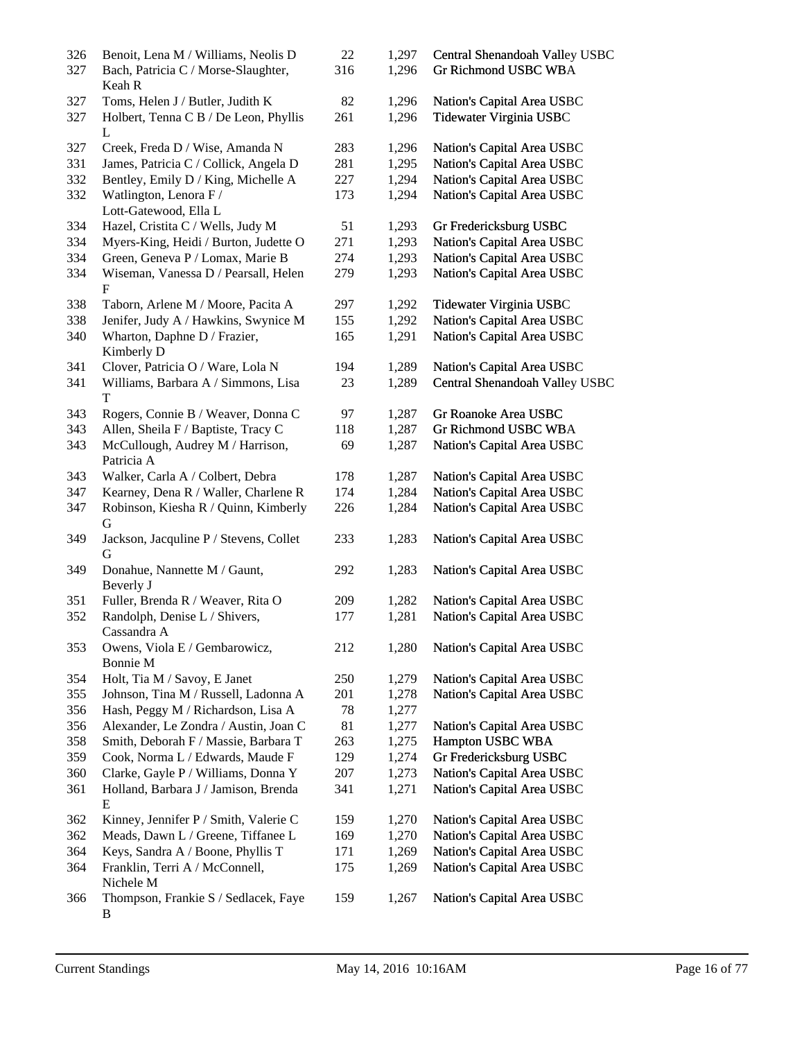| 326<br>327 | Benoit, Lena M / Williams, Neolis D<br>Bach, Patricia C / Morse-Slaughter, | 22<br>316 | 1,297<br>1,296 | Central Shenandoah Valley USBC<br>Gr Richmond USBC WBA |
|------------|----------------------------------------------------------------------------|-----------|----------------|--------------------------------------------------------|
|            | Keah R                                                                     |           |                |                                                        |
| 327        | Toms, Helen J / Butler, Judith K                                           | 82        | 1,296          | Nation's Capital Area USBC                             |
| 327        | Holbert, Tenna C B / De Leon, Phyllis<br>L                                 | 261       | 1,296          | Tidewater Virginia USBC                                |
| 327        | Creek, Freda D / Wise, Amanda N                                            | 283       | 1,296          | Nation's Capital Area USBC                             |
| 331        | James, Patricia C / Collick, Angela D                                      | 281       | 1,295          | Nation's Capital Area USBC                             |
| 332        | Bentley, Emily D / King, Michelle A                                        | 227       | 1,294          | Nation's Capital Area USBC                             |
| 332        | Watlington, Lenora F /                                                     | 173       | 1,294          | Nation's Capital Area USBC                             |
|            | Lott-Gatewood, Ella L                                                      |           |                |                                                        |
| 334        | Hazel, Cristita C / Wells, Judy M                                          | 51        | 1,293          | Gr Fredericksburg USBC                                 |
| 334        | Myers-King, Heidi / Burton, Judette O                                      | 271       | 1,293          | Nation's Capital Area USBC                             |
| 334        | Green, Geneva P / Lomax, Marie B                                           | 274       | 1,293          | Nation's Capital Area USBC                             |
| 334        | Wiseman, Vanessa D / Pearsall, Helen<br>$\mathbf{F}$                       | 279       | 1,293          | Nation's Capital Area USBC                             |
| 338        | Taborn, Arlene M / Moore, Pacita A                                         | 297       | 1,292          | Tidewater Virginia USBC                                |
| 338        | Jenifer, Judy A / Hawkins, Swynice M                                       | 155       | 1,292          | Nation's Capital Area USBC                             |
| 340        | Wharton, Daphne D / Frazier,                                               | 165       | 1,291          | Nation's Capital Area USBC                             |
|            | Kimberly D                                                                 |           |                |                                                        |
| 341        | Clover, Patricia O / Ware, Lola N                                          | 194       | 1,289          | Nation's Capital Area USBC                             |
| 341        | Williams, Barbara A / Simmons, Lisa                                        | 23        | 1,289          | Central Shenandoah Valley USBC                         |
|            | T                                                                          |           |                |                                                        |
| 343        | Rogers, Connie B / Weaver, Donna C                                         | 97        | 1,287          | Gr Roanoke Area USBC                                   |
| 343        | Allen, Sheila F / Baptiste, Tracy C                                        | 118       | 1,287          | Gr Richmond USBC WBA                                   |
| 343        | McCullough, Audrey M / Harrison,<br>Patricia A                             | 69        | 1,287          | Nation's Capital Area USBC                             |
| 343        | Walker, Carla A / Colbert, Debra                                           | 178       | 1,287          | Nation's Capital Area USBC                             |
| 347        | Kearney, Dena R / Waller, Charlene R                                       | 174       | 1,284          | Nation's Capital Area USBC                             |
| 347        | Robinson, Kiesha R / Quinn, Kimberly                                       | 226       | 1,284          | Nation's Capital Area USBC                             |
|            | G                                                                          |           |                |                                                        |
| 349        | Jackson, Jacquline P / Stevens, Collet                                     | 233       | 1,283          | Nation's Capital Area USBC                             |
| 349        | G<br>Donahue, Nannette M / Gaunt,                                          | 292       | 1,283          | Nation's Capital Area USBC                             |
|            | Beverly J                                                                  |           |                |                                                        |
| 351        | Fuller, Brenda R / Weaver, Rita O                                          | 209       | 1,282          | Nation's Capital Area USBC                             |
| 352        | Randolph, Denise L / Shivers,                                              | 177       | 1,281          | Nation's Capital Area USBC                             |
|            | Cassandra A                                                                |           |                |                                                        |
| 353        | Owens, Viola E / Gembarowicz,<br>Bonnie M                                  | 212       | 1,280          | Nation's Capital Area USBC                             |
| 354        | Holt, Tia M / Savoy, E Janet                                               | 250       | 1,279          | Nation's Capital Area USBC                             |
| 355        | Johnson, Tina M / Russell, Ladonna A                                       | 201       | 1,278          | Nation's Capital Area USBC                             |
| 356        | Hash, Peggy M / Richardson, Lisa A                                         | 78        | 1,277          |                                                        |
| 356        | Alexander, Le Zondra / Austin, Joan C                                      | 81        | 1,277          | Nation's Capital Area USBC                             |
| 358        | Smith, Deborah F / Massie, Barbara T                                       | 263       | 1,275          | Hampton USBC WBA                                       |
| 359        | Cook, Norma L / Edwards, Maude F                                           | 129       | 1,274          | Gr Fredericksburg USBC                                 |
| 360        | Clarke, Gayle P / Williams, Donna Y                                        | 207       | 1,273          | Nation's Capital Area USBC                             |
| 361        | Holland, Barbara J / Jamison, Brenda                                       | 341       | 1,271          | Nation's Capital Area USBC                             |
|            | E                                                                          |           |                |                                                        |
| 362        | Kinney, Jennifer P / Smith, Valerie C                                      | 159       | 1,270          | Nation's Capital Area USBC                             |
| 362        | Meads, Dawn L / Greene, Tiffanee L                                         | 169       | 1,270          | Nation's Capital Area USBC                             |
| 364        | Keys, Sandra A / Boone, Phyllis T                                          | 171       | 1,269          | Nation's Capital Area USBC                             |
| 364        | Franklin, Terri A / McConnell,<br>Nichele M                                | 175       | 1,269          | Nation's Capital Area USBC                             |
| 366        | Thompson, Frankie S / Sedlacek, Faye<br>B                                  | 159       | 1,267          | Nation's Capital Area USBC                             |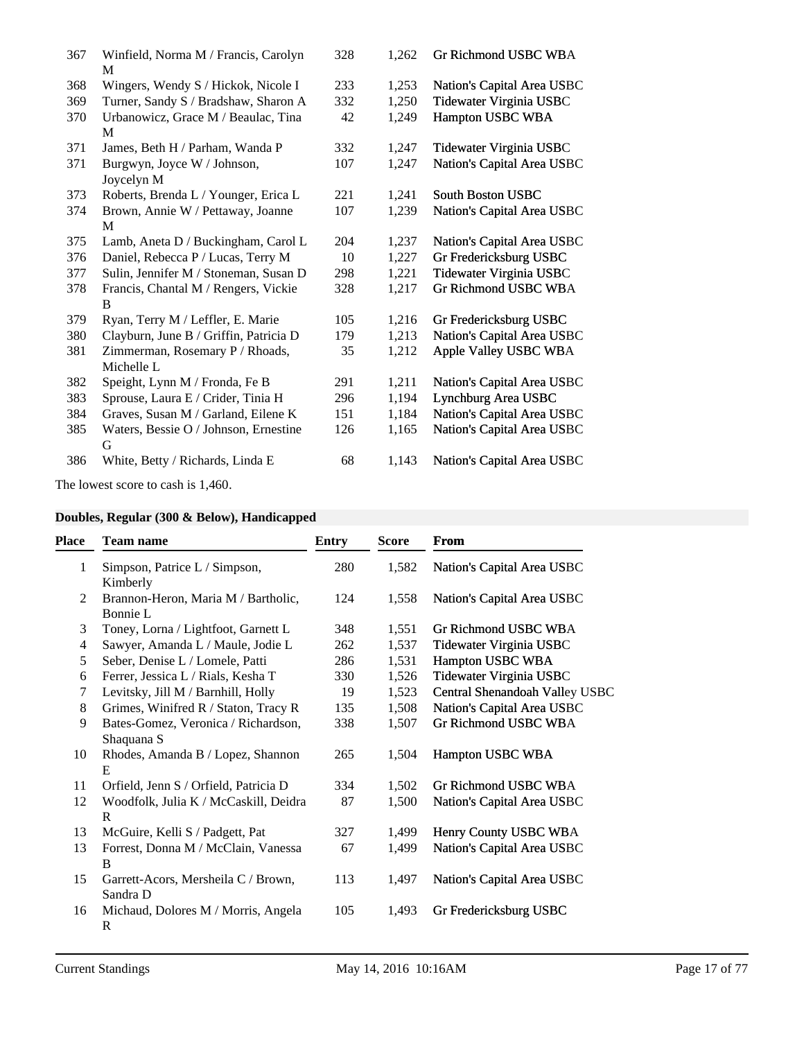| 367 | Winfield, Norma M / Francis, Carolyn<br>M     | 328 | 1,262 | Gr Richmond USBC WBA       |
|-----|-----------------------------------------------|-----|-------|----------------------------|
| 368 | Wingers, Wendy S / Hickok, Nicole I           | 233 | 1,253 | Nation's Capital Area USBC |
| 369 | Turner, Sandy S / Bradshaw, Sharon A          | 332 | 1,250 | Tidewater Virginia USBC    |
| 370 | Urbanowicz, Grace M / Beaulac, Tina<br>M      | 42  | 1,249 | Hampton USBC WBA           |
| 371 | James, Beth H / Parham, Wanda P               | 332 | 1,247 | Tidewater Virginia USBC    |
| 371 | Burgwyn, Joyce W / Johnson,<br>Joycelyn M     | 107 | 1,247 | Nation's Capital Area USBC |
| 373 | Roberts, Brenda L / Younger, Erica L          | 221 | 1,241 | <b>South Boston USBC</b>   |
| 374 | Brown, Annie W / Pettaway, Joanne<br>M        | 107 | 1,239 | Nation's Capital Area USBC |
| 375 | Lamb, Aneta D / Buckingham, Carol L           | 204 | 1,237 | Nation's Capital Area USBC |
| 376 | Daniel, Rebecca P / Lucas, Terry M            | 10  | 1,227 | Gr Fredericksburg USBC     |
| 377 | Sulin, Jennifer M / Stoneman, Susan D         | 298 | 1,221 | Tidewater Virginia USBC    |
| 378 | Francis, Chantal M / Rengers, Vickie<br>B     | 328 | 1,217 | Gr Richmond USBC WBA       |
| 379 | Ryan, Terry M / Leffler, E. Marie             | 105 | 1,216 | Gr Fredericksburg USBC     |
| 380 | Clayburn, June B / Griffin, Patricia D        | 179 | 1,213 | Nation's Capital Area USBC |
| 381 | Zimmerman, Rosemary P / Rhoads,<br>Michelle L | 35  | 1,212 | Apple Valley USBC WBA      |
| 382 | Speight, Lynn M / Fronda, Fe B                | 291 | 1,211 | Nation's Capital Area USBC |
| 383 | Sprouse, Laura E / Crider, Tinia H            | 296 | 1,194 | Lynchburg Area USBC        |
| 384 | Graves, Susan M / Garland, Eilene K           | 151 | 1,184 | Nation's Capital Area USBC |
| 385 | Waters, Bessie O / Johnson, Ernestine<br>G    | 126 | 1,165 | Nation's Capital Area USBC |
| 386 | White, Betty / Richards, Linda E              | 68  | 1,143 | Nation's Capital Area USBC |

The lowest score to cash is 1,460.

|  |  |  |  |  | Doubles, Regular (300 & Below), Handicapped |  |
|--|--|--|--|--|---------------------------------------------|--|
|--|--|--|--|--|---------------------------------------------|--|

| Place        | <b>Team name</b>                                | Entry | <b>Score</b> | <b>From</b>                    |
|--------------|-------------------------------------------------|-------|--------------|--------------------------------|
| $\mathbf{1}$ | Simpson, Patrice L / Simpson,                   | 280   | 1,582        | Nation's Capital Area USBC     |
|              | Kimberly                                        |       |              |                                |
| 2            | Brannon-Heron, Maria M / Bartholic,<br>Bonnie L | 124   | 1,558        | Nation's Capital Area USBC     |
| 3            | Toney, Lorna / Lightfoot, Garnett L             | 348   | 1,551        | Gr Richmond USBC WBA           |
| 4            | Sawyer, Amanda L / Maule, Jodie L               | 262   | 1,537        | Tidewater Virginia USBC        |
| 5            | Seber, Denise L / Lomele, Patti                 | 286   | 1,531        | Hampton USBC WBA               |
| 6            | Ferrer, Jessica L / Rials, Kesha T              | 330   | 1,526        | Tidewater Virginia USBC        |
| 7            | Levitsky, Jill M / Barnhill, Holly              | 19    | 1,523        | Central Shenandoah Valley USBC |
| 8            | Grimes, Winifred R / Staton, Tracy R            | 135   | 1,508        | Nation's Capital Area USBC     |
| 9            | Bates-Gomez, Veronica / Richardson,             | 338   | 1,507        | Gr Richmond USBC WBA           |
|              | Shaquana S                                      |       |              |                                |
| 10           | Rhodes, Amanda B / Lopez, Shannon<br>E          | 265   | 1,504        | Hampton USBC WBA               |
| 11           | Orfield, Jenn S / Orfield, Patricia D           | 334   | 1,502        | <b>Gr Richmond USBC WBA</b>    |
| 12           | Woodfolk, Julia K / McCaskill, Deidra<br>R      | 87    | 1,500        | Nation's Capital Area USBC     |
| 13           | McGuire, Kelli S / Padgett, Pat                 | 327   | 1,499        | Henry County USBC WBA          |
| 13           | Forrest, Donna M / McClain, Vanessa<br>B        | 67    | 1,499        | Nation's Capital Area USBC     |
| 15           | Garrett-Acors, Mersheila C / Brown,<br>Sandra D | 113   | 1,497        | Nation's Capital Area USBC     |
| 16           | Michaud, Dolores M / Morris, Angela<br>R        | 105   | 1,493        | Gr Fredericksburg USBC         |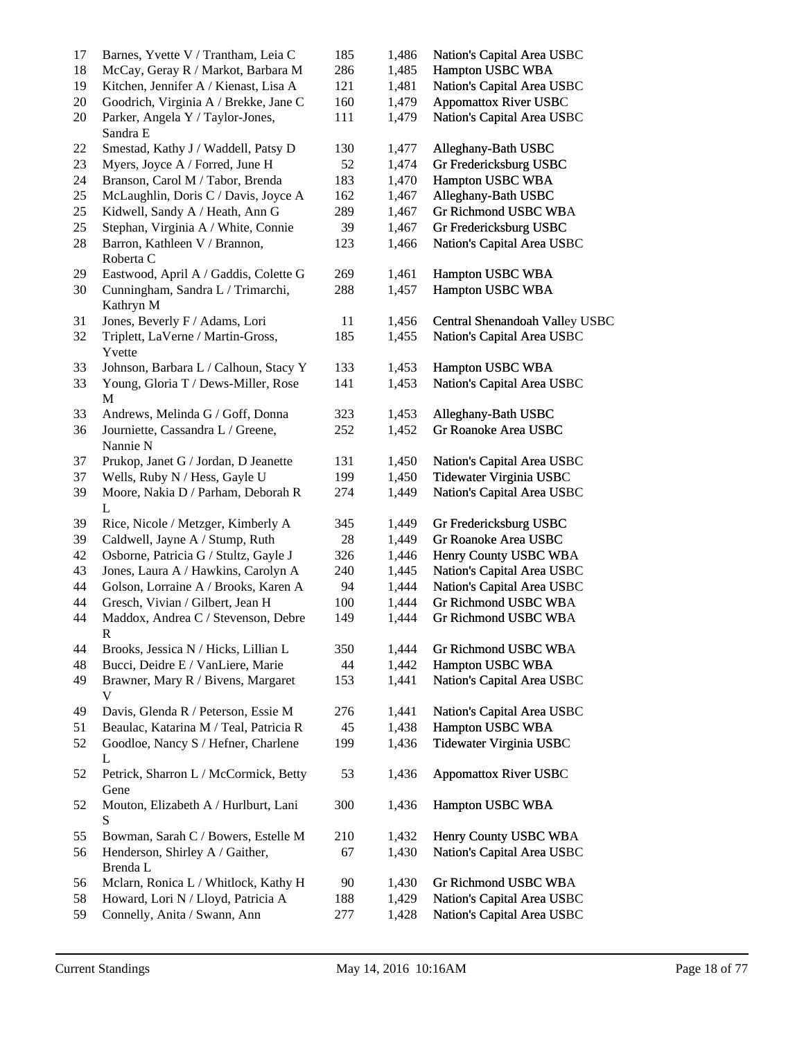| 17 | Barnes, Yvette V / Trantham, Leia C                | 185 | 1,486 | Nation's Capital Area USBC     |
|----|----------------------------------------------------|-----|-------|--------------------------------|
| 18 | McCay, Geray R / Markot, Barbara M                 | 286 | 1,485 | Hampton USBC WBA               |
| 19 | Kitchen, Jennifer A / Kienast, Lisa A              | 121 | 1,481 | Nation's Capital Area USBC     |
| 20 | Goodrich, Virginia A / Brekke, Jane C              | 160 | 1,479 | <b>Appomattox River USBC</b>   |
| 20 | Parker, Angela Y / Taylor-Jones,<br>Sandra E       | 111 | 1,479 | Nation's Capital Area USBC     |
| 22 | Smestad, Kathy J / Waddell, Patsy D                | 130 | 1,477 | Alleghany-Bath USBC            |
| 23 | Myers, Joyce A / Forred, June H                    | 52  | 1,474 | Gr Fredericksburg USBC         |
| 24 | Branson, Carol M / Tabor, Brenda                   | 183 | 1,470 | Hampton USBC WBA               |
| 25 | McLaughlin, Doris C / Davis, Joyce A               | 162 | 1,467 | Alleghany-Bath USBC            |
| 25 | Kidwell, Sandy A / Heath, Ann G                    | 289 | 1,467 | Gr Richmond USBC WBA           |
| 25 | Stephan, Virginia A / White, Connie                | 39  | 1,467 | Gr Fredericksburg USBC         |
| 28 | Barron, Kathleen V / Brannon,<br>Roberta C         | 123 | 1,466 | Nation's Capital Area USBC     |
| 29 | Eastwood, April A / Gaddis, Colette G              | 269 | 1,461 | Hampton USBC WBA               |
| 30 | Cunningham, Sandra L / Trimarchi,<br>Kathryn M     | 288 | 1,457 | Hampton USBC WBA               |
| 31 | Jones, Beverly F / Adams, Lori                     | 11  | 1,456 | Central Shenandoah Valley USBC |
| 32 | Triplett, LaVerne / Martin-Gross,                  | 185 | 1,455 | Nation's Capital Area USBC     |
|    | Yvette                                             |     |       |                                |
| 33 | Johnson, Barbara L / Calhoun, Stacy Y              | 133 | 1,453 | Hampton USBC WBA               |
| 33 | Young, Gloria T / Dews-Miller, Rose                | 141 | 1,453 | Nation's Capital Area USBC     |
| 33 | M<br>Andrews, Melinda G / Goff, Donna              | 323 | 1,453 | Alleghany-Bath USBC            |
| 36 | Journiette, Cassandra L / Greene,                  | 252 | 1,452 | Gr Roanoke Area USBC           |
|    | Nannie N                                           |     |       |                                |
| 37 | Prukop, Janet G / Jordan, D Jeanette               | 131 | 1,450 | Nation's Capital Area USBC     |
| 37 | Wells, Ruby N / Hess, Gayle U                      | 199 | 1,450 | Tidewater Virginia USBC        |
| 39 | Moore, Nakia D / Parham, Deborah R                 | 274 | 1,449 | Nation's Capital Area USBC     |
| 39 | L<br>Rice, Nicole / Metzger, Kimberly A            | 345 | 1,449 | Gr Fredericksburg USBC         |
| 39 | Caldwell, Jayne A / Stump, Ruth                    | 28  | 1,449 | Gr Roanoke Area USBC           |
| 42 | Osborne, Patricia G / Stultz, Gayle J              | 326 | 1,446 | Henry County USBC WBA          |
| 43 | Jones, Laura A / Hawkins, Carolyn A                | 240 | 1,445 | Nation's Capital Area USBC     |
|    |                                                    |     |       |                                |
| 44 | Golson, Lorraine A / Brooks, Karen A               | 94  | 1,444 | Nation's Capital Area USBC     |
| 44 | Gresch, Vivian / Gilbert, Jean H                   | 100 | 1,444 | Gr Richmond USBC WBA           |
| 44 | Maddox, Andrea C / Stevenson, Debre<br>R           | 149 | 1,444 | Gr Richmond USBC WBA           |
| 44 | Brooks, Jessica N / Hicks, Lillian L               | 350 | 1,444 | Gr Richmond USBC WBA           |
| 48 | Bucci, Deidre E / VanLiere, Marie                  | 44  | 1,442 | Hampton USBC WBA               |
| 49 | Brawner, Mary R / Bivens, Margaret<br>V            | 153 | 1,441 | Nation's Capital Area USBC     |
| 49 | Davis, Glenda R / Peterson, Essie M                | 276 | 1,441 | Nation's Capital Area USBC     |
| 51 | Beaulac, Katarina M / Teal, Patricia R             | 45  | 1,438 | Hampton USBC WBA               |
| 52 | Goodloe, Nancy S / Hefner, Charlene                | 199 | 1,436 | Tidewater Virginia USBC        |
| 52 | L<br>Petrick, Sharron L / McCormick, Betty<br>Gene | 53  | 1,436 | <b>Appomattox River USBC</b>   |
| 52 | Mouton, Elizabeth A / Hurlburt, Lani<br>S          | 300 | 1,436 | Hampton USBC WBA               |
| 55 | Bowman, Sarah C / Bowers, Estelle M                | 210 | 1,432 | Henry County USBC WBA          |
| 56 | Henderson, Shirley A / Gaither,                    | 67  | 1,430 | Nation's Capital Area USBC     |
|    | Brenda L                                           |     |       |                                |
| 56 | Mclarn, Ronica L / Whitlock, Kathy H               | 90  | 1,430 | Gr Richmond USBC WBA           |
| 58 | Howard, Lori N / Lloyd, Patricia A                 | 188 | 1,429 | Nation's Capital Area USBC     |
| 59 | Connelly, Anita / Swann, Ann                       | 277 | 1,428 | Nation's Capital Area USBC     |
|    |                                                    |     |       |                                |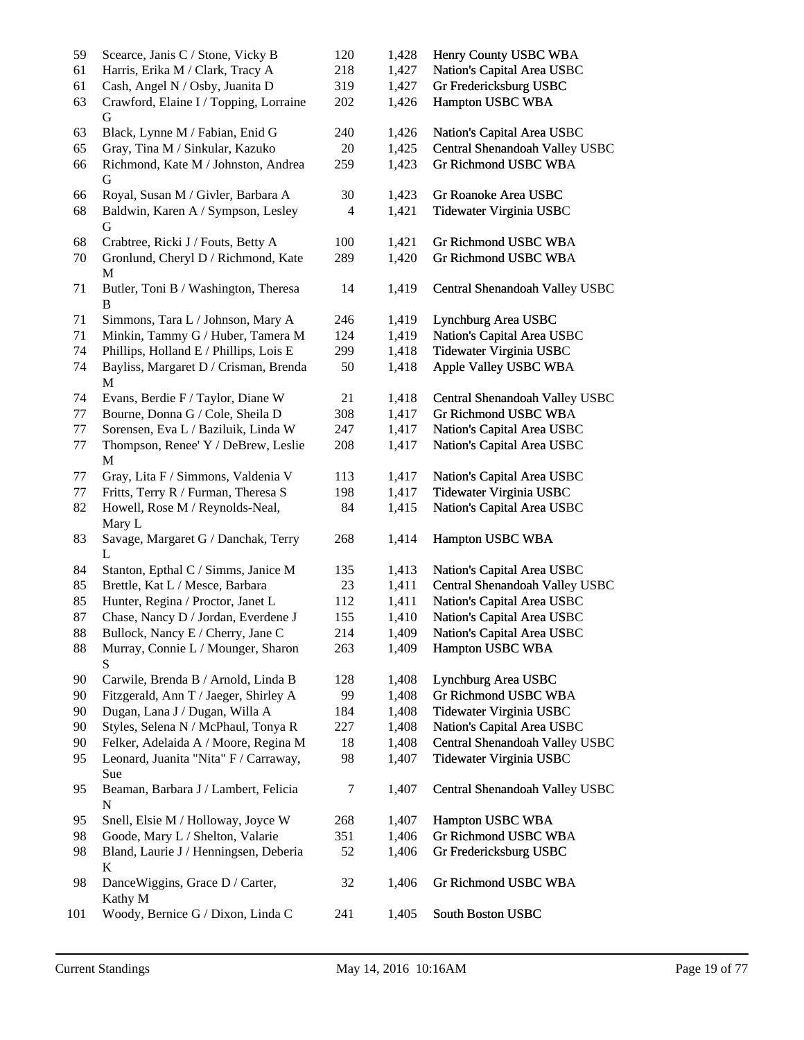| 59<br>61 | Scearce, Janis C / Stone, Vicky B<br>Harris, Erika M / Clark, Tracy A | 120<br>218 | 1,428<br>1,427 | Henry County USBC WBA<br>Nation's Capital Area USBC |
|----------|-----------------------------------------------------------------------|------------|----------------|-----------------------------------------------------|
|          |                                                                       |            |                |                                                     |
| 61       | Cash, Angel N / Osby, Juanita D                                       | 319        | 1,427          | Gr Fredericksburg USBC                              |
| 63       | Crawford, Elaine I / Topping, Lorraine<br>G                           | 202        | 1,426          | Hampton USBC WBA                                    |
| 63       | Black, Lynne M / Fabian, Enid G                                       | 240        | 1,426          | Nation's Capital Area USBC                          |
| 65       | Gray, Tina M / Sinkular, Kazuko                                       | 20         | 1,425          | Central Shenandoah Valley USBC                      |
| 66       | Richmond, Kate M / Johnston, Andrea<br>G                              | 259        | 1,423          | Gr Richmond USBC WBA                                |
| 66       | Royal, Susan M / Givler, Barbara A                                    | 30         | 1,423          | Gr Roanoke Area USBC                                |
| 68       | Baldwin, Karen A / Sympson, Lesley                                    | 4          | 1,421          | Tidewater Virginia USBC                             |
|          | G                                                                     |            |                |                                                     |
| 68       | Crabtree, Ricki J / Fouts, Betty A                                    | 100        | 1,421          | Gr Richmond USBC WBA                                |
| 70       | Gronlund, Cheryl D / Richmond, Kate                                   | 289        | 1,420          | Gr Richmond USBC WBA                                |
|          | M                                                                     |            |                |                                                     |
| 71       | Butler, Toni B / Washington, Theresa<br>B                             | 14         | 1,419          | Central Shenandoah Valley USBC                      |
| 71       | Simmons, Tara L / Johnson, Mary A                                     | 246        | 1,419          | Lynchburg Area USBC                                 |
| 71       | Minkin, Tammy G / Huber, Tamera M                                     | 124        | 1,419          | Nation's Capital Area USBC                          |
| 74       | Phillips, Holland E / Phillips, Lois E                                | 299        | 1,418          | Tidewater Virginia USBC                             |
| 74       | Bayliss, Margaret D / Crisman, Brenda                                 | 50         | 1,418          | Apple Valley USBC WBA                               |
|          | M                                                                     |            |                |                                                     |
| 74       | Evans, Berdie F / Taylor, Diane W                                     | 21         | 1,418          | Central Shenandoah Valley USBC                      |
| 77       | Bourne, Donna G / Cole, Sheila D                                      | 308        | 1,417          | Gr Richmond USBC WBA                                |
| 77       | Sorensen, Eva L / Baziluik, Linda W                                   | 247        | 1,417          | Nation's Capital Area USBC                          |
| 77       | Thompson, Renee' Y / DeBrew, Leslie                                   | 208        | 1,417          | Nation's Capital Area USBC                          |
|          | M                                                                     |            |                |                                                     |
| 77       | Gray, Lita F / Simmons, Valdenia V                                    | 113        | 1,417          | Nation's Capital Area USBC                          |
| 77       | Fritts, Terry R / Furman, Theresa S                                   | 198        | 1,417          | Tidewater Virginia USBC                             |
| 82       | Howell, Rose M / Reynolds-Neal,                                       | 84         | 1,415          | Nation's Capital Area USBC                          |
|          | Mary L                                                                |            |                |                                                     |
| 83       | Savage, Margaret G / Danchak, Terry                                   | 268        | 1,414          | Hampton USBC WBA                                    |
|          | L                                                                     |            |                |                                                     |
| 84       | Stanton, Epthal C / Simms, Janice M                                   | 135        | 1,413          | Nation's Capital Area USBC                          |
| 85       | Brettle, Kat L / Mesce, Barbara                                       | 23         | 1,411          | Central Shenandoah Valley USBC                      |
| 85       | Hunter, Regina / Proctor, Janet L                                     | 112        | 1,411          | Nation's Capital Area USBC                          |
| 87       | Chase, Nancy D / Jordan, Everdene J                                   | 155        | 1,410          | Nation's Capital Area USBC                          |
| 88       | Bullock, Nancy E / Cherry, Jane C                                     | 214        | 1,409          | Nation's Capital Area USBC                          |
| 88       | Murray, Connie L / Mounger, Sharon                                    | 263        | 1,409          | Hampton USBC WBA                                    |
|          | S                                                                     |            |                |                                                     |
| 90       | Carwile, Brenda B / Arnold, Linda B                                   | 128        | 1,408          | Lynchburg Area USBC                                 |
| 90       | Fitzgerald, Ann T / Jaeger, Shirley A                                 | 99         | 1,408          | Gr Richmond USBC WBA                                |
| 90       | Dugan, Lana J / Dugan, Willa A                                        | 184        | 1,408          | Tidewater Virginia USBC                             |
| 90       | Styles, Selena N / McPhaul, Tonya R                                   | 227        | 1,408          | Nation's Capital Area USBC                          |
| 90       | Felker, Adelaida A / Moore, Regina M                                  | 18         | 1,408          | Central Shenandoah Valley USBC                      |
| 95       | Leonard, Juanita "Nita" F / Carraway,<br>Sue                          | 98         | 1,407          | Tidewater Virginia USBC                             |
| 95       | Beaman, Barbara J / Lambert, Felicia<br>N                             | 7          | 1,407          | Central Shenandoah Valley USBC                      |
| 95       | Snell, Elsie M / Holloway, Joyce W                                    | 268        | 1,407          | Hampton USBC WBA                                    |
| 98       | Goode, Mary L / Shelton, Valarie                                      | 351        | 1,406          | Gr Richmond USBC WBA                                |
| 98       | Bland, Laurie J / Henningsen, Deberia                                 | 52         | 1,406          | Gr Fredericksburg USBC                              |
|          | K                                                                     |            |                |                                                     |
| 98       | DanceWiggins, Grace D / Carter,<br>Kathy M                            | 32         | 1,406          | Gr Richmond USBC WBA                                |
| 101      | Woody, Bernice G / Dixon, Linda C                                     | 241        | 1,405          | South Boston USBC                                   |
|          |                                                                       |            |                |                                                     |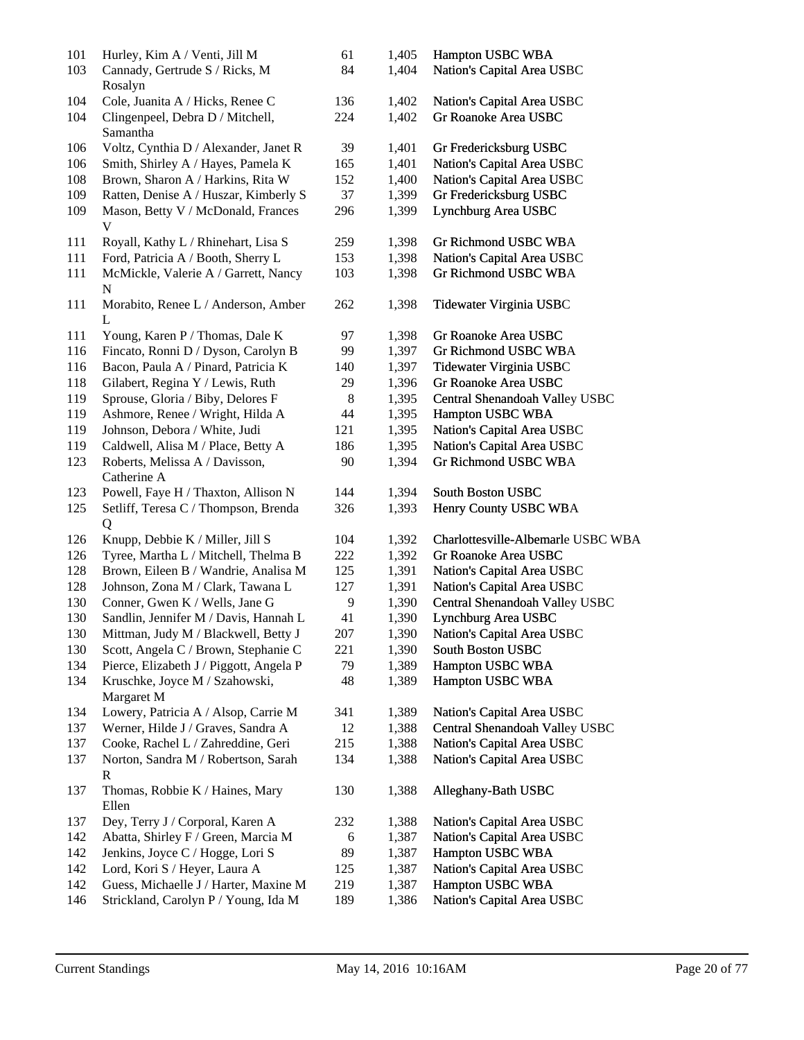| 101 | Hurley, Kim A / Venti, Jill M                 | 61    | 1,405 | Hampton USBC WBA                   |
|-----|-----------------------------------------------|-------|-------|------------------------------------|
| 103 | Cannady, Gertrude S / Ricks, M<br>Rosalyn     | 84    | 1,404 | Nation's Capital Area USBC         |
| 104 | Cole, Juanita A / Hicks, Renee C              | 136   | 1,402 | Nation's Capital Area USBC         |
| 104 | Clingenpeel, Debra D / Mitchell,<br>Samantha  | 224   | 1,402 | Gr Roanoke Area USBC               |
| 106 | Voltz, Cynthia D / Alexander, Janet R         | 39    | 1,401 | Gr Fredericksburg USBC             |
| 106 | Smith, Shirley A / Hayes, Pamela K            | 165   | 1,401 | Nation's Capital Area USBC         |
| 108 | Brown, Sharon A / Harkins, Rita W             | 152   | 1,400 | Nation's Capital Area USBC         |
| 109 | Ratten, Denise A / Huszar, Kimberly S         | 37    | 1,399 | Gr Fredericksburg USBC             |
| 109 | Mason, Betty V / McDonald, Frances<br>V       | 296   | 1,399 | Lynchburg Area USBC                |
| 111 | Royall, Kathy L / Rhinehart, Lisa S           | 259   | 1,398 | Gr Richmond USBC WBA               |
| 111 | Ford, Patricia A / Booth, Sherry L            | 153   | 1,398 | Nation's Capital Area USBC         |
| 111 | McMickle, Valerie A / Garrett, Nancy<br>N     | 103   | 1,398 | Gr Richmond USBC WBA               |
| 111 | Morabito, Renee L / Anderson, Amber<br>L      | 262   | 1,398 | Tidewater Virginia USBC            |
| 111 | Young, Karen P / Thomas, Dale K               | 97    | 1,398 | Gr Roanoke Area USBC               |
| 116 | Fincato, Ronni D / Dyson, Carolyn B           | 99    | 1,397 | Gr Richmond USBC WBA               |
| 116 | Bacon, Paula A / Pinard, Patricia K           | 140   | 1,397 | Tidewater Virginia USBC            |
| 118 | Gilabert, Regina Y / Lewis, Ruth              | 29    | 1,396 | Gr Roanoke Area USBC               |
| 119 | Sprouse, Gloria / Biby, Delores F             | $8\,$ | 1,395 | Central Shenandoah Valley USBC     |
| 119 | Ashmore, Renee / Wright, Hilda A              | 44    | 1,395 | Hampton USBC WBA                   |
| 119 | Johnson, Debora / White, Judi                 | 121   | 1,395 | Nation's Capital Area USBC         |
| 119 | Caldwell, Alisa M / Place, Betty A            | 186   | 1,395 | Nation's Capital Area USBC         |
| 123 | Roberts, Melissa A / Davisson,<br>Catherine A | 90    | 1,394 | Gr Richmond USBC WBA               |
| 123 | Powell, Faye H / Thaxton, Allison N           | 144   | 1,394 | South Boston USBC                  |
| 125 | Setliff, Teresa C / Thompson, Brenda          | 326   | 1,393 | Henry County USBC WBA              |
|     | Q                                             |       |       |                                    |
| 126 | Knupp, Debbie K / Miller, Jill S              | 104   | 1,392 | Charlottesville-Albemarle USBC WBA |
| 126 | Tyree, Martha L / Mitchell, Thelma B          | 222   | 1,392 | Gr Roanoke Area USBC               |
| 128 | Brown, Eileen B / Wandrie, Analisa M          | 125   | 1,391 | Nation's Capital Area USBC         |
| 128 | Johnson, Zona M / Clark, Tawana L             | 127   | 1,391 | Nation's Capital Area USBC         |
| 130 | Conner, Gwen K / Wells, Jane G                | 9     | 1,390 | Central Shenandoah Valley USBC     |
| 130 | Sandlin, Jennifer M / Davis, Hannah L         | 41    | 1,390 | Lynchburg Area USBC                |
| 130 | Mittman, Judy M / Blackwell, Betty J          | 207   | 1,390 | Nation's Capital Area USBC         |
| 130 | Scott, Angela C / Brown, Stephanie C          | 221   | 1,390 | South Boston USBC                  |
| 134 | Pierce, Elizabeth J / Piggott, Angela P       | 79    | 1,389 | Hampton USBC WBA                   |
| 134 | Kruschke, Joyce M / Szahowski,<br>Margaret M  | 48    | 1,389 | Hampton USBC WBA                   |
| 134 | Lowery, Patricia A / Alsop, Carrie M          | 341   | 1,389 | Nation's Capital Area USBC         |
| 137 | Werner, Hilde J / Graves, Sandra A            | 12    | 1,388 | Central Shenandoah Valley USBC     |
| 137 | Cooke, Rachel L / Zahreddine, Geri            | 215   | 1,388 | Nation's Capital Area USBC         |
| 137 | Norton, Sandra M / Robertson, Sarah<br>R      | 134   | 1,388 | Nation's Capital Area USBC         |
| 137 | Thomas, Robbie K / Haines, Mary<br>Ellen      | 130   | 1,388 | Alleghany-Bath USBC                |
| 137 | Dey, Terry J / Corporal, Karen A              | 232   | 1,388 | Nation's Capital Area USBC         |
| 142 | Abatta, Shirley F / Green, Marcia M           | 6     | 1,387 | Nation's Capital Area USBC         |
| 142 | Jenkins, Joyce C / Hogge, Lori S              | 89    | 1,387 | Hampton USBC WBA                   |
| 142 | Lord, Kori S / Heyer, Laura A                 | 125   | 1,387 | Nation's Capital Area USBC         |
| 142 | Guess, Michaelle J / Harter, Maxine M         | 219   | 1,387 | Hampton USBC WBA                   |
| 146 | Strickland, Carolyn P / Young, Ida M          | 189   | 1,386 | Nation's Capital Area USBC         |
|     |                                               |       |       |                                    |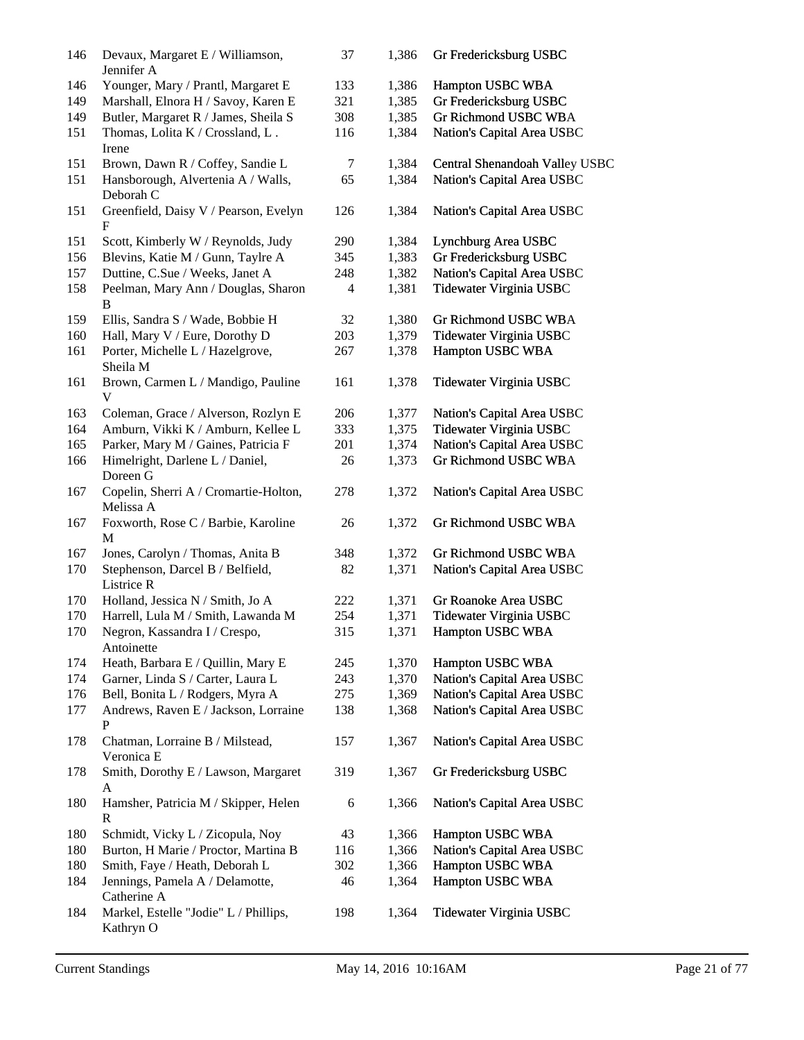| 146 | Devaux, Margaret E / Williamson,<br>Jennifer A     | 37             | 1,386 | Gr Fredericksburg USBC         |
|-----|----------------------------------------------------|----------------|-------|--------------------------------|
| 146 | Younger, Mary / Prantl, Margaret E                 | 133            | 1,386 | Hampton USBC WBA               |
| 149 | Marshall, Elnora H / Savoy, Karen E                | 321            | 1,385 | Gr Fredericksburg USBC         |
| 149 | Butler, Margaret R / James, Sheila S               | 308            | 1,385 | Gr Richmond USBC WBA           |
| 151 | Thomas, Lolita K / Crossland, L.<br>Irene          | 116            | 1,384 | Nation's Capital Area USBC     |
| 151 | Brown, Dawn R / Coffey, Sandie L                   | 7              | 1,384 | Central Shenandoah Valley USBC |
| 151 | Hansborough, Alvertenia A / Walls,<br>Deborah C    | 65             | 1,384 | Nation's Capital Area USBC     |
| 151 | Greenfield, Daisy V / Pearson, Evelyn<br>F         | 126            | 1,384 | Nation's Capital Area USBC     |
| 151 | Scott, Kimberly W / Reynolds, Judy                 | 290            | 1,384 | Lynchburg Area USBC            |
| 156 | Blevins, Katie M / Gunn, Taylre A                  | 345            | 1,383 | Gr Fredericksburg USBC         |
| 157 | Duttine, C.Sue / Weeks, Janet A                    | 248            | 1,382 | Nation's Capital Area USBC     |
| 158 | Peelman, Mary Ann / Douglas, Sharon<br>B           | $\overline{4}$ | 1,381 | Tidewater Virginia USBC        |
| 159 | Ellis, Sandra S / Wade, Bobbie H                   | 32             | 1,380 | Gr Richmond USBC WBA           |
| 160 | Hall, Mary V / Eure, Dorothy D                     | 203            | 1,379 | Tidewater Virginia USBC        |
| 161 | Porter, Michelle L / Hazelgrove,<br>Sheila M       | 267            | 1,378 | Hampton USBC WBA               |
| 161 | Brown, Carmen L / Mandigo, Pauline<br>V            | 161            | 1,378 | Tidewater Virginia USBC        |
| 163 | Coleman, Grace / Alverson, Rozlyn E                | 206            | 1,377 | Nation's Capital Area USBC     |
| 164 | Amburn, Vikki K / Amburn, Kellee L                 | 333            | 1,375 | Tidewater Virginia USBC        |
| 165 | Parker, Mary M / Gaines, Patricia F                | 201            | 1,374 | Nation's Capital Area USBC     |
|     | Himelright, Darlene L / Daniel,                    |                | 1,373 | Gr Richmond USBC WBA           |
| 166 | Doreen G                                           | 26             |       |                                |
| 167 | Copelin, Sherri A / Cromartie-Holton,<br>Melissa A | 278            | 1,372 | Nation's Capital Area USBC     |
| 167 | Foxworth, Rose C / Barbie, Karoline<br>M           | 26             | 1,372 | Gr Richmond USBC WBA           |
| 167 | Jones, Carolyn / Thomas, Anita B                   | 348            | 1,372 | <b>Gr Richmond USBC WBA</b>    |
| 170 | Stephenson, Darcel B / Belfield,                   | 82             | 1,371 | Nation's Capital Area USBC     |
|     | Listrice R                                         |                |       |                                |
| 170 | Holland, Jessica N / Smith, Jo A                   | 222            | 1,371 | Gr Roanoke Area USBC           |
| 170 | Harrell, Lula M / Smith, Lawanda M                 | 254            | 1,371 | Tidewater Virginia USBC        |
| 170 | Negron, Kassandra I / Crespo,                      | 315            | 1,371 | Hampton USBC WBA               |
|     | Antoinette                                         |                |       |                                |
| 174 | Heath, Barbara E / Quillin, Mary E                 | 245            | 1,370 | Hampton USBC WBA               |
| 174 | Garner, Linda S / Carter, Laura L                  | 243            | 1,370 | Nation's Capital Area USBC     |
| 176 | Bell, Bonita L / Rodgers, Myra A                   | 275            | 1,369 | Nation's Capital Area USBC     |
| 177 | Andrews, Raven E / Jackson, Lorraine<br>P          | 138            | 1,368 | Nation's Capital Area USBC     |
| 178 | Chatman, Lorraine B / Milstead,<br>Veronica E      | 157            | 1,367 | Nation's Capital Area USBC     |
| 178 | Smith, Dorothy E / Lawson, Margaret<br>A           | 319            | 1,367 | Gr Fredericksburg USBC         |
| 180 | Hamsher, Patricia M / Skipper, Helen<br>R          | 6              | 1,366 | Nation's Capital Area USBC     |
| 180 | Schmidt, Vicky L / Zicopula, Noy                   | 43             | 1,366 | Hampton USBC WBA               |
| 180 | Burton, H Marie / Proctor, Martina B               | 116            | 1,366 | Nation's Capital Area USBC     |
| 180 | Smith, Faye / Heath, Deborah L                     | 302            | 1,366 | Hampton USBC WBA               |
| 184 | Jennings, Pamela A / Delamotte,                    | 46             | 1,364 | Hampton USBC WBA               |
|     | Catherine A                                        |                |       |                                |
| 184 | Markel, Estelle "Jodie" L / Phillips,<br>Kathryn O | 198            | 1,364 | Tidewater Virginia USBC        |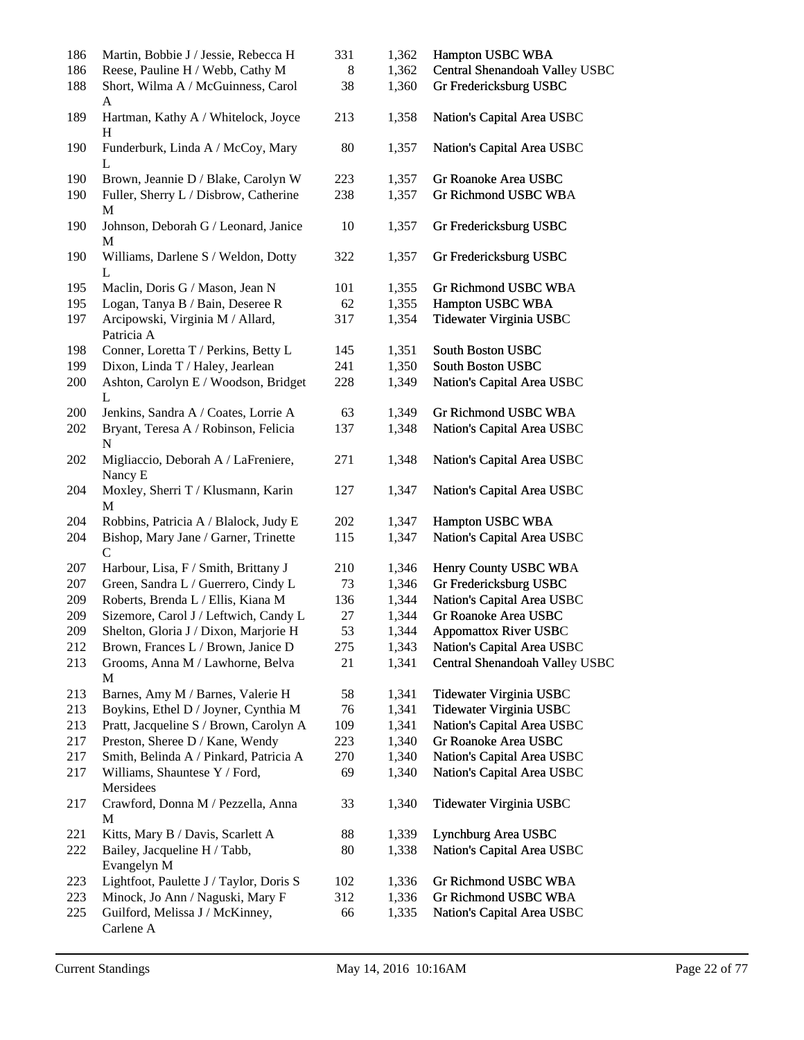| 186 | Martin, Bobbie J / Jessie, Rebecca H                 | 331 | 1,362 | Hampton USBC WBA               |
|-----|------------------------------------------------------|-----|-------|--------------------------------|
| 186 | Reese, Pauline H / Webb, Cathy M                     | 8   | 1,362 | Central Shenandoah Valley USBC |
| 188 | Short, Wilma A / McGuinness, Carol<br>A              | 38  | 1,360 | Gr Fredericksburg USBC         |
| 189 | Hartman, Kathy A / Whitelock, Joyce<br>H             | 213 | 1,358 | Nation's Capital Area USBC     |
| 190 | Funderburk, Linda A / McCoy, Mary<br>L               | 80  | 1,357 | Nation's Capital Area USBC     |
| 190 | Brown, Jeannie D / Blake, Carolyn W                  | 223 | 1,357 | Gr Roanoke Area USBC           |
| 190 | Fuller, Sherry L / Disbrow, Catherine                | 238 | 1,357 | Gr Richmond USBC WBA           |
|     | M                                                    |     |       |                                |
| 190 | Johnson, Deborah G / Leonard, Janice<br>M            | 10  | 1,357 | Gr Fredericksburg USBC         |
| 190 | Williams, Darlene S / Weldon, Dotty<br>L             | 322 | 1,357 | Gr Fredericksburg USBC         |
| 195 | Maclin, Doris G / Mason, Jean N                      | 101 | 1,355 | <b>Gr Richmond USBC WBA</b>    |
| 195 | Logan, Tanya B / Bain, Deseree R                     | 62  | 1,355 | Hampton USBC WBA               |
| 197 | Arcipowski, Virginia M / Allard,<br>Patricia A       | 317 | 1,354 | Tidewater Virginia USBC        |
| 198 | Conner, Loretta T / Perkins, Betty L                 | 145 | 1,351 | South Boston USBC              |
| 199 | Dixon, Linda T / Haley, Jearlean                     | 241 | 1,350 | <b>South Boston USBC</b>       |
| 200 | Ashton, Carolyn E / Woodson, Bridget<br>L            | 228 | 1,349 | Nation's Capital Area USBC     |
| 200 | Jenkins, Sandra A / Coates, Lorrie A                 | 63  | 1,349 | <b>Gr Richmond USBC WBA</b>    |
| 202 | Bryant, Teresa A / Robinson, Felicia<br>N            | 137 | 1,348 | Nation's Capital Area USBC     |
| 202 | Migliaccio, Deborah A / LaFreniere,<br>Nancy E       | 271 | 1,348 | Nation's Capital Area USBC     |
| 204 | Moxley, Sherri T / Klusmann, Karin<br>M              | 127 | 1,347 | Nation's Capital Area USBC     |
| 204 | Robbins, Patricia A / Blalock, Judy E                | 202 | 1,347 | Hampton USBC WBA               |
| 204 | Bishop, Mary Jane / Garner, Trinette<br>$\mathsf{C}$ | 115 | 1,347 | Nation's Capital Area USBC     |
| 207 | Harbour, Lisa, F / Smith, Brittany J                 | 210 | 1,346 | Henry County USBC WBA          |
| 207 | Green, Sandra L / Guerrero, Cindy L                  | 73  | 1,346 | Gr Fredericksburg USBC         |
| 209 | Roberts, Brenda L / Ellis, Kiana M                   | 136 | 1,344 | Nation's Capital Area USBC     |
| 209 | Sizemore, Carol J / Leftwich, Candy L                | 27  | 1,344 | Gr Roanoke Area USBC           |
| 209 | Shelton, Gloria J / Dixon, Marjorie H                | 53  | 1,344 | <b>Appomattox River USBC</b>   |
| 212 | Brown, Frances L / Brown, Janice D                   | 275 | 1,343 | Nation's Capital Area USBC     |
| 213 | Grooms, Anna M / Lawhorne, Belva<br>M                | 21  | 1,341 | Central Shenandoah Valley USBC |
| 213 | Barnes, Amy M / Barnes, Valerie H                    | 58  | 1,341 | Tidewater Virginia USBC        |
| 213 | Boykins, Ethel D / Joyner, Cynthia M                 | 76  | 1,341 | Tidewater Virginia USBC        |
| 213 | Pratt, Jacqueline S / Brown, Carolyn A               | 109 | 1,341 | Nation's Capital Area USBC     |
| 217 | Preston, Sheree D / Kane, Wendy                      | 223 | 1,340 | Gr Roanoke Area USBC           |
| 217 | Smith, Belinda A / Pinkard, Patricia A               | 270 | 1,340 | Nation's Capital Area USBC     |
| 217 | Williams, Shauntese Y / Ford,<br>Mersidees           | 69  | 1,340 | Nation's Capital Area USBC     |
| 217 | Crawford, Donna M / Pezzella, Anna<br>M              | 33  | 1,340 | Tidewater Virginia USBC        |
| 221 | Kitts, Mary B / Davis, Scarlett A                    | 88  | 1,339 | Lynchburg Area USBC            |
| 222 | Bailey, Jacqueline H / Tabb,<br>Evangelyn M          | 80  | 1,338 | Nation's Capital Area USBC     |
| 223 | Lightfoot, Paulette J / Taylor, Doris S              | 102 | 1,336 | Gr Richmond USBC WBA           |
| 223 | Minock, Jo Ann / Naguski, Mary F                     | 312 | 1,336 | Gr Richmond USBC WBA           |
| 225 | Guilford, Melissa J / McKinney,                      | 66  | 1,335 | Nation's Capital Area USBC     |
|     | Carlene A                                            |     |       |                                |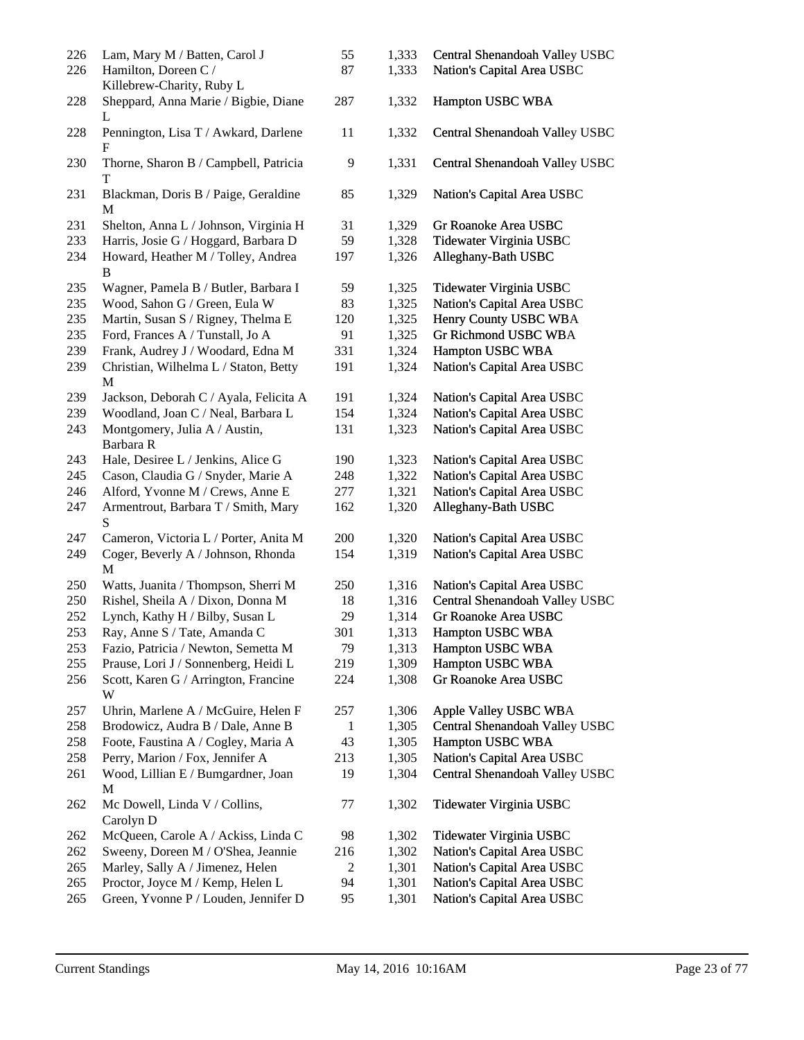| 226<br>226 | Lam, Mary M / Batten, Carol J<br>Hamilton, Doreen C /<br>Killebrew-Charity, Ruby L | 55<br>87 | 1,333<br>1,333 | Central Shenandoah Valley USBC<br>Nation's Capital Area USBC |
|------------|------------------------------------------------------------------------------------|----------|----------------|--------------------------------------------------------------|
| 228        | Sheppard, Anna Marie / Bigbie, Diane<br>L                                          | 287      | 1,332          | Hampton USBC WBA                                             |
| 228        | Pennington, Lisa T / Awkard, Darlene<br>F                                          | 11       | 1,332          | Central Shenandoah Valley USBC                               |
| 230        | Thorne, Sharon B / Campbell, Patricia<br>T                                         | 9        | 1,331          | Central Shenandoah Valley USBC                               |
| 231        | Blackman, Doris B / Paige, Geraldine<br>M                                          | 85       | 1,329          | Nation's Capital Area USBC                                   |
| 231        | Shelton, Anna L / Johnson, Virginia H                                              | 31       | 1,329          | Gr Roanoke Area USBC                                         |
| 233        | Harris, Josie G / Hoggard, Barbara D                                               | 59       | 1,328          | Tidewater Virginia USBC                                      |
| 234        | Howard, Heather M / Tolley, Andrea<br>B                                            | 197      | 1,326          | Alleghany-Bath USBC                                          |
| 235        | Wagner, Pamela B / Butler, Barbara I                                               | 59       | 1,325          | Tidewater Virginia USBC                                      |
| 235        | Wood, Sahon G / Green, Eula W                                                      | 83       | 1,325          | Nation's Capital Area USBC                                   |
| 235        | Martin, Susan S / Rigney, Thelma E                                                 | 120      | 1,325          | Henry County USBC WBA                                        |
| 235        | Ford, Frances A / Tunstall, Jo A                                                   | 91       | 1,325          | Gr Richmond USBC WBA                                         |
| 239        | Frank, Audrey J / Woodard, Edna M                                                  | 331      | 1,324          | Hampton USBC WBA                                             |
| 239        | Christian, Wilhelma L / Staton, Betty<br>M                                         | 191      | 1,324          | Nation's Capital Area USBC                                   |
| 239        | Jackson, Deborah C / Ayala, Felicita A                                             | 191      | 1,324          | Nation's Capital Area USBC                                   |
| 239        | Woodland, Joan C / Neal, Barbara L                                                 | 154      | 1,324          | Nation's Capital Area USBC                                   |
| 243        | Montgomery, Julia A / Austin,<br>Barbara R                                         | 131      | 1,323          | Nation's Capital Area USBC                                   |
| 243        | Hale, Desiree L / Jenkins, Alice G                                                 | 190      | 1,323          | Nation's Capital Area USBC                                   |
| 245        | Cason, Claudia G / Snyder, Marie A                                                 | 248      | 1,322          | Nation's Capital Area USBC                                   |
| 246        | Alford, Yvonne M / Crews, Anne E                                                   | 277      | 1,321          | Nation's Capital Area USBC                                   |
| 247        | Armentrout, Barbara T / Smith, Mary<br>S                                           | 162      | 1,320          | Alleghany-Bath USBC                                          |
| 247        | Cameron, Victoria L / Porter, Anita M                                              | 200      | 1,320          | Nation's Capital Area USBC                                   |
| 249        | Coger, Beverly A / Johnson, Rhonda<br>M                                            | 154      | 1,319          | Nation's Capital Area USBC                                   |
| 250        | Watts, Juanita / Thompson, Sherri M                                                | 250      | 1,316          | Nation's Capital Area USBC                                   |
| 250        | Rishel, Sheila A / Dixon, Donna M                                                  | 18       | 1,316          | Central Shenandoah Valley USBC                               |
| 252        | Lynch, Kathy H / Bilby, Susan L                                                    | 29       | 1,314          | Gr Roanoke Area USBC                                         |
| 253        | Ray, Anne S / Tate, Amanda C                                                       | 301      | 1,313          | Hampton USBC WBA                                             |
| 253        | Fazio, Patricia / Newton, Semetta M                                                | 79       | 1,313          | Hampton USBC WBA                                             |
| 255        | Prause, Lori J / Sonnenberg, Heidi L                                               | 219      | 1,309          | Hampton USBC WBA                                             |
| 256        | Scott, Karen G / Arrington, Francine<br>W                                          | 224      | 1,308          | Gr Roanoke Area USBC                                         |
| 257        | Uhrin, Marlene A / McGuire, Helen F                                                | 257      | 1,306          | Apple Valley USBC WBA                                        |
| 258        | Brodowicz, Audra B / Dale, Anne B                                                  | 1        | 1,305          | Central Shenandoah Valley USBC                               |
| 258        | Foote, Faustina A / Cogley, Maria A                                                | 43       | 1,305          | Hampton USBC WBA                                             |
| 258        | Perry, Marion / Fox, Jennifer A                                                    | 213      | 1,305          | Nation's Capital Area USBC                                   |
| 261        | Wood, Lillian E / Bumgardner, Joan<br>M                                            | 19       | 1,304          | Central Shenandoah Valley USBC                               |
| 262        | Mc Dowell, Linda V / Collins,<br>Carolyn D                                         | 77       | 1,302          | Tidewater Virginia USBC                                      |
| 262        | McQueen, Carole A / Ackiss, Linda C                                                | 98       | 1,302          | Tidewater Virginia USBC                                      |
| 262        | Sweeny, Doreen M / O'Shea, Jeannie                                                 | 216      | 1,302          | Nation's Capital Area USBC                                   |
| 265        | Marley, Sally A / Jimenez, Helen                                                   | 2        | 1,301          | Nation's Capital Area USBC                                   |
| 265        | Proctor, Joyce M / Kemp, Helen L                                                   | 94       | 1,301          | Nation's Capital Area USBC                                   |
| 265        | Green, Yvonne P / Louden, Jennifer D                                               | 95       | 1,301          | Nation's Capital Area USBC                                   |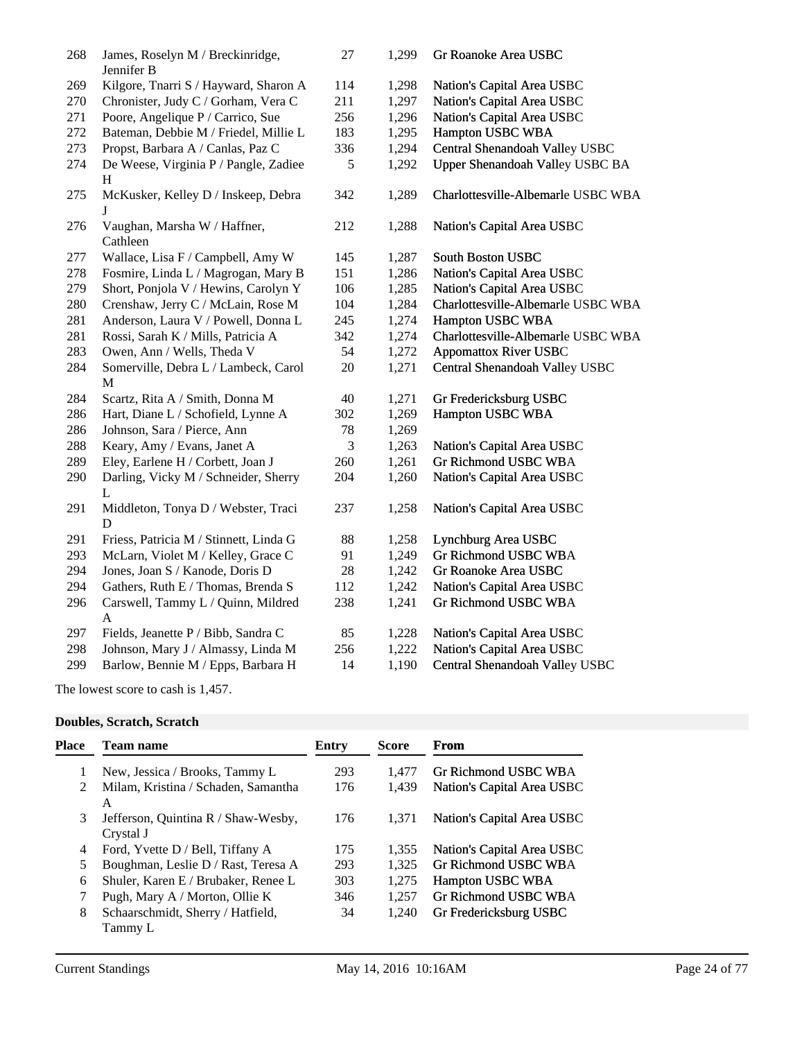| 268 | James, Roselyn M / Breckinridge,                    | 27             | 1,299 | Gr Roanoke Area USBC               |
|-----|-----------------------------------------------------|----------------|-------|------------------------------------|
|     | Jennifer B                                          |                |       |                                    |
| 269 | Kilgore, Tnarri S / Hayward, Sharon A               | 114            | 1,298 | Nation's Capital Area USBC         |
| 270 | Chronister, Judy C / Gorham, Vera C                 | 211            | 1,297 | Nation's Capital Area USBC         |
| 271 | Poore, Angelique P / Carrico, Sue                   | 256            | 1,296 | Nation's Capital Area USBC         |
| 272 | Bateman, Debbie M / Friedel, Millie L               | 183            | 1,295 | Hampton USBC WBA                   |
| 273 | Propst, Barbara A / Canlas, Paz C                   | 336            | 1,294 | Central Shenandoah Valley USBC     |
| 274 | De Weese, Virginia P / Pangle, Zadiee<br>H          | 5              | 1,292 | Upper Shenandoah Valley USBC BA    |
| 275 | McKusker, Kelley D / Inskeep, Debra<br>J            | 342            | 1,289 | Charlottesville-Albemarle USBC WBA |
| 276 | Vaughan, Marsha W / Haffner,<br>Cathleen            | 212            | 1,288 | Nation's Capital Area USBC         |
| 277 | Wallace, Lisa F / Campbell, Amy W                   | 145            | 1,287 | South Boston USBC                  |
| 278 | Fosmire, Linda L / Magrogan, Mary B                 | 151            | 1,286 | Nation's Capital Area USBC         |
| 279 | Short, Ponjola V / Hewins, Carolyn Y                | 106            | 1,285 | Nation's Capital Area USBC         |
| 280 | Crenshaw, Jerry C / McLain, Rose M                  | 104            | 1,284 | Charlottesville-Albemarle USBC WBA |
| 281 | Anderson, Laura V / Powell, Donna L                 | 245            | 1,274 | Hampton USBC WBA                   |
| 281 | Rossi, Sarah K / Mills, Patricia A                  | 342            | 1,274 | Charlottesville-Albemarle USBC WBA |
| 283 | Owen, Ann / Wells, Theda V                          | 54             | 1,272 | <b>Appomattox River USBC</b>       |
| 284 | Somerville, Debra L / Lambeck, Carol<br>$\mathbf M$ | 20             | 1,271 | Central Shenandoah Valley USBC     |
| 284 | Scartz, Rita A / Smith, Donna M                     | 40             | 1,271 | Gr Fredericksburg USBC             |
| 286 | Hart, Diane L / Schofield, Lynne A                  | 302            | 1,269 | Hampton USBC WBA                   |
| 286 | Johnson, Sara / Pierce, Ann                         | 78             | 1,269 |                                    |
| 288 | Keary, Amy / Evans, Janet A                         | $\mathfrak{Z}$ | 1,263 | Nation's Capital Area USBC         |
| 289 | Eley, Earlene H / Corbett, Joan J                   | 260            | 1,261 | Gr Richmond USBC WBA               |
| 290 | Darling, Vicky M / Schneider, Sherry<br>L           | 204            | 1,260 | Nation's Capital Area USBC         |
| 291 | Middleton, Tonya D / Webster, Traci<br>D            | 237            | 1,258 | Nation's Capital Area USBC         |
| 291 | Friess, Patricia M / Stinnett, Linda G              | 88             | 1,258 | Lynchburg Area USBC                |
| 293 | McLarn, Violet M / Kelley, Grace C                  | 91             | 1,249 | Gr Richmond USBC WBA               |
| 294 | Jones, Joan S / Kanode, Doris D                     | 28             | 1,242 | Gr Roanoke Area USBC               |
| 294 | Gathers, Ruth E / Thomas, Brenda S                  | 112            | 1,242 | Nation's Capital Area USBC         |
| 296 | Carswell, Tammy L / Quinn, Mildred                  | 238            | 1,241 | Gr Richmond USBC WBA               |
|     | A                                                   |                |       |                                    |
| 297 | Fields, Jeanette P / Bibb, Sandra C                 | 85             | 1,228 | Nation's Capital Area USBC         |
| 298 | Johnson, Mary J / Almassy, Linda M                  | 256            | 1,222 | Nation's Capital Area USBC         |
| 299 | Barlow, Bennie M / Epps, Barbara H                  | 14             | 1,190 | Central Shenandoah Valley USBC     |
|     |                                                     |                |       |                                    |

The lowest score to cash is 1,457.

#### **Doubles, Scratch, Scratch**

| Place         | Team name                                        | Entry | <b>Score</b> | <b>From</b>                |
|---------------|--------------------------------------------------|-------|--------------|----------------------------|
| 1             | New, Jessica / Brooks, Tammy L                   | 293   | 1.477        | Gr Richmond USBC WBA       |
| $\mathcal{L}$ | Milam, Kristina / Schaden, Samantha<br>A         | 176   | 1,439        | Nation's Capital Area USBC |
| 3             | Jefferson, Quintina R / Shaw-Wesby,<br>Crystal J | 176   | 1.371        | Nation's Capital Area USBC |
| 4             | Ford, Yvette D / Bell, Tiffany A                 | 175   | 1,355        | Nation's Capital Area USBC |
| 5             | Boughman, Leslie D / Rast, Teresa A              | 293   | 1.325        | Gr Richmond USBC WBA       |
| 6             | Shuler, Karen E / Brubaker, Renee L              | 303   | 1,275        | Hampton USBC WBA           |
|               | Pugh, Mary A / Morton, Ollie K                   | 346   | 1,257        | Gr Richmond USBC WBA       |
| 8             | Schaarschmidt, Sherry / Hatfield,<br>Tammy L     | 34    | 1,240        | Gr Fredericksburg USBC     |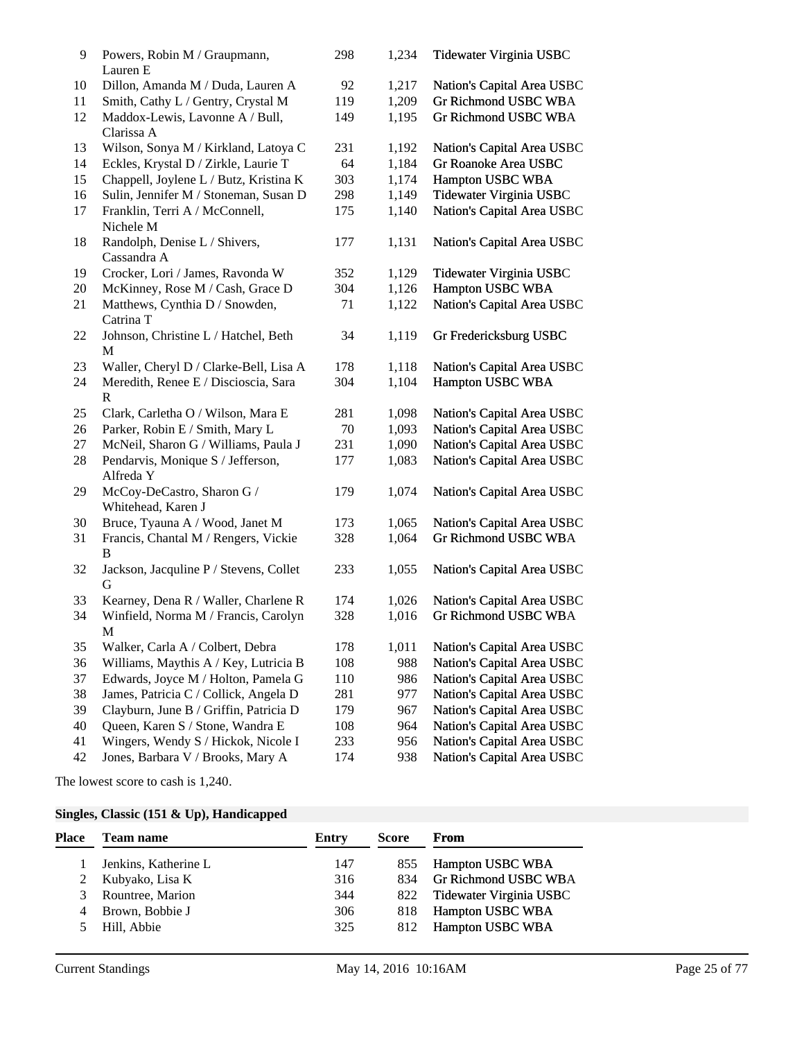| 9  | Powers, Robin M / Graupmann,<br>Lauren E         | 298 | 1,234 | Tidewater Virginia USBC     |
|----|--------------------------------------------------|-----|-------|-----------------------------|
| 10 | Dillon, Amanda M / Duda, Lauren A                | 92  | 1,217 | Nation's Capital Area USBC  |
| 11 | Smith, Cathy L / Gentry, Crystal M               | 119 | 1,209 | <b>Gr Richmond USBC WBA</b> |
| 12 | Maddox-Lewis, Lavonne A / Bull,<br>Clarissa A    | 149 | 1,195 | <b>Gr Richmond USBC WBA</b> |
| 13 | Wilson, Sonya M / Kirkland, Latoya C             | 231 | 1,192 | Nation's Capital Area USBC  |
| 14 | Eckles, Krystal D / Zirkle, Laurie T             | 64  | 1,184 | Gr Roanoke Area USBC        |
| 15 | Chappell, Joylene L / Butz, Kristina K           | 303 | 1,174 | Hampton USBC WBA            |
| 16 | Sulin, Jennifer M / Stoneman, Susan D            | 298 | 1,149 | Tidewater Virginia USBC     |
| 17 | Franklin, Terri A / McConnell,<br>Nichele M      | 175 | 1,140 | Nation's Capital Area USBC  |
| 18 | Randolph, Denise L / Shivers,<br>Cassandra A     | 177 | 1,131 | Nation's Capital Area USBC  |
| 19 | Crocker, Lori / James, Ravonda W                 | 352 | 1,129 | Tidewater Virginia USBC     |
| 20 | McKinney, Rose M / Cash, Grace D                 | 304 | 1,126 | Hampton USBC WBA            |
| 21 | Matthews, Cynthia D / Snowden,<br>Catrina T      | 71  | 1,122 | Nation's Capital Area USBC  |
| 22 | Johnson, Christine L / Hatchel, Beth<br>M        | 34  | 1,119 | Gr Fredericksburg USBC      |
| 23 | Waller, Cheryl D / Clarke-Bell, Lisa A           | 178 | 1,118 | Nation's Capital Area USBC  |
| 24 | Meredith, Renee E / Discioscia, Sara<br>R        | 304 | 1,104 | Hampton USBC WBA            |
| 25 | Clark, Carletha O / Wilson, Mara E               | 281 | 1,098 | Nation's Capital Area USBC  |
| 26 | Parker, Robin E / Smith, Mary L                  | 70  | 1,093 | Nation's Capital Area USBC  |
| 27 | McNeil, Sharon G / Williams, Paula J             | 231 | 1,090 | Nation's Capital Area USBC  |
| 28 | Pendarvis, Monique S / Jefferson,<br>Alfreda Y   | 177 | 1,083 | Nation's Capital Area USBC  |
| 29 | McCoy-DeCastro, Sharon G /<br>Whitehead, Karen J | 179 | 1,074 | Nation's Capital Area USBC  |
| 30 | Bruce, Tyauna A / Wood, Janet M                  | 173 | 1,065 | Nation's Capital Area USBC  |
| 31 | Francis, Chantal M / Rengers, Vickie<br>B        | 328 | 1,064 | <b>Gr Richmond USBC WBA</b> |
| 32 | Jackson, Jacquline P / Stevens, Collet<br>G      | 233 | 1,055 | Nation's Capital Area USBC  |
| 33 | Kearney, Dena R / Waller, Charlene R             | 174 | 1,026 | Nation's Capital Area USBC  |
| 34 | Winfield, Norma M / Francis, Carolyn<br>M        | 328 | 1,016 | <b>Gr Richmond USBC WBA</b> |
| 35 | Walker, Carla A / Colbert, Debra                 | 178 | 1,011 | Nation's Capital Area USBC  |
| 36 | Williams, Maythis A / Key, Lutricia B            | 108 | 988   | Nation's Capital Area USBC  |
| 37 | Edwards, Joyce M / Holton, Pamela G              | 110 | 986   | Nation's Capital Area USBC  |
| 38 | James, Patricia C / Collick, Angela D            | 281 | 977   | Nation's Capital Area USBC  |
| 39 | Clayburn, June B / Griffin, Patricia D           | 179 | 967   | Nation's Capital Area USBC  |
| 40 | Queen, Karen S / Stone, Wandra E                 | 108 | 964   | Nation's Capital Area USBC  |
| 41 | Wingers, Wendy S / Hickok, Nicole I              | 233 | 956   | Nation's Capital Area USBC  |
| 42 | Jones, Barbara V / Brooks, Mary A                | 174 | 938   | Nation's Capital Area USBC  |

The lowest score to cash is 1,240.

# **Singles, Classic (151 & Up), Handicapped**

| Place | <b>Team name</b>     | Entry | <b>Score</b> | From                    |
|-------|----------------------|-------|--------------|-------------------------|
|       | Jenkins, Katherine L | 147   | 855          | Hampton USBC WBA        |
|       | Kubyako, Lisa K      | 316   | 834          | Gr Richmond USBC WBA    |
| 3     | Rountree, Marion     | 344   | 822          | Tidewater Virginia USBC |
| 4     | Brown, Bobbie J      | 306   | 818          | <b>Hampton USBC WBA</b> |
|       | Hill, Abbie          | 325   | 812          | <b>Hampton USBC WBA</b> |
|       |                      |       |              |                         |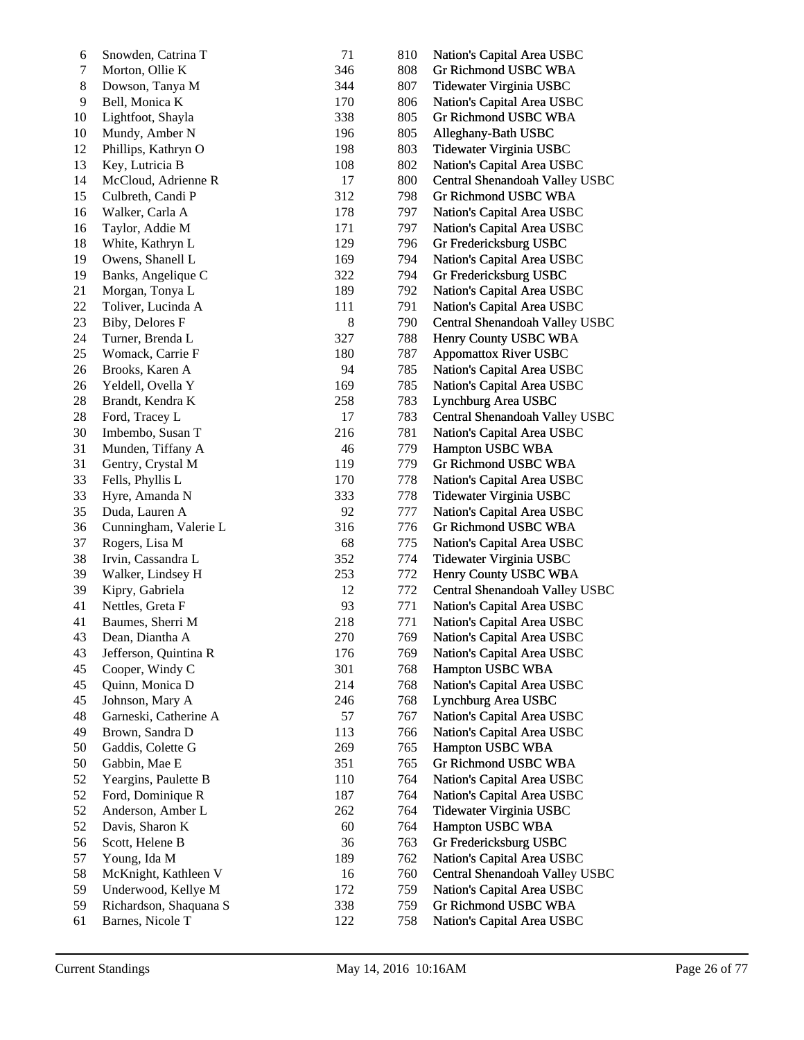| 6  | Snowden, Catrina T     | 71    | 810 | Nation's Capital Area USBC     |
|----|------------------------|-------|-----|--------------------------------|
| 7  | Morton, Ollie K        | 346   | 808 | Gr Richmond USBC WBA           |
| 8  | Dowson, Tanya M        | 344   | 807 | Tidewater Virginia USBC        |
| 9  | Bell, Monica K         | 170   | 806 | Nation's Capital Area USBC     |
| 10 | Lightfoot, Shayla      | 338   | 805 | Gr Richmond USBC WBA           |
| 10 | Mundy, Amber N         | 196   | 805 | Alleghany-Bath USBC            |
| 12 | Phillips, Kathryn O    | 198   | 803 | Tidewater Virginia USBC        |
| 13 | Key, Lutricia B        | 108   | 802 | Nation's Capital Area USBC     |
| 14 | McCloud, Adrienne R    | 17    | 800 | Central Shenandoah Valley USBC |
| 15 | Culbreth, Candi P      | 312   | 798 | Gr Richmond USBC WBA           |
| 16 | Walker, Carla A        | 178   | 797 | Nation's Capital Area USBC     |
| 16 | Taylor, Addie M        | 171   | 797 | Nation's Capital Area USBC     |
| 18 | White, Kathryn L       | 129   | 796 | Gr Fredericksburg USBC         |
| 19 | Owens, Shanell L       | 169   | 794 | Nation's Capital Area USBC     |
| 19 | Banks, Angelique C     | 322   | 794 | Gr Fredericksburg USBC         |
| 21 | Morgan, Tonya L        | 189   | 792 | Nation's Capital Area USBC     |
| 22 | Toliver, Lucinda A     | 111   | 791 | Nation's Capital Area USBC     |
| 23 | Biby, Delores F        | $8\,$ | 790 | Central Shenandoah Valley USBC |
| 24 | Turner, Brenda L       | 327   | 788 | Henry County USBC WBA          |
| 25 | Womack, Carrie F       | 180   | 787 | <b>Appomattox River USBC</b>   |
| 26 | Brooks, Karen A        | 94    | 785 | Nation's Capital Area USBC     |
| 26 | Yeldell, Ovella Y      | 169   | 785 | Nation's Capital Area USBC     |
| 28 | Brandt, Kendra K       | 258   | 783 | Lynchburg Area USBC            |
| 28 | Ford, Tracey L         | 17    | 783 | Central Shenandoah Valley USBC |
| 30 | Imbembo, Susan T       | 216   | 781 | Nation's Capital Area USBC     |
| 31 | Munden, Tiffany A      | 46    | 779 | Hampton USBC WBA               |
| 31 | Gentry, Crystal M      | 119   | 779 | Gr Richmond USBC WBA           |
| 33 | Fells, Phyllis L       | 170   | 778 | Nation's Capital Area USBC     |
| 33 | Hyre, Amanda N         | 333   | 778 | Tidewater Virginia USBC        |
| 35 | Duda, Lauren A         | 92    | 777 | Nation's Capital Area USBC     |
| 36 | Cunningham, Valerie L  | 316   | 776 | Gr Richmond USBC WBA           |
| 37 | Rogers, Lisa M         | 68    | 775 | Nation's Capital Area USBC     |
| 38 | Irvin, Cassandra L     | 352   | 774 | Tidewater Virginia USBC        |
| 39 | Walker, Lindsey H      | 253   | 772 | Henry County USBC WBA          |
| 39 | Kipry, Gabriela        | 12    | 772 | Central Shenandoah Valley USBC |
| 41 | Nettles, Greta F       | 93    | 771 | Nation's Capital Area USBC     |
| 41 | Baumes, Sherri M       | 218   | 771 | Nation's Capital Area USBC     |
| 43 | Dean, Diantha A        | 270   | 769 | Nation's Capital Area USBC     |
| 43 | Jefferson, Quintina R  | 176   | 769 | Nation's Capital Area USBC     |
| 45 | Cooper, Windy C        | 301   | 768 | Hampton USBC WBA               |
| 45 | Quinn, Monica D        | 214   | 768 | Nation's Capital Area USBC     |
| 45 | Johnson, Mary A        | 246   | 768 | Lynchburg Area USBC            |
| 48 | Garneski, Catherine A  | 57    | 767 | Nation's Capital Area USBC     |
| 49 | Brown, Sandra D        | 113   | 766 | Nation's Capital Area USBC     |
| 50 | Gaddis, Colette G      | 269   | 765 | Hampton USBC WBA               |
| 50 | Gabbin, Mae E          | 351   | 765 | Gr Richmond USBC WBA           |
| 52 | Yeargins, Paulette B   | 110   | 764 | Nation's Capital Area USBC     |
| 52 | Ford, Dominique R      | 187   | 764 | Nation's Capital Area USBC     |
| 52 | Anderson, Amber L      | 262   | 764 | Tidewater Virginia USBC        |
| 52 | Davis, Sharon K        | 60    | 764 | Hampton USBC WBA               |
| 56 | Scott, Helene B        | 36    | 763 | Gr Fredericksburg USBC         |
| 57 | Young, Ida M           | 189   | 762 | Nation's Capital Area USBC     |
| 58 | McKnight, Kathleen V   | 16    | 760 | Central Shenandoah Valley USBC |
| 59 | Underwood, Kellye M    | 172   | 759 | Nation's Capital Area USBC     |
| 59 | Richardson, Shaquana S | 338   | 759 | Gr Richmond USBC WBA           |
| 61 | Barnes, Nicole T       | 122   | 758 | Nation's Capital Area USBC     |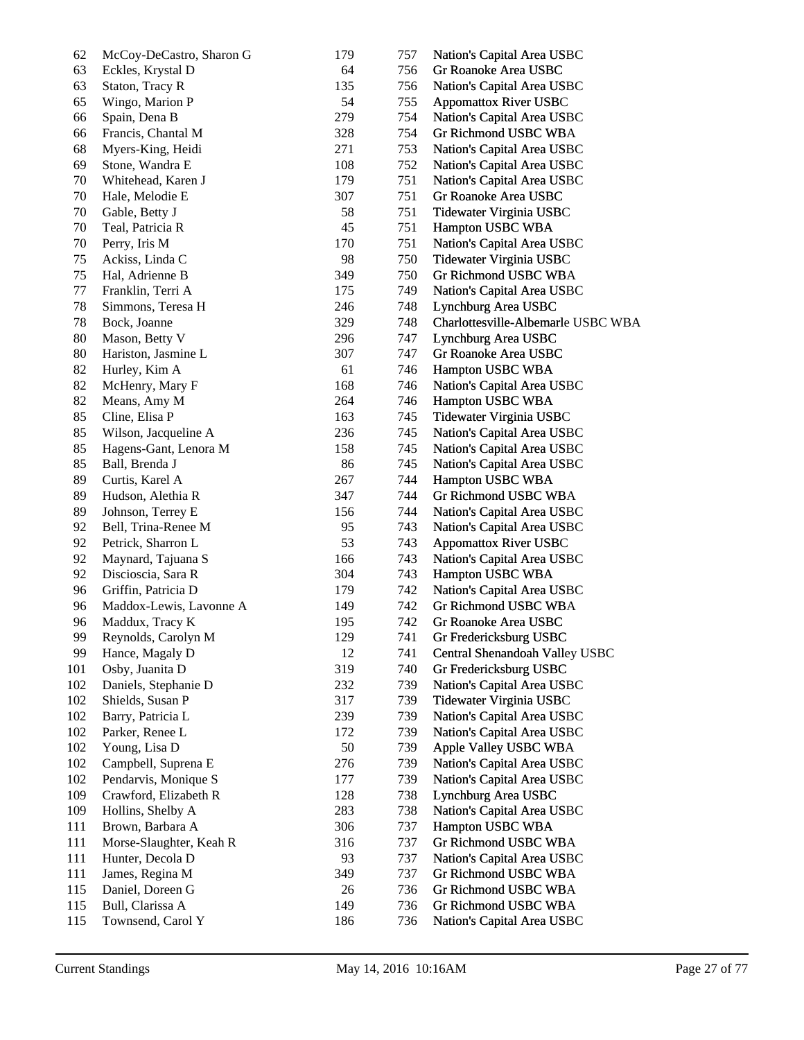| 62  | McCoy-DeCastro, Sharon G                 | 179 | 757 | Nation's Capital Area USBC         |
|-----|------------------------------------------|-----|-----|------------------------------------|
| 63  | Eckles, Krystal D                        | 64  | 756 | Gr Roanoke Area USBC               |
| 63  | Staton, Tracy R                          | 135 | 756 | Nation's Capital Area USBC         |
| 65  | Wingo, Marion P                          | 54  | 755 | <b>Appomattox River USBC</b>       |
| 66  | Spain, Dena B                            | 279 | 754 | Nation's Capital Area USBC         |
| 66  | Francis, Chantal M                       | 328 | 754 | Gr Richmond USBC WBA               |
| 68  | Myers-King, Heidi                        | 271 | 753 | Nation's Capital Area USBC         |
| 69  | Stone, Wandra E                          | 108 | 752 | Nation's Capital Area USBC         |
| 70  | Whitehead, Karen J                       | 179 | 751 | Nation's Capital Area USBC         |
| 70  | Hale, Melodie E                          | 307 | 751 | Gr Roanoke Area USBC               |
| 70  | Gable, Betty J                           | 58  | 751 | Tidewater Virginia USBC            |
| 70  | Teal, Patricia R                         | 45  | 751 | Hampton USBC WBA                   |
| 70  | Perry, Iris M                            | 170 | 751 | Nation's Capital Area USBC         |
| 75  | Ackiss, Linda C                          | 98  | 750 | Tidewater Virginia USBC            |
| 75  | Hal, Adrienne B                          | 349 | 750 | Gr Richmond USBC WBA               |
| 77  | Franklin, Terri A                        | 175 | 749 | Nation's Capital Area USBC         |
| 78  | Simmons, Teresa H                        | 246 | 748 | Lynchburg Area USBC                |
| 78  | Bock, Joanne                             | 329 | 748 | Charlottesville-Albemarle USBC WBA |
| 80  | Mason, Betty V                           | 296 | 747 | Lynchburg Area USBC                |
| 80  | Hariston, Jasmine L                      | 307 | 747 | Gr Roanoke Area USBC               |
| 82  | Hurley, Kim A                            | 61  | 746 | Hampton USBC WBA                   |
| 82  | McHenry, Mary F                          | 168 | 746 | Nation's Capital Area USBC         |
| 82  | Means, Amy M                             | 264 | 746 | Hampton USBC WBA                   |
| 85  | Cline, Elisa P                           | 163 | 745 | Tidewater Virginia USBC            |
| 85  | Wilson, Jacqueline A                     | 236 | 745 | Nation's Capital Area USBC         |
| 85  | Hagens-Gant, Lenora M                    | 158 | 745 | Nation's Capital Area USBC         |
| 85  | Ball, Brenda J                           | 86  | 745 | Nation's Capital Area USBC         |
| 89  | Curtis, Karel A                          | 267 | 744 | Hampton USBC WBA                   |
| 89  | Hudson, Alethia R                        | 347 | 744 | Gr Richmond USBC WBA               |
| 89  | Johnson, Terrey E                        | 156 | 744 | Nation's Capital Area USBC         |
| 92  | Bell, Trina-Renee M                      | 95  | 743 | Nation's Capital Area USBC         |
| 92  | Petrick, Sharron L                       | 53  | 743 | <b>Appomattox River USBC</b>       |
| 92  |                                          | 166 | 743 | Nation's Capital Area USBC         |
| 92  | Maynard, Tajuana S<br>Discioscia, Sara R | 304 | 743 | Hampton USBC WBA                   |
|     |                                          |     |     |                                    |
| 96  | Griffin, Patricia D                      | 179 | 742 | Nation's Capital Area USBC         |
| 96  | Maddox-Lewis, Lavonne A                  | 149 | 742 | Gr Richmond USBC WBA               |
| 96  | Maddux, Tracy K                          | 195 | 742 | Gr Roanoke Area USBC               |
| 99  | Reynolds, Carolyn M                      | 129 | 741 | Gr Fredericksburg USBC             |
| 99  | Hance, Magaly D                          | 12  | 741 | Central Shenandoah Valley USBC     |
| 101 | Osby, Juanita D                          | 319 | 740 | Gr Fredericksburg USBC             |
| 102 | Daniels, Stephanie D                     | 232 | 739 | Nation's Capital Area USBC         |
| 102 | Shields, Susan P                         | 317 | 739 | Tidewater Virginia USBC            |
| 102 | Barry, Patricia L                        | 239 | 739 | Nation's Capital Area USBC         |
| 102 | Parker, Renee L                          | 172 | 739 | Nation's Capital Area USBC         |
| 102 | Young, Lisa D                            | 50  | 739 | Apple Valley USBC WBA              |
| 102 | Campbell, Suprena E                      | 276 | 739 | Nation's Capital Area USBC         |
| 102 | Pendarvis, Monique S                     | 177 | 739 | Nation's Capital Area USBC         |
| 109 | Crawford, Elizabeth R                    | 128 | 738 | Lynchburg Area USBC                |
| 109 | Hollins, Shelby A                        | 283 | 738 | Nation's Capital Area USBC         |
| 111 | Brown, Barbara A                         | 306 | 737 | Hampton USBC WBA                   |
| 111 | Morse-Slaughter, Keah R                  | 316 | 737 | Gr Richmond USBC WBA               |
| 111 | Hunter, Decola D                         | 93  | 737 | Nation's Capital Area USBC         |
| 111 | James, Regina M                          | 349 | 737 | Gr Richmond USBC WBA               |
| 115 | Daniel, Doreen G                         | 26  | 736 | Gr Richmond USBC WBA               |
| 115 | Bull, Clarissa A                         | 149 | 736 | Gr Richmond USBC WBA               |
| 115 | Townsend, Carol Y                        | 186 | 736 | Nation's Capital Area USBC         |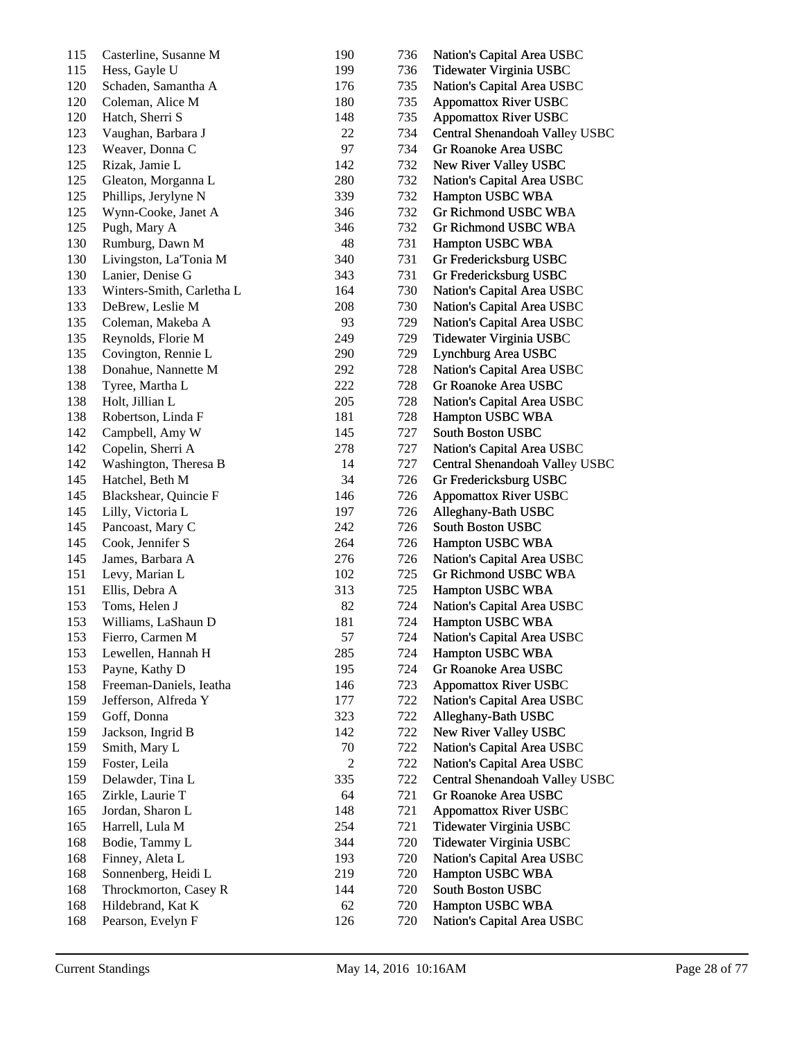| 115 | Casterline, Susanne M     | 190            | 736 | Nation's Capital Area USBC     |
|-----|---------------------------|----------------|-----|--------------------------------|
| 115 | Hess, Gayle U             | 199            | 736 | Tidewater Virginia USBC        |
| 120 | Schaden, Samantha A       | 176            | 735 | Nation's Capital Area USBC     |
| 120 | Coleman, Alice M          | 180            | 735 | <b>Appomattox River USBC</b>   |
| 120 | Hatch, Sherri S           | 148            | 735 | <b>Appomattox River USBC</b>   |
| 123 | Vaughan, Barbara J        | 22             | 734 | Central Shenandoah Valley USBC |
| 123 | Weaver, Donna C           | 97             | 734 | Gr Roanoke Area USBC           |
| 125 | Rizak, Jamie L            | 142            | 732 | New River Valley USBC          |
| 125 | Gleaton, Morganna L       | 280            | 732 | Nation's Capital Area USBC     |
| 125 | Phillips, Jerylyne N      | 339            | 732 | Hampton USBC WBA               |
| 125 | Wynn-Cooke, Janet A       | 346            | 732 | Gr Richmond USBC WBA           |
| 125 | Pugh, Mary A              | 346            | 732 | Gr Richmond USBC WBA           |
| 130 | Rumburg, Dawn M           | 48             | 731 | Hampton USBC WBA               |
| 130 | Livingston, La'Tonia M    | 340            | 731 | Gr Fredericksburg USBC         |
| 130 | Lanier, Denise G          | 343            | 731 | Gr Fredericksburg USBC         |
| 133 | Winters-Smith, Carletha L | 164            | 730 | Nation's Capital Area USBC     |
| 133 | DeBrew, Leslie M          | 208            | 730 | Nation's Capital Area USBC     |
| 135 | Coleman, Makeba A         | 93             | 729 | Nation's Capital Area USBC     |
| 135 | Reynolds, Florie M        | 249            | 729 | Tidewater Virginia USBC        |
| 135 | Covington, Rennie L       | 290            | 729 | Lynchburg Area USBC            |
| 138 | Donahue, Nannette M       | 292            | 728 | Nation's Capital Area USBC     |
| 138 | Tyree, Martha L           | 222            | 728 | Gr Roanoke Area USBC           |
| 138 | Holt, Jillian L           | 205            | 728 | Nation's Capital Area USBC     |
| 138 | Robertson, Linda F        | 181            | 728 | Hampton USBC WBA               |
| 142 | Campbell, Amy W           | 145            | 727 | South Boston USBC              |
| 142 | Copelin, Sherri A         | 278            | 727 | Nation's Capital Area USBC     |
| 142 | Washington, Theresa B     | 14             | 727 | Central Shenandoah Valley USBC |
| 145 | Hatchel, Beth M           | 34             | 726 | Gr Fredericksburg USBC         |
| 145 | Blackshear, Quincie F     | 146            | 726 | <b>Appomattox River USBC</b>   |
| 145 | Lilly, Victoria L         | 197            | 726 | Alleghany-Bath USBC            |
| 145 | Pancoast, Mary C          | 242            | 726 | South Boston USBC              |
| 145 | Cook, Jennifer S          | 264            | 726 | Hampton USBC WBA               |
| 145 | James, Barbara A          | 276            | 726 | Nation's Capital Area USBC     |
| 151 | Levy, Marian L            | 102            | 725 | Gr Richmond USBC WBA           |
| 151 | Ellis, Debra A            | 313            | 725 | Hampton USBC WBA               |
| 153 | Toms, Helen J             | 82             | 724 | Nation's Capital Area USBC     |
| 153 | Williams, LaShaun D       | 181            | 724 | Hampton USBC WBA               |
| 153 | Fierro, Carmen M          | 57             | 724 | Nation's Capital Area USBC     |
| 153 | Lewellen, Hannah H        | 285            | 724 | Hampton USBC WBA               |
| 153 | Payne, Kathy D            | 195            | 724 | Gr Roanoke Area USBC           |
| 158 | Freeman-Daniels, Ieatha   | 146            | 723 | <b>Appomattox River USBC</b>   |
| 159 | Jefferson, Alfreda Y      | 177            | 722 | Nation's Capital Area USBC     |
| 159 | Goff, Donna               | 323            | 722 | Alleghany-Bath USBC            |
| 159 | Jackson, Ingrid B         | 142            | 722 | New River Valley USBC          |
| 159 | Smith, Mary L             | 70             | 722 | Nation's Capital Area USBC     |
| 159 | Foster, Leila             | $\overline{c}$ | 722 | Nation's Capital Area USBC     |
| 159 | Delawder, Tina L          | 335            | 722 | Central Shenandoah Valley USBC |
| 165 | Zirkle, Laurie T          | 64             | 721 | Gr Roanoke Area USBC           |
| 165 | Jordan, Sharon L          | 148            | 721 | <b>Appomattox River USBC</b>   |
| 165 | Harrell, Lula M           | 254            | 721 | Tidewater Virginia USBC        |
| 168 | Bodie, Tammy L            | 344            | 720 | Tidewater Virginia USBC        |
| 168 | Finney, Aleta L           | 193            | 720 | Nation's Capital Area USBC     |
| 168 | Sonnenberg, Heidi L       | 219            | 720 | Hampton USBC WBA               |
| 168 | Throckmorton, Casey R     | 144            | 720 | South Boston USBC              |
| 168 | Hildebrand, Kat K         | 62             | 720 | Hampton USBC WBA               |
| 168 | Pearson, Evelyn F         | 126            | 720 | Nation's Capital Area USBC     |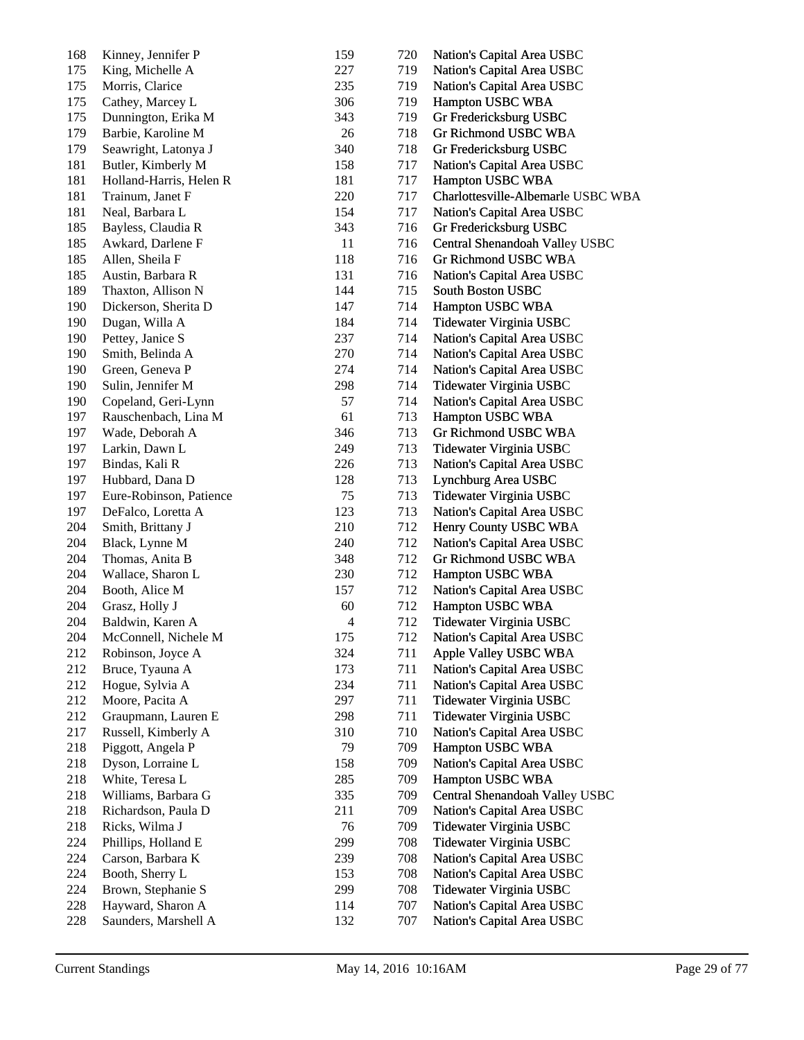| 168 | Kinney, Jennifer P      | 159                      | 720 | Nation's Capital Area USBC         |
|-----|-------------------------|--------------------------|-----|------------------------------------|
| 175 | King, Michelle A        | 227                      | 719 | Nation's Capital Area USBC         |
| 175 | Morris, Clarice         | 235                      | 719 | Nation's Capital Area USBC         |
| 175 | Cathey, Marcey L        | 306                      | 719 | Hampton USBC WBA                   |
| 175 | Dunnington, Erika M     | 343                      | 719 | Gr Fredericksburg USBC             |
| 179 | Barbie, Karoline M      | 26                       | 718 | Gr Richmond USBC WBA               |
| 179 | Seawright, Latonya J    | 340                      | 718 | Gr Fredericksburg USBC             |
| 181 | Butler, Kimberly M      | 158                      | 717 | Nation's Capital Area USBC         |
| 181 | Holland-Harris, Helen R | 181                      | 717 | Hampton USBC WBA                   |
| 181 | Trainum, Janet F        | 220                      | 717 | Charlottesville-Albemarle USBC WBA |
| 181 | Neal, Barbara L         | 154                      | 717 | Nation's Capital Area USBC         |
| 185 | Bayless, Claudia R      | 343                      | 716 | Gr Fredericksburg USBC             |
| 185 | Awkard, Darlene F       | 11                       | 716 | Central Shenandoah Valley USBC     |
| 185 | Allen, Sheila F         | 118                      | 716 | Gr Richmond USBC WBA               |
| 185 | Austin, Barbara R       | 131                      | 716 | Nation's Capital Area USBC         |
| 189 | Thaxton, Allison N      | 144                      | 715 | South Boston USBC                  |
| 190 | Dickerson, Sherita D    | 147                      | 714 | Hampton USBC WBA                   |
| 190 | Dugan, Willa A          | 184                      | 714 | Tidewater Virginia USBC            |
| 190 | Pettey, Janice S        | 237                      | 714 | Nation's Capital Area USBC         |
| 190 | Smith, Belinda A        | 270                      | 714 | Nation's Capital Area USBC         |
| 190 | Green, Geneva P         | 274                      | 714 | Nation's Capital Area USBC         |
| 190 | Sulin, Jennifer M       | 298                      | 714 | Tidewater Virginia USBC            |
| 190 | Copeland, Geri-Lynn     | 57                       | 714 | Nation's Capital Area USBC         |
| 197 | Rauschenbach, Lina M    | 61                       | 713 | Hampton USBC WBA                   |
| 197 | Wade, Deborah A         | 346                      | 713 | Gr Richmond USBC WBA               |
| 197 | Larkin, Dawn L          | 249                      | 713 | Tidewater Virginia USBC            |
| 197 | Bindas, Kali R          | 226                      | 713 | Nation's Capital Area USBC         |
| 197 | Hubbard, Dana D         | 128                      | 713 | Lynchburg Area USBC                |
| 197 | Eure-Robinson, Patience | 75                       | 713 | Tidewater Virginia USBC            |
| 197 | DeFalco, Loretta A      | 123                      | 713 | Nation's Capital Area USBC         |
| 204 | Smith, Brittany J       | 210                      | 712 | Henry County USBC WBA              |
| 204 | Black, Lynne M          | 240                      | 712 | Nation's Capital Area USBC         |
| 204 | Thomas, Anita B         | 348                      | 712 | Gr Richmond USBC WBA               |
| 204 | Wallace, Sharon L       | 230                      | 712 | Hampton USBC WBA                   |
| 204 | Booth, Alice M          | 157                      | 712 | Nation's Capital Area USBC         |
| 204 | Grasz, Holly J          | 60                       | 712 | Hampton USBC WBA                   |
| 204 | Baldwin, Karen A        | $\overline{\mathcal{A}}$ | 712 | Tidewater Virginia USBC            |
| 204 | McConnell, Nichele M    | 175                      | 712 | Nation's Capital Area USBC         |
| 212 | Robinson, Joyce A       | 324                      | 711 | Apple Valley USBC WBA              |
| 212 | Bruce, Tyauna A         | 173                      | 711 | Nation's Capital Area USBC         |
| 212 | Hogue, Sylvia A         | 234                      | 711 | Nation's Capital Area USBC         |
| 212 | Moore, Pacita A         | 297                      | 711 | Tidewater Virginia USBC            |
| 212 | Graupmann, Lauren E     | 298                      | 711 | Tidewater Virginia USBC            |
| 217 | Russell, Kimberly A     | 310                      | 710 | Nation's Capital Area USBC         |
| 218 | Piggott, Angela P       | 79                       | 709 | Hampton USBC WBA                   |
| 218 | Dyson, Lorraine L       | 158                      | 709 | Nation's Capital Area USBC         |
| 218 | White, Teresa L         | 285                      | 709 | Hampton USBC WBA                   |
| 218 | Williams, Barbara G     | 335                      | 709 | Central Shenandoah Valley USBC     |
| 218 | Richardson, Paula D     | 211                      | 709 | Nation's Capital Area USBC         |
| 218 | Ricks, Wilma J          | 76                       | 709 | Tidewater Virginia USBC            |
| 224 | Phillips, Holland E     | 299                      | 708 | Tidewater Virginia USBC            |
| 224 | Carson, Barbara K       | 239                      | 708 | Nation's Capital Area USBC         |
| 224 | Booth, Sherry L         | 153                      | 708 | Nation's Capital Area USBC         |
| 224 | Brown, Stephanie S      | 299                      | 708 | Tidewater Virginia USBC            |
| 228 | Hayward, Sharon A       | 114                      | 707 | Nation's Capital Area USBC         |
| 228 | Saunders, Marshell A    | 132                      | 707 | Nation's Capital Area USBC         |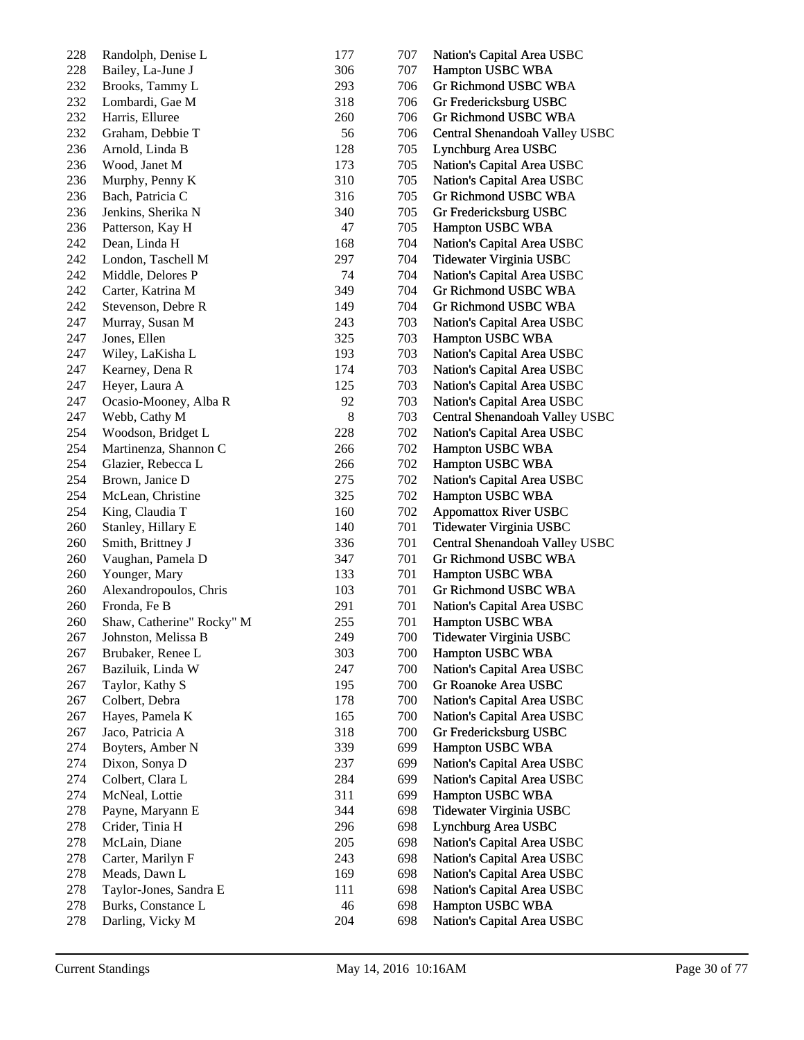| 228 | Randolph, Denise L        | 177 | 707 | Nation's Capital Area USBC     |
|-----|---------------------------|-----|-----|--------------------------------|
| 228 | Bailey, La-June J         | 306 | 707 | Hampton USBC WBA               |
| 232 | Brooks, Tammy L           | 293 | 706 | Gr Richmond USBC WBA           |
| 232 | Lombardi, Gae M           | 318 | 706 | Gr Fredericksburg USBC         |
| 232 | Harris, Elluree           | 260 | 706 | Gr Richmond USBC WBA           |
| 232 | Graham, Debbie T          | 56  | 706 | Central Shenandoah Valley USBC |
| 236 | Arnold, Linda B           | 128 | 705 | Lynchburg Area USBC            |
| 236 | Wood, Janet M             | 173 | 705 | Nation's Capital Area USBC     |
| 236 | Murphy, Penny K           | 310 | 705 | Nation's Capital Area USBC     |
| 236 | Bach, Patricia C          | 316 | 705 | Gr Richmond USBC WBA           |
| 236 | Jenkins, Sherika N        | 340 | 705 | Gr Fredericksburg USBC         |
| 236 | Patterson, Kay H          | 47  | 705 | Hampton USBC WBA               |
| 242 | Dean, Linda H             | 168 | 704 | Nation's Capital Area USBC     |
| 242 | London, Taschell M        | 297 | 704 | Tidewater Virginia USBC        |
| 242 | Middle, Delores P         | 74  | 704 | Nation's Capital Area USBC     |
| 242 | Carter, Katrina M         | 349 | 704 | Gr Richmond USBC WBA           |
| 242 | Stevenson, Debre R        | 149 | 704 | <b>Gr Richmond USBC WBA</b>    |
| 247 | Murray, Susan M           | 243 | 703 | Nation's Capital Area USBC     |
| 247 | Jones, Ellen              | 325 | 703 | Hampton USBC WBA               |
| 247 | Wiley, LaKisha L          | 193 | 703 | Nation's Capital Area USBC     |
| 247 | Kearney, Dena R           | 174 | 703 | Nation's Capital Area USBC     |
| 247 | Heyer, Laura A            | 125 | 703 | Nation's Capital Area USBC     |
| 247 | Ocasio-Mooney, Alba R     | 92  | 703 | Nation's Capital Area USBC     |
| 247 | Webb, Cathy M             | 8   | 703 | Central Shenandoah Valley USBC |
| 254 | Woodson, Bridget L        | 228 | 702 | Nation's Capital Area USBC     |
| 254 | Martinenza, Shannon C     | 266 | 702 | Hampton USBC WBA               |
| 254 | Glazier, Rebecca L        | 266 | 702 | Hampton USBC WBA               |
| 254 | Brown, Janice D           | 275 | 702 | Nation's Capital Area USBC     |
| 254 | McLean, Christine         | 325 | 702 | Hampton USBC WBA               |
| 254 | King, Claudia T           | 160 | 702 | <b>Appomattox River USBC</b>   |
| 260 | Stanley, Hillary E        | 140 | 701 | Tidewater Virginia USBC        |
| 260 | Smith, Brittney J         | 336 | 701 | Central Shenandoah Valley USBC |
| 260 | Vaughan, Pamela D         | 347 | 701 | Gr Richmond USBC WBA           |
| 260 | Younger, Mary             | 133 | 701 | Hampton USBC WBA               |
| 260 | Alexandropoulos, Chris    | 103 | 701 | <b>Gr Richmond USBC WBA</b>    |
| 260 | Fronda, Fe B              | 291 | 701 | Nation's Capital Area USBC     |
| 260 | Shaw, Catherine" Rocky" M | 255 | 701 | Hampton USBC WBA               |
| 267 | Johnston, Melissa B       | 249 | 700 | Tidewater Virginia USBC        |
| 267 | Brubaker, Renee L         | 303 | 700 | Hampton USBC WBA               |
| 267 | Baziluik, Linda W         | 247 | 700 | Nation's Capital Area USBC     |
| 267 | Taylor, Kathy S           | 195 | 700 | Gr Roanoke Area USBC           |
| 267 | Colbert, Debra            | 178 | 700 | Nation's Capital Area USBC     |
| 267 | Hayes, Pamela K           | 165 | 700 | Nation's Capital Area USBC     |
| 267 | Jaco, Patricia A          | 318 | 700 | Gr Fredericksburg USBC         |
| 274 | Boyters, Amber N          | 339 | 699 | Hampton USBC WBA               |
| 274 | Dixon, Sonya D            | 237 | 699 | Nation's Capital Area USBC     |
| 274 | Colbert, Clara L          | 284 | 699 | Nation's Capital Area USBC     |
| 274 | McNeal, Lottie            | 311 | 699 | Hampton USBC WBA               |
| 278 | Payne, Maryann E          | 344 | 698 | Tidewater Virginia USBC        |
| 278 | Crider, Tinia H           | 296 | 698 | Lynchburg Area USBC            |
| 278 | McLain, Diane             | 205 | 698 | Nation's Capital Area USBC     |
| 278 | Carter, Marilyn F         | 243 | 698 | Nation's Capital Area USBC     |
| 278 | Meads, Dawn L             | 169 | 698 | Nation's Capital Area USBC     |
| 278 | Taylor-Jones, Sandra E    | 111 | 698 | Nation's Capital Area USBC     |
| 278 | Burks, Constance L        | 46  | 698 | Hampton USBC WBA               |
| 278 | Darling, Vicky M          | 204 | 698 | Nation's Capital Area USBC     |
|     |                           |     |     |                                |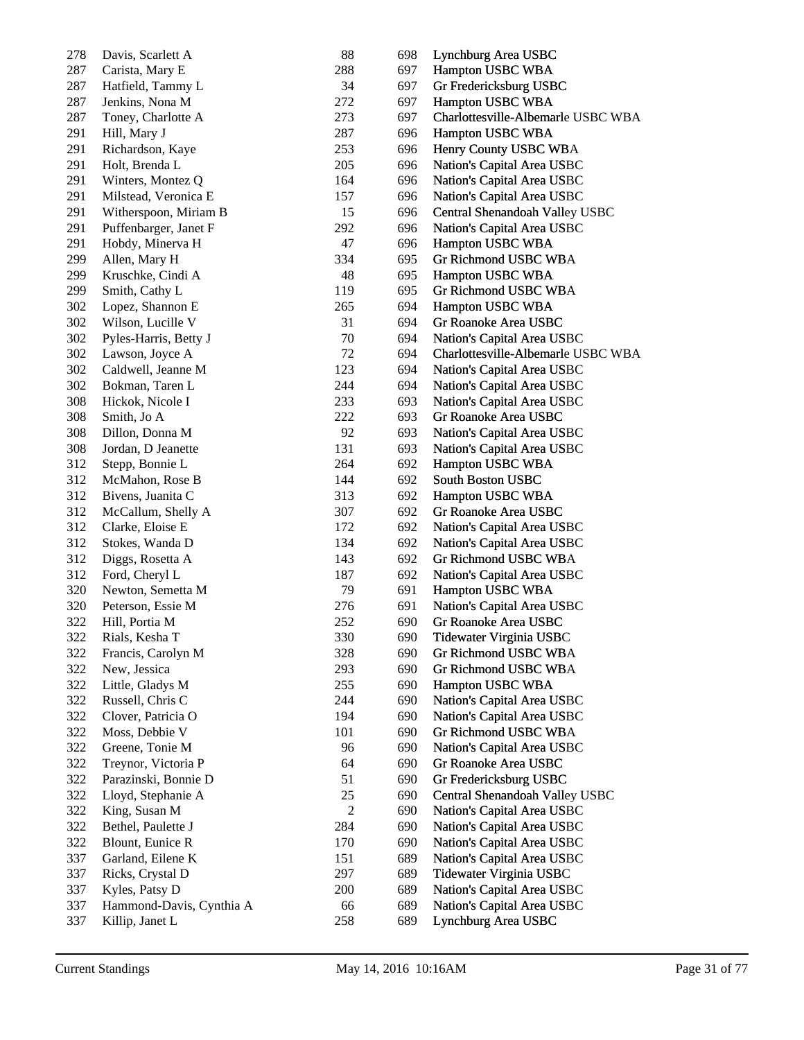| 278 | Davis, Scarlett A        | 88             | 698 | Lynchburg Area USBC                |
|-----|--------------------------|----------------|-----|------------------------------------|
| 287 | Carista, Mary E          | 288            | 697 | Hampton USBC WBA                   |
| 287 | Hatfield, Tammy L        | 34             | 697 | Gr Fredericksburg USBC             |
| 287 | Jenkins, Nona M          | 272            | 697 | Hampton USBC WBA                   |
| 287 | Toney, Charlotte A       | 273            | 697 | Charlottesville-Albemarle USBC WBA |
| 291 | Hill, Mary J             | 287            | 696 | Hampton USBC WBA                   |
| 291 | Richardson, Kaye         | 253            | 696 | Henry County USBC WBA              |
| 291 | Holt, Brenda L           | 205            | 696 | Nation's Capital Area USBC         |
| 291 | Winters, Montez Q        | 164            | 696 | Nation's Capital Area USBC         |
| 291 | Milstead, Veronica E     | 157            | 696 | Nation's Capital Area USBC         |
| 291 | Witherspoon, Miriam B    | 15             | 696 | Central Shenandoah Valley USBC     |
| 291 | Puffenbarger, Janet F    | 292            | 696 | Nation's Capital Area USBC         |
| 291 | Hobdy, Minerva H         | 47             | 696 | Hampton USBC WBA                   |
| 299 | Allen, Mary H            | 334            | 695 | Gr Richmond USBC WBA               |
| 299 | Kruschke, Cindi A        | 48             | 695 | Hampton USBC WBA                   |
| 299 | Smith, Cathy L           | 119            | 695 | Gr Richmond USBC WBA               |
| 302 | Lopez, Shannon E         | 265            | 694 | Hampton USBC WBA                   |
| 302 | Wilson, Lucille V        | 31             | 694 | Gr Roanoke Area USBC               |
| 302 | Pyles-Harris, Betty J    | 70             | 694 | Nation's Capital Area USBC         |
| 302 | Lawson, Joyce A          | 72             | 694 | Charlottesville-Albemarle USBC WBA |
| 302 | Caldwell, Jeanne M       | 123            | 694 | Nation's Capital Area USBC         |
| 302 | Bokman, Taren L          | 244            | 694 | Nation's Capital Area USBC         |
| 308 | Hickok, Nicole I         | 233            | 693 | Nation's Capital Area USBC         |
| 308 | Smith, Jo A              | 222            | 693 | Gr Roanoke Area USBC               |
| 308 | Dillon, Donna M          | 92             | 693 | Nation's Capital Area USBC         |
| 308 | Jordan, D Jeanette       | 131            | 693 | Nation's Capital Area USBC         |
| 312 | Stepp, Bonnie L          | 264            | 692 | Hampton USBC WBA                   |
| 312 | McMahon, Rose B          | 144            | 692 | South Boston USBC                  |
| 312 | Bivens, Juanita C        | 313            | 692 | Hampton USBC WBA                   |
| 312 | McCallum, Shelly A       | 307            | 692 | Gr Roanoke Area USBC               |
| 312 | Clarke, Eloise E         | 172            | 692 | Nation's Capital Area USBC         |
| 312 |                          | 134            | 692 |                                    |
|     | Stokes, Wanda D          |                |     | Nation's Capital Area USBC         |
| 312 | Diggs, Rosetta A         | 143            | 692 | Gr Richmond USBC WBA               |
| 312 | Ford, Cheryl L           | 187            | 692 | Nation's Capital Area USBC         |
| 320 | Newton, Semetta M        | 79             | 691 | Hampton USBC WBA                   |
| 320 | Peterson, Essie M        | 276            | 691 | Nation's Capital Area USBC         |
| 322 | Hill, Portia M           | 252            | 690 | Gr Roanoke Area USBC               |
| 322 | Rials, Kesha T           | 330            | 690 | Tidewater Virginia USBC            |
| 322 | Francis, Carolyn M       | 328            | 690 | Gr Richmond USBC WBA               |
| 322 | New, Jessica             | 293            | 690 | Gr Richmond USBC WBA               |
| 322 | Little, Gladys M         | 255            | 690 | Hampton USBC WBA                   |
| 322 | Russell, Chris C         | 244            | 690 | Nation's Capital Area USBC         |
| 322 | Clover, Patricia O       | 194            | 690 | Nation's Capital Area USBC         |
| 322 | Moss, Debbie V           | 101            | 690 | Gr Richmond USBC WBA               |
| 322 | Greene, Tonie M          | 96             | 690 | Nation's Capital Area USBC         |
| 322 | Treynor, Victoria P      | 64             | 690 | Gr Roanoke Area USBC               |
| 322 | Parazinski, Bonnie D     | 51             | 690 | Gr Fredericksburg USBC             |
| 322 | Lloyd, Stephanie A       | 25             | 690 | Central Shenandoah Valley USBC     |
| 322 | King, Susan M            | $\overline{c}$ | 690 | Nation's Capital Area USBC         |
| 322 | Bethel, Paulette J       | 284            | 690 | Nation's Capital Area USBC         |
| 322 | Blount, Eunice R         | 170            | 690 | Nation's Capital Area USBC         |
| 337 | Garland, Eilene K        | 151            | 689 | Nation's Capital Area USBC         |
| 337 | Ricks, Crystal D         | 297            | 689 | Tidewater Virginia USBC            |
| 337 | Kyles, Patsy D           | 200            | 689 | Nation's Capital Area USBC         |
| 337 | Hammond-Davis, Cynthia A | 66             | 689 | Nation's Capital Area USBC         |
| 337 | Killip, Janet L          | 258            | 689 | Lynchburg Area USBC                |
|     |                          |                |     |                                    |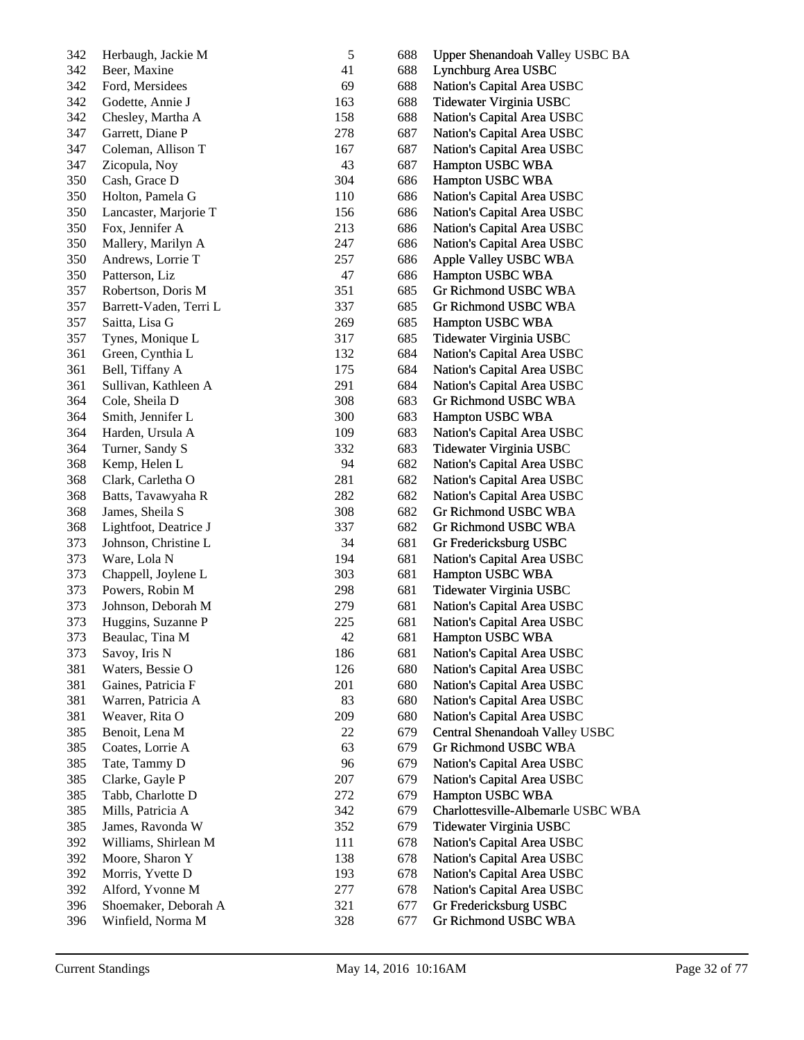| 342 | Herbaugh, Jackie M     | $\mathfrak s$ | 688 | Upper Shenandoah Valley USBC BA    |
|-----|------------------------|---------------|-----|------------------------------------|
| 342 | Beer, Maxine           | 41            | 688 | Lynchburg Area USBC                |
| 342 | Ford, Mersidees        | 69            | 688 | Nation's Capital Area USBC         |
| 342 | Godette, Annie J       | 163           | 688 | Tidewater Virginia USBC            |
| 342 | Chesley, Martha A      | 158           | 688 | Nation's Capital Area USBC         |
| 347 | Garrett, Diane P       | 278           | 687 | Nation's Capital Area USBC         |
| 347 | Coleman, Allison T     | 167           | 687 | Nation's Capital Area USBC         |
| 347 | Zicopula, Noy          | 43            | 687 | Hampton USBC WBA                   |
| 350 | Cash, Grace D          | 304           | 686 | Hampton USBC WBA                   |
| 350 | Holton, Pamela G       | 110           | 686 | Nation's Capital Area USBC         |
| 350 | Lancaster, Marjorie T  | 156           | 686 | Nation's Capital Area USBC         |
| 350 | Fox, Jennifer A        | 213           | 686 | Nation's Capital Area USBC         |
| 350 | Mallery, Marilyn A     | 247           | 686 | Nation's Capital Area USBC         |
| 350 | Andrews, Lorrie T      | 257           | 686 | Apple Valley USBC WBA              |
| 350 | Patterson, Liz         | 47            | 686 | Hampton USBC WBA                   |
| 357 | Robertson, Doris M     | 351           | 685 | Gr Richmond USBC WBA               |
| 357 | Barrett-Vaden, Terri L | 337           | 685 | <b>Gr Richmond USBC WBA</b>        |
| 357 | Saitta, Lisa G         | 269           | 685 | Hampton USBC WBA                   |
| 357 | Tynes, Monique L       | 317           | 685 | Tidewater Virginia USBC            |
| 361 | Green, Cynthia L       | 132           | 684 | Nation's Capital Area USBC         |
| 361 | Bell, Tiffany A        | 175           | 684 | Nation's Capital Area USBC         |
| 361 | Sullivan, Kathleen A   | 291           | 684 | Nation's Capital Area USBC         |
| 364 | Cole, Sheila D         | 308           | 683 | Gr Richmond USBC WBA               |
| 364 | Smith, Jennifer L      | 300           | 683 | Hampton USBC WBA                   |
| 364 | Harden, Ursula A       | 109           | 683 | Nation's Capital Area USBC         |
| 364 | Turner, Sandy S        | 332           | 683 | Tidewater Virginia USBC            |
| 368 | Kemp, Helen L          | 94            | 682 | Nation's Capital Area USBC         |
| 368 | Clark, Carletha O      | 281           | 682 | Nation's Capital Area USBC         |
| 368 | Batts, Tavawyaha R     | 282           | 682 | Nation's Capital Area USBC         |
| 368 | James, Sheila S        | 308           | 682 | <b>Gr Richmond USBC WBA</b>        |
| 368 | Lightfoot, Deatrice J  | 337           | 682 | Gr Richmond USBC WBA               |
| 373 | Johnson, Christine L   | 34            | 681 | Gr Fredericksburg USBC             |
| 373 | Ware, Lola N           | 194           | 681 | Nation's Capital Area USBC         |
| 373 | Chappell, Joylene L    | 303           | 681 | Hampton USBC WBA                   |
| 373 | Powers, Robin M        | 298           | 681 | Tidewater Virginia USBC            |
| 373 | Johnson, Deborah M     | 279           | 681 | Nation's Capital Area USBC         |
| 373 | Huggins, Suzanne P     | 225           | 681 | Nation's Capital Area USBC         |
| 373 | Beaulac, Tina M        | 42            | 681 | Hampton USBC WBA                   |
| 373 | Savoy, Iris N          | 186           | 681 | Nation's Capital Area USBC         |
| 381 | Waters, Bessie O       | 126           | 680 | Nation's Capital Area USBC         |
| 381 | Gaines, Patricia F     | 201           | 680 | Nation's Capital Area USBC         |
| 381 | Warren, Patricia A     | 83            |     | Nation's Capital Area USBC         |
|     |                        |               | 680 |                                    |
| 381 | Weaver, Rita O         | 209           | 680 | Nation's Capital Area USBC         |
| 385 | Benoit, Lena M         | 22            | 679 | Central Shenandoah Valley USBC     |
| 385 | Coates, Lorrie A       | 63            | 679 | Gr Richmond USBC WBA               |
| 385 | Tate, Tammy D          | 96            | 679 | Nation's Capital Area USBC         |
| 385 | Clarke, Gayle P        | 207           | 679 | Nation's Capital Area USBC         |
| 385 | Tabb, Charlotte D      | 272           | 679 | Hampton USBC WBA                   |
| 385 | Mills, Patricia A      | 342           | 679 | Charlottesville-Albemarle USBC WBA |
| 385 | James, Ravonda W       | 352           | 679 | Tidewater Virginia USBC            |
| 392 | Williams, Shirlean M   | 111           | 678 | Nation's Capital Area USBC         |
| 392 | Moore, Sharon Y        | 138           | 678 | Nation's Capital Area USBC         |
| 392 | Morris, Yvette D       | 193           | 678 | Nation's Capital Area USBC         |
| 392 | Alford, Yvonne M       | 277           | 678 | Nation's Capital Area USBC         |
| 396 | Shoemaker, Deborah A   | 321           | 677 | Gr Fredericksburg USBC             |
| 396 | Winfield, Norma M      | 328           | 677 | Gr Richmond USBC WBA               |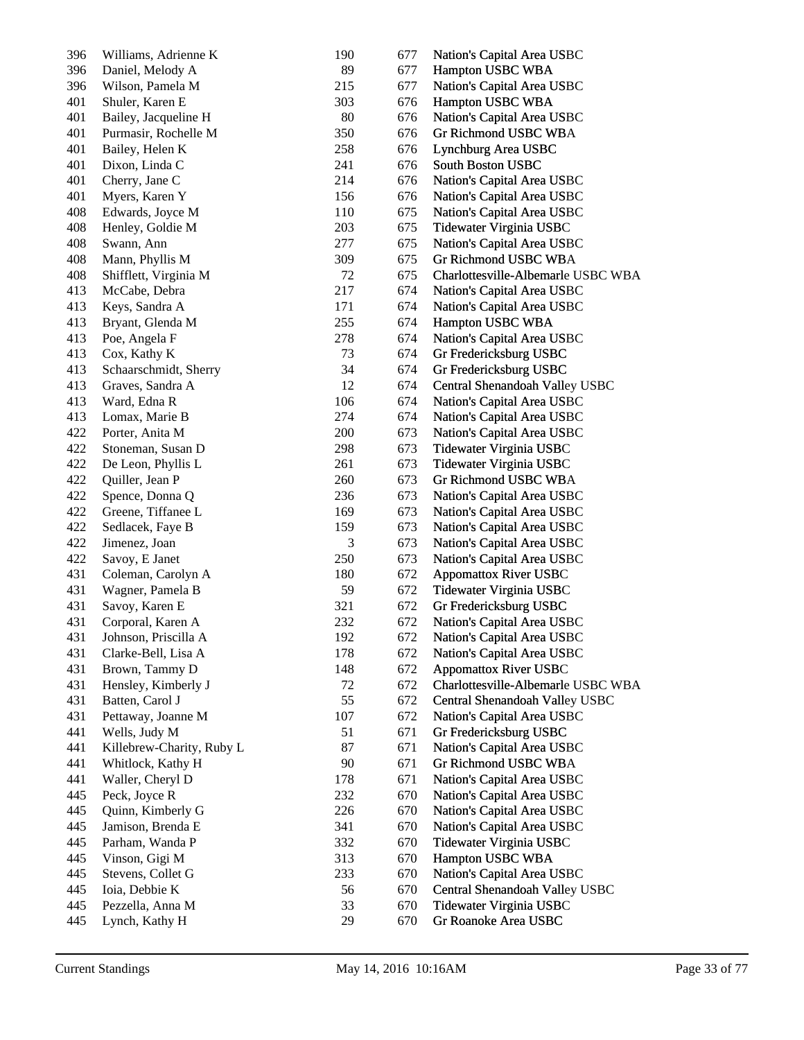| 396 | Williams, Adrienne K      | 190 | 677 | Nation's Capital Area USBC         |
|-----|---------------------------|-----|-----|------------------------------------|
| 396 | Daniel, Melody A          | 89  | 677 | Hampton USBC WBA                   |
| 396 | Wilson, Pamela M          | 215 | 677 | Nation's Capital Area USBC         |
| 401 | Shuler, Karen E           | 303 | 676 | Hampton USBC WBA                   |
| 401 | Bailey, Jacqueline H      | 80  | 676 | Nation's Capital Area USBC         |
| 401 | Purmasir, Rochelle M      | 350 | 676 | Gr Richmond USBC WBA               |
| 401 | Bailey, Helen K           | 258 | 676 | Lynchburg Area USBC                |
| 401 | Dixon, Linda C            | 241 | 676 | South Boston USBC                  |
| 401 | Cherry, Jane C            | 214 | 676 | Nation's Capital Area USBC         |
| 401 | Myers, Karen Y            | 156 | 676 | Nation's Capital Area USBC         |
| 408 | Edwards, Joyce M          | 110 | 675 | Nation's Capital Area USBC         |
| 408 | Henley, Goldie M          | 203 | 675 | Tidewater Virginia USBC            |
| 408 | Swann, Ann                | 277 | 675 | Nation's Capital Area USBC         |
| 408 | Mann, Phyllis M           | 309 | 675 | Gr Richmond USBC WBA               |
| 408 | Shifflett, Virginia M     | 72  | 675 | Charlottesville-Albemarle USBC WBA |
| 413 | McCabe, Debra             | 217 | 674 | Nation's Capital Area USBC         |
| 413 | Keys, Sandra A            | 171 | 674 | Nation's Capital Area USBC         |
| 413 | Bryant, Glenda M          | 255 | 674 | Hampton USBC WBA                   |
| 413 | Poe, Angela F             | 278 | 674 | Nation's Capital Area USBC         |
| 413 | Cox, Kathy K              | 73  | 674 | Gr Fredericksburg USBC             |
| 413 | Schaarschmidt, Sherry     | 34  | 674 | Gr Fredericksburg USBC             |
| 413 | Graves, Sandra A          | 12  | 674 | Central Shenandoah Valley USBC     |
| 413 | Ward, Edna R              | 106 | 674 | Nation's Capital Area USBC         |
| 413 | Lomax, Marie B            | 274 | 674 | Nation's Capital Area USBC         |
| 422 | Porter, Anita M           | 200 | 673 | Nation's Capital Area USBC         |
| 422 | Stoneman, Susan D         | 298 | 673 | Tidewater Virginia USBC            |
| 422 | De Leon, Phyllis L        | 261 | 673 | Tidewater Virginia USBC            |
| 422 | Quiller, Jean P           | 260 | 673 | Gr Richmond USBC WBA               |
| 422 | Spence, Donna Q           | 236 | 673 | Nation's Capital Area USBC         |
| 422 | Greene, Tiffanee L        | 169 | 673 | Nation's Capital Area USBC         |
| 422 | Sedlacek, Faye B          | 159 | 673 | Nation's Capital Area USBC         |
| 422 | Jimenez, Joan             | 3   | 673 | Nation's Capital Area USBC         |
| 422 | Savoy, E Janet            | 250 | 673 | Nation's Capital Area USBC         |
| 431 | Coleman, Carolyn A        | 180 | 672 | <b>Appomattox River USBC</b>       |
| 431 | Wagner, Pamela B          | 59  | 672 | Tidewater Virginia USBC            |
| 431 |                           |     | 672 | Gr Fredericksburg USBC             |
|     | Savoy, Karen E            | 321 |     |                                    |
| 431 | Corporal, Karen A         | 232 | 672 | Nation's Capital Area USBC         |
| 431 | Johnson, Priscilla A      | 192 | 672 | Nation's Capital Area USBC         |
| 431 | Clarke-Bell, Lisa A       | 178 | 672 | Nation's Capital Area USBC         |
| 431 | Brown, Tammy D            | 148 | 672 | <b>Appomattox River USBC</b>       |
| 431 | Hensley, Kimberly J       | 72  | 672 | Charlottesville-Albemarle USBC WBA |
| 431 | Batten, Carol J           | 55  | 672 | Central Shenandoah Valley USBC     |
| 431 | Pettaway, Joanne M        | 107 | 672 | Nation's Capital Area USBC         |
| 441 | Wells, Judy M             | 51  | 671 | Gr Fredericksburg USBC             |
| 441 | Killebrew-Charity, Ruby L | 87  | 671 | Nation's Capital Area USBC         |
| 441 | Whitlock, Kathy H         | 90  | 671 | Gr Richmond USBC WBA               |
| 441 | Waller, Cheryl D          | 178 | 671 | Nation's Capital Area USBC         |
| 445 | Peck, Joyce R             | 232 | 670 | Nation's Capital Area USBC         |
| 445 | Quinn, Kimberly G         | 226 | 670 | Nation's Capital Area USBC         |
| 445 | Jamison, Brenda E         | 341 | 670 | Nation's Capital Area USBC         |
| 445 | Parham, Wanda P           | 332 | 670 | Tidewater Virginia USBC            |
| 445 | Vinson, Gigi M            | 313 | 670 | Hampton USBC WBA                   |
| 445 | Stevens, Collet G         | 233 | 670 | Nation's Capital Area USBC         |
| 445 | Ioia, Debbie K            | 56  | 670 | Central Shenandoah Valley USBC     |
| 445 | Pezzella, Anna M          | 33  | 670 | Tidewater Virginia USBC            |
| 445 | Lynch, Kathy H            | 29  | 670 | Gr Roanoke Area USBC               |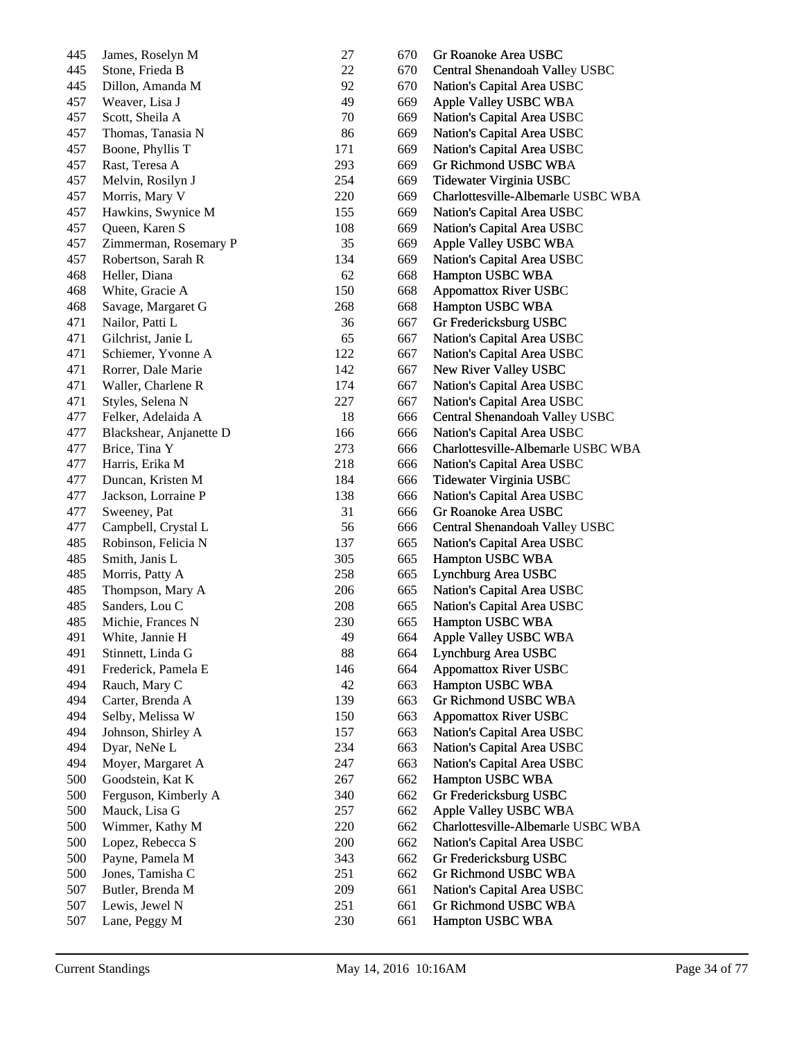| 445 | James, Roselyn M                    | 27     | 670 | Gr Roanoke Area USBC                                 |
|-----|-------------------------------------|--------|-----|------------------------------------------------------|
| 445 | Stone, Frieda B                     | 22     | 670 | Central Shenandoah Valley USBC                       |
| 445 | Dillon, Amanda M                    | 92     | 670 | Nation's Capital Area USBC                           |
| 457 | Weaver, Lisa J                      | 49     | 669 | Apple Valley USBC WBA                                |
| 457 | Scott, Sheila A                     | $70\,$ | 669 | Nation's Capital Area USBC                           |
| 457 | Thomas, Tanasia N                   | 86     | 669 | Nation's Capital Area USBC                           |
| 457 | Boone, Phyllis T                    | 171    | 669 | Nation's Capital Area USBC                           |
| 457 | Rast, Teresa A                      | 293    | 669 | Gr Richmond USBC WBA                                 |
| 457 | Melvin, Rosilyn J                   | 254    | 669 | Tidewater Virginia USBC                              |
| 457 | Morris, Mary V                      | 220    | 669 | Charlottesville-Albemarle USBC WBA                   |
| 457 | Hawkins, Swynice M                  | 155    | 669 | Nation's Capital Area USBC                           |
| 457 | Queen, Karen S                      | 108    | 669 | Nation's Capital Area USBC                           |
| 457 | Zimmerman, Rosemary P               | 35     | 669 | Apple Valley USBC WBA                                |
| 457 | Robertson, Sarah R                  | 134    | 669 | Nation's Capital Area USBC                           |
| 468 | Heller, Diana                       | 62     | 668 | Hampton USBC WBA                                     |
| 468 | White, Gracie A                     | 150    | 668 | <b>Appomattox River USBC</b>                         |
| 468 | Savage, Margaret G                  | 268    | 668 | Hampton USBC WBA                                     |
| 471 | Nailor, Patti L                     | 36     | 667 | Gr Fredericksburg USBC                               |
| 471 | Gilchrist, Janie L                  | 65     | 667 | Nation's Capital Area USBC                           |
| 471 | Schiemer, Yvonne A                  | 122    | 667 | Nation's Capital Area USBC                           |
| 471 | Rorrer, Dale Marie                  | 142    | 667 | New River Valley USBC                                |
| 471 | Waller, Charlene R                  | 174    | 667 | Nation's Capital Area USBC                           |
| 471 | Styles, Selena N                    | 227    | 667 | Nation's Capital Area USBC                           |
| 477 | Felker, Adelaida A                  | 18     | 666 | Central Shenandoah Valley USBC                       |
| 477 | Blackshear, Anjanette D             | 166    | 666 | Nation's Capital Area USBC                           |
| 477 | Brice, Tina Y                       | 273    | 666 | Charlottesville-Albemarle USBC WBA                   |
| 477 | Harris, Erika M                     | 218    | 666 | Nation's Capital Area USBC                           |
| 477 | Duncan, Kristen M                   | 184    | 666 | Tidewater Virginia USBC                              |
| 477 | Jackson, Lorraine P                 | 138    | 666 | Nation's Capital Area USBC                           |
| 477 | Sweeney, Pat                        | 31     | 666 | Gr Roanoke Area USBC                                 |
| 477 | Campbell, Crystal L                 | 56     | 666 | Central Shenandoah Valley USBC                       |
| 485 | Robinson, Felicia N                 | 137    | 665 | Nation's Capital Area USBC                           |
| 485 | Smith, Janis L                      | 305    | 665 | Hampton USBC WBA                                     |
| 485 | Morris, Patty A                     | 258    | 665 | Lynchburg Area USBC                                  |
| 485 | Thompson, Mary A                    | 206    | 665 | Nation's Capital Area USBC                           |
| 485 | Sanders, Lou C                      | 208    | 665 | Nation's Capital Area USBC                           |
| 485 | Michie, Frances N                   | 230    | 665 | Hampton USBC WBA                                     |
| 491 | White, Jannie H                     | 49     | 664 | Apple Valley USBC WBA                                |
| 491 | Stinnett, Linda G                   | 88     | 664 | Lynchburg Area USBC                                  |
| 491 | Frederick, Pamela E                 | 146    | 664 | <b>Appomattox River USBC</b>                         |
| 494 | Rauch, Mary C                       | 42     | 663 | Hampton USBC WBA                                     |
| 494 | Carter, Brenda A                    | 139    | 663 | Gr Richmond USBC WBA                                 |
| 494 | Selby, Melissa W                    | 150    | 663 | <b>Appomattox River USBC</b>                         |
| 494 | Johnson, Shirley A                  | 157    | 663 | Nation's Capital Area USBC                           |
| 494 | Dyar, NeNe L                        | 234    | 663 | Nation's Capital Area USBC                           |
| 494 | Moyer, Margaret A                   | 247    | 663 | Nation's Capital Area USBC                           |
| 500 | Goodstein, Kat K                    | 267    | 662 | Hampton USBC WBA                                     |
| 500 | Ferguson, Kimberly A                | 340    | 662 | Gr Fredericksburg USBC                               |
| 500 | Mauck, Lisa G                       | 257    | 662 | Apple Valley USBC WBA                                |
| 500 | Wimmer, Kathy M                     | 220    | 662 | Charlottesville-Albemarle USBC WBA                   |
| 500 |                                     | 200    | 662 |                                                      |
| 500 | Lopez, Rebecca S<br>Payne, Pamela M | 343    | 662 | Nation's Capital Area USBC<br>Gr Fredericksburg USBC |
| 500 | Jones, Tamisha C                    | 251    | 662 | Gr Richmond USBC WBA                                 |
| 507 |                                     | 209    | 661 |                                                      |
| 507 | Butler, Brenda M                    |        | 661 | Nation's Capital Area USBC<br>Gr Richmond USBC WBA   |
|     | Lewis, Jewel N                      | 251    |     |                                                      |
| 507 | Lane, Peggy M                       | 230    | 661 | Hampton USBC WBA                                     |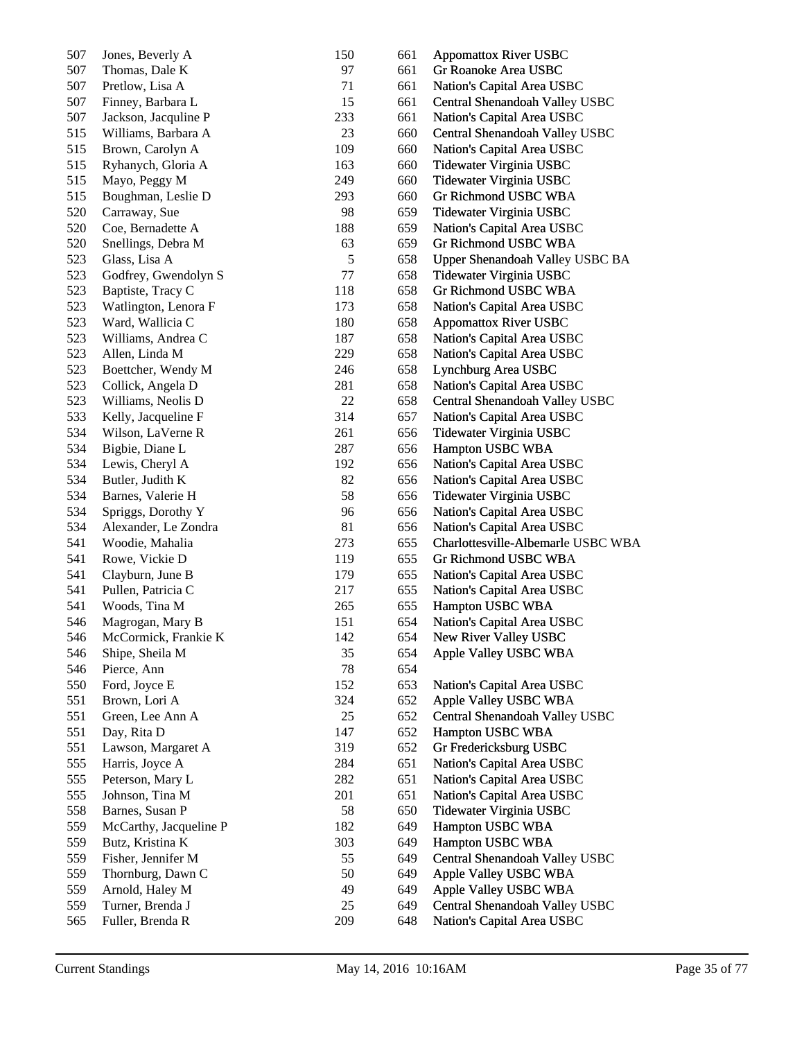| 507 | Jones, Beverly A       | 150     | 661 | <b>Appomattox River USBC</b>           |
|-----|------------------------|---------|-----|----------------------------------------|
| 507 | Thomas, Dale K         | 97      | 661 | Gr Roanoke Area USBC                   |
| 507 | Pretlow, Lisa A        | 71      | 661 | Nation's Capital Area USBC             |
| 507 | Finney, Barbara L      | 15      | 661 | Central Shenandoah Valley USBC         |
| 507 | Jackson, Jacquline P   | 233     | 661 | Nation's Capital Area USBC             |
| 515 | Williams, Barbara A    | 23      | 660 | Central Shenandoah Valley USBC         |
| 515 | Brown, Carolyn A       | 109     | 660 | Nation's Capital Area USBC             |
| 515 | Ryhanych, Gloria A     | 163     | 660 | Tidewater Virginia USBC                |
| 515 | Mayo, Peggy M          | 249     | 660 | Tidewater Virginia USBC                |
| 515 | Boughman, Leslie D     | 293     | 660 | Gr Richmond USBC WBA                   |
| 520 | Carraway, Sue          | 98      | 659 | Tidewater Virginia USBC                |
| 520 | Coe, Bernadette A      | 188     | 659 | Nation's Capital Area USBC             |
| 520 | Snellings, Debra M     | 63      | 659 | Gr Richmond USBC WBA                   |
| 523 | Glass, Lisa A          | 5       | 658 | <b>Upper Shenandoah Valley USBC BA</b> |
| 523 | Godfrey, Gwendolyn S   | $77 \,$ | 658 | Tidewater Virginia USBC                |
| 523 | Baptiste, Tracy C      | 118     | 658 | Gr Richmond USBC WBA                   |
| 523 | Watlington, Lenora F   | 173     | 658 | Nation's Capital Area USBC             |
| 523 | Ward, Wallicia C       | 180     | 658 | <b>Appomattox River USBC</b>           |
| 523 | Williams, Andrea C     | 187     | 658 | Nation's Capital Area USBC             |
| 523 | Allen, Linda M         | 229     | 658 | Nation's Capital Area USBC             |
| 523 | Boettcher, Wendy M     | 246     | 658 | Lynchburg Area USBC                    |
| 523 | Collick, Angela D      | 281     | 658 | Nation's Capital Area USBC             |
| 523 | Williams, Neolis D     | 22      | 658 | Central Shenandoah Valley USBC         |
| 533 | Kelly, Jacqueline F    | 314     | 657 | Nation's Capital Area USBC             |
| 534 | Wilson, LaVerne R      | 261     | 656 | Tidewater Virginia USBC                |
| 534 | Bigbie, Diane L        | 287     | 656 | Hampton USBC WBA                       |
| 534 | Lewis, Cheryl A        | 192     | 656 | Nation's Capital Area USBC             |
| 534 | Butler, Judith K       | 82      | 656 | Nation's Capital Area USBC             |
| 534 | Barnes, Valerie H      | 58      | 656 | Tidewater Virginia USBC                |
| 534 | Spriggs, Dorothy Y     | 96      | 656 | Nation's Capital Area USBC             |
| 534 | Alexander, Le Zondra   | 81      | 656 | Nation's Capital Area USBC             |
| 541 | Woodie, Mahalia        | 273     | 655 | Charlottesville-Albemarle USBC WBA     |
| 541 | Rowe, Vickie D         | 119     | 655 | Gr Richmond USBC WBA                   |
| 541 | Clayburn, June B       | 179     | 655 | Nation's Capital Area USBC             |
| 541 | Pullen, Patricia C     | 217     | 655 | Nation's Capital Area USBC             |
| 541 | Woods, Tina M          | 265     | 655 | Hampton USBC WBA                       |
| 546 | Magrogan, Mary B       | 151     | 654 | Nation's Capital Area USBC             |
| 546 | McCormick, Frankie K   | 142     | 654 | New River Valley USBC                  |
| 546 | Shipe, Sheila M        | 35      | 654 | Apple Valley USBC WBA                  |
| 546 | Pierce, Ann            | 78      | 654 |                                        |
| 550 | Ford, Joyce E          | 152     | 653 | Nation's Capital Area USBC             |
| 551 | Brown, Lori A          | 324     | 652 | Apple Valley USBC WBA                  |
| 551 | Green, Lee Ann A       | 25      | 652 | Central Shenandoah Valley USBC         |
| 551 | Day, Rita D            | 147     | 652 | Hampton USBC WBA                       |
| 551 | Lawson, Margaret A     | 319     | 652 | Gr Fredericksburg USBC                 |
| 555 | Harris, Joyce A        | 284     | 651 | Nation's Capital Area USBC             |
| 555 | Peterson, Mary L       | 282     | 651 | Nation's Capital Area USBC             |
| 555 | Johnson, Tina M        | 201     | 651 | Nation's Capital Area USBC             |
| 558 | Barnes, Susan P        | 58      | 650 | Tidewater Virginia USBC                |
| 559 | McCarthy, Jacqueline P | 182     | 649 | Hampton USBC WBA                       |
| 559 | Butz, Kristina K       | 303     | 649 | Hampton USBC WBA                       |
| 559 | Fisher, Jennifer M     | 55      | 649 | Central Shenandoah Valley USBC         |
| 559 | Thornburg, Dawn C      | 50      | 649 | Apple Valley USBC WBA                  |
| 559 | Arnold, Haley M        | 49      | 649 | Apple Valley USBC WBA                  |
| 559 | Turner, Brenda J       | 25      | 649 | Central Shenandoah Valley USBC         |
| 565 | Fuller, Brenda R       | 209     | 648 | Nation's Capital Area USBC             |
|     |                        |         |     |                                        |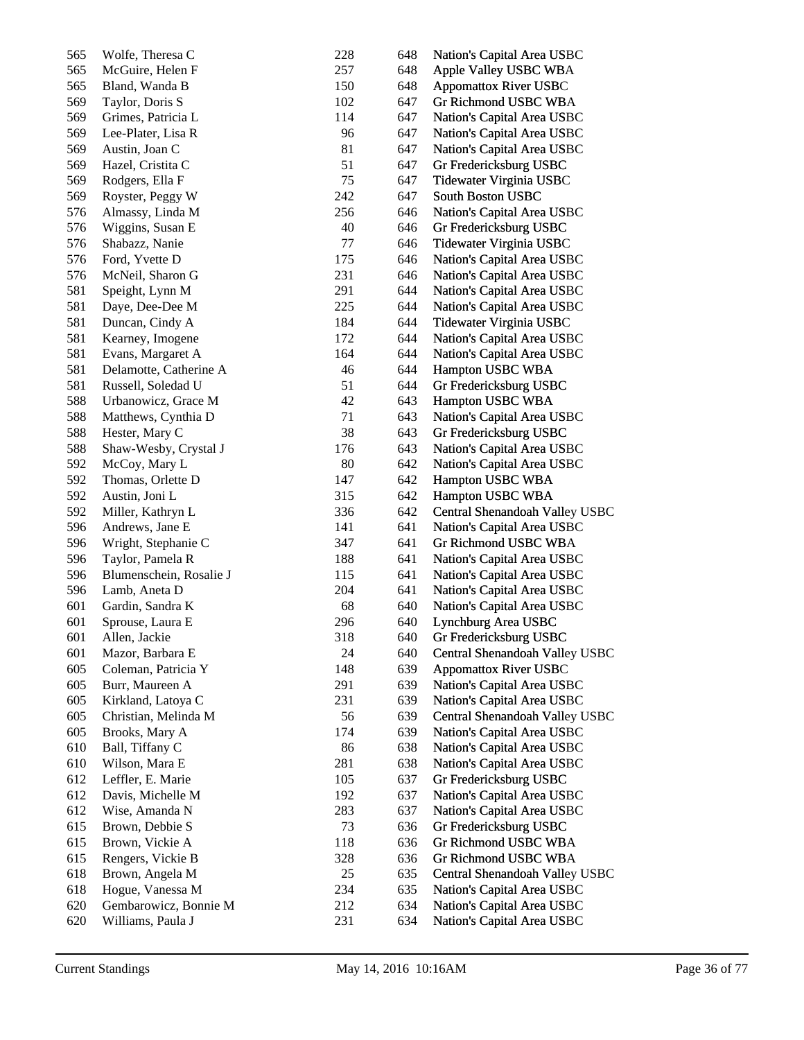| 565 | Wolfe, Theresa C        | 228 | 648 | Nation's Capital Area USBC     |
|-----|-------------------------|-----|-----|--------------------------------|
| 565 | McGuire, Helen F        | 257 | 648 | Apple Valley USBC WBA          |
| 565 | Bland, Wanda B          | 150 | 648 | <b>Appomattox River USBC</b>   |
| 569 | Taylor, Doris S         | 102 | 647 | Gr Richmond USBC WBA           |
| 569 | Grimes, Patricia L      | 114 | 647 | Nation's Capital Area USBC     |
| 569 | Lee-Plater, Lisa R      | 96  | 647 | Nation's Capital Area USBC     |
| 569 | Austin, Joan C          | 81  | 647 | Nation's Capital Area USBC     |
| 569 | Hazel, Cristita C       | 51  | 647 | Gr Fredericksburg USBC         |
| 569 | Rodgers, Ella F         | 75  | 647 | Tidewater Virginia USBC        |
| 569 | Royster, Peggy W        | 242 | 647 | South Boston USBC              |
| 576 | Almassy, Linda M        | 256 | 646 | Nation's Capital Area USBC     |
| 576 | Wiggins, Susan E        | 40  | 646 | Gr Fredericksburg USBC         |
| 576 | Shabazz, Nanie          | 77  | 646 | Tidewater Virginia USBC        |
| 576 | Ford, Yvette D          | 175 | 646 | Nation's Capital Area USBC     |
| 576 | McNeil, Sharon G        | 231 | 646 | Nation's Capital Area USBC     |
| 581 | Speight, Lynn M         | 291 | 644 | Nation's Capital Area USBC     |
| 581 | Daye, Dee-Dee M         | 225 | 644 | Nation's Capital Area USBC     |
| 581 | Duncan, Cindy A         | 184 | 644 | Tidewater Virginia USBC        |
| 581 | Kearney, Imogene        | 172 | 644 | Nation's Capital Area USBC     |
| 581 | Evans, Margaret A       | 164 | 644 | Nation's Capital Area USBC     |
| 581 | Delamotte, Catherine A  | 46  | 644 | Hampton USBC WBA               |
| 581 | Russell, Soledad U      | 51  | 644 | Gr Fredericksburg USBC         |
| 588 | Urbanowicz, Grace M     | 42  | 643 | Hampton USBC WBA               |
| 588 | Matthews, Cynthia D     | 71  | 643 | Nation's Capital Area USBC     |
| 588 | Hester, Mary C          | 38  | 643 | Gr Fredericksburg USBC         |
| 588 | Shaw-Wesby, Crystal J   | 176 | 643 | Nation's Capital Area USBC     |
| 592 | McCoy, Mary L           | 80  | 642 | Nation's Capital Area USBC     |
| 592 | Thomas, Orlette D       | 147 | 642 | Hampton USBC WBA               |
| 592 | Austin, Joni L          | 315 | 642 | Hampton USBC WBA               |
| 592 | Miller, Kathryn L       | 336 | 642 | Central Shenandoah Valley USBC |
| 596 | Andrews, Jane E         | 141 | 641 | Nation's Capital Area USBC     |
| 596 | Wright, Stephanie C     | 347 | 641 | Gr Richmond USBC WBA           |
| 596 | Taylor, Pamela R        | 188 | 641 | Nation's Capital Area USBC     |
| 596 | Blumenschein, Rosalie J | 115 | 641 | Nation's Capital Area USBC     |
| 596 | Lamb, Aneta D           | 204 | 641 | Nation's Capital Area USBC     |
| 601 | Gardin, Sandra K        | 68  | 640 | Nation's Capital Area USBC     |
| 601 | Sprouse, Laura E        | 296 | 640 | Lynchburg Area USBC            |
| 601 | Allen, Jackie           | 318 | 640 | Gr Fredericksburg USBC         |
| 601 | Mazor, Barbara E        | 24  | 640 | Central Shenandoah Valley USBC |
| 605 | Coleman, Patricia Y     | 148 | 639 | <b>Appomattox River USBC</b>   |
| 605 | Burr, Maureen A         | 291 |     | Nation's Capital Area USBC     |
| 605 | Kirkland, Latoya C      | 231 | 639 | Nation's Capital Area USBC     |
|     |                         |     | 639 |                                |
| 605 | Christian, Melinda M    | 56  | 639 | Central Shenandoah Valley USBC |
| 605 | Brooks, Mary A          | 174 | 639 | Nation's Capital Area USBC     |
| 610 | Ball, Tiffany C         | 86  | 638 | Nation's Capital Area USBC     |
| 610 | Wilson, Mara E          | 281 | 638 | Nation's Capital Area USBC     |
| 612 | Leffler, E. Marie       | 105 | 637 | Gr Fredericksburg USBC         |
| 612 | Davis, Michelle M       | 192 | 637 | Nation's Capital Area USBC     |
| 612 | Wise, Amanda N          | 283 | 637 | Nation's Capital Area USBC     |
| 615 | Brown, Debbie S         | 73  | 636 | Gr Fredericksburg USBC         |
| 615 | Brown, Vickie A         | 118 | 636 | Gr Richmond USBC WBA           |
| 615 | Rengers, Vickie B       | 328 | 636 | Gr Richmond USBC WBA           |
| 618 | Brown, Angela M         | 25  | 635 | Central Shenandoah Valley USBC |
| 618 | Hogue, Vanessa M        | 234 | 635 | Nation's Capital Area USBC     |
| 620 | Gembarowicz, Bonnie M   | 212 | 634 | Nation's Capital Area USBC     |
| 620 | Williams, Paula J       | 231 | 634 | Nation's Capital Area USBC     |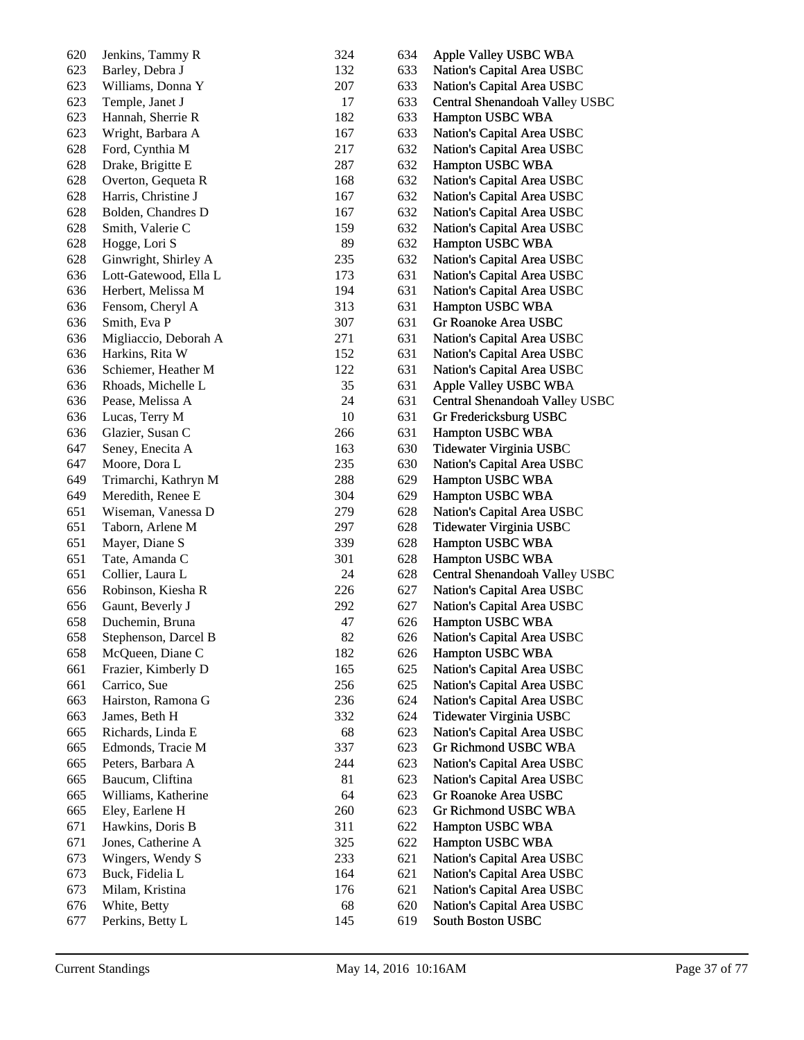| 620 | Jenkins, Tammy R      | 324 | 634 | Apple Valley USBC WBA          |
|-----|-----------------------|-----|-----|--------------------------------|
| 623 | Barley, Debra J       | 132 | 633 | Nation's Capital Area USBC     |
| 623 | Williams, Donna Y     | 207 | 633 | Nation's Capital Area USBC     |
| 623 | Temple, Janet J       | 17  | 633 | Central Shenandoah Valley USBC |
| 623 | Hannah, Sherrie R     | 182 | 633 | Hampton USBC WBA               |
| 623 | Wright, Barbara A     | 167 | 633 | Nation's Capital Area USBC     |
| 628 | Ford, Cynthia M       | 217 | 632 | Nation's Capital Area USBC     |
| 628 | Drake, Brigitte E     | 287 | 632 | Hampton USBC WBA               |
| 628 | Overton, Gequeta R    | 168 | 632 | Nation's Capital Area USBC     |
| 628 | Harris, Christine J   | 167 | 632 | Nation's Capital Area USBC     |
| 628 | Bolden, Chandres D    | 167 | 632 | Nation's Capital Area USBC     |
| 628 | Smith, Valerie C      | 159 | 632 | Nation's Capital Area USBC     |
| 628 | Hogge, Lori S         | 89  | 632 | Hampton USBC WBA               |
| 628 | Ginwright, Shirley A  | 235 | 632 | Nation's Capital Area USBC     |
| 636 | Lott-Gatewood, Ella L | 173 | 631 | Nation's Capital Area USBC     |
| 636 | Herbert, Melissa M    | 194 | 631 | Nation's Capital Area USBC     |
| 636 | Fensom, Cheryl A      | 313 | 631 | Hampton USBC WBA               |
| 636 | Smith, Eva P          | 307 | 631 | Gr Roanoke Area USBC           |
| 636 | Migliaccio, Deborah A | 271 | 631 | Nation's Capital Area USBC     |
| 636 | Harkins, Rita W       | 152 | 631 | Nation's Capital Area USBC     |
| 636 | Schiemer, Heather M   | 122 | 631 | Nation's Capital Area USBC     |
| 636 | Rhoads, Michelle L    | 35  | 631 | Apple Valley USBC WBA          |
| 636 | Pease, Melissa A      | 24  | 631 | Central Shenandoah Valley USBC |
| 636 | Lucas, Terry M        | 10  | 631 | Gr Fredericksburg USBC         |
| 636 | Glazier, Susan C      | 266 | 631 | Hampton USBC WBA               |
| 647 | Seney, Enecita A      | 163 | 630 | Tidewater Virginia USBC        |
| 647 | Moore, Dora L         | 235 | 630 | Nation's Capital Area USBC     |
| 649 | Trimarchi, Kathryn M  | 288 | 629 | Hampton USBC WBA               |
| 649 | Meredith, Renee E     | 304 | 629 | Hampton USBC WBA               |
| 651 | Wiseman, Vanessa D    | 279 | 628 | Nation's Capital Area USBC     |
| 651 | Taborn, Arlene M      | 297 | 628 | Tidewater Virginia USBC        |
| 651 | Mayer, Diane S        | 339 | 628 | Hampton USBC WBA               |
| 651 | Tate, Amanda C        | 301 | 628 | Hampton USBC WBA               |
| 651 | Collier, Laura L      | 24  | 628 | Central Shenandoah Valley USBC |
| 656 | Robinson, Kiesha R    | 226 | 627 | Nation's Capital Area USBC     |
| 656 | Gaunt, Beverly J      | 292 | 627 | Nation's Capital Area USBC     |
| 658 | Duchemin, Bruna       | 47  | 626 | Hampton USBC WBA               |
| 658 | Stephenson, Darcel B  | 82  | 626 | Nation's Capital Area USBC     |
| 658 | McQueen, Diane C      | 182 | 626 | Hampton USBC WBA               |
| 661 | Frazier, Kimberly D   | 165 | 625 | Nation's Capital Area USBC     |
| 661 | Carrico, Sue          | 256 | 625 | Nation's Capital Area USBC     |
| 663 | Hairston, Ramona G    | 236 | 624 | Nation's Capital Area USBC     |
| 663 | James, Beth H         | 332 | 624 | Tidewater Virginia USBC        |
| 665 | Richards, Linda E     | 68  | 623 | Nation's Capital Area USBC     |
| 665 | Edmonds, Tracie M     | 337 | 623 | Gr Richmond USBC WBA           |
| 665 | Peters, Barbara A     | 244 | 623 | Nation's Capital Area USBC     |
| 665 | Baucum, Cliftina      | 81  | 623 | Nation's Capital Area USBC     |
| 665 | Williams, Katherine   | 64  | 623 | Gr Roanoke Area USBC           |
| 665 | Eley, Earlene H       | 260 | 623 | Gr Richmond USBC WBA           |
| 671 | Hawkins, Doris B      | 311 | 622 | Hampton USBC WBA               |
| 671 | Jones, Catherine A    | 325 | 622 | Hampton USBC WBA               |
| 673 | Wingers, Wendy S      | 233 | 621 | Nation's Capital Area USBC     |
| 673 | Buck, Fidelia L       | 164 | 621 | Nation's Capital Area USBC     |
| 673 | Milam, Kristina       | 176 | 621 | Nation's Capital Area USBC     |
| 676 | White, Betty          | 68  | 620 | Nation's Capital Area USBC     |
| 677 | Perkins, Betty L      | 145 | 619 | South Boston USBC              |
|     |                       |     |     |                                |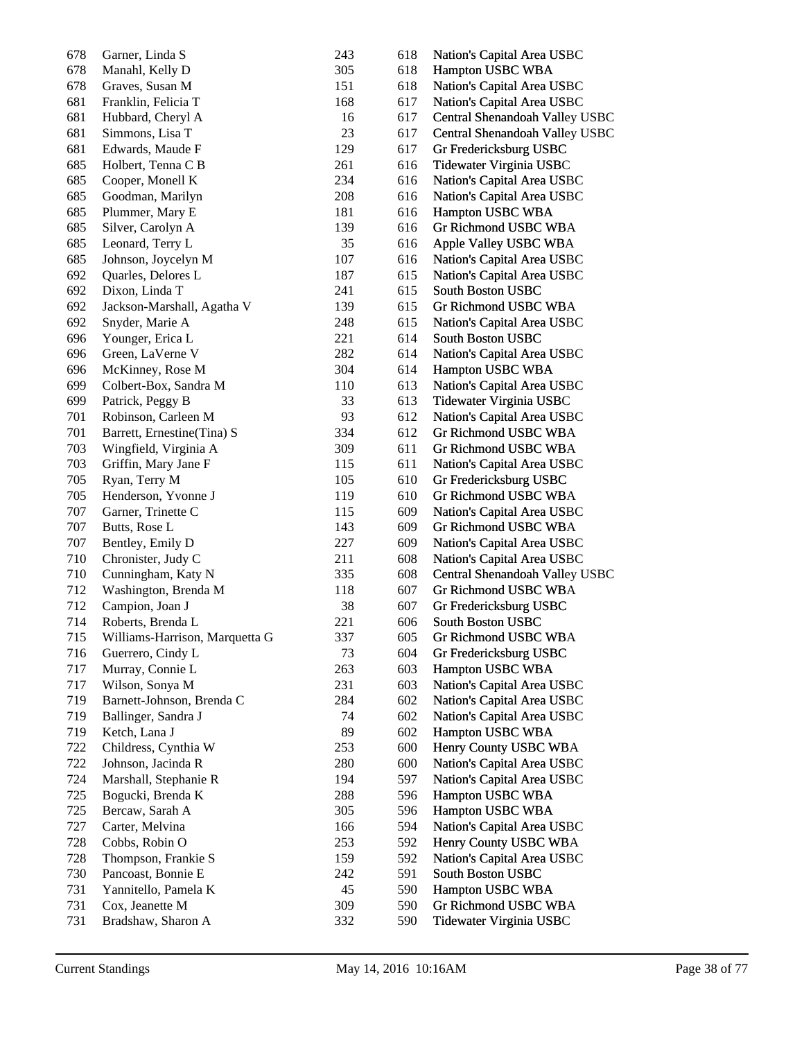| 678 | Garner, Linda S                | 243 | 618 | Nation's Capital Area USBC     |
|-----|--------------------------------|-----|-----|--------------------------------|
| 678 | Manahl, Kelly D                | 305 | 618 | Hampton USBC WBA               |
| 678 | Graves, Susan M                | 151 | 618 | Nation's Capital Area USBC     |
| 681 | Franklin, Felicia T            | 168 | 617 | Nation's Capital Area USBC     |
| 681 | Hubbard, Cheryl A              | 16  | 617 | Central Shenandoah Valley USBC |
| 681 | Simmons, Lisa T                | 23  | 617 | Central Shenandoah Valley USBC |
| 681 | Edwards, Maude F               | 129 | 617 | Gr Fredericksburg USBC         |
| 685 | Holbert, Tenna C B             | 261 | 616 | Tidewater Virginia USBC        |
| 685 | Cooper, Monell K               | 234 | 616 | Nation's Capital Area USBC     |
| 685 | Goodman, Marilyn               | 208 | 616 | Nation's Capital Area USBC     |
| 685 | Plummer, Mary E                | 181 | 616 | Hampton USBC WBA               |
| 685 | Silver, Carolyn A              | 139 | 616 | Gr Richmond USBC WBA           |
| 685 | Leonard, Terry L               | 35  | 616 | Apple Valley USBC WBA          |
| 685 | Johnson, Joycelyn M            | 107 | 616 | Nation's Capital Area USBC     |
| 692 | Quarles, Delores L             | 187 | 615 | Nation's Capital Area USBC     |
| 692 | Dixon, Linda T                 | 241 | 615 | South Boston USBC              |
| 692 | Jackson-Marshall, Agatha V     | 139 | 615 | Gr Richmond USBC WBA           |
| 692 | Snyder, Marie A                | 248 | 615 | Nation's Capital Area USBC     |
| 696 | Younger, Erica L               | 221 | 614 | South Boston USBC              |
| 696 | Green, LaVerne V               | 282 | 614 | Nation's Capital Area USBC     |
| 696 | McKinney, Rose M               | 304 | 614 | Hampton USBC WBA               |
| 699 | Colbert-Box, Sandra M          | 110 | 613 | Nation's Capital Area USBC     |
| 699 | Patrick, Peggy B               | 33  | 613 | Tidewater Virginia USBC        |
| 701 | Robinson, Carleen M            | 93  | 612 | Nation's Capital Area USBC     |
| 701 |                                | 334 | 612 | Gr Richmond USBC WBA           |
|     | Barrett, Ernestine(Tina) S     |     |     |                                |
| 703 | Wingfield, Virginia A          | 309 | 611 | Gr Richmond USBC WBA           |
| 703 | Griffin, Mary Jane F           | 115 | 611 | Nation's Capital Area USBC     |
| 705 | Ryan, Terry M                  | 105 | 610 | Gr Fredericksburg USBC         |
| 705 | Henderson, Yvonne J            | 119 | 610 | Gr Richmond USBC WBA           |
| 707 | Garner, Trinette C             | 115 | 609 | Nation's Capital Area USBC     |
| 707 | Butts, Rose L                  | 143 | 609 | Gr Richmond USBC WBA           |
| 707 | Bentley, Emily D               | 227 | 609 | Nation's Capital Area USBC     |
| 710 | Chronister, Judy C             | 211 | 608 | Nation's Capital Area USBC     |
| 710 | Cunningham, Katy N             | 335 | 608 | Central Shenandoah Valley USBC |
| 712 | Washington, Brenda M           | 118 | 607 | Gr Richmond USBC WBA           |
| 712 | Campion, Joan J                | 38  | 607 | Gr Fredericksburg USBC         |
| 714 | Roberts, Brenda L              | 221 | 606 | <b>South Boston USBC</b>       |
| 715 | Williams-Harrison, Marquetta G | 337 | 605 | Gr Richmond USBC WBA           |
| 716 | Guerrero, Cindy L              | 73  | 604 | Gr Fredericksburg USBC         |
| 717 | Murray, Connie L               | 263 | 603 | Hampton USBC WBA               |
| 717 | Wilson, Sonya M                | 231 | 603 | Nation's Capital Area USBC     |
| 719 | Barnett-Johnson, Brenda C      | 284 | 602 | Nation's Capital Area USBC     |
| 719 | Ballinger, Sandra J            | 74  | 602 | Nation's Capital Area USBC     |
| 719 | Ketch, Lana J                  | 89  | 602 | Hampton USBC WBA               |
| 722 | Childress, Cynthia W           | 253 | 600 | Henry County USBC WBA          |
| 722 | Johnson, Jacinda R             | 280 | 600 | Nation's Capital Area USBC     |
| 724 | Marshall, Stephanie R          | 194 | 597 | Nation's Capital Area USBC     |
| 725 | Bogucki, Brenda K              | 288 | 596 | Hampton USBC WBA               |
| 725 | Bercaw, Sarah A                | 305 | 596 | Hampton USBC WBA               |
| 727 | Carter, Melvina                | 166 | 594 | Nation's Capital Area USBC     |
| 728 | Cobbs, Robin O                 | 253 | 592 | Henry County USBC WBA          |
| 728 | Thompson, Frankie S            | 159 | 592 | Nation's Capital Area USBC     |
| 730 | Pancoast, Bonnie E             | 242 | 591 | South Boston USBC              |
| 731 | Yannitello, Pamela K           | 45  | 590 | Hampton USBC WBA               |
| 731 | Cox, Jeanette M                | 309 | 590 | Gr Richmond USBC WBA           |
| 731 | Bradshaw, Sharon A             | 332 | 590 | Tidewater Virginia USBC        |
|     |                                |     |     |                                |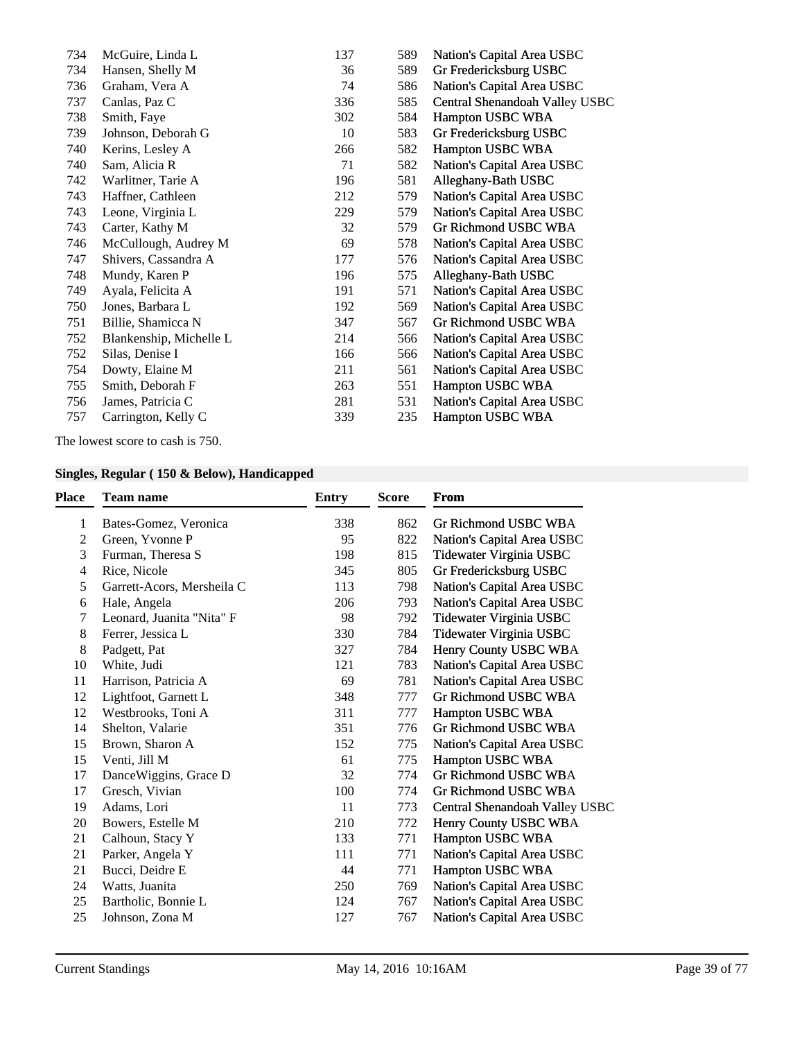| 734 | McGuire, Linda L        | 137 | 589 | Nation's Capital Area USBC     |
|-----|-------------------------|-----|-----|--------------------------------|
| 734 | Hansen, Shelly M        | 36  | 589 | Gr Fredericksburg USBC         |
| 736 | Graham, Vera A          | 74  | 586 | Nation's Capital Area USBC     |
| 737 | Canlas, Paz C           | 336 | 585 | Central Shenandoah Valley USBC |
| 738 | Smith, Faye             | 302 | 584 | Hampton USBC WBA               |
| 739 | Johnson, Deborah G      | 10  | 583 | Gr Fredericksburg USBC         |
| 740 | Kerins, Lesley A        | 266 | 582 | Hampton USBC WBA               |
| 740 | Sam, Alicia R           | 71  | 582 | Nation's Capital Area USBC     |
| 742 | Warlitner, Tarie A      | 196 | 581 | Alleghany-Bath USBC            |
| 743 | Haffner, Cathleen       | 212 | 579 | Nation's Capital Area USBC     |
| 743 | Leone, Virginia L       | 229 | 579 | Nation's Capital Area USBC     |
| 743 | Carter, Kathy M         | 32  | 579 | Gr Richmond USBC WBA           |
| 746 | McCullough, Audrey M    | 69  | 578 | Nation's Capital Area USBC     |
| 747 | Shivers, Cassandra A    | 177 | 576 | Nation's Capital Area USBC     |
| 748 | Mundy, Karen P          | 196 | 575 | Alleghany-Bath USBC            |
| 749 | Ayala, Felicita A       | 191 | 571 | Nation's Capital Area USBC     |
| 750 | Jones, Barbara L        | 192 | 569 | Nation's Capital Area USBC     |
| 751 | Billie, Shamicca N      | 347 | 567 | Gr Richmond USBC WBA           |
| 752 | Blankenship, Michelle L | 214 | 566 | Nation's Capital Area USBC     |
| 752 | Silas, Denise I         | 166 | 566 | Nation's Capital Area USBC     |
| 754 | Dowty, Elaine M         | 211 | 561 | Nation's Capital Area USBC     |
| 755 | Smith, Deborah F        | 263 | 551 | Hampton USBC WBA               |
| 756 | James, Patricia C       | 281 | 531 | Nation's Capital Area USBC     |
| 757 | Carrington, Kelly C     | 339 | 235 | Hampton USBC WBA               |
|     |                         |     |     |                                |

The lowest score to cash is 750.

## **Singles, Regular ( 150 & Below), Handicapped**

| <b>Place</b> | <b>Team name</b>           | <b>Entry</b> | <b>Score</b> | <b>From</b>                    |
|--------------|----------------------------|--------------|--------------|--------------------------------|
| 1            | Bates-Gomez, Veronica      | 338          | 862          | Gr Richmond USBC WBA           |
| 2            | Green, Yvonne P            | 95           | 822          | Nation's Capital Area USBC     |
| 3            | Furman, Theresa S          | 198          | 815          | Tidewater Virginia USBC        |
| 4            | Rice, Nicole               | 345          | 805          | Gr Fredericksburg USBC         |
| 5            | Garrett-Acors, Mersheila C | 113          | 798          | Nation's Capital Area USBC     |
| 6            | Hale, Angela               | 206          | 793          | Nation's Capital Area USBC     |
| 7            | Leonard, Juanita "Nita" F  | 98           | 792          | Tidewater Virginia USBC        |
| 8            | Ferrer, Jessica L          | 330          | 784          | Tidewater Virginia USBC        |
| 8            | Padgett, Pat               | 327          | 784          | Henry County USBC WBA          |
| 10           | White, Judi                | 121          | 783          | Nation's Capital Area USBC     |
| 11           | Harrison, Patricia A       | 69           | 781          | Nation's Capital Area USBC     |
| 12           | Lightfoot, Garnett L       | 348          | 777          | Gr Richmond USBC WBA           |
| 12           | Westbrooks, Toni A         | 311          | 777          | Hampton USBC WBA               |
| 14           | Shelton, Valarie           | 351          | 776          | Gr Richmond USBC WBA           |
| 15           | Brown, Sharon A            | 152          | 775          | Nation's Capital Area USBC     |
| 15           | Venti, Jill M              | 61           | 775          | Hampton USBC WBA               |
| 17           | DanceWiggins, Grace D      | 32           | 774          | <b>Gr Richmond USBC WBA</b>    |
| 17           | Gresch, Vivian             | 100          | 774          | Gr Richmond USBC WBA           |
| 19           | Adams, Lori                | 11           | 773          | Central Shenandoah Valley USBC |
| 20           | Bowers, Estelle M          | 210          | 772          | Henry County USBC WBA          |
| 21           | Calhoun, Stacy Y           | 133          | 771          | Hampton USBC WBA               |
| 21           | Parker, Angela Y           | 111          | 771          | Nation's Capital Area USBC     |
| 21           | Bucci, Deidre E            | 44           | 771          | Hampton USBC WBA               |
| 24           | Watts, Juanita             | 250          | 769          | Nation's Capital Area USBC     |
| 25           | Bartholic, Bonnie L        | 124          | 767          | Nation's Capital Area USBC     |
| 25           | Johnson, Zona M            | 127          | 767          | Nation's Capital Area USBC     |
|              |                            |              |              |                                |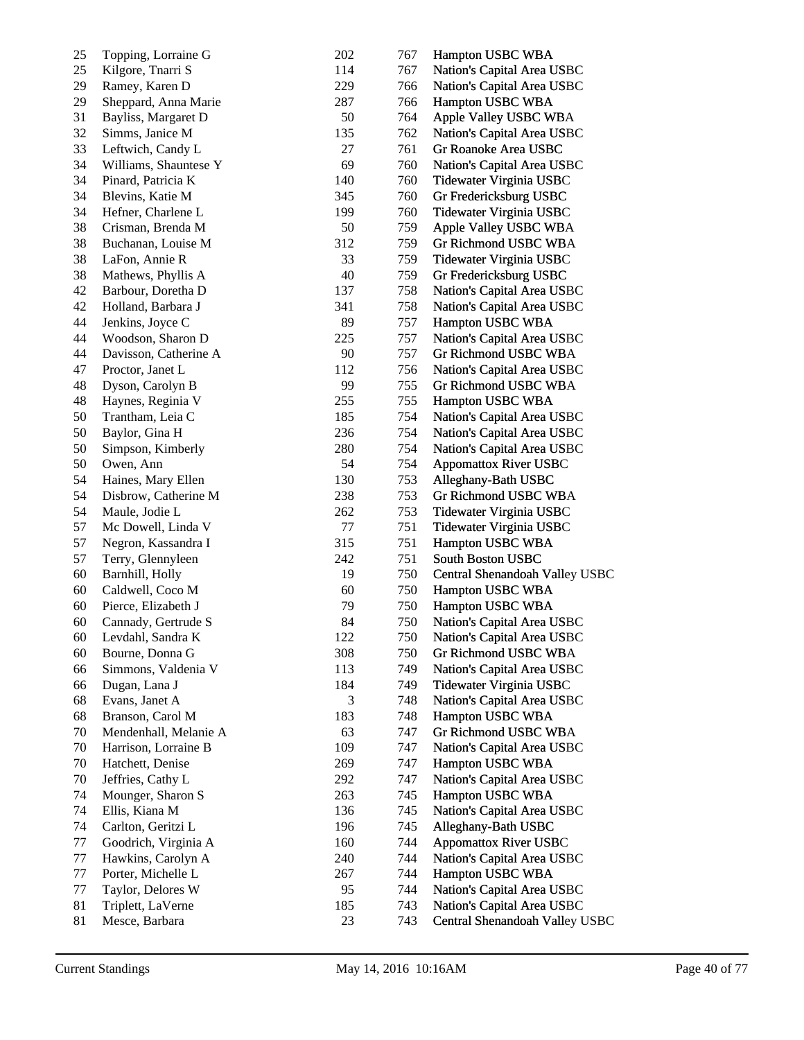| 25     | Topping, Lorraine G   | 202 | 767 | Hampton USBC WBA               |
|--------|-----------------------|-----|-----|--------------------------------|
| 25     | Kilgore, Tnarri S     | 114 | 767 | Nation's Capital Area USBC     |
| 29     | Ramey, Karen D        | 229 | 766 | Nation's Capital Area USBC     |
| 29     | Sheppard, Anna Marie  | 287 | 766 | Hampton USBC WBA               |
| 31     | Bayliss, Margaret D   | 50  | 764 | Apple Valley USBC WBA          |
| 32     | Simms, Janice M       | 135 | 762 | Nation's Capital Area USBC     |
| 33     | Leftwich, Candy L     | 27  | 761 | Gr Roanoke Area USBC           |
| 34     | Williams, Shauntese Y | 69  | 760 | Nation's Capital Area USBC     |
| 34     | Pinard, Patricia K    | 140 | 760 | Tidewater Virginia USBC        |
| 34     | Blevins, Katie M      | 345 | 760 | Gr Fredericksburg USBC         |
| 34     | Hefner, Charlene L    | 199 | 760 | Tidewater Virginia USBC        |
| 38     | Crisman, Brenda M     | 50  | 759 | Apple Valley USBC WBA          |
| 38     | Buchanan, Louise M    | 312 | 759 | Gr Richmond USBC WBA           |
| 38     | LaFon, Annie R        | 33  | 759 | Tidewater Virginia USBC        |
| 38     | Mathews, Phyllis A    | 40  | 759 | Gr Fredericksburg USBC         |
| 42     | Barbour, Doretha D    | 137 | 758 | Nation's Capital Area USBC     |
| 42     | Holland, Barbara J    | 341 | 758 | Nation's Capital Area USBC     |
| 44     | Jenkins, Joyce C      | 89  | 757 | Hampton USBC WBA               |
| 44     | Woodson, Sharon D     | 225 | 757 | Nation's Capital Area USBC     |
| 44     | Davisson, Catherine A | 90  | 757 | Gr Richmond USBC WBA           |
| 47     | Proctor, Janet L      | 112 | 756 | Nation's Capital Area USBC     |
| 48     | Dyson, Carolyn B      | 99  | 755 | Gr Richmond USBC WBA           |
| 48     | Haynes, Reginia V     | 255 | 755 | Hampton USBC WBA               |
| $50\,$ | Trantham, Leia C      | 185 | 754 | Nation's Capital Area USBC     |
| $50\,$ | Baylor, Gina H        | 236 | 754 | Nation's Capital Area USBC     |
| 50     | Simpson, Kimberly     | 280 | 754 | Nation's Capital Area USBC     |
| $50\,$ | Owen, Ann             | 54  | 754 | <b>Appomattox River USBC</b>   |
| 54     | Haines, Mary Ellen    | 130 | 753 | Alleghany-Bath USBC            |
| 54     | Disbrow, Catherine M  | 238 | 753 | Gr Richmond USBC WBA           |
| 54     | Maule, Jodie L        | 262 | 753 | Tidewater Virginia USBC        |
| 57     | Mc Dowell, Linda V    | 77  | 751 | Tidewater Virginia USBC        |
| 57     | Negron, Kassandra I   | 315 | 751 | Hampton USBC WBA               |
| 57     | Terry, Glennyleen     | 242 | 751 | South Boston USBC              |
| 60     | Barnhill, Holly       | 19  | 750 | Central Shenandoah Valley USBC |
| 60     | Caldwell, Coco M      | 60  | 750 | Hampton USBC WBA               |
| 60     | Pierce, Elizabeth J   | 79  | 750 | Hampton USBC WBA               |
| 60     | Cannady, Gertrude S   | 84  | 750 | Nation's Capital Area USBC     |
| 60     | Levdahl, Sandra K     | 122 | 750 | Nation's Capital Area USBC     |
| 60     | Bourne, Donna G       | 308 | 750 | Gr Richmond USBC WBA           |
| 66     | Simmons, Valdenia V   | 113 | 749 | Nation's Capital Area USBC     |
| 66     | Dugan, Lana J         | 184 | 749 | Tidewater Virginia USBC        |
| 68     | Evans, Janet A        | 3   | 748 | Nation's Capital Area USBC     |
| 68     | Branson, Carol M      | 183 | 748 | Hampton USBC WBA               |
| 70     | Mendenhall, Melanie A | 63  | 747 | Gr Richmond USBC WBA           |
| 70     | Harrison, Lorraine B  | 109 | 747 | Nation's Capital Area USBC     |
| 70     | Hatchett, Denise      | 269 | 747 | Hampton USBC WBA               |
| 70     | Jeffries, Cathy L     | 292 | 747 | Nation's Capital Area USBC     |
| 74     | Mounger, Sharon S     | 263 | 745 | Hampton USBC WBA               |
| 74     | Ellis, Kiana M        | 136 | 745 | Nation's Capital Area USBC     |
| 74     | Carlton, Geritzi L    | 196 | 745 | Alleghany-Bath USBC            |
| 77     | Goodrich, Virginia A  | 160 | 744 | <b>Appomattox River USBC</b>   |
| 77     | Hawkins, Carolyn A    | 240 | 744 | Nation's Capital Area USBC     |
| 77     | Porter, Michelle L    | 267 | 744 | Hampton USBC WBA               |
| 77     | Taylor, Delores W     | 95  | 744 | Nation's Capital Area USBC     |
| 81     | Triplett, LaVerne     | 185 | 743 | Nation's Capital Area USBC     |
| 81     | Mesce, Barbara        | 23  | 743 | Central Shenandoah Valley USBC |
|        |                       |     |     |                                |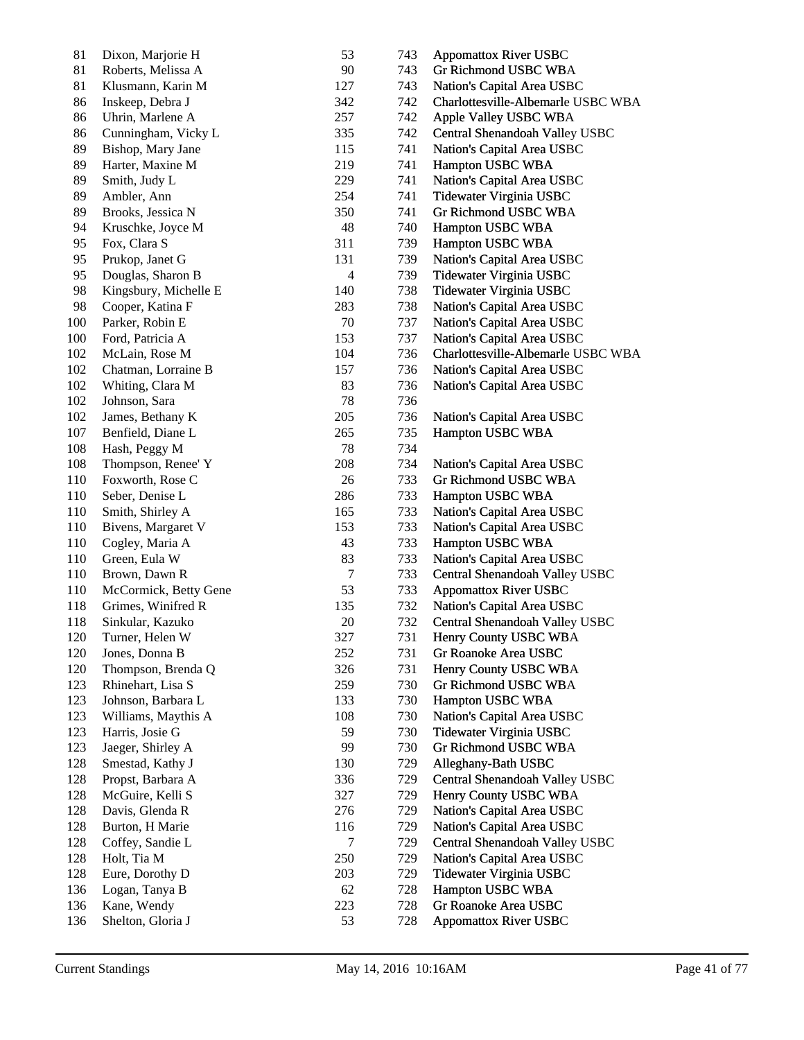| 81      | Dixon, Marjorie H     | 53             | 743 | <b>Appomattox River USBC</b>       |
|---------|-----------------------|----------------|-----|------------------------------------|
| 81      | Roberts, Melissa A    | 90             | 743 | Gr Richmond USBC WBA               |
| 81      | Klusmann, Karin M     | 127            | 743 | Nation's Capital Area USBC         |
| 86      | Inskeep, Debra J      | 342            | 742 | Charlottesville-Albemarle USBC WBA |
| 86      | Uhrin, Marlene A      | 257            | 742 | Apple Valley USBC WBA              |
| 86      | Cunningham, Vicky L   | 335            | 742 | Central Shenandoah Valley USBC     |
| 89      | Bishop, Mary Jane     | 115            | 741 | Nation's Capital Area USBC         |
| 89      | Harter, Maxine M      | 219            | 741 | Hampton USBC WBA                   |
| 89      | Smith, Judy L         | 229            | 741 | Nation's Capital Area USBC         |
| 89      | Ambler, Ann           | 254            | 741 | Tidewater Virginia USBC            |
| 89      | Brooks, Jessica N     | 350            | 741 | Gr Richmond USBC WBA               |
| 94      | Kruschke, Joyce M     | 48             | 740 | Hampton USBC WBA                   |
| 95      | Fox, Clara S          | 311            | 739 | Hampton USBC WBA                   |
| 95      | Prukop, Janet G       | 131            | 739 | Nation's Capital Area USBC         |
| 95      | Douglas, Sharon B     | $\overline{4}$ | 739 | Tidewater Virginia USBC            |
| 98      | Kingsbury, Michelle E | 140            | 738 | Tidewater Virginia USBC            |
| 98      | Cooper, Katina F      | 283            | 738 | Nation's Capital Area USBC         |
| 100     | Parker, Robin E       | 70             | 737 | Nation's Capital Area USBC         |
| 100     | Ford, Patricia A      | 153            | 737 | Nation's Capital Area USBC         |
| 102     | McLain, Rose M        | 104            | 736 | Charlottesville-Albemarle USBC WBA |
| 102     | Chatman, Lorraine B   | 157            | 736 | Nation's Capital Area USBC         |
| 102     | Whiting, Clara M      | 83             | 736 | Nation's Capital Area USBC         |
| 102     | Johnson, Sara         | 78             | 736 |                                    |
| 102     | James, Bethany K      | 205            | 736 | Nation's Capital Area USBC         |
| 107     | Benfield, Diane L     | 265            | 735 | Hampton USBC WBA                   |
| 108     | Hash, Peggy M         | 78             | 734 |                                    |
| $108\,$ | Thompson, Renee' Y    | 208            | 734 | Nation's Capital Area USBC         |
| 110     | Foxworth, Rose C      | 26             | 733 | Gr Richmond USBC WBA               |
| 110     | Seber, Denise L       | 286            | 733 | Hampton USBC WBA                   |
| 110     | Smith, Shirley A      | 165            | 733 | Nation's Capital Area USBC         |
| 110     | Bivens, Margaret V    | 153            | 733 | Nation's Capital Area USBC         |
| $110\,$ | Cogley, Maria A       | 43             | 733 | Hampton USBC WBA                   |
| 110     | Green, Eula W         | 83             | 733 | Nation's Capital Area USBC         |
| 110     | Brown, Dawn R         | $\tau$         | 733 | Central Shenandoah Valley USBC     |
| 110     | McCormick, Betty Gene | 53             | 733 | <b>Appomattox River USBC</b>       |
| 118     | Grimes, Winifred R    | 135            | 732 | Nation's Capital Area USBC         |
| 118     | Sinkular, Kazuko      | 20             | 732 | Central Shenandoah Valley USBC     |
| 120     | Turner, Helen W       | 327            | 731 | Henry County USBC WBA              |
| 120     | Jones, Donna B        | 252            | 731 | Gr Roanoke Area USBC               |
| 120     | Thompson, Brenda Q    | 326            | 731 | Henry County USBC WBA              |
| 123     | Rhinehart, Lisa S     | 259            | 730 | Gr Richmond USBC WBA               |
| 123     | Johnson, Barbara L    | 133            | 730 | Hampton USBC WBA                   |
| 123     | Williams, Maythis A   | 108            | 730 | Nation's Capital Area USBC         |
| 123     | Harris, Josie G       | 59             | 730 | Tidewater Virginia USBC            |
| 123     | Jaeger, Shirley A     | 99             | 730 | Gr Richmond USBC WBA               |
| 128     | Smestad, Kathy J      | 130            | 729 | Alleghany-Bath USBC                |
| 128     | Propst, Barbara A     | 336            | 729 | Central Shenandoah Valley USBC     |
| 128     | McGuire, Kelli S      | 327            | 729 | Henry County USBC WBA              |
| 128     | Davis, Glenda R       | 276            | 729 | Nation's Capital Area USBC         |
| 128     | Burton, H Marie       | 116            | 729 | Nation's Capital Area USBC         |
| 128     | Coffey, Sandie L      | 7              | 729 | Central Shenandoah Valley USBC     |
| 128     | Holt, Tia M           | 250            | 729 | Nation's Capital Area USBC         |
| 128     | Eure, Dorothy D       | 203            | 729 | Tidewater Virginia USBC            |
| 136     | Logan, Tanya B        | 62             | 728 | Hampton USBC WBA                   |
| 136     | Kane, Wendy           | 223            | 728 | Gr Roanoke Area USBC               |
| 136     | Shelton, Gloria J     | 53             | 728 | <b>Appomattox River USBC</b>       |
|         |                       |                |     |                                    |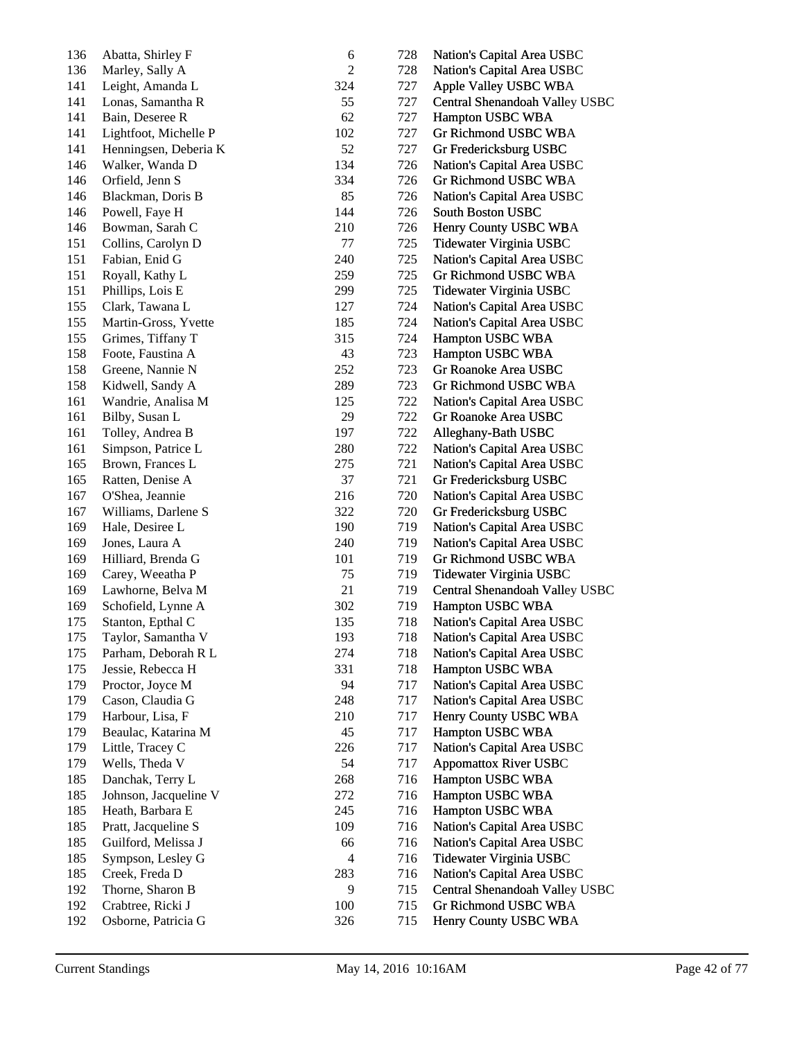| 136 | Abatta, Shirley F                      | 6              | 728 | Nation's Capital Area USBC     |
|-----|----------------------------------------|----------------|-----|--------------------------------|
| 136 | Marley, Sally A                        | $\overline{c}$ | 728 | Nation's Capital Area USBC     |
| 141 | Leight, Amanda L                       | 324            | 727 | Apple Valley USBC WBA          |
| 141 | Lonas, Samantha R                      | 55             | 727 | Central Shenandoah Valley USBC |
| 141 | Bain, Deseree R                        | 62             | 727 | Hampton USBC WBA               |
| 141 | Lightfoot, Michelle P                  | 102            | 727 | Gr Richmond USBC WBA           |
| 141 | Henningsen, Deberia K                  | 52             | 727 | Gr Fredericksburg USBC         |
| 146 | Walker, Wanda D                        | 134            | 726 | Nation's Capital Area USBC     |
| 146 | Orfield, Jenn S                        | 334            | 726 | Gr Richmond USBC WBA           |
| 146 | Blackman, Doris B                      | 85             | 726 | Nation's Capital Area USBC     |
| 146 | Powell, Faye H                         | 144            | 726 | South Boston USBC              |
| 146 | Bowman, Sarah C                        | 210            | 726 | Henry County USBC WBA          |
| 151 | Collins, Carolyn D                     | 77             | 725 | Tidewater Virginia USBC        |
| 151 | Fabian, Enid G                         | 240            | 725 | Nation's Capital Area USBC     |
| 151 | Royall, Kathy L                        | 259            | 725 | Gr Richmond USBC WBA           |
| 151 | Phillips, Lois E                       | 299            | 725 | Tidewater Virginia USBC        |
| 155 | Clark, Tawana L                        | 127            | 724 | Nation's Capital Area USBC     |
| 155 | Martin-Gross, Yvette                   | 185            | 724 | Nation's Capital Area USBC     |
| 155 |                                        | 315            | 724 | Hampton USBC WBA               |
| 158 | Grimes, Tiffany T<br>Foote, Faustina A |                |     |                                |
|     |                                        | 43             | 723 | Hampton USBC WBA               |
| 158 | Greene, Nannie N                       | 252            | 723 | Gr Roanoke Area USBC           |
| 158 | Kidwell, Sandy A                       | 289            | 723 | Gr Richmond USBC WBA           |
| 161 | Wandrie, Analisa M                     | 125            | 722 | Nation's Capital Area USBC     |
| 161 | Bilby, Susan L                         | 29             | 722 | Gr Roanoke Area USBC           |
| 161 | Tolley, Andrea B                       | 197            | 722 | Alleghany-Bath USBC            |
| 161 | Simpson, Patrice L                     | 280            | 722 | Nation's Capital Area USBC     |
| 165 | Brown, Frances L                       | 275            | 721 | Nation's Capital Area USBC     |
| 165 | Ratten, Denise A                       | 37             | 721 | Gr Fredericksburg USBC         |
| 167 | O'Shea, Jeannie                        | 216            | 720 | Nation's Capital Area USBC     |
| 167 | Williams, Darlene S                    | 322            | 720 | Gr Fredericksburg USBC         |
| 169 | Hale, Desiree L                        | 190            | 719 | Nation's Capital Area USBC     |
| 169 | Jones, Laura A                         | 240            | 719 | Nation's Capital Area USBC     |
| 169 | Hilliard, Brenda G                     | 101            | 719 | Gr Richmond USBC WBA           |
| 169 | Carey, Weeatha P                       | 75             | 719 | Tidewater Virginia USBC        |
| 169 | Lawhorne, Belva M                      | 21             | 719 | Central Shenandoah Valley USBC |
| 169 | Schofield, Lynne A                     | 302            | 719 | Hampton USBC WBA               |
| 175 | Stanton, Epthal C                      | 135            | 718 | Nation's Capital Area USBC     |
| 175 | Taylor, Samantha V                     | 193            | 718 | Nation's Capital Area USBC     |
| 175 | Parham, Deborah R L                    | 274            | 718 | Nation's Capital Area USBC     |
| 175 | Jessie, Rebecca H                      | 331            | 718 | Hampton USBC WBA               |
| 179 | Proctor, Joyce M                       | 94             | 717 | Nation's Capital Area USBC     |
| 179 | Cason, Claudia G                       | 248            | 717 | Nation's Capital Area USBC     |
| 179 | Harbour, Lisa, F                       | 210            | 717 | Henry County USBC WBA          |
| 179 | Beaulac, Katarina M                    | 45             | 717 | Hampton USBC WBA               |
| 179 | Little, Tracey C                       | 226            | 717 | Nation's Capital Area USBC     |
| 179 | Wells, Theda V                         | 54             | 717 | <b>Appomattox River USBC</b>   |
| 185 | Danchak, Terry L                       | 268            | 716 | Hampton USBC WBA               |
| 185 | Johnson, Jacqueline V                  | 272            | 716 | Hampton USBC WBA               |
| 185 | Heath, Barbara E                       | 245            | 716 | Hampton USBC WBA               |
| 185 | Pratt, Jacqueline S                    | 109            | 716 | Nation's Capital Area USBC     |
| 185 | Guilford, Melissa J                    | 66             | 716 | Nation's Capital Area USBC     |
| 185 | Sympson, Lesley G                      | 4              | 716 | Tidewater Virginia USBC        |
| 185 | Creek, Freda D                         | 283            |     |                                |
| 192 |                                        | 9              | 716 | Nation's Capital Area USBC     |
| 192 | Thorne, Sharon B                       |                | 715 | Central Shenandoah Valley USBC |
|     | Crabtree, Ricki J                      | 100            | 715 | Gr Richmond USBC WBA           |
| 192 | Osborne, Patricia G                    | 326            | 715 | Henry County USBC WBA          |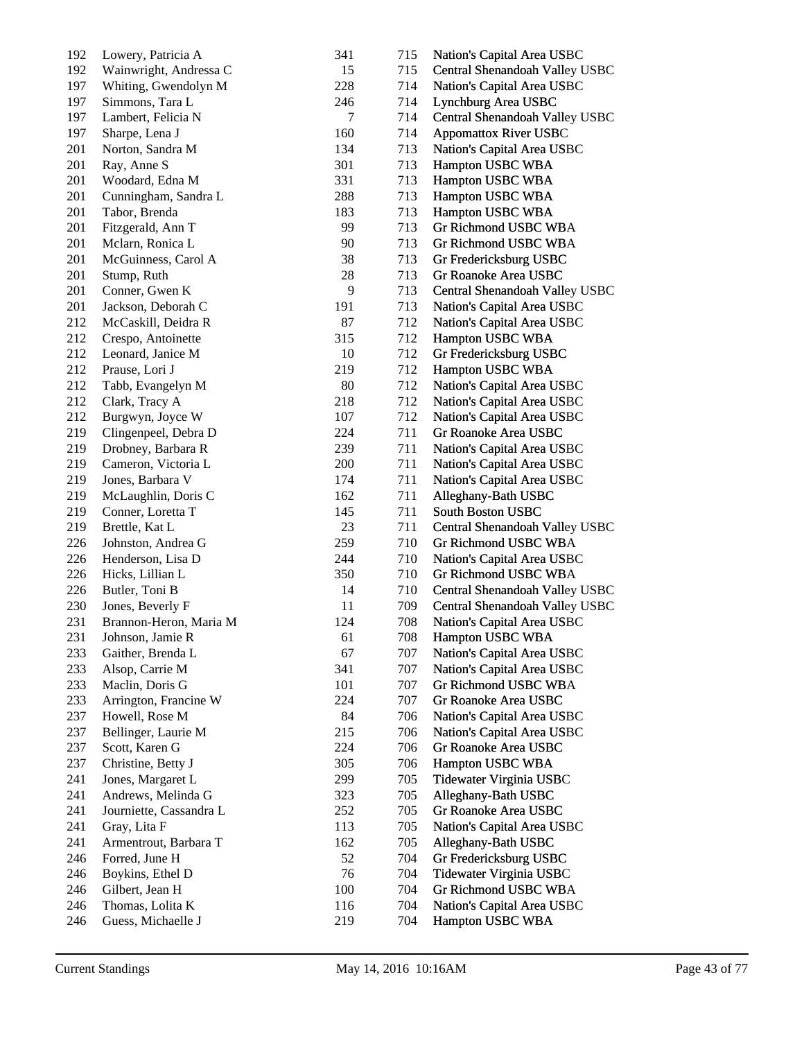| 192 | Lowery, Patricia A      | 341 | 715 | Nation's Capital Area USBC     |
|-----|-------------------------|-----|-----|--------------------------------|
| 192 | Wainwright, Andressa C  | 15  | 715 | Central Shenandoah Valley USBC |
| 197 | Whiting, Gwendolyn M    | 228 | 714 | Nation's Capital Area USBC     |
| 197 | Simmons, Tara L         | 246 | 714 | Lynchburg Area USBC            |
| 197 | Lambert, Felicia N      | 7   | 714 | Central Shenandoah Valley USBC |
| 197 | Sharpe, Lena J          | 160 | 714 | <b>Appomattox River USBC</b>   |
| 201 | Norton, Sandra M        | 134 | 713 | Nation's Capital Area USBC     |
| 201 | Ray, Anne S             | 301 | 713 | Hampton USBC WBA               |
| 201 | Woodard, Edna M         | 331 | 713 | Hampton USBC WBA               |
| 201 | Cunningham, Sandra L    | 288 | 713 | Hampton USBC WBA               |
| 201 | Tabor, Brenda           | 183 | 713 | Hampton USBC WBA               |
| 201 | Fitzgerald, Ann T       | 99  | 713 | Gr Richmond USBC WBA           |
| 201 | Mclarn, Ronica L        | 90  | 713 | Gr Richmond USBC WBA           |
| 201 | McGuinness, Carol A     | 38  | 713 | Gr Fredericksburg USBC         |
| 201 | Stump, Ruth             | 28  | 713 | Gr Roanoke Area USBC           |
| 201 | Conner, Gwen K          | 9   | 713 | Central Shenandoah Valley USBC |
| 201 | Jackson, Deborah C      | 191 | 713 | Nation's Capital Area USBC     |
| 212 | McCaskill, Deidra R     | 87  | 712 | Nation's Capital Area USBC     |
| 212 | Crespo, Antoinette      | 315 | 712 | Hampton USBC WBA               |
| 212 | Leonard, Janice M       | 10  | 712 | Gr Fredericksburg USBC         |
| 212 | Prause, Lori J          | 219 | 712 | Hampton USBC WBA               |
| 212 | Tabb, Evangelyn M       | 80  | 712 | Nation's Capital Area USBC     |
| 212 | Clark, Tracy A          | 218 | 712 | Nation's Capital Area USBC     |
| 212 | Burgwyn, Joyce W        | 107 | 712 | Nation's Capital Area USBC     |
| 219 | Clingenpeel, Debra D    | 224 | 711 | Gr Roanoke Area USBC           |
| 219 | Drobney, Barbara R      | 239 | 711 | Nation's Capital Area USBC     |
| 219 | Cameron, Victoria L     | 200 | 711 | Nation's Capital Area USBC     |
| 219 | Jones, Barbara V        | 174 | 711 | Nation's Capital Area USBC     |
| 219 | McLaughlin, Doris C     | 162 | 711 | Alleghany-Bath USBC            |
| 219 | Conner, Loretta T       | 145 | 711 | South Boston USBC              |
| 219 | Brettle, Kat L          | 23  | 711 | Central Shenandoah Valley USBC |
| 226 | Johnston, Andrea G      | 259 | 710 | Gr Richmond USBC WBA           |
| 226 | Henderson, Lisa D       | 244 | 710 | Nation's Capital Area USBC     |
| 226 | Hicks, Lillian L        | 350 | 710 | Gr Richmond USBC WBA           |
| 226 | Butler, Toni B          | 14  | 710 | Central Shenandoah Valley USBC |
| 230 | Jones, Beverly F        | 11  | 709 | Central Shenandoah Valley USBC |
| 231 | Brannon-Heron, Maria M  | 124 | 708 | Nation's Capital Area USBC     |
| 231 | Johnson, Jamie R        | 61  | 708 | Hampton USBC WBA               |
| 233 | Gaither, Brenda L       | 67  | 707 | Nation's Capital Area USBC     |
| 233 | Alsop, Carrie M         | 341 | 707 | Nation's Capital Area USBC     |
| 233 | Maclin, Doris G         | 101 | 707 | Gr Richmond USBC WBA           |
| 233 | Arrington, Francine W   | 224 | 707 | Gr Roanoke Area USBC           |
| 237 | Howell, Rose M          | 84  | 706 | Nation's Capital Area USBC     |
| 237 | Bellinger, Laurie M     | 215 | 706 | Nation's Capital Area USBC     |
| 237 | Scott, Karen G          | 224 | 706 | Gr Roanoke Area USBC           |
| 237 | Christine, Betty J      | 305 | 706 | Hampton USBC WBA               |
| 241 | Jones, Margaret L       | 299 | 705 | Tidewater Virginia USBC        |
| 241 | Andrews, Melinda G      | 323 | 705 | Alleghany-Bath USBC            |
| 241 | Journiette, Cassandra L | 252 | 705 | Gr Roanoke Area USBC           |
| 241 | Gray, Lita F            | 113 | 705 | Nation's Capital Area USBC     |
| 241 | Armentrout, Barbara T   | 162 | 705 | Alleghany-Bath USBC            |
| 246 | Forred, June H          | 52  | 704 | Gr Fredericksburg USBC         |
| 246 | Boykins, Ethel D        | 76  | 704 | Tidewater Virginia USBC        |
| 246 | Gilbert, Jean H         | 100 | 704 | Gr Richmond USBC WBA           |
| 246 | Thomas, Lolita K        | 116 | 704 | Nation's Capital Area USBC     |
| 246 | Guess, Michaelle J      | 219 | 704 | Hampton USBC WBA               |
|     |                         |     |     |                                |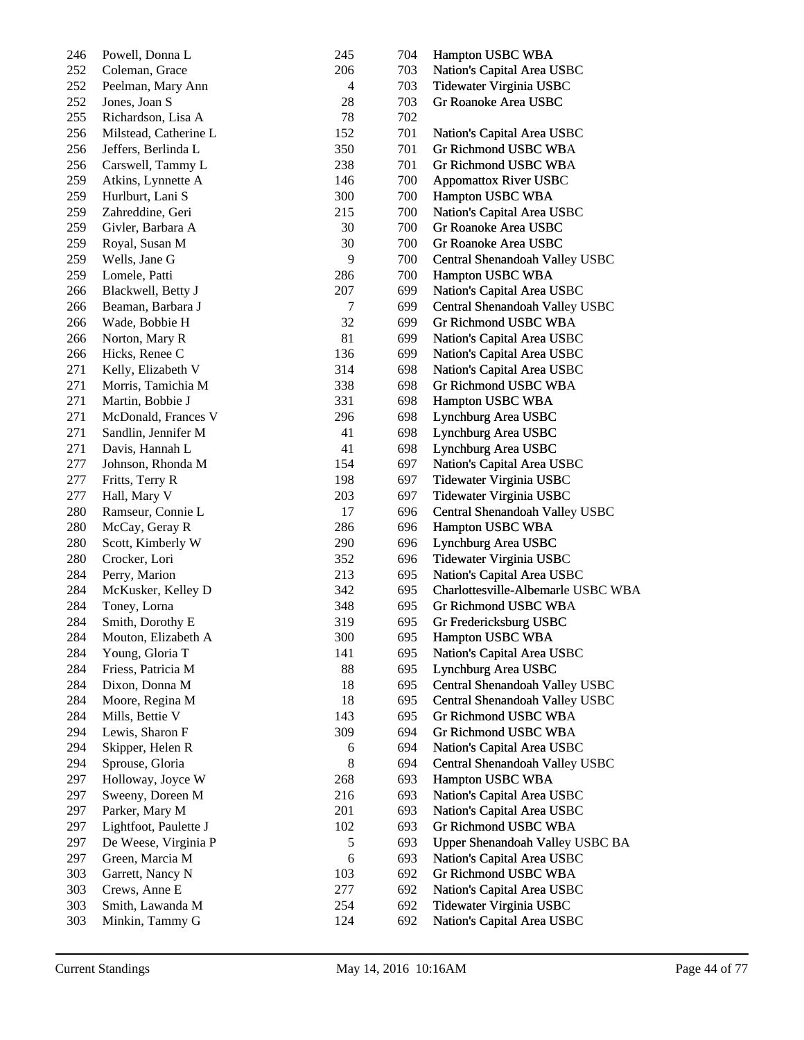| 246 | Powell, Donna L       | 245    | 704 | Hampton USBC WBA                   |
|-----|-----------------------|--------|-----|------------------------------------|
| 252 | Coleman, Grace        | 206    | 703 | Nation's Capital Area USBC         |
| 252 | Peelman, Mary Ann     | 4      | 703 | Tidewater Virginia USBC            |
| 252 | Jones, Joan S         | 28     | 703 | Gr Roanoke Area USBC               |
| 255 | Richardson, Lisa A    | 78     | 702 |                                    |
| 256 | Milstead, Catherine L | 152    | 701 | Nation's Capital Area USBC         |
| 256 | Jeffers, Berlinda L   | 350    | 701 | Gr Richmond USBC WBA               |
| 256 | Carswell, Tammy L     | 238    | 701 | Gr Richmond USBC WBA               |
| 259 | Atkins, Lynnette A    | 146    | 700 | <b>Appomattox River USBC</b>       |
| 259 | Hurlburt, Lani S      | 300    | 700 | Hampton USBC WBA                   |
| 259 | Zahreddine, Geri      | 215    | 700 | Nation's Capital Area USBC         |
| 259 | Givler, Barbara A     | 30     | 700 | Gr Roanoke Area USBC               |
| 259 | Royal, Susan M        | 30     | 700 | Gr Roanoke Area USBC               |
| 259 | Wells, Jane G         | 9      | 700 | Central Shenandoah Valley USBC     |
| 259 | Lomele, Patti         | 286    | 700 | Hampton USBC WBA                   |
| 266 | Blackwell, Betty J    | 207    | 699 | Nation's Capital Area USBC         |
| 266 | Beaman, Barbara J     | $\tau$ | 699 | Central Shenandoah Valley USBC     |
| 266 | Wade, Bobbie H        | 32     | 699 | Gr Richmond USBC WBA               |
| 266 | Norton, Mary R        | 81     | 699 | Nation's Capital Area USBC         |
| 266 | Hicks, Renee C        | 136    | 699 | Nation's Capital Area USBC         |
| 271 | Kelly, Elizabeth V    | 314    | 698 | Nation's Capital Area USBC         |
| 271 | Morris, Tamichia M    | 338    | 698 | Gr Richmond USBC WBA               |
| 271 | Martin, Bobbie J      | 331    | 698 | Hampton USBC WBA                   |
| 271 | McDonald, Frances V   | 296    | 698 | Lynchburg Area USBC                |
| 271 | Sandlin, Jennifer M   | 41     | 698 | Lynchburg Area USBC                |
| 271 | Davis, Hannah L       | 41     | 698 | Lynchburg Area USBC                |
| 277 | Johnson, Rhonda M     | 154    | 697 | Nation's Capital Area USBC         |
| 277 | Fritts, Terry R       | 198    | 697 | Tidewater Virginia USBC            |
| 277 | Hall, Mary V          | 203    | 697 | Tidewater Virginia USBC            |
| 280 | Ramseur, Connie L     | 17     | 696 | Central Shenandoah Valley USBC     |
| 280 | McCay, Geray R        | 286    | 696 | Hampton USBC WBA                   |
| 280 | Scott, Kimberly W     | 290    | 696 | Lynchburg Area USBC                |
| 280 | Crocker, Lori         | 352    | 696 | Tidewater Virginia USBC            |
| 284 | Perry, Marion         | 213    | 695 | Nation's Capital Area USBC         |
| 284 | McKusker, Kelley D    | 342    | 695 | Charlottesville-Albemarle USBC WBA |
| 284 | Toney, Lorna          | 348    | 695 | <b>Gr Richmond USBC WBA</b>        |
| 284 | Smith, Dorothy E      | 319    | 695 | Gr Fredericksburg USBC             |
| 284 | Mouton, Elizabeth A   | 300    | 695 | Hampton USBC WBA                   |
| 284 | Young, Gloria T       | 141    | 695 | Nation's Capital Area USBC         |
| 284 | Friess, Patricia M    | 88     | 695 | Lynchburg Area USBC                |
| 284 | Dixon, Donna M        | 18     | 695 | Central Shenandoah Valley USBC     |
| 284 | Moore, Regina M       | 18     | 695 | Central Shenandoah Valley USBC     |
| 284 | Mills, Bettie V       | 143    | 695 | Gr Richmond USBC WBA               |
| 294 | Lewis, Sharon F       | 309    | 694 | Gr Richmond USBC WBA               |
| 294 | Skipper, Helen R      | 6      | 694 | Nation's Capital Area USBC         |
| 294 | Sprouse, Gloria       | $8\,$  | 694 | Central Shenandoah Valley USBC     |
| 297 | Holloway, Joyce W     | 268    | 693 | Hampton USBC WBA                   |
| 297 | Sweeny, Doreen M      | 216    | 693 | Nation's Capital Area USBC         |
| 297 | Parker, Mary M        | 201    | 693 | Nation's Capital Area USBC         |
| 297 | Lightfoot, Paulette J | 102    | 693 | Gr Richmond USBC WBA               |
| 297 | De Weese, Virginia P  | 5      | 693 | Upper Shenandoah Valley USBC BA    |
| 297 | Green, Marcia M       | 6      | 693 | Nation's Capital Area USBC         |
| 303 | Garrett, Nancy N      | 103    | 692 | Gr Richmond USBC WBA               |
| 303 | Crews, Anne E         | 277    | 692 | Nation's Capital Area USBC         |
| 303 | Smith, Lawanda M      | 254    | 692 | Tidewater Virginia USBC            |
| 303 | Minkin, Tammy G       | 124    | 692 | Nation's Capital Area USBC         |
|     |                       |        |     |                                    |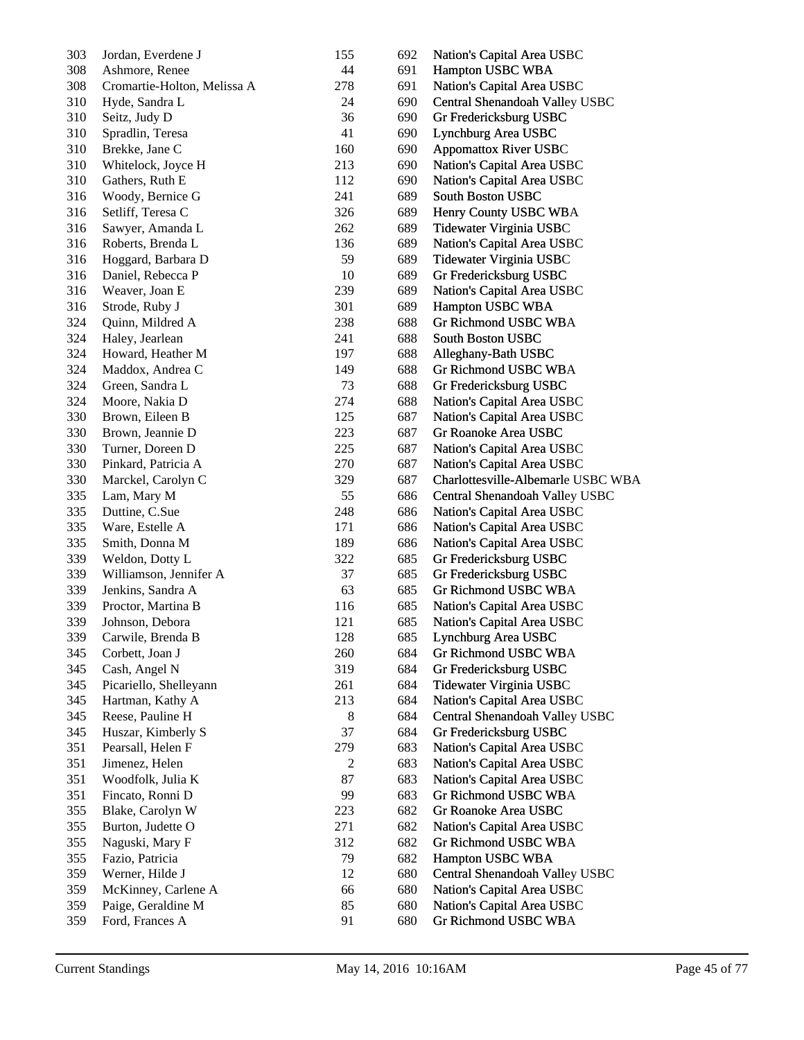| 303 | Jordan, Everdene J          | 155 | 692 | Nation's Capital Area USBC         |
|-----|-----------------------------|-----|-----|------------------------------------|
| 308 | Ashmore, Renee              | 44  | 691 | Hampton USBC WBA                   |
| 308 | Cromartie-Holton, Melissa A | 278 | 691 | Nation's Capital Area USBC         |
| 310 | Hyde, Sandra L              | 24  | 690 | Central Shenandoah Valley USBC     |
| 310 | Seitz, Judy D               | 36  | 690 | Gr Fredericksburg USBC             |
| 310 | Spradlin, Teresa            | 41  | 690 | Lynchburg Area USBC                |
| 310 | Brekke, Jane C              | 160 | 690 | <b>Appomattox River USBC</b>       |
| 310 | Whitelock, Joyce H          | 213 | 690 | Nation's Capital Area USBC         |
| 310 | Gathers, Ruth E             | 112 | 690 | Nation's Capital Area USBC         |
| 316 | Woody, Bernice G            | 241 | 689 | South Boston USBC                  |
| 316 | Setliff, Teresa C           | 326 | 689 | Henry County USBC WBA              |
| 316 | Sawyer, Amanda L            | 262 | 689 | Tidewater Virginia USBC            |
| 316 | Roberts, Brenda L           | 136 | 689 | Nation's Capital Area USBC         |
|     |                             |     |     |                                    |
| 316 | Hoggard, Barbara D          | 59  | 689 | Tidewater Virginia USBC            |
| 316 | Daniel, Rebecca P           | 10  | 689 | Gr Fredericksburg USBC             |
| 316 | Weaver, Joan E              | 239 | 689 | Nation's Capital Area USBC         |
| 316 | Strode, Ruby J              | 301 | 689 | Hampton USBC WBA                   |
| 324 | Quinn, Mildred A            | 238 | 688 | Gr Richmond USBC WBA               |
| 324 | Haley, Jearlean             | 241 | 688 | <b>South Boston USBC</b>           |
| 324 | Howard, Heather M           | 197 | 688 | Alleghany-Bath USBC                |
| 324 | Maddox, Andrea C            | 149 | 688 | Gr Richmond USBC WBA               |
| 324 | Green, Sandra L             | 73  | 688 | Gr Fredericksburg USBC             |
| 324 | Moore, Nakia D              | 274 | 688 | Nation's Capital Area USBC         |
| 330 | Brown, Eileen B             | 125 | 687 | Nation's Capital Area USBC         |
| 330 | Brown, Jeannie D            | 223 | 687 | Gr Roanoke Area USBC               |
| 330 | Turner, Doreen D            | 225 | 687 | Nation's Capital Area USBC         |
| 330 | Pinkard, Patricia A         | 270 | 687 | Nation's Capital Area USBC         |
| 330 | Marckel, Carolyn C          | 329 | 687 | Charlottesville-Albemarle USBC WBA |
| 335 | Lam, Mary M                 | 55  | 686 | Central Shenandoah Valley USBC     |
| 335 | Duttine, C.Sue              | 248 | 686 | Nation's Capital Area USBC         |
| 335 | Ware, Estelle A             | 171 | 686 | Nation's Capital Area USBC         |
| 335 | Smith, Donna M              | 189 | 686 | Nation's Capital Area USBC         |
| 339 | Weldon, Dotty L             | 322 | 685 | Gr Fredericksburg USBC             |
| 339 | Williamson, Jennifer A      | 37  | 685 | Gr Fredericksburg USBC             |
| 339 | Jenkins, Sandra A           | 63  | 685 | Gr Richmond USBC WBA               |
| 339 | Proctor, Martina B          | 116 | 685 | Nation's Capital Area USBC         |
| 339 | Johnson, Debora             | 121 | 685 | Nation's Capital Area USBC         |
| 339 | Carwile, Brenda B           | 128 | 685 | Lynchburg Area USBC                |
|     |                             |     |     |                                    |
| 345 | Corbett, Joan J             | 260 | 684 | Gr Richmond USBC WBA               |
| 345 | Cash, Angel N               | 319 | 684 | Gr Fredericksburg USBC             |
| 345 | Picariello, Shelleyann      | 261 | 684 | Tidewater Virginia USBC            |
| 345 | Hartman, Kathy A            | 213 | 684 | Nation's Capital Area USBC         |
| 345 | Reese, Pauline H            | 8   | 684 | Central Shenandoah Valley USBC     |
| 345 | Huszar, Kimberly S          | 37  | 684 | Gr Fredericksburg USBC             |
| 351 | Pearsall, Helen F           | 279 | 683 | Nation's Capital Area USBC         |
| 351 | Jimenez, Helen              | 2   | 683 | Nation's Capital Area USBC         |
| 351 | Woodfolk, Julia K           | 87  | 683 | Nation's Capital Area USBC         |
| 351 | Fincato, Ronni D            | 99  | 683 | Gr Richmond USBC WBA               |
| 355 | Blake, Carolyn W            | 223 | 682 | Gr Roanoke Area USBC               |
| 355 | Burton, Judette O           | 271 | 682 | Nation's Capital Area USBC         |
| 355 | Naguski, Mary F             | 312 | 682 | Gr Richmond USBC WBA               |
| 355 | Fazio, Patricia             | 79  | 682 | Hampton USBC WBA                   |
| 359 | Werner, Hilde J             | 12  | 680 | Central Shenandoah Valley USBC     |
| 359 | McKinney, Carlene A         | 66  | 680 | Nation's Capital Area USBC         |
| 359 | Paige, Geraldine M          | 85  | 680 | Nation's Capital Area USBC         |
| 359 | Ford, Frances A             | 91  | 680 | Gr Richmond USBC WBA               |
|     |                             |     |     |                                    |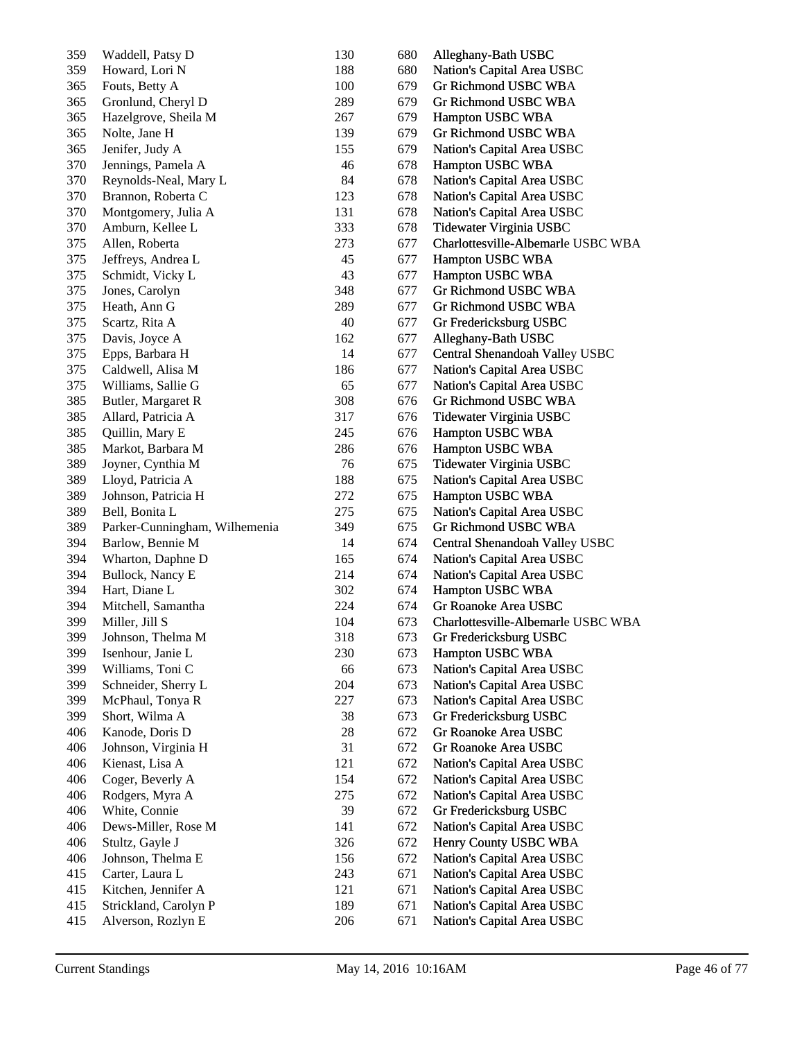| 359 | Waddell, Patsy D              | 130 | 680 | Alleghany-Bath USBC                |
|-----|-------------------------------|-----|-----|------------------------------------|
| 359 | Howard, Lori N                | 188 | 680 | Nation's Capital Area USBC         |
| 365 | Fouts, Betty A                | 100 | 679 | Gr Richmond USBC WBA               |
| 365 | Gronlund, Cheryl D            | 289 | 679 | Gr Richmond USBC WBA               |
| 365 | Hazelgrove, Sheila M          | 267 | 679 | Hampton USBC WBA                   |
| 365 | Nolte, Jane H                 | 139 | 679 | Gr Richmond USBC WBA               |
| 365 | Jenifer, Judy A               | 155 | 679 | Nation's Capital Area USBC         |
| 370 | Jennings, Pamela A            | 46  | 678 | Hampton USBC WBA                   |
| 370 | Reynolds-Neal, Mary L         | 84  | 678 | Nation's Capital Area USBC         |
| 370 | Brannon, Roberta C            | 123 | 678 | Nation's Capital Area USBC         |
| 370 | Montgomery, Julia A           | 131 | 678 | Nation's Capital Area USBC         |
| 370 | Amburn, Kellee L              | 333 | 678 | Tidewater Virginia USBC            |
| 375 | Allen, Roberta                | 273 | 677 | Charlottesville-Albemarle USBC WBA |
|     |                               | 45  |     |                                    |
| 375 | Jeffreys, Andrea L            |     | 677 | Hampton USBC WBA                   |
| 375 | Schmidt, Vicky L              | 43  | 677 | Hampton USBC WBA                   |
| 375 | Jones, Carolyn                | 348 | 677 | Gr Richmond USBC WBA               |
| 375 | Heath, Ann G                  | 289 | 677 | Gr Richmond USBC WBA               |
| 375 | Scartz, Rita A                | 40  | 677 | Gr Fredericksburg USBC             |
| 375 | Davis, Joyce A                | 162 | 677 | Alleghany-Bath USBC                |
| 375 | Epps, Barbara H               | 14  | 677 | Central Shenandoah Valley USBC     |
| 375 | Caldwell, Alisa M             | 186 | 677 | Nation's Capital Area USBC         |
| 375 | Williams, Sallie G            | 65  | 677 | Nation's Capital Area USBC         |
| 385 | Butler, Margaret R            | 308 | 676 | Gr Richmond USBC WBA               |
| 385 | Allard, Patricia A            | 317 | 676 | Tidewater Virginia USBC            |
| 385 | Quillin, Mary E               | 245 | 676 | Hampton USBC WBA                   |
| 385 | Markot, Barbara M             | 286 | 676 | Hampton USBC WBA                   |
| 389 | Joyner, Cynthia M             | 76  | 675 | Tidewater Virginia USBC            |
| 389 | Lloyd, Patricia A             | 188 | 675 | Nation's Capital Area USBC         |
| 389 | Johnson, Patricia H           | 272 | 675 | Hampton USBC WBA                   |
| 389 | Bell, Bonita L                | 275 | 675 | Nation's Capital Area USBC         |
| 389 | Parker-Cunningham, Wilhemenia | 349 | 675 | Gr Richmond USBC WBA               |
| 394 | Barlow, Bennie M              | 14  | 674 | Central Shenandoah Valley USBC     |
| 394 | Wharton, Daphne D             | 165 | 674 | Nation's Capital Area USBC         |
| 394 | Bullock, Nancy E              | 214 | 674 | Nation's Capital Area USBC         |
| 394 | Hart, Diane L                 | 302 | 674 | Hampton USBC WBA                   |
| 394 | Mitchell, Samantha            | 224 | 674 | Gr Roanoke Area USBC               |
| 399 | Miller, Jill S                | 104 | 673 | Charlottesville-Albemarle USBC WBA |
| 399 | Johnson, Thelma M             | 318 | 673 | Gr Fredericksburg USBC             |
| 399 | Isenhour, Janie L             | 230 | 673 | Hampton USBC WBA                   |
| 399 | Williams, Toni C              | 66  | 673 | Nation's Capital Area USBC         |
|     |                               | 204 |     | Nation's Capital Area USBC         |
| 399 | Schneider, Sherry L           |     | 673 |                                    |
| 399 | McPhaul, Tonya R              | 227 | 673 | Nation's Capital Area USBC         |
| 399 | Short, Wilma A                | 38  | 673 | Gr Fredericksburg USBC             |
| 406 | Kanode, Doris D               | 28  | 672 | Gr Roanoke Area USBC               |
| 406 | Johnson, Virginia H           | 31  | 672 | Gr Roanoke Area USBC               |
| 406 | Kienast, Lisa A               | 121 | 672 | Nation's Capital Area USBC         |
| 406 | Coger, Beverly A              | 154 | 672 | Nation's Capital Area USBC         |
| 406 | Rodgers, Myra A               | 275 | 672 | Nation's Capital Area USBC         |
| 406 | White, Connie                 | 39  | 672 | Gr Fredericksburg USBC             |
| 406 | Dews-Miller, Rose M           | 141 | 672 | Nation's Capital Area USBC         |
| 406 | Stultz, Gayle J               | 326 | 672 | Henry County USBC WBA              |
| 406 | Johnson, Thelma E             | 156 | 672 | Nation's Capital Area USBC         |
| 415 | Carter, Laura L               | 243 | 671 | Nation's Capital Area USBC         |
| 415 | Kitchen, Jennifer A           | 121 | 671 | Nation's Capital Area USBC         |
| 415 | Strickland, Carolyn P         | 189 | 671 | Nation's Capital Area USBC         |
| 415 | Alverson, Rozlyn E            | 206 | 671 | Nation's Capital Area USBC         |
|     |                               |     |     |                                    |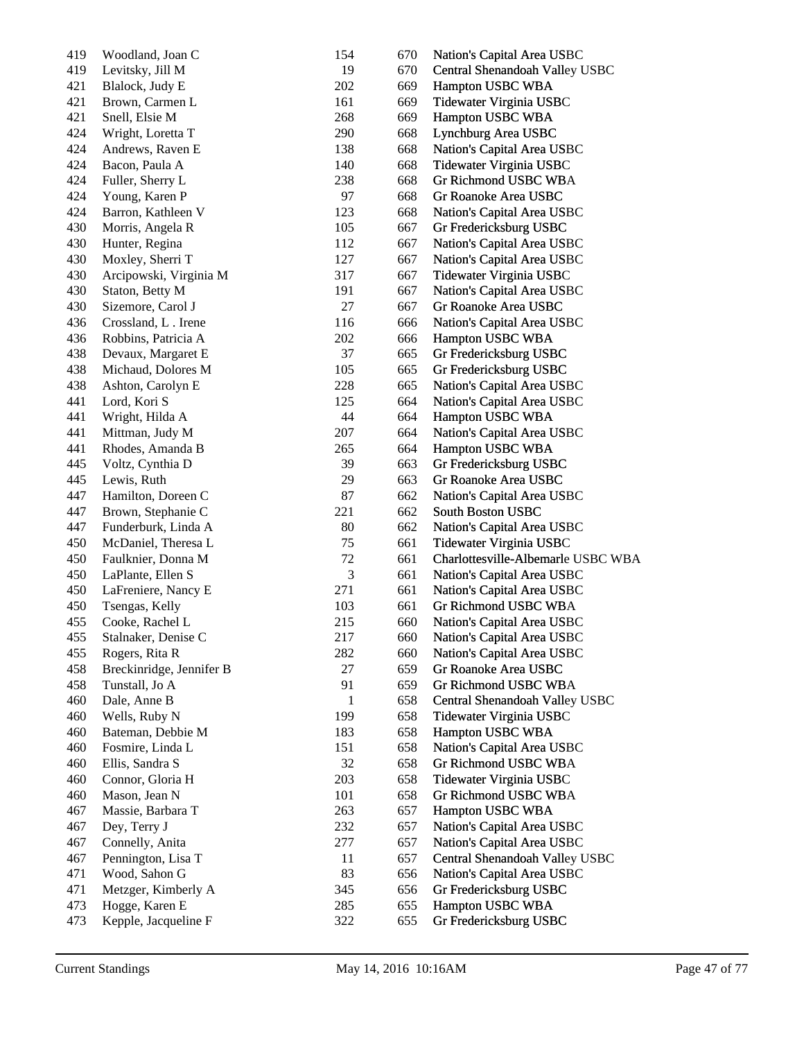| 419 | Woodland, Joan C         | 154            | 670 | Nation's Capital Area USBC         |
|-----|--------------------------|----------------|-----|------------------------------------|
| 419 | Levitsky, Jill M         | 19             | 670 | Central Shenandoah Valley USBC     |
| 421 | Blalock, Judy E          | 202            | 669 | Hampton USBC WBA                   |
| 421 | Brown, Carmen L          | 161            | 669 | Tidewater Virginia USBC            |
| 421 | Snell, Elsie M           | 268            | 669 | Hampton USBC WBA                   |
| 424 | Wright, Loretta T        | 290            | 668 | Lynchburg Area USBC                |
| 424 | Andrews, Raven E         | 138            | 668 | Nation's Capital Area USBC         |
| 424 | Bacon, Paula A           | 140            | 668 | Tidewater Virginia USBC            |
| 424 | Fuller, Sherry L         | 238            | 668 | Gr Richmond USBC WBA               |
| 424 | Young, Karen P           | 97             | 668 | Gr Roanoke Area USBC               |
| 424 | Barron, Kathleen V       | 123            | 668 | Nation's Capital Area USBC         |
| 430 | Morris, Angela R         | 105            | 667 | Gr Fredericksburg USBC             |
| 430 | Hunter, Regina           | 112            | 667 | Nation's Capital Area USBC         |
| 430 | Moxley, Sherri T         | 127            | 667 | Nation's Capital Area USBC         |
| 430 | Arcipowski, Virginia M   | 317            | 667 | Tidewater Virginia USBC            |
| 430 | Staton, Betty M          | 191            | 667 | Nation's Capital Area USBC         |
| 430 | Sizemore, Carol J        | 27             | 667 | Gr Roanoke Area USBC               |
| 436 | Crossland, L. Irene      | 116            | 666 | Nation's Capital Area USBC         |
| 436 | Robbins, Patricia A      | 202            | 666 | Hampton USBC WBA                   |
| 438 | Devaux, Margaret E       | 37             | 665 | Gr Fredericksburg USBC             |
| 438 | Michaud, Dolores M       | 105            | 665 | Gr Fredericksburg USBC             |
| 438 | Ashton, Carolyn E        | 228            | 665 | Nation's Capital Area USBC         |
| 441 | Lord, Kori S             | 125            | 664 | Nation's Capital Area USBC         |
| 441 | Wright, Hilda A          | 44             | 664 | Hampton USBC WBA                   |
| 441 | Mittman, Judy M          | 207            | 664 | Nation's Capital Area USBC         |
| 441 | Rhodes, Amanda B         | 265            | 664 | Hampton USBC WBA                   |
| 445 | Voltz, Cynthia D         | 39             | 663 | Gr Fredericksburg USBC             |
| 445 | Lewis, Ruth              | 29             | 663 | Gr Roanoke Area USBC               |
| 447 | Hamilton, Doreen C       | 87             | 662 | Nation's Capital Area USBC         |
| 447 | Brown, Stephanie C       | 221            | 662 | South Boston USBC                  |
| 447 | Funderburk, Linda A      | 80             | 662 | Nation's Capital Area USBC         |
| 450 | McDaniel, Theresa L      | 75             | 661 | Tidewater Virginia USBC            |
| 450 | Faulknier, Donna M       | 72             | 661 | Charlottesville-Albemarle USBC WBA |
| 450 | LaPlante, Ellen S        | $\mathfrak{Z}$ | 661 | Nation's Capital Area USBC         |
| 450 | LaFreniere, Nancy E      | 271            | 661 | Nation's Capital Area USBC         |
| 450 | Tsengas, Kelly           | 103            | 661 | Gr Richmond USBC WBA               |
| 455 | Cooke, Rachel L          | 215            | 660 | Nation's Capital Area USBC         |
| 455 | Stalnaker, Denise C      | 217            | 660 | Nation's Capital Area USBC         |
| 455 | Rogers, Rita R           | 282            | 660 | Nation's Capital Area USBC         |
| 458 | Breckinridge, Jennifer B | 27             | 659 | Gr Roanoke Area USBC               |
| 458 | Tunstall, Jo A           | 91             | 659 | Gr Richmond USBC WBA               |
| 460 | Dale, Anne B             | 1              | 658 | Central Shenandoah Valley USBC     |
| 460 | Wells, Ruby N            | 199            | 658 | Tidewater Virginia USBC            |
| 460 | Bateman, Debbie M        | 183            | 658 | Hampton USBC WBA                   |
| 460 | Fosmire, Linda L         | 151            | 658 | Nation's Capital Area USBC         |
| 460 | Ellis, Sandra S          | 32             | 658 | Gr Richmond USBC WBA               |
| 460 | Connor, Gloria H         | 203            | 658 | Tidewater Virginia USBC            |
| 460 | Mason, Jean N            | 101            | 658 | Gr Richmond USBC WBA               |
| 467 | Massie, Barbara T        | 263            | 657 | Hampton USBC WBA                   |
| 467 | Dey, Terry J             | 232            | 657 | Nation's Capital Area USBC         |
| 467 | Connelly, Anita          | 277            | 657 | Nation's Capital Area USBC         |
| 467 | Pennington, Lisa T       | 11             | 657 | Central Shenandoah Valley USBC     |
| 471 | Wood, Sahon G            | 83             | 656 | Nation's Capital Area USBC         |
| 471 | Metzger, Kimberly A      | 345            | 656 | Gr Fredericksburg USBC             |
| 473 | Hogge, Karen E           | 285            | 655 | Hampton USBC WBA                   |
| 473 | Kepple, Jacqueline F     | 322            | 655 | Gr Fredericksburg USBC             |
|     |                          |                |     |                                    |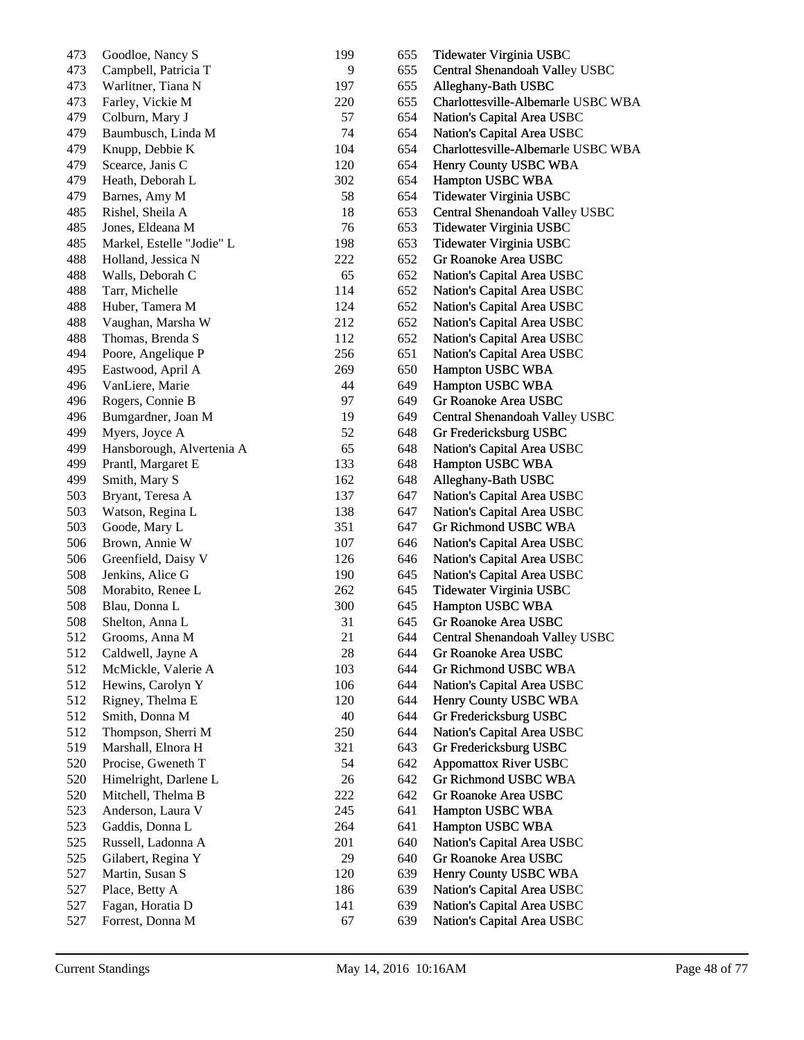| 473 | Goodloe, Nancy S          | 199 | 655 | Tidewater Virginia USBC            |
|-----|---------------------------|-----|-----|------------------------------------|
| 473 | Campbell, Patricia T      | 9   | 655 | Central Shenandoah Valley USBC     |
| 473 | Warlitner, Tiana N        | 197 | 655 | Alleghany-Bath USBC                |
| 473 | Farley, Vickie M          | 220 | 655 | Charlottesville-Albemarle USBC WBA |
| 479 | Colburn, Mary J           | 57  | 654 | Nation's Capital Area USBC         |
| 479 | Baumbusch, Linda M        | 74  | 654 | Nation's Capital Area USBC         |
| 479 | Knupp, Debbie K           | 104 | 654 | Charlottesville-Albemarle USBC WBA |
| 479 | Scearce, Janis C          | 120 | 654 | Henry County USBC WBA              |
| 479 | Heath, Deborah L          | 302 | 654 | Hampton USBC WBA                   |
| 479 | Barnes, Amy M             | 58  | 654 | Tidewater Virginia USBC            |
| 485 | Rishel, Sheila A          | 18  | 653 | Central Shenandoah Valley USBC     |
| 485 | Jones, Eldeana M          | 76  | 653 | Tidewater Virginia USBC            |
| 485 | Markel, Estelle "Jodie" L | 198 | 653 | Tidewater Virginia USBC            |
| 488 | Holland, Jessica N        | 222 | 652 | Gr Roanoke Area USBC               |
| 488 | Walls, Deborah C          | 65  | 652 | Nation's Capital Area USBC         |
| 488 | Tarr, Michelle            | 114 | 652 | Nation's Capital Area USBC         |
| 488 | Huber, Tamera M           | 124 | 652 | Nation's Capital Area USBC         |
| 488 | Vaughan, Marsha W         | 212 | 652 | Nation's Capital Area USBC         |
| 488 | Thomas, Brenda S          | 112 | 652 | Nation's Capital Area USBC         |
| 494 | Poore, Angelique P        | 256 | 651 | Nation's Capital Area USBC         |
| 495 | Eastwood, April A         | 269 | 650 | Hampton USBC WBA                   |
| 496 | VanLiere, Marie           | 44  | 649 | Hampton USBC WBA                   |
| 496 | Rogers, Connie B          | 97  | 649 | Gr Roanoke Area USBC               |
| 496 | Bumgardner, Joan M        | 19  | 649 | Central Shenandoah Valley USBC     |
| 499 | Myers, Joyce A            | 52  | 648 | Gr Fredericksburg USBC             |
| 499 | Hansborough, Alvertenia A | 65  | 648 | Nation's Capital Area USBC         |
| 499 | Prantl, Margaret E        | 133 | 648 | Hampton USBC WBA                   |
| 499 | Smith, Mary S             | 162 | 648 | Alleghany-Bath USBC                |
| 503 | Bryant, Teresa A          | 137 | 647 | Nation's Capital Area USBC         |
| 503 | Watson, Regina L          | 138 | 647 | Nation's Capital Area USBC         |
| 503 | Goode, Mary L             | 351 | 647 | Gr Richmond USBC WBA               |
| 506 | Brown, Annie W            | 107 | 646 | Nation's Capital Area USBC         |
| 506 | Greenfield, Daisy V       | 126 | 646 | Nation's Capital Area USBC         |
| 508 | Jenkins, Alice G          | 190 | 645 | Nation's Capital Area USBC         |
| 508 | Morabito, Renee L         | 262 | 645 | Tidewater Virginia USBC            |
| 508 | Blau, Donna L             | 300 | 645 | Hampton USBC WBA                   |
| 508 | Shelton, Anna L           | 31  | 645 | Gr Roanoke Area USBC               |
| 512 | Grooms, Anna M            | 21  | 644 | Central Shenandoah Valley USBC     |
| 512 | Caldwell, Jayne A         | 28  | 644 | Gr Roanoke Area USBC               |
| 512 | McMickle, Valerie A       | 103 | 644 | Gr Richmond USBC WBA               |
| 512 | Hewins, Carolyn Y         | 106 | 644 | Nation's Capital Area USBC         |
| 512 | Rigney, Thelma E          | 120 | 644 | Henry County USBC WBA              |
| 512 | Smith, Donna M            | 40  | 644 | Gr Fredericksburg USBC             |
| 512 | Thompson, Sherri M        | 250 | 644 | Nation's Capital Area USBC         |
| 519 | Marshall, Elnora H        | 321 | 643 | Gr Fredericksburg USBC             |
| 520 | Procise, Gweneth T        | 54  | 642 | <b>Appomattox River USBC</b>       |
| 520 | Himelright, Darlene L     | 26  | 642 | Gr Richmond USBC WBA               |
| 520 | Mitchell, Thelma B        | 222 | 642 | Gr Roanoke Area USBC               |
| 523 | Anderson, Laura V         | 245 | 641 | Hampton USBC WBA                   |
| 523 | Gaddis, Donna L           | 264 | 641 | Hampton USBC WBA                   |
| 525 | Russell, Ladonna A        | 201 | 640 | Nation's Capital Area USBC         |
| 525 | Gilabert, Regina Y        | 29  | 640 | Gr Roanoke Area USBC               |
| 527 | Martin, Susan S           | 120 | 639 | Henry County USBC WBA              |
| 527 | Place, Betty A            | 186 | 639 | Nation's Capital Area USBC         |
| 527 | Fagan, Horatia D          | 141 | 639 | Nation's Capital Area USBC         |
| 527 | Forrest, Donna M          | 67  | 639 | Nation's Capital Area USBC         |
|     |                           |     |     |                                    |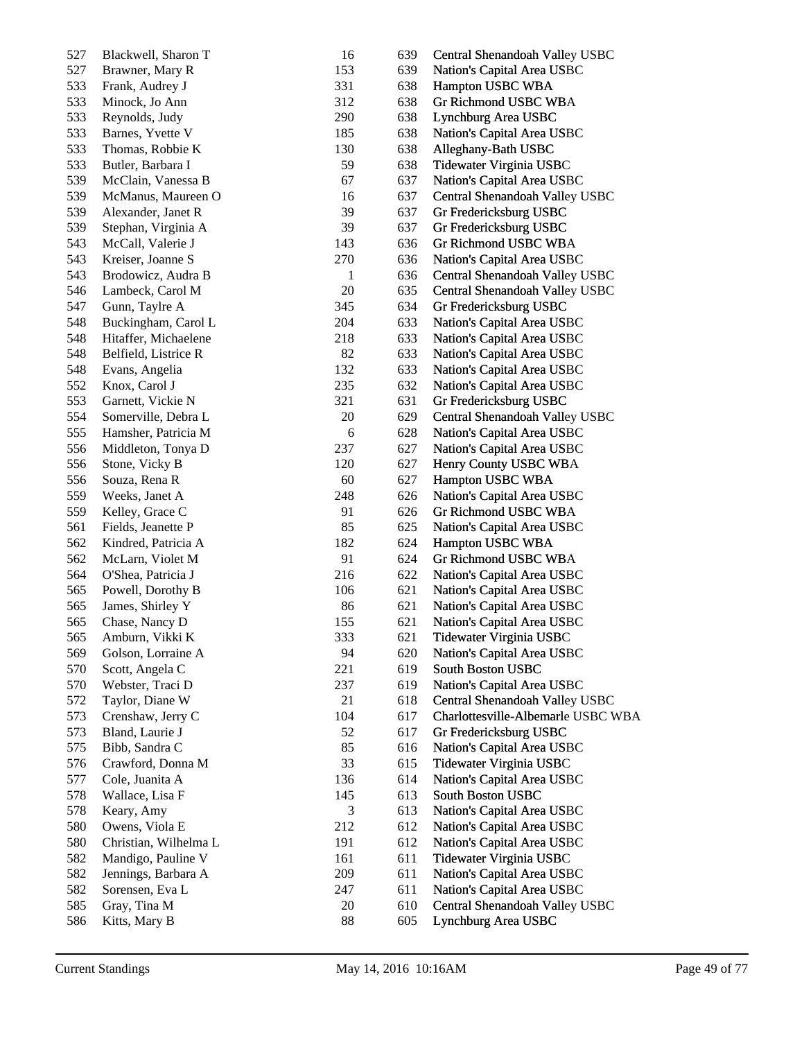| 527 | Blackwell, Sharon T   | 16         | 639 | Central Shenandoah Valley USBC     |
|-----|-----------------------|------------|-----|------------------------------------|
| 527 | Brawner, Mary R       | 153        | 639 | Nation's Capital Area USBC         |
| 533 | Frank, Audrey J       | 331        | 638 | Hampton USBC WBA                   |
| 533 | Minock, Jo Ann        | 312        | 638 | Gr Richmond USBC WBA               |
| 533 | Reynolds, Judy        | 290        | 638 | Lynchburg Area USBC                |
| 533 | Barnes, Yvette V      | 185        | 638 | Nation's Capital Area USBC         |
| 533 | Thomas, Robbie K      | 130        | 638 | Alleghany-Bath USBC                |
| 533 | Butler, Barbara I     | 59         | 638 | Tidewater Virginia USBC            |
| 539 | McClain, Vanessa B    | 67         | 637 | Nation's Capital Area USBC         |
| 539 | McManus, Maureen O    | 16         | 637 | Central Shenandoah Valley USBC     |
| 539 | Alexander, Janet R    | 39         | 637 | Gr Fredericksburg USBC             |
| 539 | Stephan, Virginia A   | 39         | 637 | Gr Fredericksburg USBC             |
| 543 | McCall, Valerie J     | 143        | 636 | Gr Richmond USBC WBA               |
| 543 | Kreiser, Joanne S     | 270        | 636 | Nation's Capital Area USBC         |
| 543 | Brodowicz, Audra B    | 1          | 636 | Central Shenandoah Valley USBC     |
| 546 | Lambeck, Carol M      | 20         | 635 | Central Shenandoah Valley USBC     |
| 547 | Gunn, Taylre A        | 345        | 634 | Gr Fredericksburg USBC             |
| 548 | Buckingham, Carol L   | 204        | 633 | Nation's Capital Area USBC         |
| 548 | Hitaffer, Michaelene  | 218        | 633 | Nation's Capital Area USBC         |
| 548 | Belfield, Listrice R  | 82         | 633 | Nation's Capital Area USBC         |
| 548 | Evans, Angelia        | 132        | 633 | Nation's Capital Area USBC         |
| 552 | Knox, Carol J         | 235        | 632 | Nation's Capital Area USBC         |
| 553 | Garnett, Vickie N     | 321        | 631 | Gr Fredericksburg USBC             |
| 554 | Somerville, Debra L   | 20         | 629 | Central Shenandoah Valley USBC     |
| 555 | Hamsher, Patricia M   | $\epsilon$ | 628 | Nation's Capital Area USBC         |
| 556 | Middleton, Tonya D    | 237        | 627 | Nation's Capital Area USBC         |
| 556 | Stone, Vicky B        | 120        | 627 | Henry County USBC WBA              |
| 556 | Souza, Rena R         | 60         | 627 | Hampton USBC WBA                   |
| 559 | Weeks, Janet A        | 248        | 626 | Nation's Capital Area USBC         |
| 559 | Kelley, Grace C       | 91         | 626 | Gr Richmond USBC WBA               |
| 561 | Fields, Jeanette P    | 85         | 625 | Nation's Capital Area USBC         |
| 562 | Kindred, Patricia A   | 182        | 624 | Hampton USBC WBA                   |
| 562 | McLarn, Violet M      | 91         | 624 | Gr Richmond USBC WBA               |
| 564 | O'Shea, Patricia J    | 216        | 622 | Nation's Capital Area USBC         |
| 565 | Powell, Dorothy B     | 106        | 621 | Nation's Capital Area USBC         |
| 565 | James, Shirley Y      | 86         | 621 | Nation's Capital Area USBC         |
| 565 | Chase, Nancy D        | 155        | 621 | Nation's Capital Area USBC         |
| 565 | Amburn, Vikki K       | 333        | 621 | Tidewater Virginia USBC            |
| 569 | Golson, Lorraine A    | 94         | 620 | Nation's Capital Area USBC         |
| 570 | Scott, Angela C       | 221        | 619 | South Boston USBC                  |
| 570 | Webster, Traci D      | 237        | 619 | Nation's Capital Area USBC         |
| 572 | Taylor, Diane W       | 21         | 618 | Central Shenandoah Valley USBC     |
| 573 | Crenshaw, Jerry C     | 104        | 617 | Charlottesville-Albemarle USBC WBA |
| 573 | Bland, Laurie J       | 52         | 617 | Gr Fredericksburg USBC             |
| 575 | Bibb, Sandra C        | 85         | 616 | Nation's Capital Area USBC         |
| 576 | Crawford, Donna M     | 33         | 615 | Tidewater Virginia USBC            |
| 577 | Cole, Juanita A       | 136        | 614 | Nation's Capital Area USBC         |
| 578 | Wallace, Lisa F       | 145        | 613 | South Boston USBC                  |
| 578 | Keary, Amy            | 3          | 613 | Nation's Capital Area USBC         |
| 580 | Owens, Viola E        | 212        | 612 | Nation's Capital Area USBC         |
| 580 | Christian, Wilhelma L | 191        | 612 | Nation's Capital Area USBC         |
| 582 | Mandigo, Pauline V    | 161        | 611 | Tidewater Virginia USBC            |
| 582 | Jennings, Barbara A   | 209        | 611 | Nation's Capital Area USBC         |
| 582 | Sorensen, Eva L       | 247        | 611 | Nation's Capital Area USBC         |
| 585 | Gray, Tina M          | 20         | 610 | Central Shenandoah Valley USBC     |
| 586 | Kitts, Mary B         | 88         | 605 | Lynchburg Area USBC                |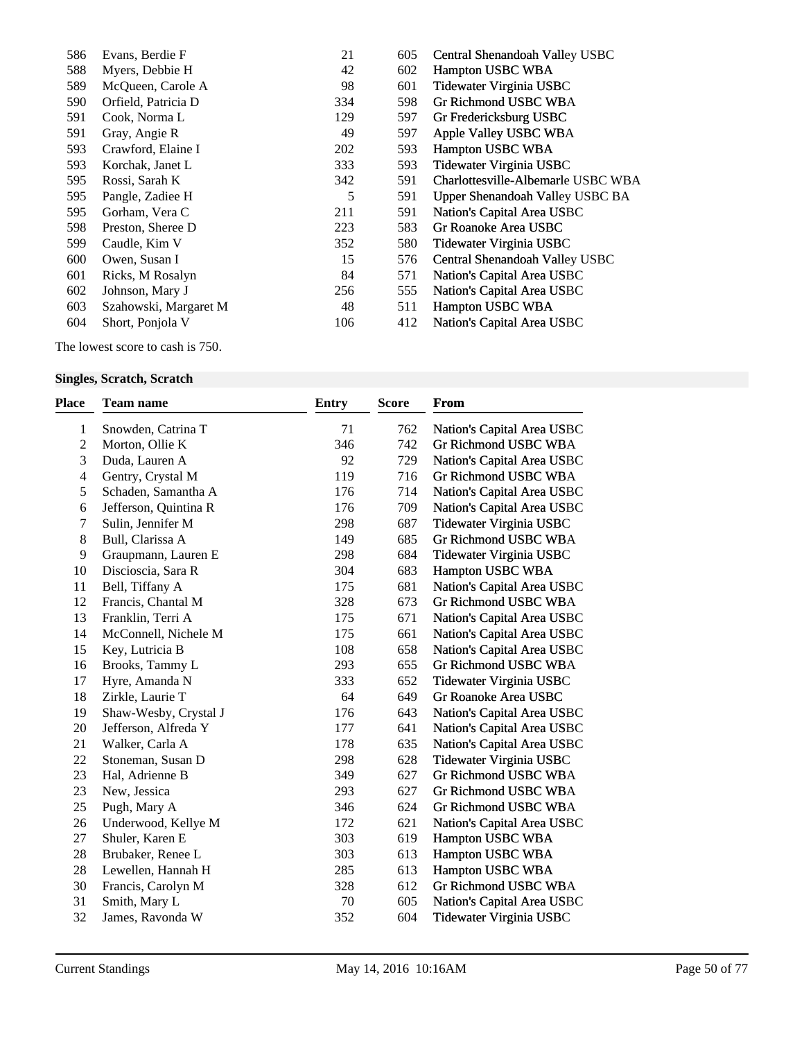| 586 | Evans, Berdie F       | 21<br>605  | Central Shenandoah Valley USBC     |
|-----|-----------------------|------------|------------------------------------|
| 588 | Myers, Debbie H       | 42<br>602  | Hampton USBC WBA                   |
| 589 | McQueen, Carole A     | 98<br>601  | Tidewater Virginia USBC            |
| 590 | Orfield, Patricia D   | 334<br>598 | Gr Richmond USBC WBA               |
| 591 | Cook, Norma L         | 129<br>597 | Gr Fredericksburg USBC             |
| 591 | Gray, Angie R         | 49<br>597  | Apple Valley USBC WBA              |
| 593 | Crawford, Elaine I    | 202<br>593 | <b>Hampton USBC WBA</b>            |
| 593 | Korchak, Janet L      | 333<br>593 | Tidewater Virginia USBC            |
| 595 | Rossi, Sarah K        | 342<br>591 | Charlottesville-Albemarle USBC WBA |
| 595 | Pangle, Zadiee H      | 5<br>591   | Upper Shenandoah Valley USBC BA    |
| 595 | Gorham, Vera C        | 591<br>211 | Nation's Capital Area USBC         |
| 598 | Preston, Sheree D     | 223<br>583 | Gr Roanoke Area USBC               |
| 599 | Caudle, Kim V         | 352<br>580 | Tidewater Virginia USBC            |
| 600 | Owen, Susan I         | 15<br>576  | Central Shenandoah Valley USBC     |
| 601 | Ricks, M Rosalyn      | 84<br>571  | Nation's Capital Area USBC         |
| 602 | Johnson, Mary J       | 256<br>555 | Nation's Capital Area USBC         |
| 603 | Szahowski, Margaret M | 48<br>511  | Hampton USBC WBA                   |
| 604 | Short, Ponjola V      | 106<br>412 | Nation's Capital Area USBC         |
|     |                       |            |                                    |

The lowest score to cash is 750.

## **Singles, Scratch, Scratch**

| Place          | Team name             | <b>Entry</b> | <b>Score</b> | From                        |
|----------------|-----------------------|--------------|--------------|-----------------------------|
| 1              | Snowden, Catrina T    | 71           | 762          | Nation's Capital Area USBC  |
| $\overline{c}$ | Morton, Ollie K       | 346          | 742          | <b>Gr Richmond USBC WBA</b> |
| 3              | Duda, Lauren A        | 92           | 729          | Nation's Capital Area USBC  |
| 4              | Gentry, Crystal M     | 119          | 716          | Gr Richmond USBC WBA        |
| 5              | Schaden, Samantha A   | 176          | 714          | Nation's Capital Area USBC  |
| 6              | Jefferson, Quintina R | 176          | 709          | Nation's Capital Area USBC  |
| 7              | Sulin, Jennifer M     | 298          | 687          | Tidewater Virginia USBC     |
| 8              | Bull, Clarissa A      | 149          | 685          | Gr Richmond USBC WBA        |
| 9              | Graupmann, Lauren E   | 298          | 684          | Tidewater Virginia USBC     |
| 10             | Discioscia, Sara R    | 304          | 683          | Hampton USBC WBA            |
| 11             | Bell, Tiffany A       | 175          | 681          | Nation's Capital Area USBC  |
| 12             | Francis, Chantal M    | 328          | 673          | Gr Richmond USBC WBA        |
| 13             | Franklin, Terri A     | 175          | 671          | Nation's Capital Area USBC  |
| 14             | McConnell, Nichele M  | 175          | 661          | Nation's Capital Area USBC  |
| 15             | Key, Lutricia B       | 108          | 658          | Nation's Capital Area USBC  |
| 16             | Brooks, Tammy L       | 293          | 655          | Gr Richmond USBC WBA        |
| 17             | Hyre, Amanda N        | 333          | 652          | Tidewater Virginia USBC     |
| 18             | Zirkle, Laurie T      | 64           | 649          | Gr Roanoke Area USBC        |
| 19             | Shaw-Wesby, Crystal J | 176          | 643          | Nation's Capital Area USBC  |
| 20             | Jefferson, Alfreda Y  | 177          | 641          | Nation's Capital Area USBC  |
| 21             | Walker, Carla A       | 178          | 635          | Nation's Capital Area USBC  |
| 22             | Stoneman, Susan D     | 298          | 628          | Tidewater Virginia USBC     |
| 23             | Hal, Adrienne B       | 349          | 627          | Gr Richmond USBC WBA        |
| 23             | New, Jessica          | 293          | 627          | Gr Richmond USBC WBA        |
| 25             | Pugh, Mary A          | 346          | 624          | Gr Richmond USBC WBA        |
| 26             | Underwood, Kellye M   | 172          | 621          | Nation's Capital Area USBC  |
| 27             | Shuler, Karen E       | 303          | 619          | Hampton USBC WBA            |
| 28             | Brubaker, Renee L     | 303          | 613          | Hampton USBC WBA            |
| 28             | Lewellen, Hannah H    | 285          | 613          | Hampton USBC WBA            |
| 30             | Francis, Carolyn M    | 328          | 612          | Gr Richmond USBC WBA        |
| 31             | Smith, Mary L         | 70           | 605          | Nation's Capital Area USBC  |
| 32             | James, Ravonda W      | 352          | 604          | Tidewater Virginia USBC     |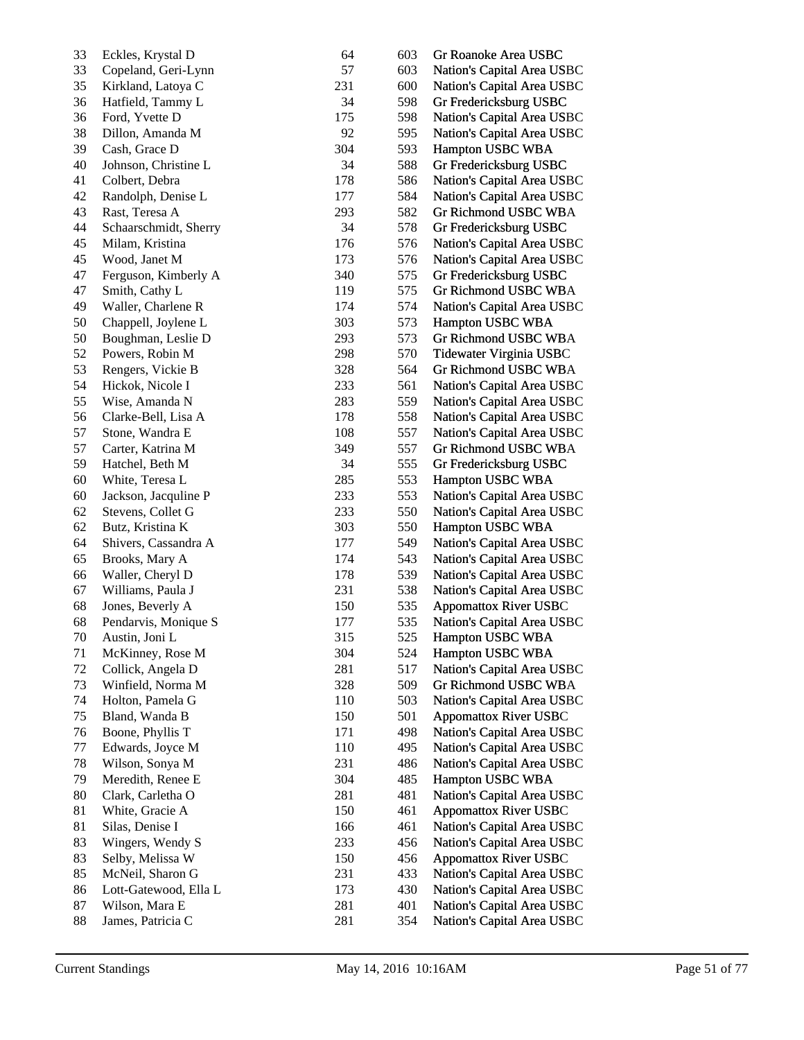| 33 | Eckles, Krystal D     | 64  | 603        | Gr Roanoke Area USBC         |
|----|-----------------------|-----|------------|------------------------------|
| 33 | Copeland, Geri-Lynn   | 57  | 603        | Nation's Capital Area USBC   |
| 35 | Kirkland, Latoya C    | 231 | 600        | Nation's Capital Area USBC   |
| 36 | Hatfield, Tammy L     | 34  | 598        | Gr Fredericksburg USBC       |
| 36 | Ford, Yvette D        | 175 | 598        | Nation's Capital Area USBC   |
| 38 | Dillon, Amanda M      | 92  | 595        | Nation's Capital Area USBC   |
| 39 | Cash, Grace D         | 304 | 593        | Hampton USBC WBA             |
| 40 | Johnson, Christine L  | 34  | 588        | Gr Fredericksburg USBC       |
| 41 | Colbert, Debra        | 178 | 586        | Nation's Capital Area USBC   |
| 42 | Randolph, Denise L    | 177 | 584        | Nation's Capital Area USBC   |
| 43 | Rast, Teresa A        | 293 | 582        | Gr Richmond USBC WBA         |
| 44 | Schaarschmidt, Sherry | 34  | 578        | Gr Fredericksburg USBC       |
| 45 | Milam, Kristina       | 176 | 576        | Nation's Capital Area USBC   |
| 45 | Wood, Janet M         | 173 | 576        | Nation's Capital Area USBC   |
| 47 | Ferguson, Kimberly A  | 340 | 575        | Gr Fredericksburg USBC       |
| 47 | Smith, Cathy L        | 119 | 575        | Gr Richmond USBC WBA         |
| 49 | Waller, Charlene R    | 174 | 574        | Nation's Capital Area USBC   |
| 50 | Chappell, Joylene L   | 303 | 573        | Hampton USBC WBA             |
| 50 | Boughman, Leslie D    | 293 | 573        | Gr Richmond USBC WBA         |
| 52 | Powers, Robin M       | 298 | 570        | Tidewater Virginia USBC      |
| 53 | Rengers, Vickie B     | 328 | 564        | Gr Richmond USBC WBA         |
| 54 | Hickok, Nicole I      | 233 | 561        | Nation's Capital Area USBC   |
| 55 | Wise, Amanda N        | 283 | 559        | Nation's Capital Area USBC   |
| 56 | Clarke-Bell, Lisa A   | 178 | 558        | Nation's Capital Area USBC   |
| 57 | Stone, Wandra E       | 108 | 557        | Nation's Capital Area USBC   |
| 57 | Carter, Katrina M     | 349 | 557        | Gr Richmond USBC WBA         |
| 59 | Hatchel, Beth M       | 34  | 555        | Gr Fredericksburg USBC       |
| 60 | White, Teresa L       | 285 | 553        | Hampton USBC WBA             |
| 60 | Jackson, Jacquline P  | 233 | 553        | Nation's Capital Area USBC   |
| 62 | Stevens, Collet G     | 233 | 550        | Nation's Capital Area USBC   |
| 62 | Butz, Kristina K      | 303 | 550        | Hampton USBC WBA             |
| 64 | Shivers, Cassandra A  | 177 | 549        | Nation's Capital Area USBC   |
| 65 | Brooks, Mary A        | 174 | 543        | Nation's Capital Area USBC   |
| 66 | Waller, Cheryl D      | 178 | 539        | Nation's Capital Area USBC   |
| 67 | Williams, Paula J     | 231 | 538        | Nation's Capital Area USBC   |
| 68 | Jones, Beverly A      | 150 | 535        | <b>Appomattox River USBC</b> |
| 68 | Pendarvis, Monique S  | 177 | 535        | Nation's Capital Area USBC   |
| 70 | Austin, Joni L        | 315 | 525        | Hampton USBC WBA             |
| 71 | McKinney, Rose M      | 304 | 524        | Hampton USBC WBA             |
| 72 | Collick, Angela D     | 281 | 517        | Nation's Capital Area USBC   |
| 73 | Winfield, Norma M     | 328 | 509        | Gr Richmond USBC WBA         |
| 74 | Holton, Pamela G      | 110 | 503        | Nation's Capital Area USBC   |
| 75 | Bland, Wanda B        | 150 | 501        | <b>Appomattox River USBC</b> |
| 76 | Boone, Phyllis T      | 171 | 498        | Nation's Capital Area USBC   |
| 77 | Edwards, Joyce M      | 110 | 495        | Nation's Capital Area USBC   |
| 78 | Wilson, Sonya M       | 231 | 486        | Nation's Capital Area USBC   |
| 79 | Meredith, Renee E     | 304 | 485        | Hampton USBC WBA             |
| 80 | Clark, Carletha O     | 281 | 481        | Nation's Capital Area USBC   |
| 81 | White, Gracie A       | 150 | 461        | <b>Appomattox River USBC</b> |
| 81 | Silas, Denise I       | 166 | 461        | Nation's Capital Area USBC   |
| 83 | Wingers, Wendy S      | 233 | 456        | Nation's Capital Area USBC   |
| 83 | Selby, Melissa W      | 150 | 456        | <b>Appomattox River USBC</b> |
| 85 |                       | 231 |            |                              |
| 86 | McNeil, Sharon G      | 173 | 433<br>430 | Nation's Capital Area USBC   |
| 87 | Lott-Gatewood, Ella L | 281 | 401        | Nation's Capital Area USBC   |
|    | Wilson, Mara E        |     |            | Nation's Capital Area USBC   |
| 88 | James, Patricia C     | 281 | 354        | Nation's Capital Area USBC   |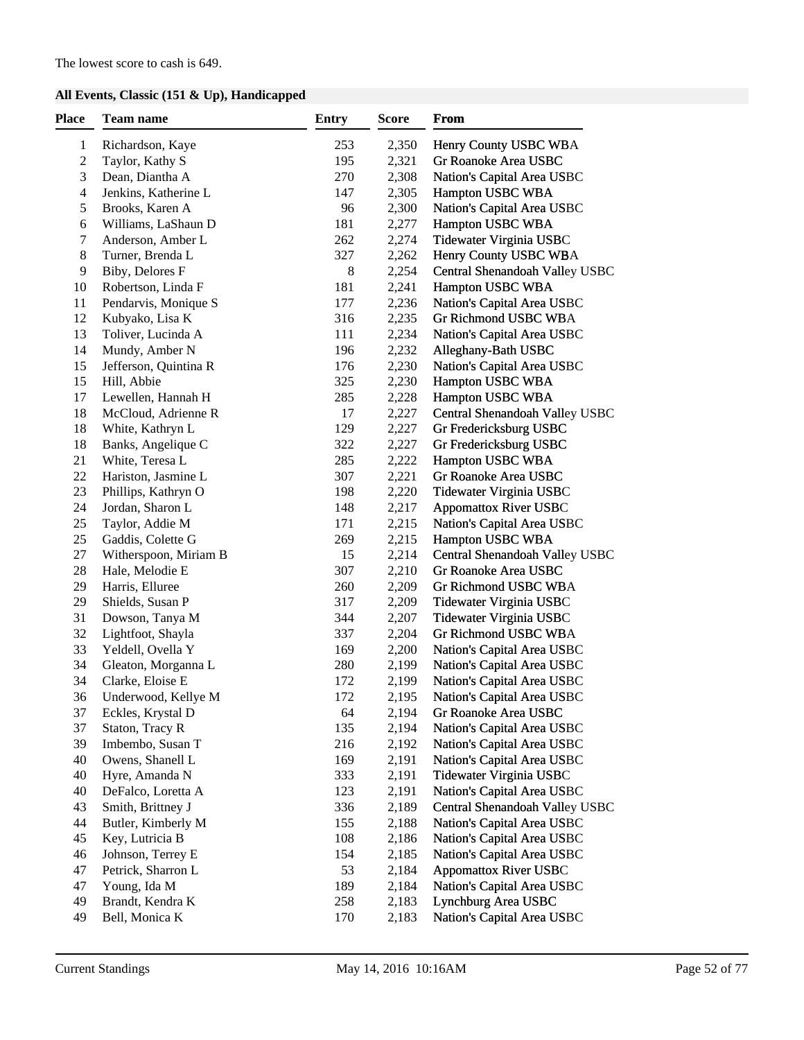## **All Events, Classic (151 & Up), Handicapped**

| <b>Place</b>     | Team name             | <b>Entry</b> | Score | From                           |
|------------------|-----------------------|--------------|-------|--------------------------------|
| $\mathbf{1}$     | Richardson, Kaye      | 253          | 2,350 | Henry County USBC WBA          |
| $\boldsymbol{2}$ | Taylor, Kathy S       | 195          | 2,321 | Gr Roanoke Area USBC           |
| 3                | Dean, Diantha A       | 270          | 2,308 | Nation's Capital Area USBC     |
| 4                | Jenkins, Katherine L  | 147          | 2,305 | Hampton USBC WBA               |
| 5                | Brooks, Karen A       | 96           | 2,300 | Nation's Capital Area USBC     |
| 6                | Williams, LaShaun D   | 181          | 2,277 | Hampton USBC WBA               |
| 7                | Anderson, Amber L     | 262          | 2,274 | Tidewater Virginia USBC        |
| 8                | Turner, Brenda L      | 327          | 2,262 | Henry County USBC WBA          |
| 9                | Biby, Delores F       | 8            | 2,254 | Central Shenandoah Valley USBC |
| 10               | Robertson, Linda F    | 181          | 2,241 | Hampton USBC WBA               |
| 11               | Pendarvis, Monique S  | 177          | 2,236 | Nation's Capital Area USBC     |
| 12               | Kubyako, Lisa K       | 316          | 2,235 | Gr Richmond USBC WBA           |
| 13               | Toliver, Lucinda A    | 111          | 2,234 | Nation's Capital Area USBC     |
| 14               | Mundy, Amber N        | 196          | 2,232 | Alleghany-Bath USBC            |
| 15               | Jefferson, Quintina R | 176          | 2,230 | Nation's Capital Area USBC     |
| 15               | Hill, Abbie           | 325          | 2,230 | Hampton USBC WBA               |
| 17               | Lewellen, Hannah H    | 285          | 2,228 | Hampton USBC WBA               |
| 18               | McCloud, Adrienne R   | 17           | 2,227 | Central Shenandoah Valley USBC |
| 18               | White, Kathryn L      | 129          | 2,227 | Gr Fredericksburg USBC         |
| 18               | Banks, Angelique C    | 322          | 2,227 | Gr Fredericksburg USBC         |
| 21               | White, Teresa L       | 285          | 2,222 | Hampton USBC WBA               |
| 22               | Hariston, Jasmine L   | 307          | 2,221 | Gr Roanoke Area USBC           |
| 23               | Phillips, Kathryn O   | 198          | 2,220 | Tidewater Virginia USBC        |
| 24               | Jordan, Sharon L      | 148          | 2,217 | <b>Appomattox River USBC</b>   |
| 25               | Taylor, Addie M       | 171          | 2,215 | Nation's Capital Area USBC     |
| 25               | Gaddis, Colette G     | 269          | 2,215 | Hampton USBC WBA               |
| 27               | Witherspoon, Miriam B | 15           | 2,214 | Central Shenandoah Valley USBC |
| 28               | Hale, Melodie E       | 307          | 2,210 | Gr Roanoke Area USBC           |
| 29               | Harris, Elluree       | 260          | 2,209 | Gr Richmond USBC WBA           |
| 29               | Shields, Susan P      | 317          | 2,209 | Tidewater Virginia USBC        |
| 31               | Dowson, Tanya M       | 344          | 2,207 | Tidewater Virginia USBC        |
| 32               | Lightfoot, Shayla     | 337          | 2,204 | Gr Richmond USBC WBA           |
| 33               | Yeldell, Ovella Y     | 169          | 2,200 | Nation's Capital Area USBC     |
| 34               | Gleaton, Morganna L   | 280          | 2,199 | Nation's Capital Area USBC     |
| 34               | Clarke, Eloise E      | 172          | 2,199 | Nation's Capital Area USBC     |
| 36               | Underwood, Kellye M   | 172          | 2,195 | Nation's Capital Area USBC     |
| 37               | Eckles, Krystal D     | 64           | 2,194 | Gr Roanoke Area USBC           |
| 37               | Staton, Tracy R       | 135          | 2,194 | Nation's Capital Area USBC     |
| 39               | Imbembo, Susan T      | 216          | 2,192 | Nation's Capital Area USBC     |
| 40               | Owens, Shanell L      | 169          | 2,191 | Nation's Capital Area USBC     |
| 40               | Hyre, Amanda N        | 333          | 2,191 | Tidewater Virginia USBC        |
| 40               | DeFalco, Loretta A    | 123          | 2,191 | Nation's Capital Area USBC     |
| 43               | Smith, Brittney J     | 336          | 2,189 | Central Shenandoah Valley USBC |
| 44               | Butler, Kimberly M    | 155          | 2,188 | Nation's Capital Area USBC     |
| 45               | Key, Lutricia B       | 108          | 2,186 | Nation's Capital Area USBC     |
| 46               | Johnson, Terrey E     | 154          | 2,185 | Nation's Capital Area USBC     |
| 47               | Petrick, Sharron L    | 53           | 2,184 | <b>Appomattox River USBC</b>   |
| 47               | Young, Ida M          | 189          | 2,184 | Nation's Capital Area USBC     |
| 49               | Brandt, Kendra K      | 258          | 2,183 | Lynchburg Area USBC            |
| 49               | Bell, Monica K        | 170          | 2,183 | Nation's Capital Area USBC     |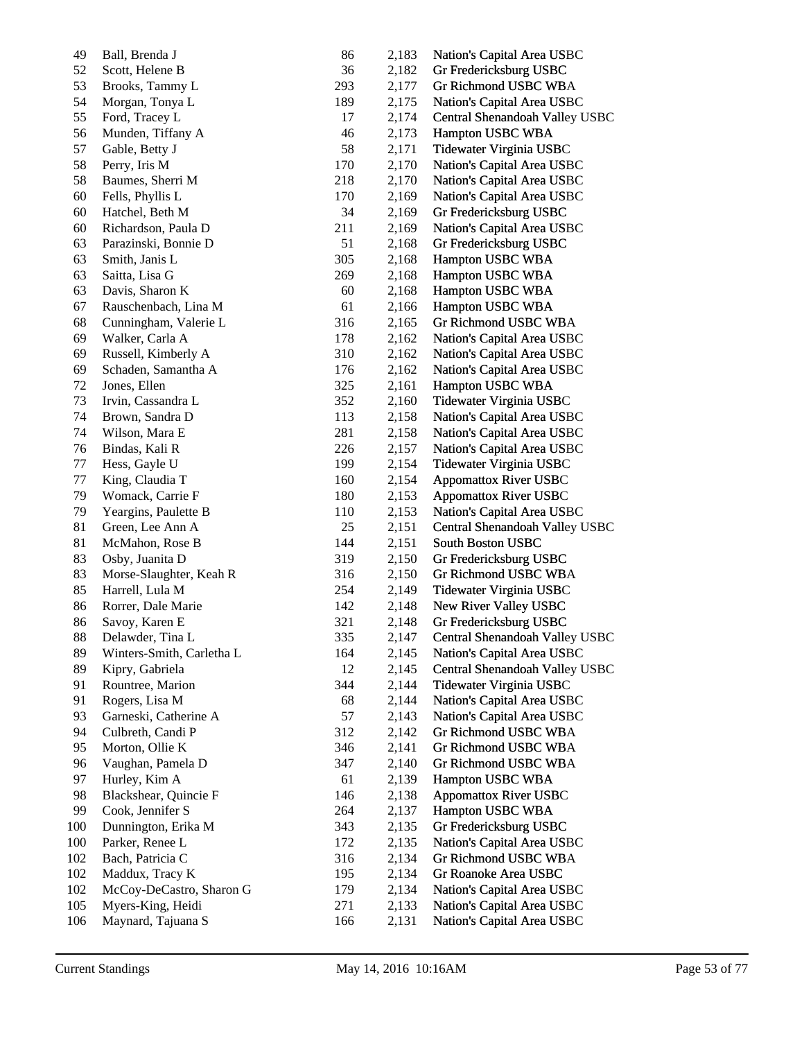| 49  | Ball, Brenda J            | 86     | 2,183 | Nation's Capital Area USBC     |
|-----|---------------------------|--------|-------|--------------------------------|
| 52  | Scott, Helene B           | 36     | 2,182 | Gr Fredericksburg USBC         |
| 53  | Brooks, Tammy L           | 293    | 2,177 | Gr Richmond USBC WBA           |
| 54  | Morgan, Tonya L           | 189    | 2,175 | Nation's Capital Area USBC     |
| 55  | Ford, Tracey L            | 17     | 2,174 | Central Shenandoah Valley USBC |
| 56  | Munden, Tiffany A         | 46     | 2,173 | Hampton USBC WBA               |
| 57  | Gable, Betty J            | 58     | 2,171 | Tidewater Virginia USBC        |
| 58  | Perry, Iris M             | 170    | 2,170 | Nation's Capital Area USBC     |
| 58  | Baumes, Sherri M          | 218    | 2,170 | Nation's Capital Area USBC     |
| 60  | Fells, Phyllis L          | 170    | 2,169 | Nation's Capital Area USBC     |
| 60  | Hatchel, Beth M           | 34     | 2,169 | Gr Fredericksburg USBC         |
| 60  | Richardson, Paula D       | 211    | 2,169 | Nation's Capital Area USBC     |
| 63  | Parazinski, Bonnie D      | 51     | 2,168 | Gr Fredericksburg USBC         |
| 63  | Smith, Janis L            | 305    | 2,168 | Hampton USBC WBA               |
| 63  | Saitta, Lisa G            | 269    | 2,168 | Hampton USBC WBA               |
| 63  | Davis, Sharon K           | 60     | 2,168 | Hampton USBC WBA               |
| 67  | Rauschenbach, Lina M      | 61     | 2,166 | Hampton USBC WBA               |
| 68  | Cunningham, Valerie L     | 316    | 2,165 | Gr Richmond USBC WBA           |
| 69  | Walker, Carla A           | 178    | 2,162 | Nation's Capital Area USBC     |
| 69  | Russell, Kimberly A       | 310    | 2,162 | Nation's Capital Area USBC     |
| 69  | Schaden, Samantha A       | 176    | 2,162 | Nation's Capital Area USBC     |
| 72  | Jones, Ellen              | 325    | 2,161 | Hampton USBC WBA               |
| 73  | Irvin, Cassandra L        | 352    | 2,160 | Tidewater Virginia USBC        |
| 74  | Brown, Sandra D           | 113    | 2,158 | Nation's Capital Area USBC     |
| 74  | Wilson, Mara E            | 281    | 2,158 | Nation's Capital Area USBC     |
| 76  | Bindas, Kali R            | 226    | 2,157 | Nation's Capital Area USBC     |
| 77  | Hess, Gayle U             | 199    | 2,154 | Tidewater Virginia USBC        |
| 77  | King, Claudia T           | 160    | 2,154 | <b>Appomattox River USBC</b>   |
| 79  | Womack, Carrie F          | 180    | 2,153 | <b>Appomattox River USBC</b>   |
| 79  | Yeargins, Paulette B      | 110    | 2,153 | Nation's Capital Area USBC     |
| 81  | Green, Lee Ann A          | $25\,$ | 2,151 | Central Shenandoah Valley USBC |
| 81  | McMahon, Rose B           | 144    | 2,151 | South Boston USBC              |
| 83  | Osby, Juanita D           | 319    | 2,150 | Gr Fredericksburg USBC         |
| 83  | Morse-Slaughter, Keah R   | 316    | 2,150 | Gr Richmond USBC WBA           |
| 85  | Harrell, Lula M           | 254    | 2,149 | Tidewater Virginia USBC        |
| 86  | Rorrer, Dale Marie        | 142    | 2,148 | New River Valley USBC          |
| 86  | Savoy, Karen E            | 321    | 2,148 | Gr Fredericksburg USBC         |
| 88  | Delawder, Tina L          | 335    | 2,147 | Central Shenandoah Valley USBC |
| 89  | Winters-Smith, Carletha L | 164    | 2,145 | Nation's Capital Area USBC     |
| 89  | Kipry, Gabriela           | 12     | 2,145 | Central Shenandoah Valley USBC |
| 91  | Rountree, Marion          | 344    | 2,144 | Tidewater Virginia USBC        |
| 91  | Rogers, Lisa M            | 68     | 2,144 | Nation's Capital Area USBC     |
| 93  | Garneski, Catherine A     | 57     | 2,143 | Nation's Capital Area USBC     |
| 94  | Culbreth, Candi P         | 312    | 2,142 | Gr Richmond USBC WBA           |
| 95  | Morton, Ollie K           | 346    | 2,141 | Gr Richmond USBC WBA           |
| 96  | Vaughan, Pamela D         | 347    | 2,140 | Gr Richmond USBC WBA           |
| 97  | Hurley, Kim A             | 61     | 2,139 | Hampton USBC WBA               |
| 98  | Blackshear, Quincie F     | 146    | 2,138 | <b>Appomattox River USBC</b>   |
| 99  | Cook, Jennifer S          | 264    | 2,137 | Hampton USBC WBA               |
| 100 | Dunnington, Erika M       | 343    |       | Gr Fredericksburg USBC         |
|     |                           |        | 2,135 |                                |
| 100 | Parker, Renee L           | 172    | 2,135 | Nation's Capital Area USBC     |
| 102 | Bach, Patricia C          | 316    | 2,134 | Gr Richmond USBC WBA           |
| 102 | Maddux, Tracy K           | 195    | 2,134 | Gr Roanoke Area USBC           |
| 102 | McCoy-DeCastro, Sharon G  | 179    | 2,134 | Nation's Capital Area USBC     |
| 105 | Myers-King, Heidi         | 271    | 2,133 | Nation's Capital Area USBC     |
| 106 | Maynard, Tajuana S        | 166    | 2,131 | Nation's Capital Area USBC     |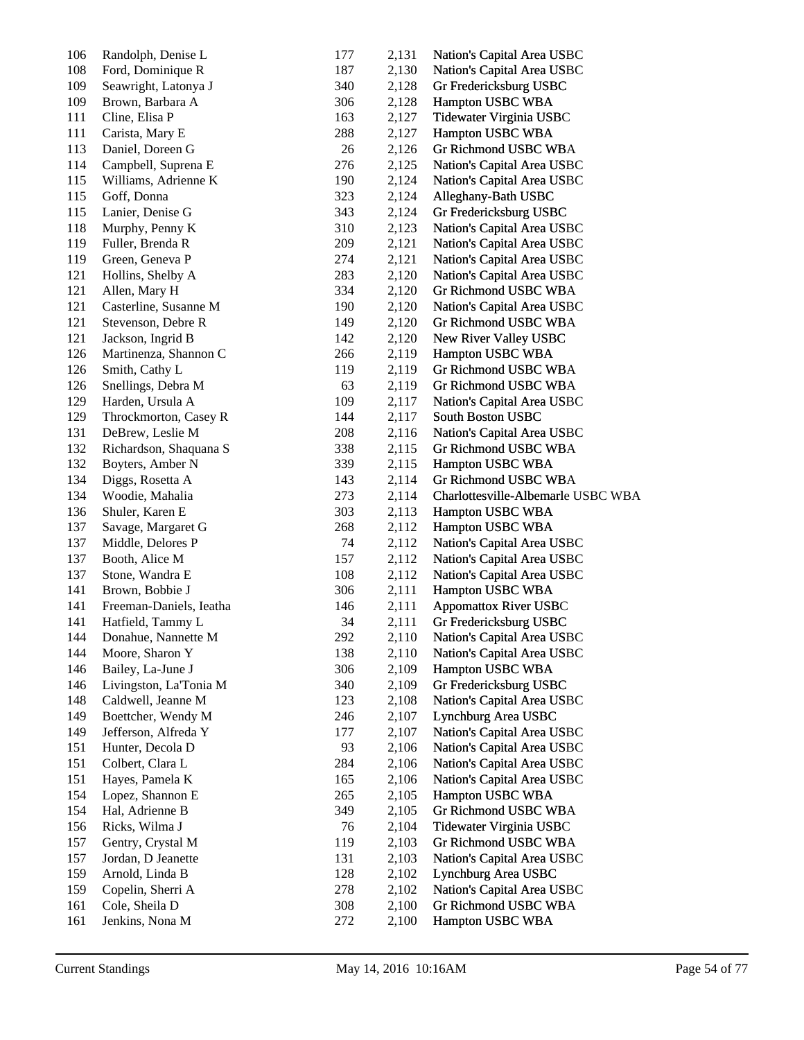| 106 | Randolph, Denise L      | 177 | 2,131 | Nation's Capital Area USBC         |
|-----|-------------------------|-----|-------|------------------------------------|
| 108 | Ford, Dominique R       | 187 | 2,130 | Nation's Capital Area USBC         |
| 109 | Seawright, Latonya J    | 340 | 2,128 | Gr Fredericksburg USBC             |
| 109 | Brown, Barbara A        | 306 | 2,128 | Hampton USBC WBA                   |
| 111 | Cline, Elisa P          | 163 | 2,127 | Tidewater Virginia USBC            |
| 111 | Carista, Mary E         | 288 | 2,127 | Hampton USBC WBA                   |
| 113 | Daniel, Doreen G        | 26  | 2,126 | Gr Richmond USBC WBA               |
| 114 | Campbell, Suprena E     | 276 | 2,125 | Nation's Capital Area USBC         |
| 115 | Williams, Adrienne K    | 190 | 2,124 | Nation's Capital Area USBC         |
| 115 | Goff, Donna             | 323 | 2,124 | Alleghany-Bath USBC                |
| 115 | Lanier, Denise G        | 343 | 2,124 | Gr Fredericksburg USBC             |
| 118 | Murphy, Penny K         | 310 | 2,123 | Nation's Capital Area USBC         |
| 119 | Fuller, Brenda R        | 209 | 2,121 | Nation's Capital Area USBC         |
| 119 | Green, Geneva P         | 274 | 2,121 | Nation's Capital Area USBC         |
| 121 | Hollins, Shelby A       | 283 | 2,120 | Nation's Capital Area USBC         |
| 121 | Allen, Mary H           | 334 | 2,120 | Gr Richmond USBC WBA               |
| 121 | Casterline, Susanne M   | 190 | 2,120 | Nation's Capital Area USBC         |
| 121 | Stevenson, Debre R      | 149 | 2,120 | Gr Richmond USBC WBA               |
| 121 | Jackson, Ingrid B       | 142 | 2,120 | New River Valley USBC              |
| 126 | Martinenza, Shannon C   | 266 | 2,119 | Hampton USBC WBA                   |
| 126 | Smith, Cathy L          | 119 | 2,119 | Gr Richmond USBC WBA               |
| 126 | Snellings, Debra M      | 63  | 2,119 | Gr Richmond USBC WBA               |
| 129 | Harden, Ursula A        | 109 | 2,117 | Nation's Capital Area USBC         |
| 129 | Throckmorton, Casey R   | 144 | 2,117 | South Boston USBC                  |
| 131 | DeBrew, Leslie M        | 208 | 2,116 | Nation's Capital Area USBC         |
| 132 | Richardson, Shaquana S  | 338 | 2,115 | Gr Richmond USBC WBA               |
| 132 | Boyters, Amber N        | 339 | 2,115 | Hampton USBC WBA                   |
| 134 | Diggs, Rosetta A        | 143 | 2,114 | Gr Richmond USBC WBA               |
| 134 | Woodie, Mahalia         | 273 | 2,114 | Charlottesville-Albemarle USBC WBA |
| 136 | Shuler, Karen E         | 303 | 2,113 | Hampton USBC WBA                   |
| 137 | Savage, Margaret G      | 268 | 2,112 | Hampton USBC WBA                   |
| 137 | Middle, Delores P       | 74  | 2,112 | Nation's Capital Area USBC         |
| 137 | Booth, Alice M          | 157 | 2,112 | Nation's Capital Area USBC         |
| 137 | Stone, Wandra E         | 108 | 2,112 | Nation's Capital Area USBC         |
| 141 | Brown, Bobbie J         | 306 | 2,111 | Hampton USBC WBA                   |
| 141 | Freeman-Daniels, Ieatha | 146 | 2,111 | <b>Appomattox River USBC</b>       |
| 141 | Hatfield, Tammy L       | 34  | 2,111 | Gr Fredericksburg USBC             |
| 144 | Donahue, Nannette M     | 292 | 2,110 | Nation's Capital Area USBC         |
| 144 | Moore, Sharon Y         | 138 | 2,110 | Nation's Capital Area USBC         |
| 146 | Bailey, La-June J       | 306 | 2,109 | Hampton USBC WBA                   |
| 146 | Livingston, La'Tonia M  | 340 | 2,109 | Gr Fredericksburg USBC             |
| 148 | Caldwell, Jeanne M      | 123 | 2,108 | Nation's Capital Area USBC         |
| 149 | Boettcher, Wendy M      | 246 | 2,107 | Lynchburg Area USBC                |
| 149 | Jefferson, Alfreda Y    | 177 | 2,107 | Nation's Capital Area USBC         |
| 151 | Hunter, Decola D        | 93  | 2,106 | Nation's Capital Area USBC         |
| 151 | Colbert, Clara L        | 284 | 2,106 | Nation's Capital Area USBC         |
| 151 | Hayes, Pamela K         | 165 | 2,106 | Nation's Capital Area USBC         |
| 154 | Lopez, Shannon E        | 265 | 2,105 | Hampton USBC WBA                   |
| 154 | Hal, Adrienne B         | 349 | 2,105 | Gr Richmond USBC WBA               |
| 156 | Ricks, Wilma J          | 76  | 2,104 | Tidewater Virginia USBC            |
| 157 | Gentry, Crystal M       | 119 |       | Gr Richmond USBC WBA               |
| 157 | Jordan, D Jeanette      |     | 2,103 |                                    |
| 159 |                         | 131 | 2,103 | Nation's Capital Area USBC         |
| 159 | Arnold, Linda B         | 128 | 2,102 | Lynchburg Area USBC                |
|     | Copelin, Sherri A       | 278 | 2,102 | Nation's Capital Area USBC         |
| 161 | Cole, Sheila D          | 308 | 2,100 | Gr Richmond USBC WBA               |
| 161 | Jenkins, Nona M         | 272 | 2,100 | Hampton USBC WBA                   |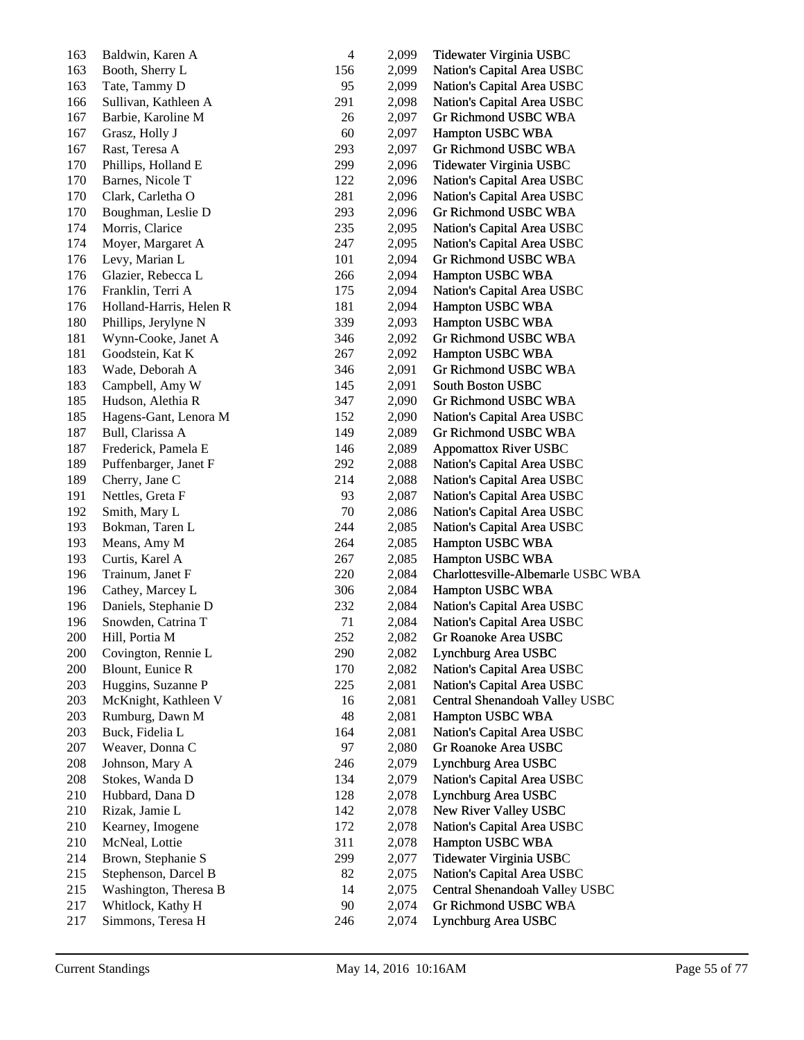| 163     | Baldwin, Karen A        | $\overline{4}$ | 2,099 | Tidewater Virginia USBC            |
|---------|-------------------------|----------------|-------|------------------------------------|
| 163     | Booth, Sherry L         | 156            | 2,099 | Nation's Capital Area USBC         |
| 163     | Tate, Tammy D           | 95             | 2,099 | Nation's Capital Area USBC         |
| 166     | Sullivan, Kathleen A    | 291            | 2,098 | Nation's Capital Area USBC         |
| 167     | Barbie, Karoline M      | 26             | 2,097 | Gr Richmond USBC WBA               |
| 167     | Grasz, Holly J          | 60             | 2,097 | Hampton USBC WBA                   |
| 167     | Rast, Teresa A          | 293            | 2,097 | Gr Richmond USBC WBA               |
| 170     | Phillips, Holland E     | 299            | 2,096 | Tidewater Virginia USBC            |
| 170     | Barnes, Nicole T        | 122            | 2,096 | Nation's Capital Area USBC         |
| 170     | Clark, Carletha O       | 281            | 2,096 | Nation's Capital Area USBC         |
| 170     | Boughman, Leslie D      | 293            | 2,096 | Gr Richmond USBC WBA               |
| 174     | Morris, Clarice         | 235            | 2,095 | Nation's Capital Area USBC         |
| 174     | Moyer, Margaret A       | 247            | 2,095 | Nation's Capital Area USBC         |
| 176     | Levy, Marian L          | 101            | 2,094 | Gr Richmond USBC WBA               |
| 176     | Glazier, Rebecca L      | 266            | 2,094 | Hampton USBC WBA                   |
| 176     | Franklin, Terri A       | 175            | 2,094 | Nation's Capital Area USBC         |
| 176     | Holland-Harris, Helen R | 181            | 2,094 | Hampton USBC WBA                   |
| $180\,$ | Phillips, Jerylyne N    | 339            | 2,093 | Hampton USBC WBA                   |
| 181     | Wynn-Cooke, Janet A     | 346            | 2,092 | Gr Richmond USBC WBA               |
| 181     | Goodstein, Kat K        | 267            | 2,092 | Hampton USBC WBA                   |
| 183     | Wade, Deborah A         | 346            | 2,091 | Gr Richmond USBC WBA               |
| 183     | Campbell, Amy W         | 145            | 2,091 | South Boston USBC                  |
| 185     | Hudson, Alethia R       | 347            | 2,090 | Gr Richmond USBC WBA               |
| 185     | Hagens-Gant, Lenora M   | 152            | 2,090 | Nation's Capital Area USBC         |
| 187     | Bull, Clarissa A        | 149            | 2,089 | Gr Richmond USBC WBA               |
| 187     | Frederick, Pamela E     | 146            | 2,089 | <b>Appomattox River USBC</b>       |
| 189     | Puffenbarger, Janet F   | 292            | 2,088 | Nation's Capital Area USBC         |
| 189     | Cherry, Jane C          | 214            | 2,088 | Nation's Capital Area USBC         |
| 191     | Nettles, Greta F        | 93             | 2,087 | Nation's Capital Area USBC         |
| 192     | Smith, Mary L           | 70             | 2,086 | Nation's Capital Area USBC         |
| 193     | Bokman, Taren L         | 244            | 2,085 | Nation's Capital Area USBC         |
| 193     | Means, Amy M            | 264            | 2,085 | Hampton USBC WBA                   |
| 193     | Curtis, Karel A         | 267            | 2,085 | Hampton USBC WBA                   |
| 196     | Trainum, Janet F        | 220            | 2,084 | Charlottesville-Albemarle USBC WBA |
| 196     | Cathey, Marcey L        | 306            | 2,084 | Hampton USBC WBA                   |
| 196     | Daniels, Stephanie D    | 232            | 2,084 | Nation's Capital Area USBC         |
| 196     | Snowden, Catrina T      | 71             | 2,084 | Nation's Capital Area USBC         |
| 200     |                         | 252            | 2,082 |                                    |
| 200     | Hill, Portia M          |                |       | Gr Roanoke Area USBC               |
|         | Covington, Rennie L     | 290            | 2,082 | Lynchburg Area USBC                |
| 200     | Blount, Eunice R        | 170            | 2,082 | Nation's Capital Area USBC         |
| 203     | Huggins, Suzanne P      | 225            | 2,081 | Nation's Capital Area USBC         |
| 203     | McKnight, Kathleen V    | 16             | 2,081 | Central Shenandoah Valley USBC     |
| 203     | Rumburg, Dawn M         | 48             | 2,081 | Hampton USBC WBA                   |
| 203     | Buck, Fidelia L         | 164            | 2,081 | Nation's Capital Area USBC         |
| 207     | Weaver, Donna C         | 97             | 2,080 | Gr Roanoke Area USBC               |
| 208     | Johnson, Mary A         | 246            | 2,079 | Lynchburg Area USBC                |
| 208     | Stokes, Wanda D         | 134            | 2,079 | Nation's Capital Area USBC         |
| 210     | Hubbard, Dana D         | 128            | 2,078 | Lynchburg Area USBC                |
| 210     | Rizak, Jamie L          | 142            | 2,078 | New River Valley USBC              |
| 210     | Kearney, Imogene        | 172            | 2,078 | Nation's Capital Area USBC         |
| 210     | McNeal, Lottie          | 311            | 2,078 | Hampton USBC WBA                   |
| 214     | Brown, Stephanie S      | 299            | 2,077 | Tidewater Virginia USBC            |
| 215     | Stephenson, Darcel B    | 82             | 2,075 | Nation's Capital Area USBC         |
| 215     | Washington, Theresa B   | 14             | 2,075 | Central Shenandoah Valley USBC     |
| 217     | Whitlock, Kathy H       | 90             | 2,074 | Gr Richmond USBC WBA               |
| 217     | Simmons, Teresa H       | 246            | 2,074 | Lynchburg Area USBC                |
|         |                         |                |       |                                    |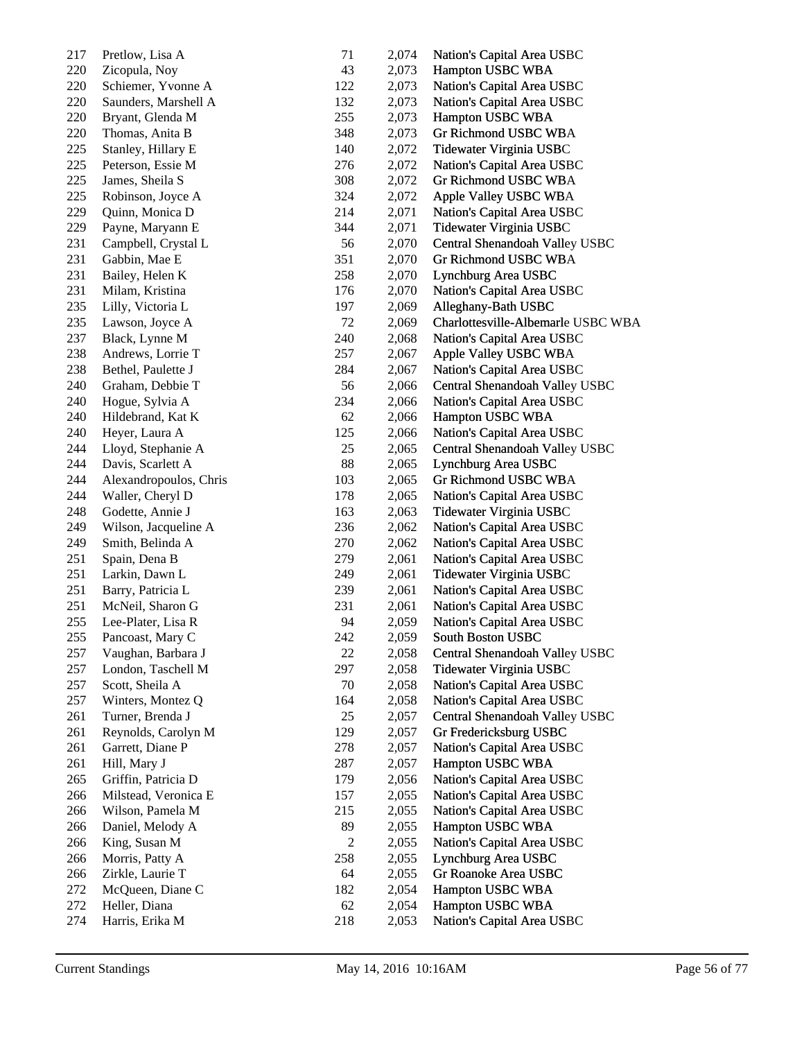| 217 | Pretlow, Lisa A        | 71             | 2,074          | Nation's Capital Area USBC         |
|-----|------------------------|----------------|----------------|------------------------------------|
| 220 | Zicopula, Noy          | 43             | 2,073          | Hampton USBC WBA                   |
| 220 | Schiemer, Yvonne A     | 122            | 2,073          | Nation's Capital Area USBC         |
| 220 | Saunders, Marshell A   | 132            | 2,073          | Nation's Capital Area USBC         |
| 220 | Bryant, Glenda M       | 255            | 2,073          | Hampton USBC WBA                   |
| 220 | Thomas, Anita B        | 348            | 2,073          | Gr Richmond USBC WBA               |
| 225 | Stanley, Hillary E     | 140            | 2,072          | Tidewater Virginia USBC            |
| 225 | Peterson, Essie M      | 276            | 2,072          | Nation's Capital Area USBC         |
| 225 | James, Sheila S        | 308            | 2,072          | Gr Richmond USBC WBA               |
| 225 | Robinson, Joyce A      | 324            | 2,072          | Apple Valley USBC WBA              |
| 229 | Quinn, Monica D        | 214            | 2,071          | Nation's Capital Area USBC         |
| 229 | Payne, Maryann E       | 344            | 2,071          | Tidewater Virginia USBC            |
| 231 | Campbell, Crystal L    | 56             | 2,070          | Central Shenandoah Valley USBC     |
| 231 | Gabbin, Mae E          | 351            | 2,070          | Gr Richmond USBC WBA               |
| 231 | Bailey, Helen K        | 258            | 2,070          | Lynchburg Area USBC                |
| 231 | Milam, Kristina        | 176            | 2,070          | Nation's Capital Area USBC         |
| 235 | Lilly, Victoria L      | 197            | 2,069          | Alleghany-Bath USBC                |
| 235 | Lawson, Joyce A        | 72             | 2,069          | Charlottesville-Albemarle USBC WBA |
| 237 | Black, Lynne M         | 240            | 2,068          | Nation's Capital Area USBC         |
| 238 | Andrews, Lorrie T      | 257            | 2,067          | Apple Valley USBC WBA              |
| 238 | Bethel, Paulette J     | 284            | 2,067          | Nation's Capital Area USBC         |
| 240 | Graham, Debbie T       | 56             | 2,066          | Central Shenandoah Valley USBC     |
| 240 | Hogue, Sylvia A        | 234            | 2,066          | Nation's Capital Area USBC         |
| 240 | Hildebrand, Kat K      | 62             | 2,066          | Hampton USBC WBA                   |
| 240 | Heyer, Laura A         | 125            | 2,066          | Nation's Capital Area USBC         |
| 244 | Lloyd, Stephanie A     | 25             | 2,065          | Central Shenandoah Valley USBC     |
| 244 | Davis, Scarlett A      | 88             | 2,065          | Lynchburg Area USBC                |
| 244 | Alexandropoulos, Chris | 103            | 2,065          | Gr Richmond USBC WBA               |
| 244 | Waller, Cheryl D       | 178            | 2,065          | Nation's Capital Area USBC         |
| 248 | Godette, Annie J       | 163            | 2,063          | Tidewater Virginia USBC            |
| 249 | Wilson, Jacqueline A   | 236            | 2,062          | Nation's Capital Area USBC         |
| 249 | Smith, Belinda A       | 270            | 2,062          | Nation's Capital Area USBC         |
| 251 | Spain, Dena B          | 279            | 2,061          | Nation's Capital Area USBC         |
| 251 | Larkin, Dawn L         | 249            | 2,061          | Tidewater Virginia USBC            |
| 251 | Barry, Patricia L      | 239            | 2,061          | Nation's Capital Area USBC         |
| 251 | McNeil, Sharon G       | 231            | 2,061          | Nation's Capital Area USBC         |
| 255 | Lee-Plater, Lisa R     | 94             | 2,059          | Nation's Capital Area USBC         |
| 255 | Pancoast, Mary C       | 242            | 2,059          | South Boston USBC                  |
| 257 | Vaughan, Barbara J     | 22             | 2,058          | Central Shenandoah Valley USBC     |
| 257 | London, Taschell M     | 297            | 2,058          | Tidewater Virginia USBC            |
| 257 | Scott, Sheila A        | 70             | 2,058          | Nation's Capital Area USBC         |
| 257 | Winters, Montez Q      | 164            | 2,058          | Nation's Capital Area USBC         |
| 261 | Turner, Brenda J       | 25             | 2,057          | Central Shenandoah Valley USBC     |
| 261 |                        | 129            |                |                                    |
|     | Reynolds, Carolyn M    |                | 2,057<br>2,057 | Gr Fredericksburg USBC             |
| 261 | Garrett, Diane P       | 278            |                | Nation's Capital Area USBC         |
| 261 | Hill, Mary J           | 287            | 2,057          | Hampton USBC WBA                   |
| 265 | Griffin, Patricia D    | 179            | 2,056          | Nation's Capital Area USBC         |
| 266 | Milstead, Veronica E   | 157            | 2,055          | Nation's Capital Area USBC         |
| 266 | Wilson, Pamela M       | 215            | 2,055          | Nation's Capital Area USBC         |
| 266 | Daniel, Melody A       | 89             | 2,055          | Hampton USBC WBA                   |
| 266 | King, Susan M          | $\overline{c}$ | 2,055          | Nation's Capital Area USBC         |
| 266 | Morris, Patty A        | 258            | 2,055          | Lynchburg Area USBC                |
| 266 | Zirkle, Laurie T       | 64             | 2,055          | Gr Roanoke Area USBC               |
| 272 | McQueen, Diane C       | 182            | 2,054          | Hampton USBC WBA                   |
| 272 | Heller, Diana          | 62             | 2,054          | Hampton USBC WBA                   |
| 274 | Harris, Erika M        | 218            | 2,053          | Nation's Capital Area USBC         |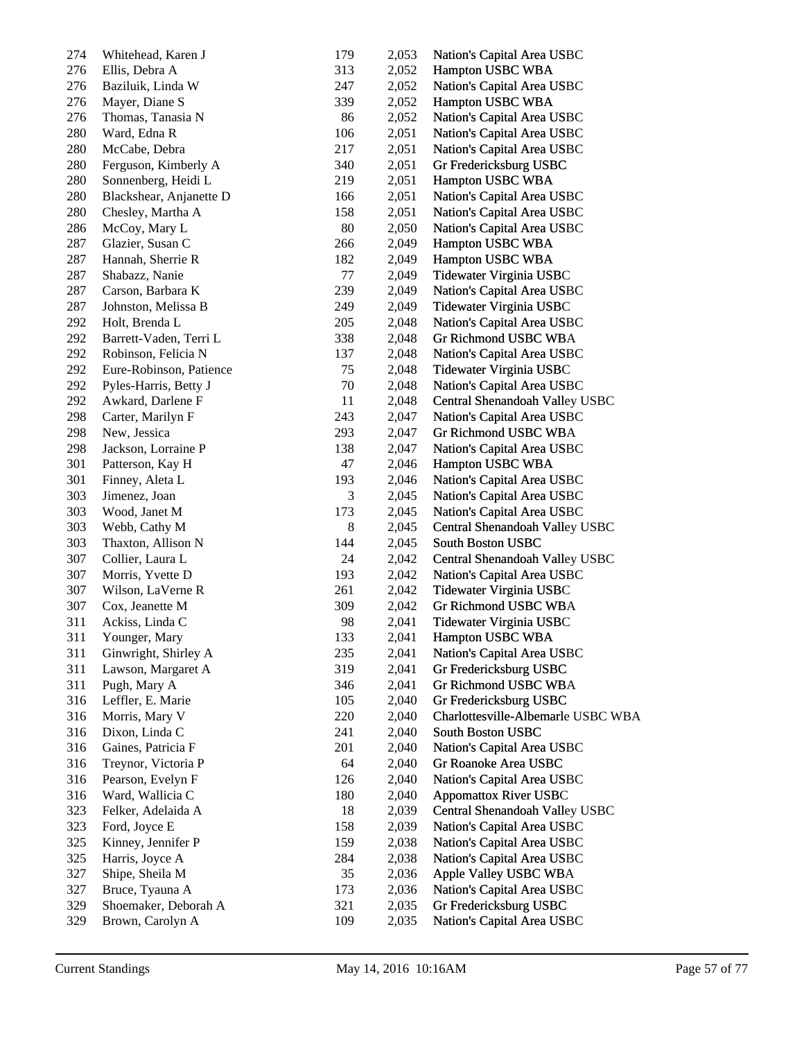| 274        | Whitehead, Karen J                  | 179        | 2,053 | Nation's Capital Area USBC         |
|------------|-------------------------------------|------------|-------|------------------------------------|
| 276        | Ellis, Debra A                      | 313        | 2,052 | Hampton USBC WBA                   |
| 276        | Baziluik, Linda W                   | 247        | 2,052 | Nation's Capital Area USBC         |
| 276        | Mayer, Diane S                      | 339        | 2,052 | Hampton USBC WBA                   |
| 276        | Thomas, Tanasia N                   | 86         | 2,052 | Nation's Capital Area USBC         |
| 280        | Ward, Edna R                        | 106        | 2,051 | Nation's Capital Area USBC         |
| 280        | McCabe, Debra                       | 217        | 2,051 | Nation's Capital Area USBC         |
| 280        | Ferguson, Kimberly A                | 340        | 2,051 | Gr Fredericksburg USBC             |
| 280        | Sonnenberg, Heidi L                 | 219        | 2,051 | Hampton USBC WBA                   |
| 280        | Blackshear, Anjanette D             | 166        | 2,051 | Nation's Capital Area USBC         |
| 280        | Chesley, Martha A                   | 158        | 2,051 | Nation's Capital Area USBC         |
| 286        | McCoy, Mary L                       | 80         | 2,050 | Nation's Capital Area USBC         |
| 287        | Glazier, Susan C                    | 266        | 2,049 | Hampton USBC WBA                   |
| 287        | Hannah, Sherrie R                   | 182        | 2,049 | Hampton USBC WBA                   |
| 287        | Shabazz, Nanie                      | 77         | 2,049 | Tidewater Virginia USBC            |
| 287        | Carson, Barbara K                   | 239        | 2,049 | Nation's Capital Area USBC         |
| 287        | Johnston, Melissa B                 | 249        | 2,049 | Tidewater Virginia USBC            |
| 292        | Holt, Brenda L                      | 205        | 2,048 | Nation's Capital Area USBC         |
| 292        | Barrett-Vaden, Terri L              | 338        | 2,048 | Gr Richmond USBC WBA               |
| 292        | Robinson, Felicia N                 | 137        | 2,048 | Nation's Capital Area USBC         |
| 292        | Eure-Robinson, Patience             | 75         | 2,048 | Tidewater Virginia USBC            |
| 292        | Pyles-Harris, Betty J               | 70         | 2,048 | Nation's Capital Area USBC         |
| 292        | Awkard, Darlene F                   | 11         | 2,048 | Central Shenandoah Valley USBC     |
| 298        | Carter, Marilyn F                   | 243        | 2,047 | Nation's Capital Area USBC         |
| 298        | New, Jessica                        | 293        | 2,047 | Gr Richmond USBC WBA               |
| 298        | Jackson, Lorraine P                 | 138        | 2,047 | Nation's Capital Area USBC         |
| 301        | Patterson, Kay H                    | 47         | 2,046 | Hampton USBC WBA                   |
| 301        | Finney, Aleta L                     | 193        | 2,046 | Nation's Capital Area USBC         |
| 303        | Jimenez, Joan                       | 3          | 2,045 | Nation's Capital Area USBC         |
| 303        | Wood, Janet M                       | 173        | 2,045 | Nation's Capital Area USBC         |
| 303        | Webb, Cathy M                       | $\,8\,$    | 2,045 | Central Shenandoah Valley USBC     |
| 303        | Thaxton, Allison N                  | 144        | 2,045 | South Boston USBC                  |
| 307        | Collier, Laura L                    | 24         | 2,042 | Central Shenandoah Valley USBC     |
| 307        | Morris, Yvette D                    | 193        | 2,042 | Nation's Capital Area USBC         |
| 307        | Wilson, LaVerne R                   | 261        | 2,042 | Tidewater Virginia USBC            |
| 307        | Cox, Jeanette M                     | 309        | 2,042 | Gr Richmond USBC WBA               |
| 311        | Ackiss, Linda C                     | 98         | 2,041 | Tidewater Virginia USBC            |
|            |                                     | 133        |       | Hampton USBC WBA                   |
| 311<br>311 | Younger, Mary                       | 235        | 2,041 | Nation's Capital Area USBC         |
| 311        | Ginwright, Shirley A                |            | 2,041 | Gr Fredericksburg USBC             |
| 311        | Lawson, Margaret A                  | 319<br>346 | 2,041 | <b>Gr Richmond USBC WBA</b>        |
| 316        | Pugh, Mary A                        | 105        | 2,041 |                                    |
| 316        | Leffler, E. Marie<br>Morris, Mary V | 220        | 2,040 | Gr Fredericksburg USBC             |
|            | Dixon, Linda C                      |            | 2,040 | Charlottesville-Albemarle USBC WBA |
| 316        |                                     | 241        | 2,040 | South Boston USBC                  |
| 316        | Gaines, Patricia F                  | 201        | 2,040 | Nation's Capital Area USBC         |
| 316        | Treynor, Victoria P                 | 64         | 2,040 | Gr Roanoke Area USBC               |
| 316        | Pearson, Evelyn F                   | 126        | 2,040 | Nation's Capital Area USBC         |
| 316        | Ward, Wallicia C                    | 180        | 2,040 | <b>Appomattox River USBC</b>       |
| 323        | Felker, Adelaida A                  | 18         | 2,039 | Central Shenandoah Valley USBC     |
| 323        | Ford, Joyce E                       | 158        | 2,039 | Nation's Capital Area USBC         |
| 325        | Kinney, Jennifer P                  | 159        | 2,038 | Nation's Capital Area USBC         |
| 325        | Harris, Joyce A                     | 284        | 2,038 | Nation's Capital Area USBC         |
| 327        | Shipe, Sheila M                     | 35         | 2,036 | Apple Valley USBC WBA              |
| 327        | Bruce, Tyauna A                     | 173        | 2,036 | Nation's Capital Area USBC         |
| 329        | Shoemaker, Deborah A                | 321        | 2,035 | Gr Fredericksburg USBC             |
| 329        | Brown, Carolyn A                    | 109        | 2,035 | Nation's Capital Area USBC         |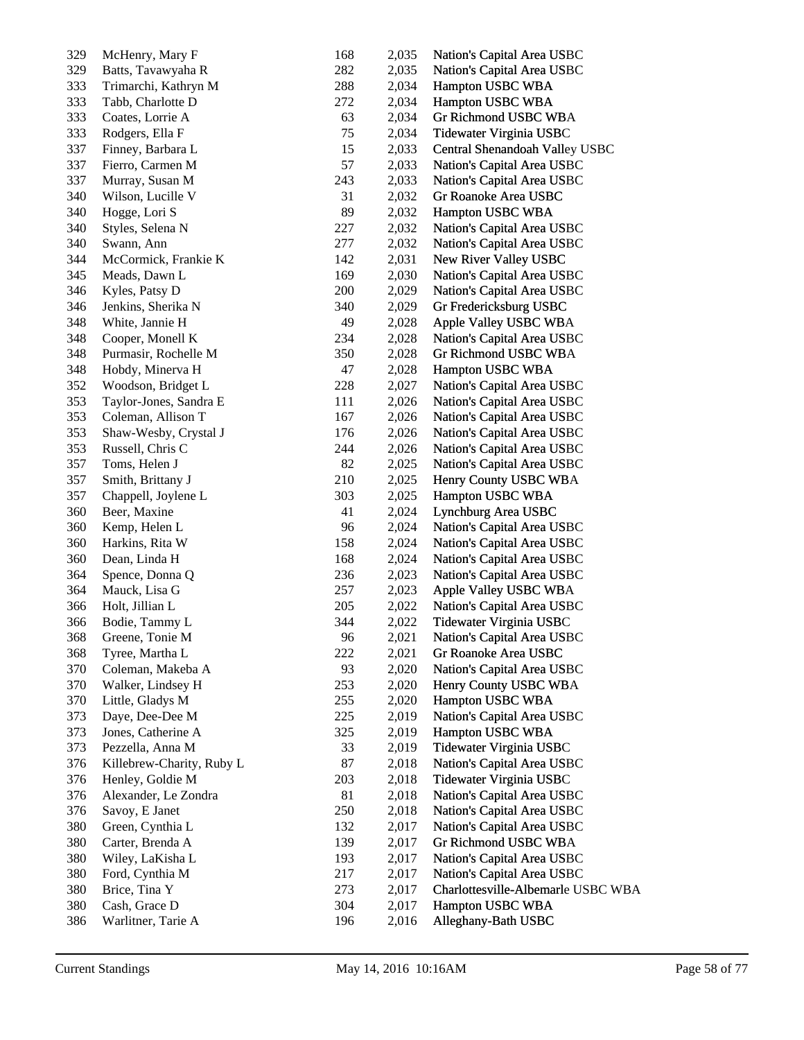| 329 | McHenry, Mary F           | 168 | 2,035 | Nation's Capital Area USBC         |
|-----|---------------------------|-----|-------|------------------------------------|
| 329 | Batts, Tavawyaha R        | 282 | 2,035 | Nation's Capital Area USBC         |
| 333 | Trimarchi, Kathryn M      | 288 | 2,034 | Hampton USBC WBA                   |
| 333 | Tabb, Charlotte D         | 272 | 2,034 | Hampton USBC WBA                   |
| 333 | Coates, Lorrie A          | 63  | 2,034 | Gr Richmond USBC WBA               |
| 333 | Rodgers, Ella F           | 75  | 2,034 | Tidewater Virginia USBC            |
| 337 | Finney, Barbara L         | 15  | 2,033 | Central Shenandoah Valley USBC     |
| 337 | Fierro, Carmen M          | 57  | 2,033 | Nation's Capital Area USBC         |
| 337 | Murray, Susan M           | 243 | 2,033 | Nation's Capital Area USBC         |
| 340 | Wilson, Lucille V         | 31  | 2,032 | Gr Roanoke Area USBC               |
| 340 | Hogge, Lori S             | 89  | 2,032 | Hampton USBC WBA                   |
| 340 | Styles, Selena N          | 227 | 2,032 | Nation's Capital Area USBC         |
| 340 | Swann, Ann                | 277 | 2,032 | Nation's Capital Area USBC         |
| 344 | McCormick, Frankie K      | 142 | 2,031 | New River Valley USBC              |
|     |                           |     |       |                                    |
| 345 | Meads, Dawn L             | 169 | 2,030 | Nation's Capital Area USBC         |
| 346 | Kyles, Patsy D            | 200 | 2,029 | Nation's Capital Area USBC         |
| 346 | Jenkins, Sherika N        | 340 | 2,029 | Gr Fredericksburg USBC             |
| 348 | White, Jannie H           | 49  | 2,028 | Apple Valley USBC WBA              |
| 348 | Cooper, Monell K          | 234 | 2,028 | Nation's Capital Area USBC         |
| 348 | Purmasir, Rochelle M      | 350 | 2,028 | Gr Richmond USBC WBA               |
| 348 | Hobdy, Minerva H          | 47  | 2,028 | Hampton USBC WBA                   |
| 352 | Woodson, Bridget L        | 228 | 2,027 | Nation's Capital Area USBC         |
| 353 | Taylor-Jones, Sandra E    | 111 | 2,026 | Nation's Capital Area USBC         |
| 353 | Coleman, Allison T        | 167 | 2,026 | Nation's Capital Area USBC         |
| 353 | Shaw-Wesby, Crystal J     | 176 | 2,026 | Nation's Capital Area USBC         |
| 353 | Russell, Chris C          | 244 | 2,026 | Nation's Capital Area USBC         |
| 357 | Toms, Helen J             | 82  | 2,025 | Nation's Capital Area USBC         |
| 357 | Smith, Brittany J         | 210 | 2,025 | Henry County USBC WBA              |
| 357 | Chappell, Joylene L       | 303 | 2,025 | Hampton USBC WBA                   |
| 360 | Beer, Maxine              | 41  | 2,024 | Lynchburg Area USBC                |
| 360 | Kemp, Helen L             | 96  | 2,024 | Nation's Capital Area USBC         |
| 360 | Harkins, Rita W           | 158 | 2,024 | Nation's Capital Area USBC         |
| 360 | Dean, Linda H             | 168 | 2,024 | Nation's Capital Area USBC         |
| 364 | Spence, Donna Q           | 236 | 2,023 | Nation's Capital Area USBC         |
| 364 | Mauck, Lisa G             | 257 | 2,023 | Apple Valley USBC WBA              |
| 366 | Holt, Jillian L           | 205 | 2,022 | Nation's Capital Area USBC         |
| 366 | Bodie, Tammy L            | 344 | 2,022 | Tidewater Virginia USBC            |
| 368 | Greene, Tonie M           | 96  | 2,021 | Nation's Capital Area USBC         |
| 368 | Tyree, Martha L           | 222 | 2,021 | Gr Roanoke Area USBC               |
| 370 | Coleman, Makeba A         | 93  | 2,020 | Nation's Capital Area USBC         |
| 370 | Walker, Lindsey H         | 253 | 2,020 | Henry County USBC WBA              |
| 370 | Little, Gladys M          | 255 | 2,020 | Hampton USBC WBA                   |
| 373 | Daye, Dee-Dee M           | 225 | 2,019 | Nation's Capital Area USBC         |
| 373 | Jones, Catherine A        | 325 | 2,019 |                                    |
|     |                           |     |       | Hampton USBC WBA                   |
| 373 | Pezzella, Anna M          | 33  | 2,019 | Tidewater Virginia USBC            |
| 376 | Killebrew-Charity, Ruby L | 87  | 2,018 | Nation's Capital Area USBC         |
| 376 | Henley, Goldie M          | 203 | 2,018 | Tidewater Virginia USBC            |
| 376 | Alexander, Le Zondra      | 81  | 2,018 | Nation's Capital Area USBC         |
| 376 | Savoy, E Janet            | 250 | 2,018 | Nation's Capital Area USBC         |
| 380 | Green, Cynthia L          | 132 | 2,017 | Nation's Capital Area USBC         |
| 380 | Carter, Brenda A          | 139 | 2,017 | Gr Richmond USBC WBA               |
| 380 | Wiley, LaKisha L          | 193 | 2,017 | Nation's Capital Area USBC         |
| 380 | Ford, Cynthia M           | 217 | 2,017 | Nation's Capital Area USBC         |
| 380 | Brice, Tina Y             | 273 | 2,017 | Charlottesville-Albemarle USBC WBA |
| 380 | Cash, Grace D             | 304 | 2,017 | Hampton USBC WBA                   |
| 386 | Warlitner, Tarie A        | 196 | 2,016 | Alleghany-Bath USBC                |
|     |                           |     |       |                                    |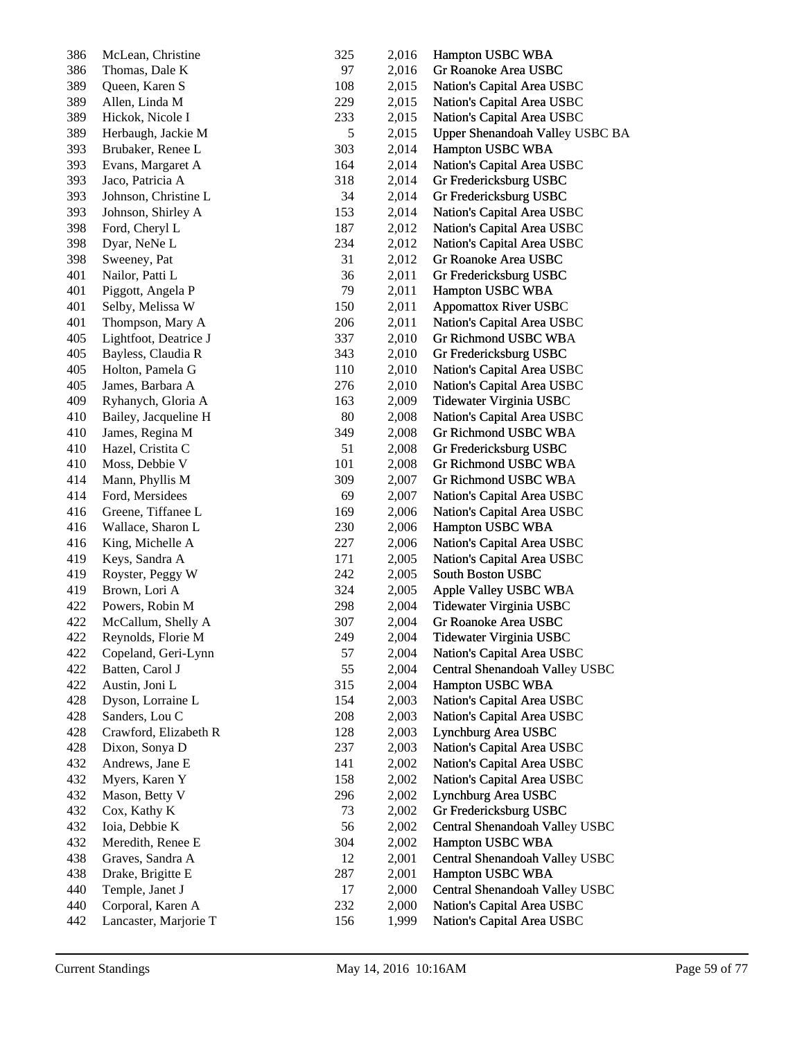| 386 | McLean, Christine     | 325 | 2,016 | Hampton USBC WBA                |
|-----|-----------------------|-----|-------|---------------------------------|
| 386 | Thomas, Dale K        | 97  | 2,016 | Gr Roanoke Area USBC            |
| 389 | Queen, Karen S        | 108 | 2,015 | Nation's Capital Area USBC      |
| 389 | Allen, Linda M        | 229 | 2,015 | Nation's Capital Area USBC      |
| 389 | Hickok, Nicole I      | 233 | 2,015 | Nation's Capital Area USBC      |
| 389 | Herbaugh, Jackie M    | 5   | 2,015 | Upper Shenandoah Valley USBC BA |
| 393 | Brubaker, Renee L     | 303 | 2,014 | Hampton USBC WBA                |
| 393 | Evans, Margaret A     | 164 | 2,014 | Nation's Capital Area USBC      |
| 393 | Jaco, Patricia A      | 318 | 2,014 | Gr Fredericksburg USBC          |
| 393 | Johnson, Christine L  | 34  | 2,014 | Gr Fredericksburg USBC          |
| 393 | Johnson, Shirley A    | 153 | 2,014 | Nation's Capital Area USBC      |
| 398 | Ford, Cheryl L        | 187 | 2,012 | Nation's Capital Area USBC      |
| 398 | Dyar, NeNe L          | 234 | 2,012 | Nation's Capital Area USBC      |
| 398 | Sweeney, Pat          | 31  | 2,012 | Gr Roanoke Area USBC            |
| 401 | Nailor, Patti L       | 36  | 2,011 | Gr Fredericksburg USBC          |
| 401 | Piggott, Angela P     | 79  | 2,011 | Hampton USBC WBA                |
| 401 | Selby, Melissa W      | 150 | 2,011 | <b>Appomattox River USBC</b>    |
| 401 | Thompson, Mary A      | 206 | 2,011 | Nation's Capital Area USBC      |
| 405 | Lightfoot, Deatrice J | 337 | 2,010 | Gr Richmond USBC WBA            |
| 405 | Bayless, Claudia R    | 343 | 2,010 | Gr Fredericksburg USBC          |
| 405 | Holton, Pamela G      | 110 | 2,010 | Nation's Capital Area USBC      |
| 405 | James, Barbara A      | 276 | 2,010 | Nation's Capital Area USBC      |
| 409 | Ryhanych, Gloria A    | 163 | 2,009 | Tidewater Virginia USBC         |
| 410 | Bailey, Jacqueline H  | 80  | 2,008 | Nation's Capital Area USBC      |
| 410 | James, Regina M       | 349 | 2,008 | Gr Richmond USBC WBA            |
| 410 | Hazel, Cristita C     | 51  | 2,008 | Gr Fredericksburg USBC          |
| 410 | Moss, Debbie V        | 101 | 2,008 | Gr Richmond USBC WBA            |
| 414 | Mann, Phyllis M       | 309 | 2,007 | Gr Richmond USBC WBA            |
| 414 | Ford, Mersidees       | 69  | 2,007 | Nation's Capital Area USBC      |
| 416 | Greene, Tiffanee L    | 169 | 2,006 | Nation's Capital Area USBC      |
| 416 | Wallace, Sharon L     | 230 | 2,006 | Hampton USBC WBA                |
| 416 | King, Michelle A      | 227 | 2,006 | Nation's Capital Area USBC      |
| 419 | Keys, Sandra A        | 171 | 2,005 | Nation's Capital Area USBC      |
| 419 | Royster, Peggy W      | 242 | 2,005 | South Boston USBC               |
| 419 | Brown, Lori A         | 324 | 2,005 | Apple Valley USBC WBA           |
| 422 | Powers, Robin M       | 298 | 2,004 | Tidewater Virginia USBC         |
| 422 | McCallum, Shelly A    | 307 | 2,004 | Gr Roanoke Area USBC            |
| 422 | Reynolds, Florie M    | 249 | 2,004 | Tidewater Virginia USBC         |
| 422 | Copeland, Geri-Lynn   | 57  | 2,004 | Nation's Capital Area USBC      |
| 422 | Batten, Carol J       | 55  | 2,004 | Central Shenandoah Valley USBC  |
| 422 | Austin, Joni L        | 315 | 2,004 | Hampton USBC WBA                |
| 428 | Dyson, Lorraine L     | 154 | 2,003 | Nation's Capital Area USBC      |
| 428 | Sanders, Lou C        | 208 | 2,003 | Nation's Capital Area USBC      |
| 428 | Crawford, Elizabeth R | 128 | 2,003 | Lynchburg Area USBC             |
| 428 | Dixon, Sonya D        | 237 | 2,003 | Nation's Capital Area USBC      |
| 432 | Andrews, Jane E       | 141 | 2,002 | Nation's Capital Area USBC      |
| 432 | Myers, Karen Y        | 158 | 2,002 | Nation's Capital Area USBC      |
| 432 | Mason, Betty V        | 296 | 2,002 | Lynchburg Area USBC             |
| 432 | Cox, Kathy K          | 73  | 2,002 | Gr Fredericksburg USBC          |
| 432 | Ioia, Debbie K        | 56  | 2,002 | Central Shenandoah Valley USBC  |
| 432 | Meredith, Renee E     | 304 | 2,002 | Hampton USBC WBA                |
| 438 | Graves, Sandra A      | 12  | 2,001 | Central Shenandoah Valley USBC  |
| 438 | Drake, Brigitte E     | 287 | 2,001 | Hampton USBC WBA                |
| 440 | Temple, Janet J       | 17  | 2,000 | Central Shenandoah Valley USBC  |
| 440 | Corporal, Karen A     | 232 | 2,000 | Nation's Capital Area USBC      |
| 442 | Lancaster, Marjorie T | 156 | 1,999 | Nation's Capital Area USBC      |
|     |                       |     |       |                                 |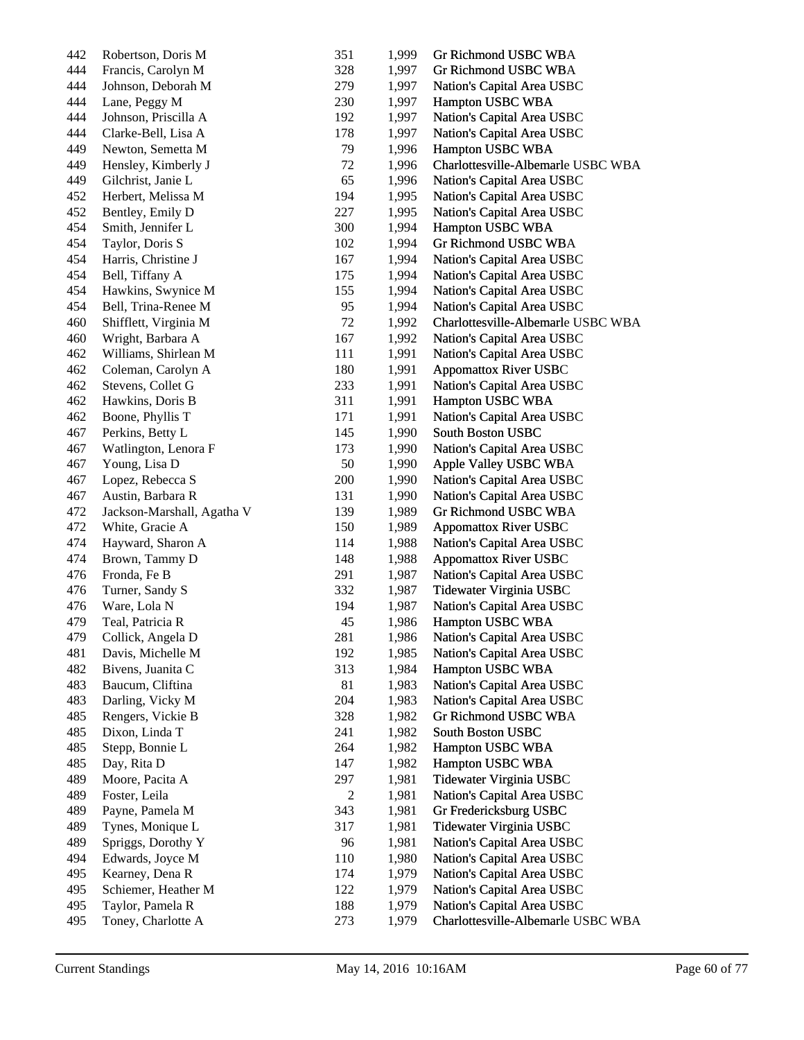| 442 | Robertson, Doris M         | 351            | 1,999 | Gr Richmond USBC WBA               |
|-----|----------------------------|----------------|-------|------------------------------------|
| 444 | Francis, Carolyn M         | 328            | 1,997 | Gr Richmond USBC WBA               |
| 444 | Johnson, Deborah M         | 279            | 1,997 | Nation's Capital Area USBC         |
| 444 | Lane, Peggy M              | 230            | 1,997 | Hampton USBC WBA                   |
| 444 | Johnson, Priscilla A       | 192            | 1,997 | Nation's Capital Area USBC         |
| 444 | Clarke-Bell, Lisa A        | 178            | 1,997 | Nation's Capital Area USBC         |
| 449 | Newton, Semetta M          | 79             | 1,996 | Hampton USBC WBA                   |
| 449 | Hensley, Kimberly J        | 72             | 1,996 | Charlottesville-Albemarle USBC WBA |
| 449 | Gilchrist, Janie L         | 65             | 1,996 | Nation's Capital Area USBC         |
| 452 | Herbert, Melissa M         | 194            | 1,995 | Nation's Capital Area USBC         |
| 452 | Bentley, Emily D           | 227            | 1,995 | Nation's Capital Area USBC         |
| 454 | Smith, Jennifer L          | 300            | 1,994 | Hampton USBC WBA                   |
| 454 | Taylor, Doris S            | 102            | 1,994 | Gr Richmond USBC WBA               |
| 454 | Harris, Christine J        | 167            | 1,994 | Nation's Capital Area USBC         |
| 454 | Bell, Tiffany A            | 175            | 1,994 | Nation's Capital Area USBC         |
| 454 | Hawkins, Swynice M         | 155            | 1,994 | Nation's Capital Area USBC         |
| 454 | Bell, Trina-Renee M        | 95             | 1,994 | Nation's Capital Area USBC         |
| 460 | Shifflett, Virginia M      | 72             | 1,992 | Charlottesville-Albemarle USBC WBA |
| 460 | Wright, Barbara A          | 167            | 1,992 | Nation's Capital Area USBC         |
| 462 | Williams, Shirlean M       | 111            | 1,991 | Nation's Capital Area USBC         |
| 462 | Coleman, Carolyn A         | 180            | 1,991 | <b>Appomattox River USBC</b>       |
| 462 | Stevens, Collet G          | 233            | 1,991 | Nation's Capital Area USBC         |
| 462 | Hawkins, Doris B           | 311            | 1,991 | Hampton USBC WBA                   |
| 462 | Boone, Phyllis T           | 171            | 1,991 | Nation's Capital Area USBC         |
| 467 | Perkins, Betty L           | 145            | 1,990 | South Boston USBC                  |
| 467 | Watlington, Lenora F       | 173            | 1,990 | Nation's Capital Area USBC         |
| 467 | Young, Lisa D              | 50             | 1,990 | Apple Valley USBC WBA              |
| 467 | Lopez, Rebecca S           | 200            | 1,990 | Nation's Capital Area USBC         |
| 467 | Austin, Barbara R          | 131            | 1,990 | Nation's Capital Area USBC         |
| 472 | Jackson-Marshall, Agatha V | 139            | 1,989 | Gr Richmond USBC WBA               |
| 472 | White, Gracie A            | 150            | 1,989 | <b>Appomattox River USBC</b>       |
| 474 | Hayward, Sharon A          | 114            | 1,988 | Nation's Capital Area USBC         |
| 474 | Brown, Tammy D             | 148            | 1,988 | <b>Appomattox River USBC</b>       |
| 476 | Fronda, Fe B               | 291            | 1,987 | Nation's Capital Area USBC         |
| 476 | Turner, Sandy S            | 332            | 1,987 | Tidewater Virginia USBC            |
| 476 | Ware, Lola N               | 194            | 1,987 | Nation's Capital Area USBC         |
| 479 | Teal, Patricia R           | 45             | 1,986 | Hampton USBC WBA                   |
| 479 | Collick, Angela D          | 281            | 1,986 | Nation's Capital Area USBC         |
| 481 | Davis, Michelle M          | 192            | 1,985 | Nation's Capital Area USBC         |
| 482 | Bivens, Juanita C          | 313            | 1,984 | Hampton USBC WBA                   |
| 483 | Baucum, Cliftina           | 81             | 1,983 | Nation's Capital Area USBC         |
| 483 | Darling, Vicky M           | 204            | 1,983 | Nation's Capital Area USBC         |
| 485 | Rengers, Vickie B          | 328            | 1,982 | Gr Richmond USBC WBA               |
| 485 | Dixon, Linda T             | 241            | 1,982 | South Boston USBC                  |
| 485 | Stepp, Bonnie L            | 264            | 1,982 | Hampton USBC WBA                   |
| 485 | Day, Rita D                | 147            | 1,982 | Hampton USBC WBA                   |
| 489 | Moore, Pacita A            | 297            | 1,981 | Tidewater Virginia USBC            |
| 489 | Foster, Leila              | $\overline{c}$ | 1,981 | Nation's Capital Area USBC         |
| 489 | Payne, Pamela M            | 343            | 1,981 | Gr Fredericksburg USBC             |
| 489 | Tynes, Monique L           | 317            | 1,981 | Tidewater Virginia USBC            |
| 489 | Spriggs, Dorothy Y         | 96             | 1,981 | Nation's Capital Area USBC         |
| 494 | Edwards, Joyce M           | 110            | 1,980 | Nation's Capital Area USBC         |
| 495 | Kearney, Dena R            | 174            | 1,979 | Nation's Capital Area USBC         |
| 495 | Schiemer, Heather M        | 122            | 1,979 | Nation's Capital Area USBC         |
| 495 | Taylor, Pamela R           | 188            | 1,979 | Nation's Capital Area USBC         |
| 495 | Toney, Charlotte A         | 273            | 1,979 | Charlottesville-Albemarle USBC WBA |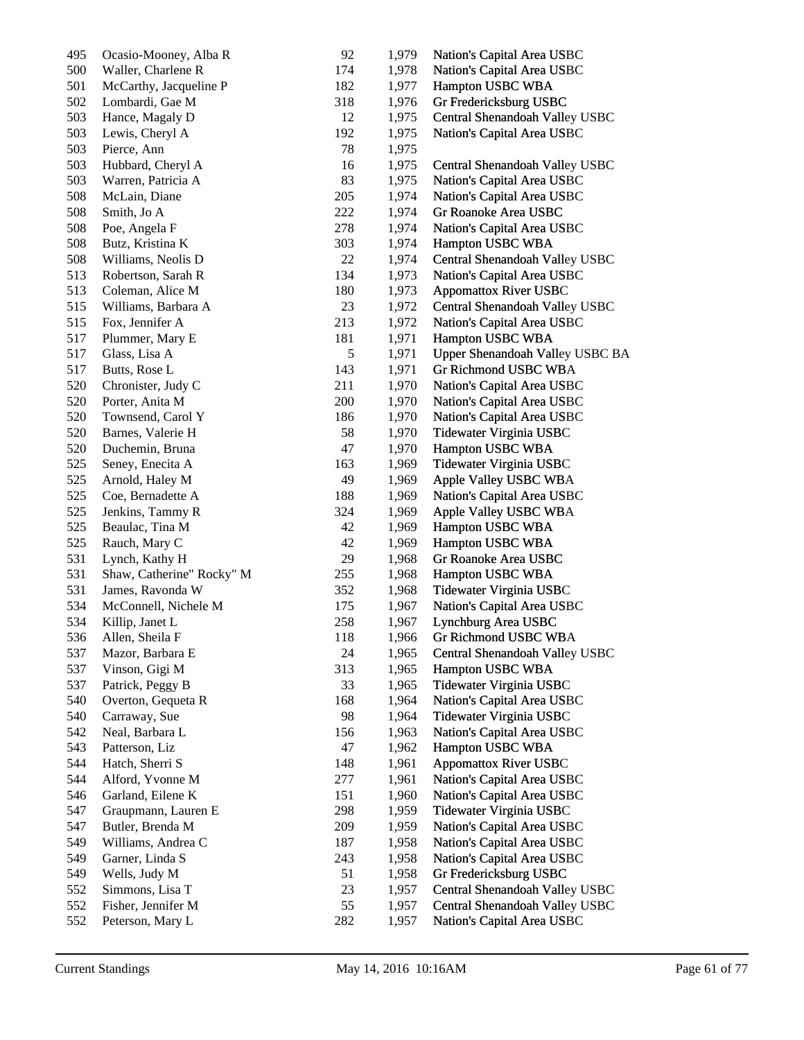| 495 | Ocasio-Mooney, Alba R     | 92  | 1,979 | Nation's Capital Area USBC      |
|-----|---------------------------|-----|-------|---------------------------------|
| 500 | Waller, Charlene R        | 174 | 1,978 | Nation's Capital Area USBC      |
| 501 | McCarthy, Jacqueline P    | 182 | 1,977 | Hampton USBC WBA                |
| 502 | Lombardi, Gae M           | 318 | 1,976 | Gr Fredericksburg USBC          |
| 503 | Hance, Magaly D           | 12  | 1,975 | Central Shenandoah Valley USBC  |
| 503 | Lewis, Cheryl A           | 192 | 1,975 | Nation's Capital Area USBC      |
| 503 | Pierce, Ann               | 78  | 1,975 |                                 |
| 503 | Hubbard, Cheryl A         | 16  | 1,975 | Central Shenandoah Valley USBC  |
| 503 | Warren, Patricia A        | 83  | 1,975 | Nation's Capital Area USBC      |
| 508 | McLain, Diane             | 205 | 1,974 | Nation's Capital Area USBC      |
| 508 | Smith, Jo A               | 222 | 1,974 | Gr Roanoke Area USBC            |
| 508 | Poe, Angela F             | 278 | 1,974 | Nation's Capital Area USBC      |
| 508 | Butz, Kristina K          | 303 | 1,974 | Hampton USBC WBA                |
| 508 | Williams, Neolis D        | 22  | 1,974 | Central Shenandoah Valley USBC  |
| 513 | Robertson, Sarah R        | 134 | 1,973 | Nation's Capital Area USBC      |
| 513 | Coleman, Alice M          | 180 | 1,973 | <b>Appomattox River USBC</b>    |
| 515 | Williams, Barbara A       | 23  | 1,972 | Central Shenandoah Valley USBC  |
| 515 | Fox, Jennifer A           | 213 | 1,972 | Nation's Capital Area USBC      |
| 517 | Plummer, Mary E           | 181 | 1,971 | Hampton USBC WBA                |
| 517 | Glass, Lisa A             | 5   | 1,971 | Upper Shenandoah Valley USBC BA |
| 517 | Butts, Rose L             | 143 | 1,971 | Gr Richmond USBC WBA            |
| 520 | Chronister, Judy C        | 211 | 1,970 | Nation's Capital Area USBC      |
| 520 | Porter, Anita M           | 200 | 1,970 | Nation's Capital Area USBC      |
| 520 | Townsend, Carol Y         | 186 | 1,970 | Nation's Capital Area USBC      |
| 520 | Barnes, Valerie H         | 58  | 1,970 | Tidewater Virginia USBC         |
| 520 | Duchemin, Bruna           | 47  | 1,970 | Hampton USBC WBA                |
| 525 | Seney, Enecita A          | 163 | 1,969 | Tidewater Virginia USBC         |
| 525 | Arnold, Haley M           | 49  | 1,969 | Apple Valley USBC WBA           |
| 525 | Coe, Bernadette A         | 188 | 1,969 | Nation's Capital Area USBC      |
| 525 | Jenkins, Tammy R          | 324 | 1,969 | Apple Valley USBC WBA           |
| 525 | Beaulac, Tina M           | 42  | 1,969 | Hampton USBC WBA                |
| 525 | Rauch, Mary C             | 42  | 1,969 | Hampton USBC WBA                |
| 531 | Lynch, Kathy H            | 29  | 1,968 | Gr Roanoke Area USBC            |
| 531 | Shaw, Catherine" Rocky" M | 255 | 1,968 | Hampton USBC WBA                |
| 531 | James, Ravonda W          | 352 | 1,968 | Tidewater Virginia USBC         |
| 534 | McConnell, Nichele M      | 175 | 1,967 | Nation's Capital Area USBC      |
| 534 | Killip, Janet L           | 258 | 1,967 | Lynchburg Area USBC             |
| 536 | Allen, Sheila F           | 118 | 1,966 | Gr Richmond USBC WBA            |
| 537 | Mazor, Barbara E          | 24  | 1,965 | Central Shenandoah Valley USBC  |
| 537 | Vinson, Gigi M            | 313 | 1,965 | Hampton USBC WBA                |
| 537 | Patrick, Peggy B          | 33  | 1,965 | Tidewater Virginia USBC         |
| 540 | Overton, Gequeta R        | 168 | 1,964 | Nation's Capital Area USBC      |
| 540 | Carraway, Sue             | 98  | 1,964 | Tidewater Virginia USBC         |
| 542 | Neal, Barbara L           | 156 | 1,963 | Nation's Capital Area USBC      |
| 543 | Patterson, Liz            | 47  | 1,962 | Hampton USBC WBA                |
| 544 | Hatch, Sherri S           | 148 | 1,961 | <b>Appomattox River USBC</b>    |
| 544 | Alford, Yvonne M          | 277 | 1,961 | Nation's Capital Area USBC      |
| 546 | Garland, Eilene K         | 151 | 1,960 | Nation's Capital Area USBC      |
| 547 | Graupmann, Lauren E       | 298 | 1,959 | Tidewater Virginia USBC         |
| 547 | Butler, Brenda M          | 209 | 1,959 | Nation's Capital Area USBC      |
| 549 | Williams, Andrea C        | 187 | 1,958 | Nation's Capital Area USBC      |
| 549 | Garner, Linda S           | 243 | 1,958 | Nation's Capital Area USBC      |
| 549 | Wells, Judy M             | 51  | 1,958 | Gr Fredericksburg USBC          |
| 552 | Simmons, Lisa T           | 23  | 1,957 | Central Shenandoah Valley USBC  |
| 552 | Fisher, Jennifer M        | 55  | 1,957 | Central Shenandoah Valley USBC  |
| 552 | Peterson, Mary L          | 282 | 1,957 | Nation's Capital Area USBC      |
|     |                           |     |       |                                 |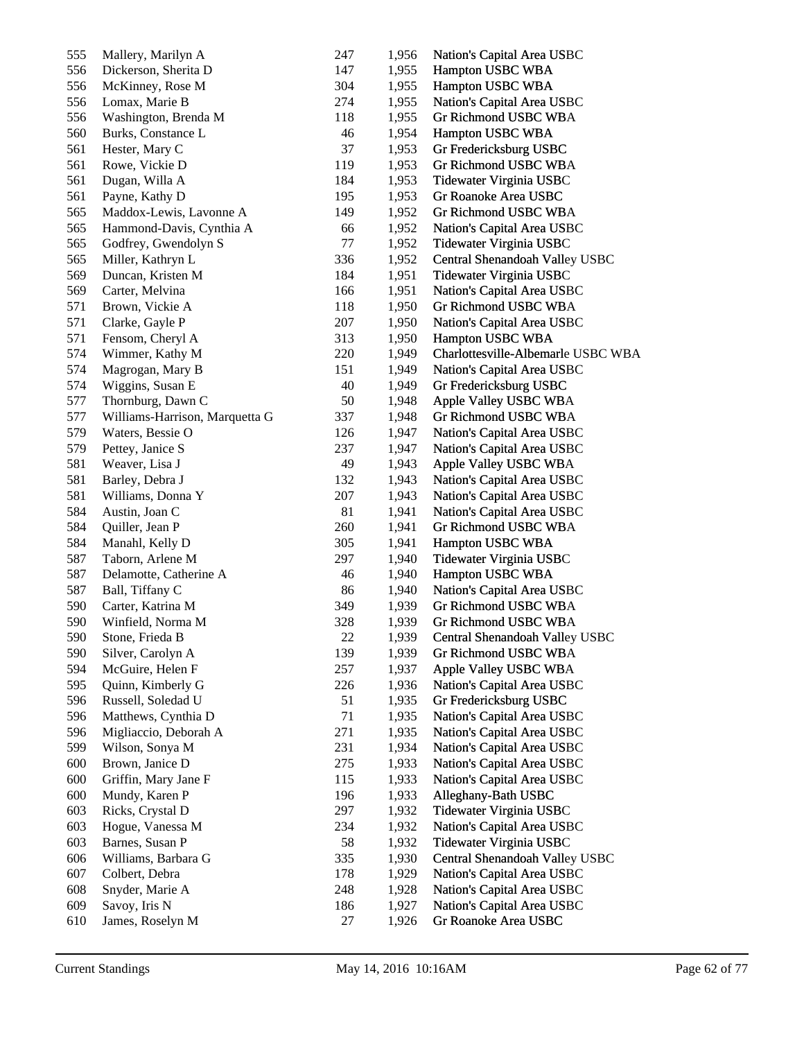| 555 | Mallery, Marilyn A             | 247        | 1,956 | Nation's Capital Area USBC         |
|-----|--------------------------------|------------|-------|------------------------------------|
| 556 | Dickerson, Sherita D           | 147        | 1,955 | Hampton USBC WBA                   |
| 556 | McKinney, Rose M               | 304        | 1,955 | Hampton USBC WBA                   |
| 556 | Lomax, Marie B                 | 274        | 1,955 | Nation's Capital Area USBC         |
| 556 | Washington, Brenda M           | 118        | 1,955 | Gr Richmond USBC WBA               |
| 560 | Burks, Constance L             | 46         | 1,954 | Hampton USBC WBA                   |
| 561 | Hester, Mary C                 | 37         | 1,953 | Gr Fredericksburg USBC             |
| 561 | Rowe, Vickie D                 | 119        | 1,953 | Gr Richmond USBC WBA               |
| 561 | Dugan, Willa A                 | 184        | 1,953 | Tidewater Virginia USBC            |
| 561 | Payne, Kathy D                 | 195        | 1,953 | Gr Roanoke Area USBC               |
| 565 | Maddox-Lewis, Lavonne A        | 149        | 1,952 | Gr Richmond USBC WBA               |
| 565 | Hammond-Davis, Cynthia A       | 66         | 1,952 | Nation's Capital Area USBC         |
| 565 | Godfrey, Gwendolyn S           | 77         | 1,952 | Tidewater Virginia USBC            |
| 565 | Miller, Kathryn L              | 336        | 1,952 | Central Shenandoah Valley USBC     |
| 569 | Duncan, Kristen M              | 184        | 1,951 | Tidewater Virginia USBC            |
| 569 | Carter, Melvina                | 166        | 1,951 | Nation's Capital Area USBC         |
| 571 | Brown, Vickie A                | 118        | 1,950 | Gr Richmond USBC WBA               |
| 571 | Clarke, Gayle P                | 207        | 1,950 | Nation's Capital Area USBC         |
| 571 | Fensom, Cheryl A               | 313        | 1,950 | Hampton USBC WBA                   |
| 574 | Wimmer, Kathy M                | 220        | 1,949 | Charlottesville-Albemarle USBC WBA |
| 574 | Magrogan, Mary B               | 151        | 1,949 | Nation's Capital Area USBC         |
| 574 | Wiggins, Susan E               | 40         | 1,949 | Gr Fredericksburg USBC             |
| 577 | Thornburg, Dawn C              | 50         | 1,948 | Apple Valley USBC WBA              |
| 577 | Williams-Harrison, Marquetta G | 337        | 1,948 | Gr Richmond USBC WBA               |
| 579 | Waters, Bessie O               | 126        | 1,947 | Nation's Capital Area USBC         |
| 579 | Pettey, Janice S               | 237        | 1,947 | Nation's Capital Area USBC         |
| 581 | Weaver, Lisa J                 | 49         | 1,943 | Apple Valley USBC WBA              |
| 581 | Barley, Debra J                | 132        | 1,943 | Nation's Capital Area USBC         |
| 581 | Williams, Donna Y              | 207        | 1,943 | Nation's Capital Area USBC         |
| 584 | Austin, Joan C                 | 81         | 1,941 | Nation's Capital Area USBC         |
| 584 | Quiller, Jean P                | 260        | 1,941 | Gr Richmond USBC WBA               |
| 584 | Manahl, Kelly D                | 305        | 1,941 | Hampton USBC WBA                   |
| 587 | Taborn, Arlene M               | 297        | 1,940 | Tidewater Virginia USBC            |
| 587 | Delamotte, Catherine A         | 46         | 1,940 | Hampton USBC WBA                   |
| 587 | Ball, Tiffany C                | 86         | 1,940 | Nation's Capital Area USBC         |
| 590 | Carter, Katrina M              | 349        | 1,939 | Gr Richmond USBC WBA               |
| 590 | Winfield, Norma M              | 328        | 1,939 | Gr Richmond USBC WBA               |
| 590 | Stone, Frieda B                | 22         | 1,939 | Central Shenandoah Valley USBC     |
| 590 | Silver, Carolyn A              | 139        | 1,939 | Gr Richmond USBC WBA               |
| 594 | McGuire, Helen F               | 257        | 1,937 | Apple Valley USBC WBA              |
| 595 | Quinn, Kimberly G              | 226        | 1,936 | Nation's Capital Area USBC         |
| 596 | Russell, Soledad U             | 51         | 1,935 | Gr Fredericksburg USBC             |
| 596 | Matthews, Cynthia D            | 71         | 1,935 | Nation's Capital Area USBC         |
| 596 | Migliaccio, Deborah A          | 271        | 1,935 | Nation's Capital Area USBC         |
| 599 | Wilson, Sonya M                | 231        | 1,934 | Nation's Capital Area USBC         |
| 600 | Brown, Janice D                | 275        | 1,933 | Nation's Capital Area USBC         |
| 600 |                                |            | 1,933 | Nation's Capital Area USBC         |
| 600 | Griffin, Mary Jane F           | 115<br>196 |       |                                    |
|     | Mundy, Karen P                 | 297        | 1,933 | Alleghany-Bath USBC                |
| 603 | Ricks, Crystal D               |            | 1,932 | Tidewater Virginia USBC            |
| 603 | Hogue, Vanessa M               | 234        | 1,932 | Nation's Capital Area USBC         |
| 603 | Barnes, Susan P                | 58         | 1,932 | Tidewater Virginia USBC            |
| 606 | Williams, Barbara G            | 335        | 1,930 | Central Shenandoah Valley USBC     |
| 607 | Colbert, Debra                 | 178        | 1,929 | Nation's Capital Area USBC         |
| 608 | Snyder, Marie A                | 248        | 1,928 | Nation's Capital Area USBC         |
| 609 | Savoy, Iris N                  | 186        | 1,927 | Nation's Capital Area USBC         |
| 610 | James, Roselyn M               | 27         | 1,926 | Gr Roanoke Area USBC               |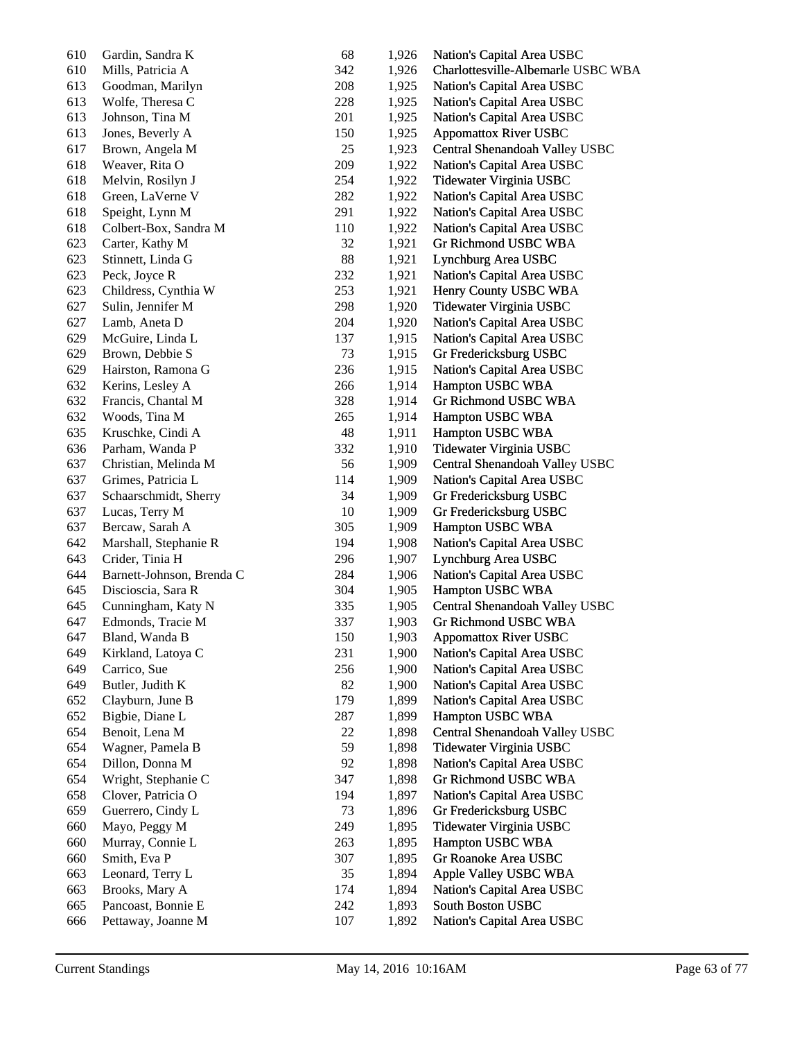| 610 | Gardin, Sandra K          | 68  | 1,926 | Nation's Capital Area USBC         |
|-----|---------------------------|-----|-------|------------------------------------|
| 610 | Mills, Patricia A         | 342 | 1,926 | Charlottesville-Albemarle USBC WBA |
| 613 | Goodman, Marilyn          | 208 | 1,925 | Nation's Capital Area USBC         |
| 613 | Wolfe, Theresa C          | 228 | 1,925 | Nation's Capital Area USBC         |
| 613 | Johnson, Tina M           | 201 | 1,925 | Nation's Capital Area USBC         |
| 613 | Jones, Beverly A          | 150 | 1,925 | <b>Appomattox River USBC</b>       |
| 617 | Brown, Angela M           | 25  | 1,923 | Central Shenandoah Valley USBC     |
| 618 | Weaver, Rita O            | 209 | 1,922 | Nation's Capital Area USBC         |
| 618 | Melvin, Rosilyn J         | 254 | 1,922 | Tidewater Virginia USBC            |
| 618 | Green, LaVerne V          | 282 | 1,922 | Nation's Capital Area USBC         |
| 618 | Speight, Lynn M           | 291 | 1,922 | Nation's Capital Area USBC         |
| 618 | Colbert-Box, Sandra M     | 110 | 1,922 | Nation's Capital Area USBC         |
| 623 | Carter, Kathy M           | 32  | 1,921 | Gr Richmond USBC WBA               |
| 623 | Stinnett, Linda G         | 88  | 1,921 | Lynchburg Area USBC                |
| 623 | Peck, Joyce R             | 232 | 1,921 | Nation's Capital Area USBC         |
| 623 | Childress, Cynthia W      | 253 | 1,921 | Henry County USBC WBA              |
| 627 | Sulin, Jennifer M         | 298 | 1,920 | Tidewater Virginia USBC            |
| 627 | Lamb, Aneta D             | 204 | 1,920 | Nation's Capital Area USBC         |
| 629 | McGuire, Linda L          | 137 | 1,915 | Nation's Capital Area USBC         |
| 629 | Brown, Debbie S           | 73  | 1,915 | Gr Fredericksburg USBC             |
| 629 | Hairston, Ramona G        | 236 | 1,915 | Nation's Capital Area USBC         |
| 632 | Kerins, Lesley A          | 266 | 1,914 | Hampton USBC WBA                   |
| 632 | Francis, Chantal M        | 328 | 1,914 | Gr Richmond USBC WBA               |
| 632 | Woods, Tina M             | 265 | 1,914 | Hampton USBC WBA                   |
| 635 | Kruschke, Cindi A         | 48  | 1,911 | Hampton USBC WBA                   |
| 636 | Parham, Wanda P           | 332 | 1,910 | Tidewater Virginia USBC            |
| 637 | Christian, Melinda M      | 56  | 1,909 | Central Shenandoah Valley USBC     |
| 637 | Grimes, Patricia L        | 114 | 1,909 | Nation's Capital Area USBC         |
| 637 | Schaarschmidt, Sherry     | 34  | 1,909 | Gr Fredericksburg USBC             |
| 637 | Lucas, Terry M            | 10  | 1,909 | Gr Fredericksburg USBC             |
| 637 | Bercaw, Sarah A           | 305 | 1,909 | Hampton USBC WBA                   |
| 642 | Marshall, Stephanie R     | 194 | 1,908 | Nation's Capital Area USBC         |
| 643 | Crider, Tinia H           | 296 | 1,907 | Lynchburg Area USBC                |
| 644 | Barnett-Johnson, Brenda C | 284 | 1,906 |                                    |
| 645 |                           | 304 |       | Nation's Capital Area USBC         |
|     | Discioscia, Sara R        |     | 1,905 | Hampton USBC WBA                   |
| 645 | Cunningham, Katy N        | 335 | 1,905 | Central Shenandoah Valley USBC     |
| 647 | Edmonds, Tracie M         | 337 | 1,903 | Gr Richmond USBC WBA               |
| 647 | Bland, Wanda B            | 150 | 1,903 | <b>Appomattox River USBC</b>       |
| 649 | Kirkland, Latoya C        | 231 | 1,900 | Nation's Capital Area USBC         |
| 649 | Carrico, Sue              | 256 | 1,900 | Nation's Capital Area USBC         |
| 649 | Butler, Judith K          | 82  | 1,900 | Nation's Capital Area USBC         |
| 652 | Clayburn, June B          | 179 | 1,899 | Nation's Capital Area USBC         |
| 652 | Bigbie, Diane L           | 287 | 1,899 | Hampton USBC WBA                   |
| 654 | Benoit, Lena M            | 22  | 1,898 | Central Shenandoah Valley USBC     |
| 654 | Wagner, Pamela B          | 59  | 1,898 | Tidewater Virginia USBC            |
| 654 | Dillon, Donna M           | 92  | 1,898 | Nation's Capital Area USBC         |
| 654 | Wright, Stephanie C       | 347 | 1,898 | Gr Richmond USBC WBA               |
| 658 | Clover, Patricia O        | 194 | 1,897 | Nation's Capital Area USBC         |
| 659 | Guerrero, Cindy L         | 73  | 1,896 | Gr Fredericksburg USBC             |
| 660 | Mayo, Peggy M             | 249 | 1,895 | Tidewater Virginia USBC            |
| 660 | Murray, Connie L          | 263 | 1,895 | Hampton USBC WBA                   |
| 660 | Smith, Eva P              | 307 | 1,895 | Gr Roanoke Area USBC               |
| 663 | Leonard, Terry L          | 35  | 1,894 | Apple Valley USBC WBA              |
| 663 | Brooks, Mary A            | 174 | 1,894 | Nation's Capital Area USBC         |
| 665 | Pancoast, Bonnie E        | 242 | 1,893 | South Boston USBC                  |
| 666 | Pettaway, Joanne M        | 107 | 1,892 | Nation's Capital Area USBC         |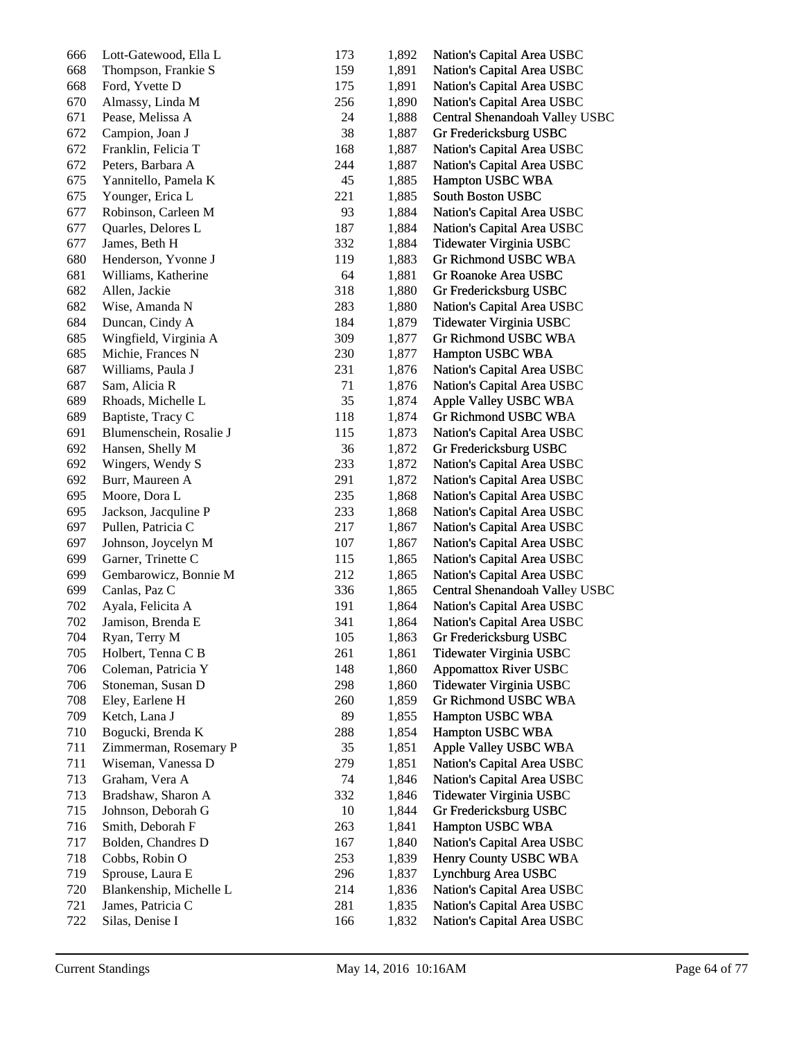| 666 | Lott-Gatewood, Ella L   | 173 | 1,892 | Nation's Capital Area USBC     |
|-----|-------------------------|-----|-------|--------------------------------|
| 668 | Thompson, Frankie S     | 159 | 1,891 | Nation's Capital Area USBC     |
| 668 | Ford, Yvette D          | 175 | 1,891 | Nation's Capital Area USBC     |
| 670 | Almassy, Linda M        | 256 | 1,890 | Nation's Capital Area USBC     |
| 671 | Pease, Melissa A        | 24  | 1,888 | Central Shenandoah Valley USBC |
| 672 | Campion, Joan J         | 38  | 1,887 | Gr Fredericksburg USBC         |
| 672 | Franklin, Felicia T     | 168 | 1,887 | Nation's Capital Area USBC     |
| 672 | Peters, Barbara A       | 244 | 1,887 | Nation's Capital Area USBC     |
| 675 | Yannitello, Pamela K    | 45  | 1,885 | Hampton USBC WBA               |
| 675 | Younger, Erica L        | 221 | 1,885 | South Boston USBC              |
| 677 | Robinson, Carleen M     | 93  | 1,884 | Nation's Capital Area USBC     |
| 677 | Quarles, Delores L      | 187 | 1,884 | Nation's Capital Area USBC     |
| 677 | James, Beth H           | 332 | 1,884 | Tidewater Virginia USBC        |
| 680 | Henderson, Yvonne J     | 119 | 1,883 | Gr Richmond USBC WBA           |
| 681 | Williams, Katherine     | 64  | 1,881 | Gr Roanoke Area USBC           |
| 682 | Allen, Jackie           | 318 | 1,880 | Gr Fredericksburg USBC         |
| 682 | Wise, Amanda N          | 283 | 1,880 | Nation's Capital Area USBC     |
| 684 | Duncan, Cindy A         | 184 | 1,879 | Tidewater Virginia USBC        |
| 685 | Wingfield, Virginia A   | 309 | 1,877 | Gr Richmond USBC WBA           |
| 685 | Michie, Frances N       | 230 | 1,877 | Hampton USBC WBA               |
| 687 | Williams, Paula J       | 231 | 1,876 | Nation's Capital Area USBC     |
| 687 | Sam, Alicia R           | 71  | 1,876 | Nation's Capital Area USBC     |
| 689 | Rhoads, Michelle L      | 35  | 1,874 | Apple Valley USBC WBA          |
| 689 | Baptiste, Tracy C       | 118 | 1,874 | Gr Richmond USBC WBA           |
| 691 | Blumenschein, Rosalie J | 115 | 1,873 | Nation's Capital Area USBC     |
| 692 | Hansen, Shelly M        | 36  | 1,872 | Gr Fredericksburg USBC         |
| 692 | Wingers, Wendy S        | 233 | 1,872 | Nation's Capital Area USBC     |
| 692 | Burr, Maureen A         | 291 | 1,872 | Nation's Capital Area USBC     |
| 695 | Moore, Dora L           | 235 | 1,868 | Nation's Capital Area USBC     |
| 695 | Jackson, Jacquline P    | 233 | 1,868 | Nation's Capital Area USBC     |
| 697 | Pullen, Patricia C      | 217 | 1,867 | Nation's Capital Area USBC     |
| 697 | Johnson, Joycelyn M     | 107 | 1,867 | Nation's Capital Area USBC     |
| 699 | Garner, Trinette C      | 115 | 1,865 | Nation's Capital Area USBC     |
| 699 | Gembarowicz, Bonnie M   | 212 | 1,865 | Nation's Capital Area USBC     |
| 699 | Canlas, Paz C           | 336 | 1,865 | Central Shenandoah Valley USBC |
| 702 | Ayala, Felicita A       | 191 | 1,864 | Nation's Capital Area USBC     |
| 702 | Jamison, Brenda E       | 341 | 1,864 | Nation's Capital Area USBC     |
| 704 | Ryan, Terry M           | 105 | 1,863 | Gr Fredericksburg USBC         |
| 705 | Holbert, Tenna C B      | 261 | 1,861 | Tidewater Virginia USBC        |
| 706 | Coleman, Patricia Y     | 148 | 1,860 | <b>Appomattox River USBC</b>   |
| 706 | Stoneman, Susan D       | 298 | 1,860 | Tidewater Virginia USBC        |
| 708 | Eley, Earlene H         | 260 | 1,859 | Gr Richmond USBC WBA           |
| 709 | Ketch, Lana J           | 89  | 1,855 | Hampton USBC WBA               |
| 710 | Bogucki, Brenda K       | 288 | 1,854 | Hampton USBC WBA               |
| 711 | Zimmerman, Rosemary P   | 35  | 1,851 | Apple Valley USBC WBA          |
| 711 | Wiseman, Vanessa D      | 279 | 1,851 | Nation's Capital Area USBC     |
| 713 | Graham, Vera A          | 74  | 1,846 | Nation's Capital Area USBC     |
| 713 | Bradshaw, Sharon A      | 332 | 1,846 | Tidewater Virginia USBC        |
| 715 | Johnson, Deborah G      | 10  | 1,844 | Gr Fredericksburg USBC         |
| 716 | Smith, Deborah F        | 263 | 1,841 | Hampton USBC WBA               |
| 717 | Bolden, Chandres D      | 167 | 1,840 | Nation's Capital Area USBC     |
| 718 | Cobbs, Robin O          | 253 | 1,839 | Henry County USBC WBA          |
| 719 | Sprouse, Laura E        | 296 | 1,837 | Lynchburg Area USBC            |
| 720 | Blankenship, Michelle L | 214 | 1,836 | Nation's Capital Area USBC     |
| 721 | James, Patricia C       | 281 | 1,835 | Nation's Capital Area USBC     |
| 722 | Silas, Denise I         | 166 | 1,832 | Nation's Capital Area USBC     |
|     |                         |     |       |                                |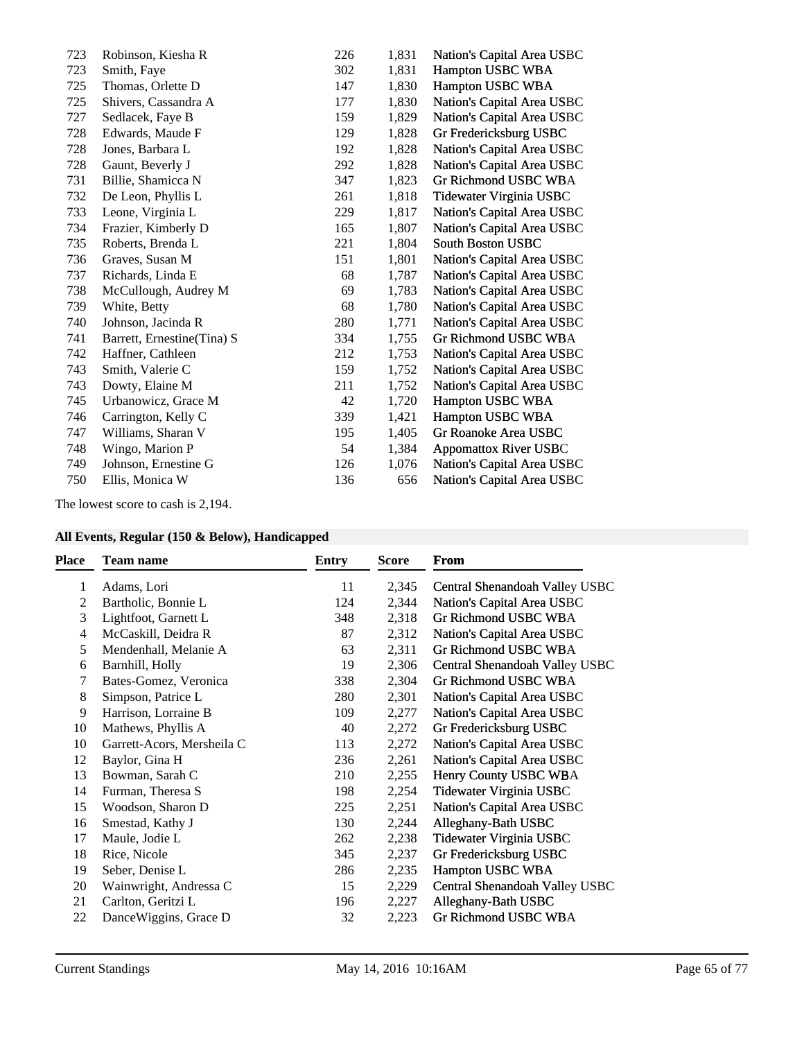| 723 | Robinson, Kiesha R          | 226 | 1,831 | Nation's Capital Area USBC   |
|-----|-----------------------------|-----|-------|------------------------------|
| 723 | Smith, Faye                 | 302 | 1,831 | Hampton USBC WBA             |
| 725 | Thomas, Orlette D           | 147 | 1,830 | Hampton USBC WBA             |
| 725 | Shivers, Cassandra A        | 177 | 1,830 | Nation's Capital Area USBC   |
| 727 | Sedlacek, Faye B            | 159 | 1,829 | Nation's Capital Area USBC   |
| 728 | Edwards, Maude F            | 129 | 1,828 | Gr Fredericksburg USBC       |
| 728 | Jones, Barbara L            | 192 | 1,828 | Nation's Capital Area USBC   |
| 728 | Gaunt, Beverly J            | 292 | 1,828 | Nation's Capital Area USBC   |
| 731 | Billie, Shamicca N          | 347 | 1,823 | Gr Richmond USBC WBA         |
| 732 | De Leon, Phyllis L          | 261 | 1,818 | Tidewater Virginia USBC      |
| 733 | Leone, Virginia L           | 229 | 1,817 | Nation's Capital Area USBC   |
| 734 | Frazier, Kimberly D         | 165 | 1,807 | Nation's Capital Area USBC   |
| 735 | Roberts, Brenda L           | 221 | 1,804 | <b>South Boston USBC</b>     |
| 736 | Graves, Susan M             | 151 | 1,801 | Nation's Capital Area USBC   |
| 737 | Richards, Linda E           | 68  | 1,787 | Nation's Capital Area USBC   |
| 738 | McCullough, Audrey M        | 69  | 1,783 | Nation's Capital Area USBC   |
| 739 | White, Betty                | 68  | 1,780 | Nation's Capital Area USBC   |
| 740 | Johnson, Jacinda R          | 280 | 1,771 | Nation's Capital Area USBC   |
| 741 | Barrett, Ernestine (Tina) S | 334 | 1,755 | Gr Richmond USBC WBA         |
| 742 | Haffner, Cathleen           | 212 | 1,753 | Nation's Capital Area USBC   |
| 743 | Smith, Valerie C            | 159 | 1,752 | Nation's Capital Area USBC   |
| 743 | Dowty, Elaine M             | 211 | 1,752 | Nation's Capital Area USBC   |
| 745 | Urbanowicz, Grace M         | 42  | 1,720 | Hampton USBC WBA             |
| 746 | Carrington, Kelly C         | 339 | 1,421 | Hampton USBC WBA             |
| 747 | Williams, Sharan V          | 195 | 1,405 | Gr Roanoke Area USBC         |
| 748 | Wingo, Marion P             | 54  | 1,384 | <b>Appomattox River USBC</b> |
| 749 | Johnson, Ernestine G        | 126 | 1,076 | Nation's Capital Area USBC   |
| 750 | Ellis, Monica W             | 136 | 656   | Nation's Capital Area USBC   |
|     |                             |     |       |                              |

The lowest score to cash is 2,194.

## **All Events, Regular (150 & Below), Handicapped**

| <b>Place</b> | <b>Team name</b>           | Entry | Score | <b>From</b>                    |
|--------------|----------------------------|-------|-------|--------------------------------|
| 1            | Adams, Lori                | 11    | 2,345 | Central Shenandoah Valley USBC |
| 2            | Bartholic, Bonnie L        | 124   | 2,344 | Nation's Capital Area USBC     |
| 3            | Lightfoot, Garnett L       | 348   | 2,318 | Gr Richmond USBC WBA           |
| 4            | McCaskill, Deidra R        | 87    | 2,312 | Nation's Capital Area USBC     |
| 5            | Mendenhall, Melanie A      | 63    | 2,311 | Gr Richmond USBC WBA           |
| 6            | Barnhill, Holly            | 19    | 2,306 | Central Shenandoah Valley USBC |
| 7            | Bates-Gomez, Veronica      | 338   | 2,304 | Gr Richmond USBC WBA           |
| 8            | Simpson, Patrice L         | 280   | 2,301 | Nation's Capital Area USBC     |
| 9            | Harrison, Lorraine B       | 109   | 2,277 | Nation's Capital Area USBC     |
| 10           | Mathews, Phyllis A         | 40    | 2,272 | Gr Fredericksburg USBC         |
| 10           | Garrett-Acors, Mersheila C | 113   | 2,272 | Nation's Capital Area USBC     |
| 12           | Baylor, Gina H             | 236   | 2,261 | Nation's Capital Area USBC     |
| 13           | Bowman, Sarah C            | 210   | 2,255 | Henry County USBC WBA          |
| 14           | Furman, Theresa S          | 198   | 2,254 | Tidewater Virginia USBC        |
| 15           | Woodson, Sharon D          | 225   | 2,251 | Nation's Capital Area USBC     |
| 16           | Smestad, Kathy J           | 130   | 2,244 | Alleghany-Bath USBC            |
| 17           | Maule, Jodie L             | 262   | 2,238 | Tidewater Virginia USBC        |
| 18           | Rice, Nicole               | 345   | 2,237 | Gr Fredericksburg USBC         |
| 19           | Seber, Denise L            | 286   | 2,235 | Hampton USBC WBA               |
| 20           | Wainwright, Andressa C     | 15    | 2,229 | Central Shenandoah Valley USBC |
| 21           | Carlton, Geritzi L         | 196   | 2,227 | Alleghany-Bath USBC            |
| 22           | DanceWiggins, Grace D      | 32    | 2,223 | Gr Richmond USBC WBA           |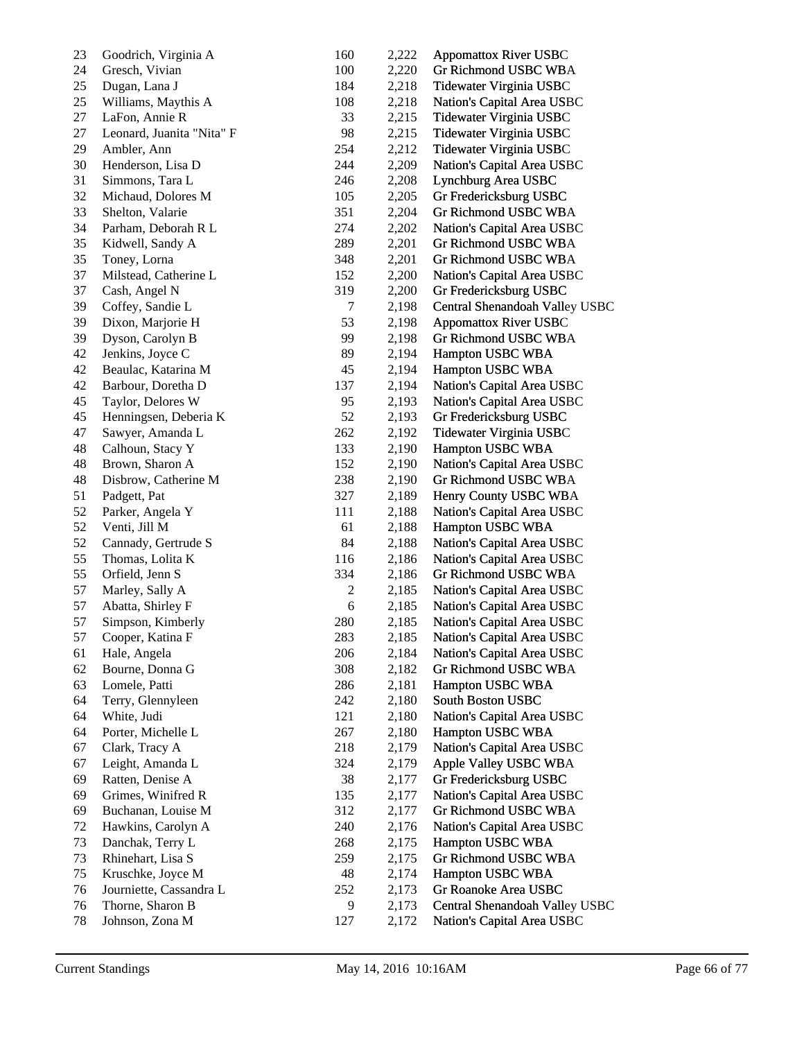| 23 | Goodrich, Virginia A      | 160            | 2,222 | <b>Appomattox River USBC</b>   |
|----|---------------------------|----------------|-------|--------------------------------|
| 24 | Gresch, Vivian            | 100            | 2,220 | Gr Richmond USBC WBA           |
| 25 | Dugan, Lana J             | 184            | 2,218 | Tidewater Virginia USBC        |
| 25 | Williams, Maythis A       | 108            | 2,218 | Nation's Capital Area USBC     |
| 27 | LaFon, Annie R            | 33             | 2,215 | Tidewater Virginia USBC        |
| 27 | Leonard, Juanita "Nita" F | 98             | 2,215 | Tidewater Virginia USBC        |
| 29 | Ambler, Ann               | 254            | 2,212 | Tidewater Virginia USBC        |
| 30 | Henderson, Lisa D         | 244            | 2,209 | Nation's Capital Area USBC     |
| 31 | Simmons, Tara L           | 246            | 2,208 | Lynchburg Area USBC            |
| 32 | Michaud, Dolores M        | 105            | 2,205 | Gr Fredericksburg USBC         |
| 33 | Shelton, Valarie          | 351            | 2,204 | Gr Richmond USBC WBA           |
| 34 | Parham, Deborah R L       | 274            | 2,202 | Nation's Capital Area USBC     |
| 35 | Kidwell, Sandy A          | 289            | 2,201 | Gr Richmond USBC WBA           |
| 35 | Toney, Lorna              | 348            | 2,201 | Gr Richmond USBC WBA           |
| 37 | Milstead, Catherine L     | 152            | 2,200 | Nation's Capital Area USBC     |
| 37 | Cash, Angel N             | 319            | 2,200 | Gr Fredericksburg USBC         |
| 39 | Coffey, Sandie L          | 7              | 2,198 | Central Shenandoah Valley USBC |
| 39 | Dixon, Marjorie H         | 53             | 2,198 | <b>Appomattox River USBC</b>   |
| 39 | Dyson, Carolyn B          | 99             | 2,198 | Gr Richmond USBC WBA           |
| 42 | Jenkins, Joyce C          | 89             | 2,194 | Hampton USBC WBA               |
| 42 | Beaulac, Katarina M       | 45             | 2,194 | Hampton USBC WBA               |
| 42 | Barbour, Doretha D        | 137            | 2,194 | Nation's Capital Area USBC     |
| 45 | Taylor, Delores W         | 95             | 2,193 | Nation's Capital Area USBC     |
| 45 | Henningsen, Deberia K     | 52             | 2,193 | Gr Fredericksburg USBC         |
| 47 | Sawyer, Amanda L          | 262            | 2,192 | Tidewater Virginia USBC        |
| 48 | Calhoun, Stacy Y          | 133            | 2,190 | Hampton USBC WBA               |
| 48 | Brown, Sharon A           | 152            | 2,190 | Nation's Capital Area USBC     |
| 48 | Disbrow, Catherine M      | 238            | 2,190 | Gr Richmond USBC WBA           |
| 51 | Padgett, Pat              | 327            | 2,189 | Henry County USBC WBA          |
| 52 | Parker, Angela Y          | 111            | 2,188 | Nation's Capital Area USBC     |
| 52 | Venti, Jill M             | 61             | 2,188 | Hampton USBC WBA               |
| 52 | Cannady, Gertrude S       | 84             | 2,188 | Nation's Capital Area USBC     |
| 55 | Thomas, Lolita K          | 116            | 2,186 | Nation's Capital Area USBC     |
| 55 | Orfield, Jenn S           | 334            | 2,186 | Gr Richmond USBC WBA           |
| 57 | Marley, Sally A           | $\overline{c}$ | 2,185 | Nation's Capital Area USBC     |
| 57 | Abatta, Shirley F         | $\epsilon$     | 2,185 | Nation's Capital Area USBC     |
| 57 | Simpson, Kimberly         | 280            | 2,185 | Nation's Capital Area USBC     |
| 57 | Cooper, Katina F          | 283            | 2,185 | Nation's Capital Area USBC     |
| 61 | Hale, Angela              | 206            | 2,184 | Nation's Capital Area USBC     |
| 62 | Bourne, Donna G           | 308            | 2,182 | Gr Richmond USBC WBA           |
| 63 | Lomele, Patti             | 286            | 2,181 | Hampton USBC WBA               |
| 64 | Terry, Glennyleen         | 242            | 2,180 | <b>South Boston USBC</b>       |
| 64 | White, Judi               | 121            | 2,180 | Nation's Capital Area USBC     |
| 64 | Porter, Michelle L        | 267            | 2,180 | Hampton USBC WBA               |
| 67 | Clark, Tracy A            | 218            | 2,179 | Nation's Capital Area USBC     |
| 67 | Leight, Amanda L          | 324            | 2,179 | Apple Valley USBC WBA          |
| 69 | Ratten, Denise A          | 38             | 2,177 | Gr Fredericksburg USBC         |
| 69 | Grimes, Winifred R        | 135            | 2,177 | Nation's Capital Area USBC     |
| 69 | Buchanan, Louise M        | 312            | 2,177 | Gr Richmond USBC WBA           |
| 72 | Hawkins, Carolyn A        | 240            | 2,176 | Nation's Capital Area USBC     |
| 73 | Danchak, Terry L          | 268            | 2,175 | Hampton USBC WBA               |
| 73 | Rhinehart, Lisa S         | 259            | 2,175 | Gr Richmond USBC WBA           |
| 75 | Kruschke, Joyce M         | 48             | 2,174 | Hampton USBC WBA               |
| 76 | Journiette, Cassandra L   | 252            | 2,173 | Gr Roanoke Area USBC           |
| 76 | Thorne, Sharon B          | 9              | 2,173 | Central Shenandoah Valley USBC |
| 78 | Johnson, Zona M           | 127            | 2,172 | Nation's Capital Area USBC     |
|    |                           |                |       |                                |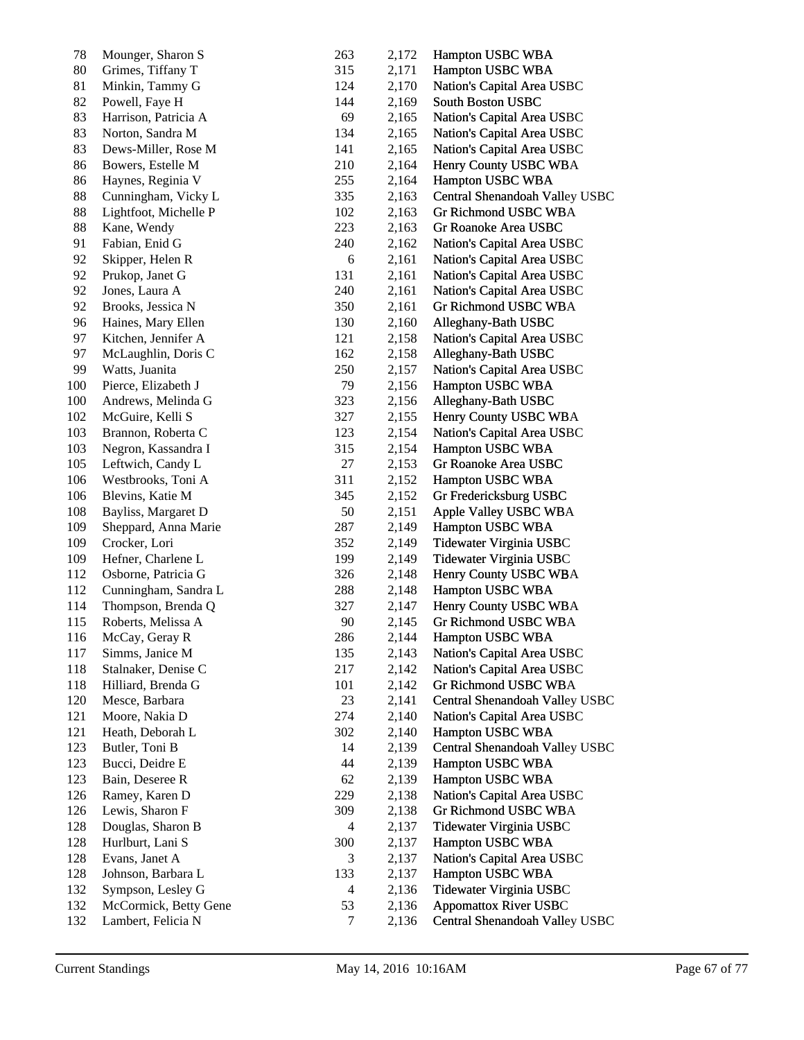| $78\,$     | Mounger, Sharon S                     | 263      | 2,172 | Hampton USBC WBA               |
|------------|---------------------------------------|----------|-------|--------------------------------|
| 80         | Grimes, Tiffany T                     | 315      | 2,171 | Hampton USBC WBA               |
| 81         | Minkin, Tammy G                       | 124      | 2,170 | Nation's Capital Area USBC     |
| 82         | Powell, Faye H                        | 144      | 2,169 | South Boston USBC              |
| 83         | Harrison, Patricia A                  | 69       | 2,165 | Nation's Capital Area USBC     |
| 83         | Norton, Sandra M                      | 134      | 2,165 | Nation's Capital Area USBC     |
| 83         | Dews-Miller, Rose M                   | 141      | 2,165 | Nation's Capital Area USBC     |
| 86         | Bowers, Estelle M                     | 210      | 2,164 | Henry County USBC WBA          |
| 86         | Haynes, Reginia V                     | 255      | 2,164 | Hampton USBC WBA               |
| 88         | Cunningham, Vicky L                   | 335      | 2,163 | Central Shenandoah Valley USBC |
| 88         | Lightfoot, Michelle P                 | 102      | 2,163 | Gr Richmond USBC WBA           |
| 88         | Kane, Wendy                           | 223      | 2,163 | Gr Roanoke Area USBC           |
| 91         | Fabian, Enid G                        | 240      | 2,162 | Nation's Capital Area USBC     |
| 92         | Skipper, Helen R                      | 6        | 2,161 | Nation's Capital Area USBC     |
| 92         | Prukop, Janet G                       | 131      | 2,161 | Nation's Capital Area USBC     |
| 92         | Jones, Laura A                        | 240      | 2,161 | Nation's Capital Area USBC     |
| 92         | Brooks, Jessica N                     | 350      | 2,161 | Gr Richmond USBC WBA           |
| 96         | Haines, Mary Ellen                    | 130      | 2,160 | Alleghany-Bath USBC            |
| 97         | Kitchen, Jennifer A                   | 121      | 2,158 | Nation's Capital Area USBC     |
| 97         | McLaughlin, Doris C                   | 162      | 2,158 | Alleghany-Bath USBC            |
| 99         | Watts, Juanita                        | 250      | 2,157 | Nation's Capital Area USBC     |
| 100        | Pierce, Elizabeth J                   | 79       | 2,156 | Hampton USBC WBA               |
| 100        | Andrews, Melinda G                    | 323      | 2,156 | Alleghany-Bath USBC            |
| 102        | McGuire, Kelli S                      | 327      | 2,155 | Henry County USBC WBA          |
| 103        | Brannon, Roberta C                    | 123      | 2,154 | Nation's Capital Area USBC     |
| 103        | Negron, Kassandra I                   | 315      | 2,154 | Hampton USBC WBA               |
| 105        | Leftwich, Candy L                     | 27       | 2,153 | Gr Roanoke Area USBC           |
| 106        | Westbrooks, Toni A                    | 311      | 2,152 | Hampton USBC WBA               |
| 106        | Blevins, Katie M                      | 345      | 2,152 | Gr Fredericksburg USBC         |
| 108        | Bayliss, Margaret D                   | 50       | 2,151 | Apple Valley USBC WBA          |
| 109        | Sheppard, Anna Marie                  | 287      | 2,149 | Hampton USBC WBA               |
| 109        | Crocker, Lori                         | 352      | 2,149 | Tidewater Virginia USBC        |
| 109        | Hefner, Charlene L                    | 199      | 2,149 | Tidewater Virginia USBC        |
| 112        | Osborne, Patricia G                   | 326      | 2,148 | Henry County USBC WBA          |
| 112        | Cunningham, Sandra L                  | 288      | 2,148 | Hampton USBC WBA               |
| 114        | Thompson, Brenda Q                    | 327      | 2,147 | Henry County USBC WBA          |
| 115        | Roberts, Melissa A                    | 90       | 2,145 | Gr Richmond USBC WBA           |
| 116        | McCay, Geray R                        | 286      | 2,144 | Hampton USBC WBA               |
| 117        | Simms, Janice M                       | 135      | 2,143 | Nation's Capital Area USBC     |
| 118        | Stalnaker, Denise C                   | 217      | 2,142 | Nation's Capital Area USBC     |
| 118        | Hilliard, Brenda G                    | 101      | 2,142 | Gr Richmond USBC WBA           |
| 120        | Mesce, Barbara                        | 23       | 2,141 | Central Shenandoah Valley USBC |
| 121        | Moore, Nakia D                        | 274      | 2,140 | Nation's Capital Area USBC     |
| 121        | Heath, Deborah L                      | 302      | 2,140 | Hampton USBC WBA               |
| 123        | Butler, Toni B                        | 14       | 2,139 | Central Shenandoah Valley USBC |
| 123        | Bucci, Deidre E                       | 44       | 2,139 | Hampton USBC WBA               |
| 123        | Bain, Deseree R                       | 62       | 2,139 | Hampton USBC WBA               |
| 126        | Ramey, Karen D                        | 229      | 2,138 | Nation's Capital Area USBC     |
| 126        | Lewis, Sharon F                       | 309      | 2,138 | Gr Richmond USBC WBA           |
| 128        |                                       |          |       |                                |
| 128        | Douglas, Sharon B<br>Hurlburt, Lani S | 4<br>300 | 2,137 | Tidewater Virginia USBC        |
|            |                                       |          | 2,137 | Hampton USBC WBA               |
| 128<br>128 | Evans, Janet A                        | 3        | 2,137 | Nation's Capital Area USBC     |
|            | Johnson, Barbara L                    | 133      | 2,137 | Hampton USBC WBA               |
| 132        | Sympson, Lesley G                     | 4        | 2,136 | Tidewater Virginia USBC        |
| 132        | McCormick, Betty Gene                 | 53       | 2,136 | <b>Appomattox River USBC</b>   |
| 132        | Lambert, Felicia N                    | 7        | 2,136 | Central Shenandoah Valley USBC |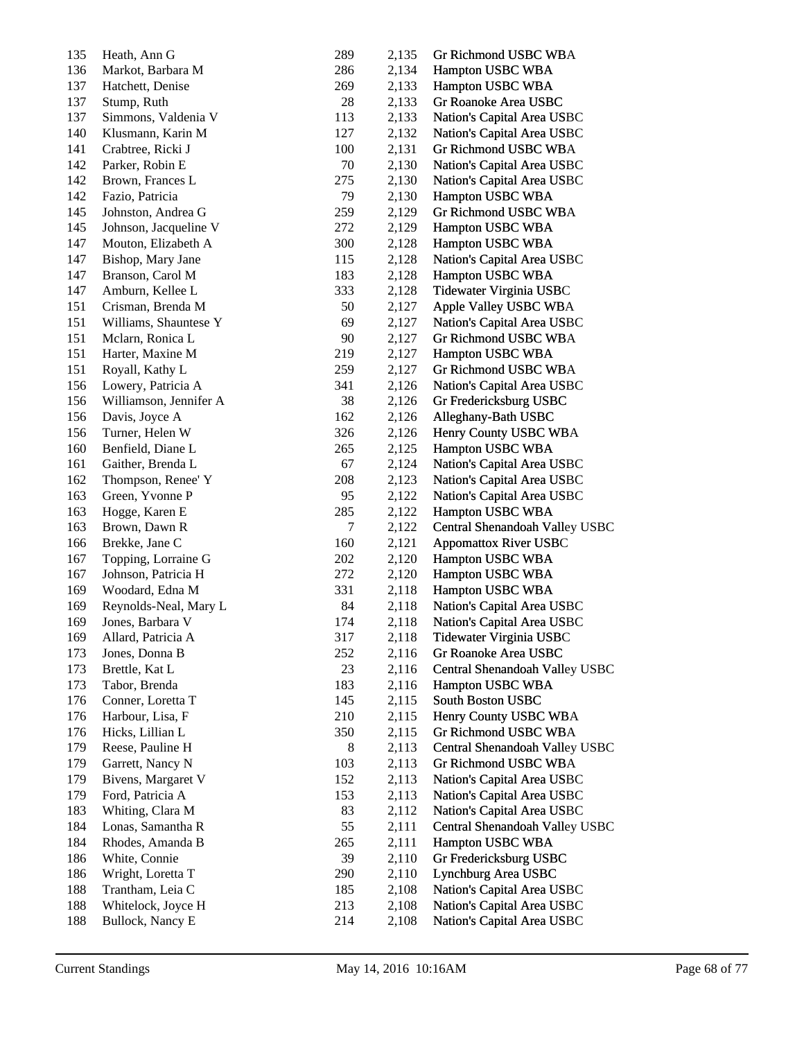| 135     | Heath, Ann G           | 289 | 2,135 | Gr Richmond USBC WBA           |
|---------|------------------------|-----|-------|--------------------------------|
| 136     | Markot, Barbara M      | 286 | 2,134 | Hampton USBC WBA               |
| 137     | Hatchett, Denise       | 269 | 2,133 | Hampton USBC WBA               |
| 137     | Stump, Ruth            | 28  | 2,133 | Gr Roanoke Area USBC           |
| 137     | Simmons, Valdenia V    | 113 | 2,133 | Nation's Capital Area USBC     |
| 140     | Klusmann, Karin M      | 127 | 2,132 | Nation's Capital Area USBC     |
| 141     | Crabtree, Ricki J      | 100 | 2,131 | Gr Richmond USBC WBA           |
| 142     | Parker, Robin E        | 70  | 2,130 | Nation's Capital Area USBC     |
| 142     | Brown, Frances L       | 275 | 2,130 | Nation's Capital Area USBC     |
| 142     | Fazio, Patricia        | 79  | 2,130 | Hampton USBC WBA               |
| 145     | Johnston, Andrea G     | 259 | 2,129 | Gr Richmond USBC WBA           |
| 145     | Johnson, Jacqueline V  | 272 | 2,129 | Hampton USBC WBA               |
| 147     | Mouton, Elizabeth A    | 300 | 2,128 | Hampton USBC WBA               |
| 147     | Bishop, Mary Jane      | 115 | 2,128 | Nation's Capital Area USBC     |
| 147     | Branson, Carol M       | 183 | 2,128 | Hampton USBC WBA               |
| 147     | Amburn, Kellee L       | 333 | 2,128 | Tidewater Virginia USBC        |
| 151     | Crisman, Brenda M      | 50  | 2,127 | Apple Valley USBC WBA          |
| 151     | Williams, Shauntese Y  | 69  | 2,127 | Nation's Capital Area USBC     |
| 151     | Mclarn, Ronica L       | 90  | 2,127 | Gr Richmond USBC WBA           |
| 151     | Harter, Maxine M       | 219 | 2,127 | Hampton USBC WBA               |
| 151     | Royall, Kathy L        | 259 | 2,127 | Gr Richmond USBC WBA           |
| 156     | Lowery, Patricia A     | 341 | 2,126 | Nation's Capital Area USBC     |
| 156     | Williamson, Jennifer A | 38  | 2,126 | Gr Fredericksburg USBC         |
| 156     | Davis, Joyce A         | 162 | 2,126 | Alleghany-Bath USBC            |
| 156     | Turner, Helen W        | 326 | 2,126 | Henry County USBC WBA          |
| $160\,$ | Benfield, Diane L      | 265 | 2,125 | Hampton USBC WBA               |
| 161     | Gaither, Brenda L      | 67  | 2,124 | Nation's Capital Area USBC     |
| 162     | Thompson, Renee' Y     | 208 | 2,123 | Nation's Capital Area USBC     |
| 163     | Green, Yvonne P        | 95  | 2,122 | Nation's Capital Area USBC     |
| 163     | Hogge, Karen E         | 285 | 2,122 | Hampton USBC WBA               |
| 163     | Brown, Dawn R          | 7   | 2,122 | Central Shenandoah Valley USBC |
| 166     | Brekke, Jane C         | 160 | 2,121 | Appomattox River USBC          |
| 167     | Topping, Lorraine G    | 202 | 2,120 | Hampton USBC WBA               |
| 167     | Johnson, Patricia H    | 272 | 2,120 | Hampton USBC WBA               |
|         |                        |     | 2,118 |                                |
| 169     | Woodard, Edna M        | 331 |       | Hampton USBC WBA               |
| 169     | Reynolds-Neal, Mary L  | 84  | 2,118 | Nation's Capital Area USBC     |
| 169     | Jones, Barbara V       | 174 | 2,118 | Nation's Capital Area USBC     |
| 169     | Allard, Patricia A     | 317 | 2,118 | Tidewater Virginia USBC        |
| 173     | Jones, Donna B         | 252 | 2,116 | Gr Roanoke Area USBC           |
| 173     | Brettle, Kat L         | 23  | 2,116 | Central Shenandoah Valley USBC |
| 173     | Tabor, Brenda          | 183 | 2,116 | Hampton USBC WBA               |
| 176     | Conner, Loretta T      | 145 | 2,115 | South Boston USBC              |
| 176     | Harbour, Lisa, F       | 210 | 2,115 | Henry County USBC WBA          |
| 176     | Hicks, Lillian L       | 350 | 2,115 | Gr Richmond USBC WBA           |
| 179     | Reese, Pauline H       | 8   | 2,113 | Central Shenandoah Valley USBC |
| 179     | Garrett, Nancy N       | 103 | 2,113 | Gr Richmond USBC WBA           |
| 179     | Bivens, Margaret V     | 152 | 2,113 | Nation's Capital Area USBC     |
| 179     | Ford, Patricia A       | 153 | 2,113 | Nation's Capital Area USBC     |
| 183     | Whiting, Clara M       | 83  | 2,112 | Nation's Capital Area USBC     |
| 184     | Lonas, Samantha R      | 55  | 2,111 | Central Shenandoah Valley USBC |
| 184     | Rhodes, Amanda B       | 265 | 2,111 | Hampton USBC WBA               |
| 186     | White, Connie          | 39  | 2,110 | Gr Fredericksburg USBC         |
| 186     | Wright, Loretta T      | 290 | 2,110 | Lynchburg Area USBC            |
| 188     | Trantham, Leia C       | 185 | 2,108 | Nation's Capital Area USBC     |
| 188     | Whitelock, Joyce H     | 213 | 2,108 | Nation's Capital Area USBC     |
| 188     | Bullock, Nancy E       | 214 | 2,108 | Nation's Capital Area USBC     |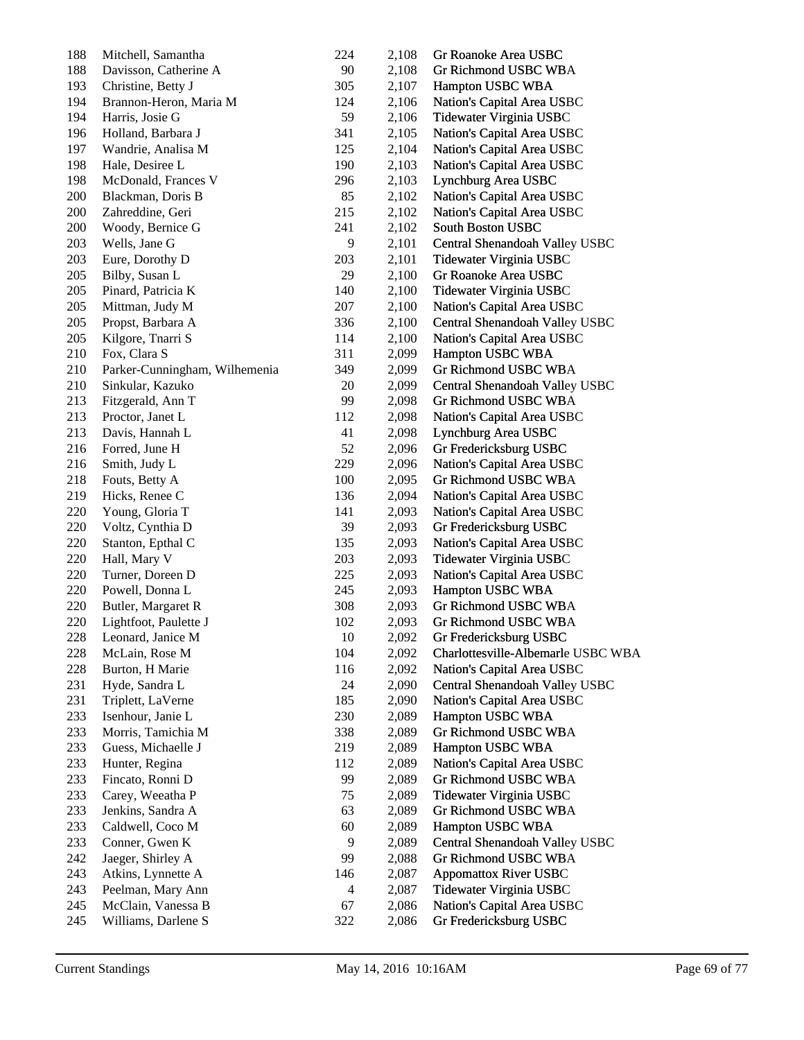| 188 | Mitchell, Samantha            | 224                      | 2,108 | Gr Roanoke Area USBC               |
|-----|-------------------------------|--------------------------|-------|------------------------------------|
| 188 | Davisson, Catherine A         | 90                       | 2,108 | Gr Richmond USBC WBA               |
| 193 | Christine, Betty J            | 305                      | 2,107 | Hampton USBC WBA                   |
| 194 | Brannon-Heron, Maria M        | 124                      | 2,106 | Nation's Capital Area USBC         |
| 194 | Harris, Josie G               | 59                       | 2,106 | Tidewater Virginia USBC            |
| 196 | Holland, Barbara J            | 341                      | 2,105 | Nation's Capital Area USBC         |
| 197 | Wandrie, Analisa M            | 125                      | 2,104 | Nation's Capital Area USBC         |
| 198 | Hale, Desiree L               | 190                      | 2,103 | Nation's Capital Area USBC         |
| 198 | McDonald, Frances V           | 296                      | 2,103 | Lynchburg Area USBC                |
| 200 | Blackman, Doris B             | 85                       | 2,102 | Nation's Capital Area USBC         |
| 200 | Zahreddine, Geri              | 215                      | 2,102 | Nation's Capital Area USBC         |
| 200 | Woody, Bernice G              | 241                      | 2,102 | South Boston USBC                  |
| 203 | Wells, Jane G                 | 9                        | 2,101 | Central Shenandoah Valley USBC     |
| 203 | Eure, Dorothy D               | 203                      | 2,101 | Tidewater Virginia USBC            |
| 205 | Bilby, Susan L                | 29                       | 2,100 | Gr Roanoke Area USBC               |
| 205 | Pinard, Patricia K            | 140                      | 2,100 | Tidewater Virginia USBC            |
| 205 | Mittman, Judy M               | 207                      | 2,100 | Nation's Capital Area USBC         |
| 205 | Propst, Barbara A             | 336                      | 2,100 | Central Shenandoah Valley USBC     |
| 205 | Kilgore, Tnarri S             | 114                      | 2,100 | Nation's Capital Area USBC         |
| 210 | Fox, Clara S                  | 311                      | 2,099 | Hampton USBC WBA                   |
| 210 | Parker-Cunningham, Wilhemenia | 349                      | 2,099 | Gr Richmond USBC WBA               |
| 210 | Sinkular, Kazuko              | 20                       | 2,099 | Central Shenandoah Valley USBC     |
| 213 | Fitzgerald, Ann T             | 99                       | 2,098 | Gr Richmond USBC WBA               |
| 213 | Proctor, Janet L              | 112                      | 2,098 | Nation's Capital Area USBC         |
| 213 | Davis, Hannah L               | 41                       | 2,098 | Lynchburg Area USBC                |
| 216 | Forred, June H                | 52                       | 2,096 | Gr Fredericksburg USBC             |
| 216 | Smith, Judy L                 | 229                      | 2,096 | Nation's Capital Area USBC         |
| 218 | Fouts, Betty A                | 100                      | 2,095 | Gr Richmond USBC WBA               |
| 219 | Hicks, Renee C                | 136                      | 2,094 | Nation's Capital Area USBC         |
| 220 | Young, Gloria T               | 141                      | 2,093 | Nation's Capital Area USBC         |
| 220 | Voltz, Cynthia D              | 39                       | 2,093 | Gr Fredericksburg USBC             |
| 220 | Stanton, Epthal C             | 135                      | 2,093 | Nation's Capital Area USBC         |
| 220 | Hall, Mary V                  | 203                      | 2,093 | Tidewater Virginia USBC            |
| 220 | Turner, Doreen D              | 225                      | 2,093 | Nation's Capital Area USBC         |
| 220 | Powell, Donna L               | 245                      | 2,093 | Hampton USBC WBA                   |
| 220 | Butler, Margaret R            | 308                      | 2,093 | Gr Richmond USBC WBA               |
| 220 | Lightfoot, Paulette J         | 102                      | 2,093 | <b>Gr Richmond USBC WBA</b>        |
| 228 | Leonard, Janice M             | 10                       | 2,092 | Gr Fredericksburg USBC             |
| 228 | McLain, Rose M                | 104                      | 2,092 | Charlottesville-Albemarle USBC WBA |
| 228 | Burton, H Marie               | 116                      | 2,092 | Nation's Capital Area USBC         |
| 231 | Hyde, Sandra L                | 24                       | 2,090 | Central Shenandoah Valley USBC     |
| 231 | Triplett, LaVerne             | 185                      | 2,090 | Nation's Capital Area USBC         |
| 233 | Isenhour, Janie L             | 230                      | 2,089 | Hampton USBC WBA                   |
| 233 | Morris, Tamichia M            | 338                      | 2,089 | Gr Richmond USBC WBA               |
| 233 | Guess, Michaelle J            | 219                      | 2,089 | Hampton USBC WBA                   |
| 233 | Hunter, Regina                | 112                      | 2,089 | Nation's Capital Area USBC         |
| 233 | Fincato, Ronni D              | 99                       | 2,089 | Gr Richmond USBC WBA               |
| 233 | Carey, Weeatha P              | 75                       | 2,089 | Tidewater Virginia USBC            |
| 233 | Jenkins, Sandra A             | 63                       | 2,089 | Gr Richmond USBC WBA               |
| 233 | Caldwell, Coco M              | 60                       | 2,089 | Hampton USBC WBA                   |
| 233 | Conner, Gwen K                | 9                        | 2,089 | Central Shenandoah Valley USBC     |
| 242 | Jaeger, Shirley A             | 99                       | 2,088 | <b>Gr Richmond USBC WBA</b>        |
| 243 | Atkins, Lynnette A            | 146                      | 2,087 | <b>Appomattox River USBC</b>       |
| 243 | Peelman, Mary Ann             | $\overline{\mathcal{A}}$ | 2,087 | Tidewater Virginia USBC            |
| 245 | McClain, Vanessa B            | 67                       | 2,086 | Nation's Capital Area USBC         |
| 245 | Williams, Darlene S           | 322                      | 2,086 | Gr Fredericksburg USBC             |
|     |                               |                          |       |                                    |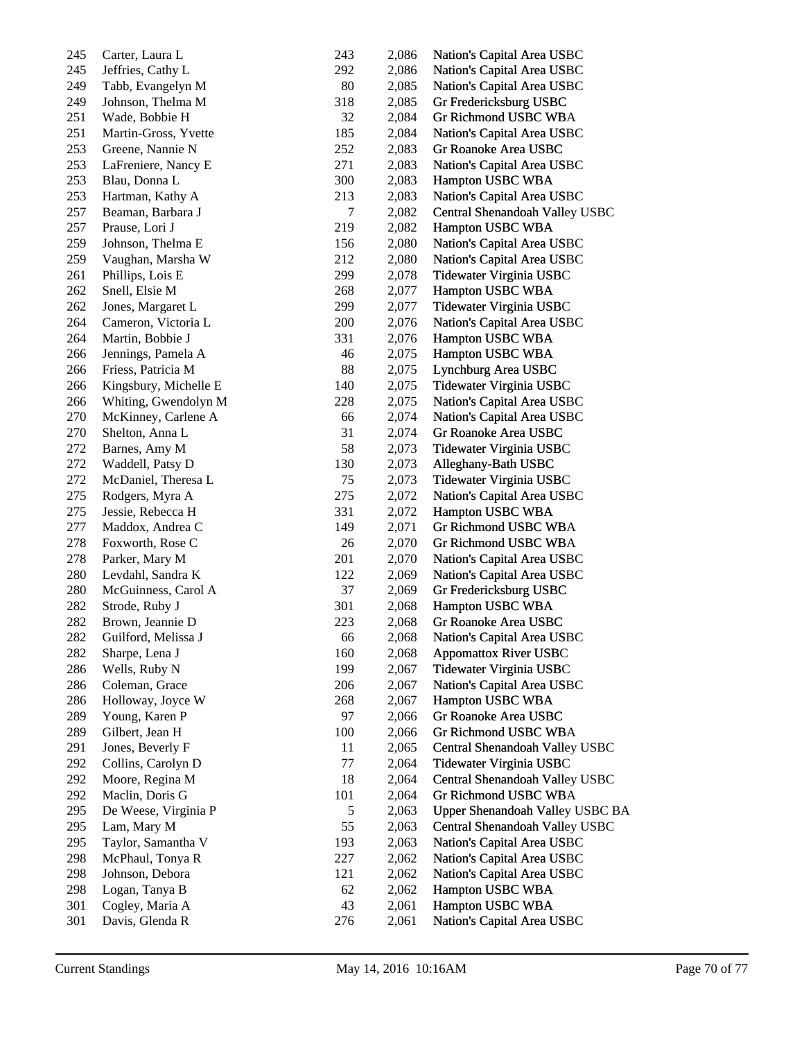| 245     | Carter, Laura L       | 243    | 2,086 | Nation's Capital Area USBC      |
|---------|-----------------------|--------|-------|---------------------------------|
| 245     | Jeffries, Cathy L     | 292    | 2,086 | Nation's Capital Area USBC      |
| 249     | Tabb, Evangelyn M     | 80     | 2,085 | Nation's Capital Area USBC      |
| 249     | Johnson, Thelma M     | 318    | 2,085 | Gr Fredericksburg USBC          |
| 251     | Wade, Bobbie H        | 32     | 2,084 | Gr Richmond USBC WBA            |
| 251     | Martin-Gross, Yvette  | 185    | 2,084 | Nation's Capital Area USBC      |
| 253     | Greene, Nannie N      | 252    | 2,083 | Gr Roanoke Area USBC            |
| 253     | LaFreniere, Nancy E   | 271    | 2,083 | Nation's Capital Area USBC      |
| 253     | Blau, Donna L         | 300    | 2,083 | Hampton USBC WBA                |
| 253     | Hartman, Kathy A      | 213    | 2,083 | Nation's Capital Area USBC      |
| 257     | Beaman, Barbara J     | $\tau$ | 2,082 | Central Shenandoah Valley USBC  |
| 257     | Prause, Lori J        | 219    | 2,082 | Hampton USBC WBA                |
| 259     | Johnson, Thelma E     | 156    | 2,080 | Nation's Capital Area USBC      |
| 259     | Vaughan, Marsha W     | 212    | 2,080 | Nation's Capital Area USBC      |
| 261     | Phillips, Lois E      | 299    | 2,078 | Tidewater Virginia USBC         |
| 262     | Snell, Elsie M        | 268    | 2,077 | Hampton USBC WBA                |
| 262     | Jones, Margaret L     | 299    | 2,077 | Tidewater Virginia USBC         |
| 264     | Cameron, Victoria L   | 200    | 2,076 | Nation's Capital Area USBC      |
| 264     | Martin, Bobbie J      | 331    | 2,076 | Hampton USBC WBA                |
| 266     | Jennings, Pamela A    | 46     | 2,075 | Hampton USBC WBA                |
| 266     | Friess, Patricia M    | 88     | 2,075 | Lynchburg Area USBC             |
| 266     | Kingsbury, Michelle E | 140    | 2,075 | Tidewater Virginia USBC         |
| 266     | Whiting, Gwendolyn M  | 228    | 2,075 | Nation's Capital Area USBC      |
| 270     | McKinney, Carlene A   | 66     | 2,074 | Nation's Capital Area USBC      |
| 270     | Shelton, Anna L       | 31     | 2,074 | Gr Roanoke Area USBC            |
| 272     | Barnes, Amy M         | 58     | 2,073 | Tidewater Virginia USBC         |
| 272     | Waddell, Patsy D      | 130    | 2,073 | Alleghany-Bath USBC             |
| 272     | McDaniel, Theresa L   | 75     | 2,073 | Tidewater Virginia USBC         |
| 275     | Rodgers, Myra A       | 275    | 2,072 | Nation's Capital Area USBC      |
| 275     | Jessie, Rebecca H     | 331    | 2,072 | Hampton USBC WBA                |
| 277     | Maddox, Andrea C      | 149    | 2,071 | Gr Richmond USBC WBA            |
| 278     | Foxworth, Rose C      | 26     | 2,070 | Gr Richmond USBC WBA            |
| 278     | Parker, Mary M        | 201    | 2,070 | Nation's Capital Area USBC      |
| $280\,$ | Levdahl, Sandra K     | 122    | 2,069 | Nation's Capital Area USBC      |
| $280\,$ | McGuinness, Carol A   | 37     | 2,069 | Gr Fredericksburg USBC          |
| 282     | Strode, Ruby J        | 301    | 2,068 | Hampton USBC WBA                |
| 282     | Brown, Jeannie D      | 223    | 2,068 | Gr Roanoke Area USBC            |
| 282     | Guilford, Melissa J   | 66     | 2,068 | Nation's Capital Area USBC      |
| 282     | Sharpe, Lena J        | 160    | 2,068 | <b>Appomattox River USBC</b>    |
| 286     | Wells, Ruby N         | 199    | 2,067 | Tidewater Virginia USBC         |
| 286     | Coleman, Grace        | 206    | 2,067 | Nation's Capital Area USBC      |
| 286     | Holloway, Joyce W     | 268    | 2,067 | Hampton USBC WBA                |
| 289     | Young, Karen P        | 97     | 2,066 | Gr Roanoke Area USBC            |
| 289     | Gilbert, Jean H       | 100    | 2,066 | Gr Richmond USBC WBA            |
| 291     | Jones, Beverly F      | 11     | 2,065 | Central Shenandoah Valley USBC  |
| 292     | Collins, Carolyn D    | 77     | 2,064 | Tidewater Virginia USBC         |
| 292     | Moore, Regina M       | 18     | 2,064 | Central Shenandoah Valley USBC  |
| 292     | Maclin, Doris G       | 101    | 2,064 | Gr Richmond USBC WBA            |
| 295     | De Weese, Virginia P  | 5      | 2,063 | Upper Shenandoah Valley USBC BA |
| 295     | Lam, Mary M           | 55     | 2,063 | Central Shenandoah Valley USBC  |
| 295     | Taylor, Samantha V    | 193    | 2,063 | Nation's Capital Area USBC      |
| 298     | McPhaul, Tonya R      | 227    | 2,062 | Nation's Capital Area USBC      |
| 298     | Johnson, Debora       | 121    | 2,062 | Nation's Capital Area USBC      |
| 298     | Logan, Tanya B        | 62     | 2,062 | Hampton USBC WBA                |
| 301     | Cogley, Maria A       | 43     | 2,061 | Hampton USBC WBA                |
| 301     | Davis, Glenda R       | 276    | 2,061 | Nation's Capital Area USBC      |
|         |                       |        |       |                                 |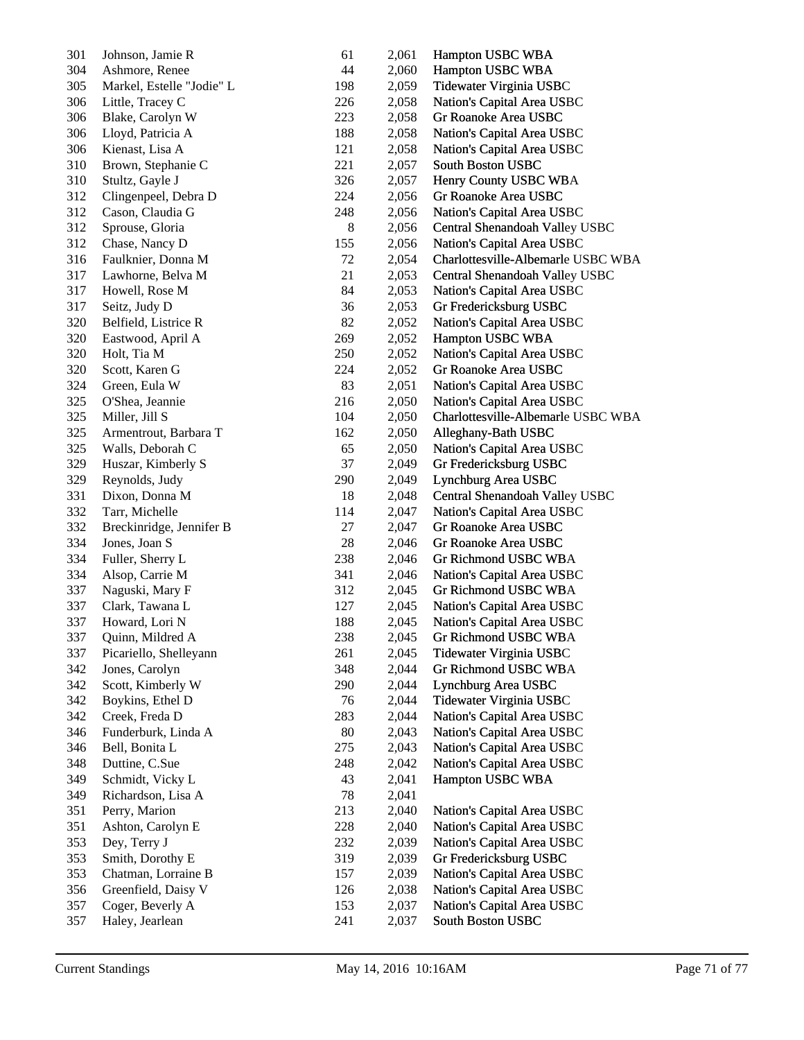| 301 | Johnson, Jamie R          | 61  | 2,061 | Hampton USBC WBA                   |
|-----|---------------------------|-----|-------|------------------------------------|
| 304 | Ashmore, Renee            | 44  | 2,060 | Hampton USBC WBA                   |
| 305 | Markel, Estelle "Jodie" L | 198 | 2,059 | Tidewater Virginia USBC            |
| 306 | Little, Tracey C          | 226 | 2,058 | Nation's Capital Area USBC         |
| 306 | Blake, Carolyn W          | 223 | 2,058 | Gr Roanoke Area USBC               |
| 306 | Lloyd, Patricia A         | 188 | 2,058 | Nation's Capital Area USBC         |
| 306 | Kienast, Lisa A           | 121 | 2,058 | Nation's Capital Area USBC         |
| 310 | Brown, Stephanie C        | 221 | 2,057 | South Boston USBC                  |
| 310 | Stultz, Gayle J           | 326 | 2,057 | Henry County USBC WBA              |
| 312 | Clingenpeel, Debra D      | 224 | 2,056 | Gr Roanoke Area USBC               |
| 312 | Cason, Claudia G          | 248 | 2,056 | Nation's Capital Area USBC         |
| 312 | Sprouse, Gloria           | 8   | 2,056 | Central Shenandoah Valley USBC     |
| 312 | Chase, Nancy D            | 155 |       | Nation's Capital Area USBC         |
|     |                           |     | 2,056 |                                    |
| 316 | Faulknier, Donna M        | 72  | 2,054 | Charlottesville-Albemarle USBC WBA |
| 317 | Lawhorne, Belva M         | 21  | 2,053 | Central Shenandoah Valley USBC     |
| 317 | Howell, Rose M            | 84  | 2,053 | Nation's Capital Area USBC         |
| 317 | Seitz, Judy D             | 36  | 2,053 | Gr Fredericksburg USBC             |
| 320 | Belfield, Listrice R      | 82  | 2,052 | Nation's Capital Area USBC         |
| 320 | Eastwood, April A         | 269 | 2,052 | Hampton USBC WBA                   |
| 320 | Holt, Tia M               | 250 | 2,052 | Nation's Capital Area USBC         |
| 320 | Scott, Karen G            | 224 | 2,052 | Gr Roanoke Area USBC               |
| 324 | Green, Eula W             | 83  | 2,051 | Nation's Capital Area USBC         |
| 325 | O'Shea, Jeannie           | 216 | 2,050 | Nation's Capital Area USBC         |
| 325 | Miller, Jill S            | 104 | 2,050 | Charlottesville-Albemarle USBC WBA |
| 325 | Armentrout, Barbara T     | 162 | 2,050 | Alleghany-Bath USBC                |
| 325 | Walls, Deborah C          | 65  | 2,050 | Nation's Capital Area USBC         |
| 329 | Huszar, Kimberly S        | 37  | 2,049 | Gr Fredericksburg USBC             |
| 329 | Reynolds, Judy            | 290 | 2,049 | Lynchburg Area USBC                |
| 331 | Dixon, Donna M            | 18  | 2,048 | Central Shenandoah Valley USBC     |
| 332 | Tarr, Michelle            | 114 | 2,047 | Nation's Capital Area USBC         |
| 332 | Breckinridge, Jennifer B  | 27  | 2,047 | Gr Roanoke Area USBC               |
| 334 | Jones, Joan S             | 28  | 2,046 | Gr Roanoke Area USBC               |
| 334 | Fuller, Sherry L          | 238 | 2,046 | Gr Richmond USBC WBA               |
| 334 | Alsop, Carrie M           | 341 | 2,046 | Nation's Capital Area USBC         |
| 337 | Naguski, Mary F           | 312 | 2,045 | Gr Richmond USBC WBA               |
| 337 | Clark, Tawana L           | 127 | 2,045 | Nation's Capital Area USBC         |
| 337 | Howard, Lori N            | 188 | 2,045 | Nation's Capital Area USBC         |
| 337 | Quinn, Mildred A          | 238 | 2,045 | Gr Richmond USBC WBA               |
| 337 | Picariello, Shelleyann    | 261 | 2,045 | Tidewater Virginia USBC            |
| 342 | Jones, Carolyn            | 348 | 2,044 | Gr Richmond USBC WBA               |
| 342 |                           |     |       | Lynchburg Area USBC                |
|     | Scott, Kimberly W         | 290 | 2,044 |                                    |
| 342 | Boykins, Ethel D          | 76  | 2,044 | Tidewater Virginia USBC            |
| 342 | Creek, Freda D            | 283 | 2,044 | Nation's Capital Area USBC         |
| 346 | Funderburk, Linda A       | 80  | 2,043 | Nation's Capital Area USBC         |
| 346 | Bell, Bonita L            | 275 | 2,043 | Nation's Capital Area USBC         |
| 348 | Duttine, C.Sue            | 248 | 2,042 | Nation's Capital Area USBC         |
| 349 | Schmidt, Vicky L          | 43  | 2,041 | Hampton USBC WBA                   |
| 349 | Richardson, Lisa A        | 78  | 2,041 |                                    |
| 351 | Perry, Marion             | 213 | 2,040 | Nation's Capital Area USBC         |
| 351 | Ashton, Carolyn E         | 228 | 2,040 | Nation's Capital Area USBC         |
| 353 | Dey, Terry J              | 232 | 2,039 | Nation's Capital Area USBC         |
| 353 | Smith, Dorothy E          | 319 | 2,039 | Gr Fredericksburg USBC             |
| 353 | Chatman, Lorraine B       | 157 | 2,039 | Nation's Capital Area USBC         |
| 356 | Greenfield, Daisy V       | 126 | 2,038 | Nation's Capital Area USBC         |
| 357 | Coger, Beverly A          | 153 | 2,037 | Nation's Capital Area USBC         |
| 357 | Haley, Jearlean           | 241 | 2,037 | South Boston USBC                  |
|     |                           |     |       |                                    |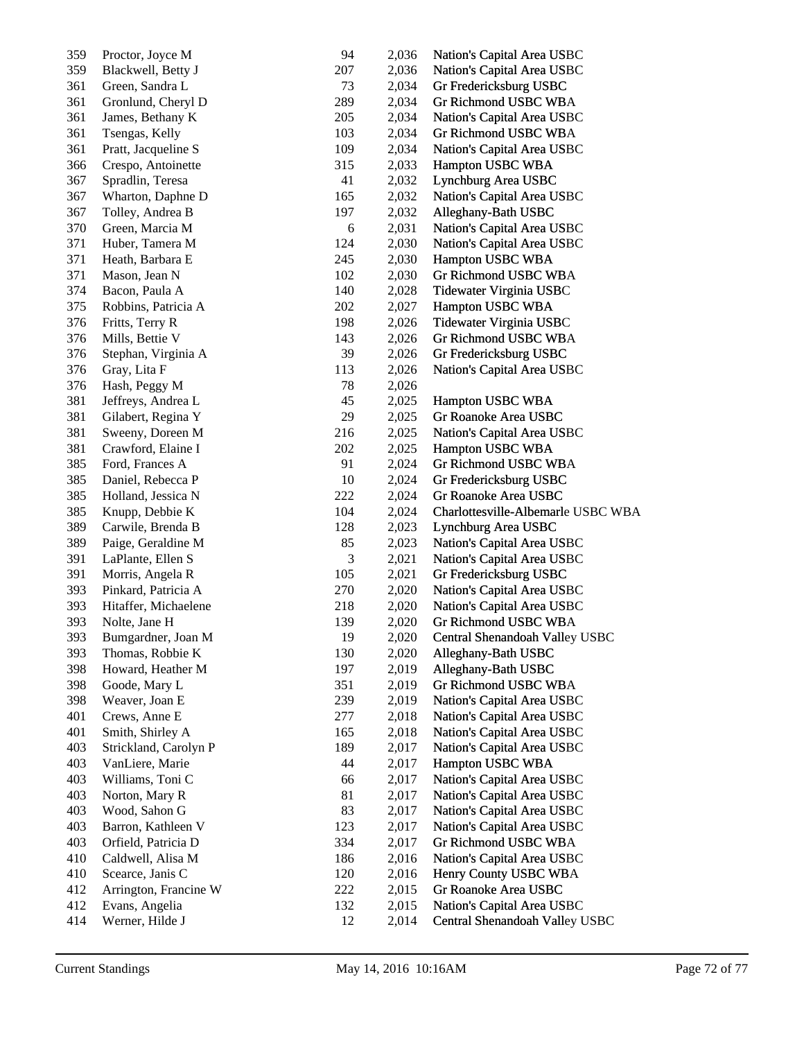| 359 | Proctor, Joyce M      | 94  | 2,036 | Nation's Capital Area USBC         |
|-----|-----------------------|-----|-------|------------------------------------|
| 359 | Blackwell, Betty J    | 207 | 2,036 | Nation's Capital Area USBC         |
| 361 | Green, Sandra L       | 73  | 2,034 | Gr Fredericksburg USBC             |
| 361 | Gronlund, Cheryl D    | 289 | 2,034 | Gr Richmond USBC WBA               |
| 361 | James, Bethany K      | 205 | 2,034 | Nation's Capital Area USBC         |
| 361 | Tsengas, Kelly        | 103 | 2,034 | Gr Richmond USBC WBA               |
| 361 | Pratt, Jacqueline S   | 109 | 2,034 | Nation's Capital Area USBC         |
| 366 | Crespo, Antoinette    | 315 | 2,033 | Hampton USBC WBA                   |
| 367 | Spradlin, Teresa      | 41  | 2,032 | Lynchburg Area USBC                |
| 367 | Wharton, Daphne D     | 165 | 2,032 | Nation's Capital Area USBC         |
| 367 | Tolley, Andrea B      | 197 | 2,032 | Alleghany-Bath USBC                |
| 370 | Green, Marcia M       | 6   | 2,031 | Nation's Capital Area USBC         |
| 371 |                       | 124 | 2,030 |                                    |
| 371 | Huber, Tamera M       |     |       | Nation's Capital Area USBC         |
|     | Heath, Barbara E      | 245 | 2,030 | Hampton USBC WBA                   |
| 371 | Mason, Jean N         | 102 | 2,030 | Gr Richmond USBC WBA               |
| 374 | Bacon, Paula A        | 140 | 2,028 | Tidewater Virginia USBC            |
| 375 | Robbins, Patricia A   | 202 | 2,027 | Hampton USBC WBA                   |
| 376 | Fritts, Terry R       | 198 | 2,026 | Tidewater Virginia USBC            |
| 376 | Mills, Bettie V       | 143 | 2,026 | Gr Richmond USBC WBA               |
| 376 | Stephan, Virginia A   | 39  | 2,026 | Gr Fredericksburg USBC             |
| 376 | Gray, Lita F          | 113 | 2,026 | Nation's Capital Area USBC         |
| 376 | Hash, Peggy M         | 78  | 2,026 |                                    |
| 381 | Jeffreys, Andrea L    | 45  | 2,025 | Hampton USBC WBA                   |
| 381 | Gilabert, Regina Y    | 29  | 2,025 | Gr Roanoke Area USBC               |
| 381 | Sweeny, Doreen M      | 216 | 2,025 | Nation's Capital Area USBC         |
| 381 | Crawford, Elaine I    | 202 | 2,025 | Hampton USBC WBA                   |
| 385 | Ford, Frances A       | 91  | 2,024 | Gr Richmond USBC WBA               |
| 385 | Daniel, Rebecca P     | 10  | 2,024 | Gr Fredericksburg USBC             |
| 385 | Holland, Jessica N    | 222 | 2,024 | Gr Roanoke Area USBC               |
| 385 | Knupp, Debbie K       | 104 | 2,024 | Charlottesville-Albemarle USBC WBA |
| 389 | Carwile, Brenda B     | 128 | 2,023 | Lynchburg Area USBC                |
| 389 | Paige, Geraldine M    | 85  | 2,023 | Nation's Capital Area USBC         |
| 391 | LaPlante, Ellen S     | 3   | 2,021 | Nation's Capital Area USBC         |
| 391 | Morris, Angela R      | 105 | 2,021 | Gr Fredericksburg USBC             |
| 393 | Pinkard, Patricia A   | 270 | 2,020 | Nation's Capital Area USBC         |
| 393 | Hitaffer, Michaelene  | 218 | 2,020 | Nation's Capital Area USBC         |
| 393 | Nolte, Jane H         | 139 | 2,020 | Gr Richmond USBC WBA               |
| 393 | Bumgardner, Joan M    | 19  | 2,020 | Central Shenandoah Valley USBC     |
| 393 | Thomas, Robbie K      | 130 | 2,020 | Alleghany-Bath USBC                |
| 398 | Howard, Heather M     | 197 | 2,019 | Alleghany-Bath USBC                |
| 398 |                       | 351 |       | Gr Richmond USBC WBA               |
|     | Goode, Mary L         |     | 2,019 |                                    |
| 398 | Weaver, Joan E        | 239 | 2,019 | Nation's Capital Area USBC         |
| 401 | Crews, Anne E         | 277 | 2,018 | Nation's Capital Area USBC         |
| 401 | Smith, Shirley A      | 165 | 2,018 | Nation's Capital Area USBC         |
| 403 | Strickland, Carolyn P | 189 | 2,017 | Nation's Capital Area USBC         |
| 403 | VanLiere, Marie       | 44  | 2,017 | Hampton USBC WBA                   |
| 403 | Williams, Toni C      | 66  | 2,017 | Nation's Capital Area USBC         |
| 403 | Norton, Mary R        | 81  | 2,017 | Nation's Capital Area USBC         |
| 403 | Wood, Sahon G         | 83  | 2,017 | Nation's Capital Area USBC         |
| 403 | Barron, Kathleen V    | 123 | 2,017 | Nation's Capital Area USBC         |
| 403 | Orfield, Patricia D   | 334 | 2,017 | Gr Richmond USBC WBA               |
| 410 | Caldwell, Alisa M     | 186 | 2,016 | Nation's Capital Area USBC         |
| 410 | Scearce, Janis C      | 120 | 2,016 | Henry County USBC WBA              |
| 412 | Arrington, Francine W | 222 | 2,015 | Gr Roanoke Area USBC               |
| 412 | Evans, Angelia        | 132 | 2,015 | Nation's Capital Area USBC         |
| 414 | Werner, Hilde J       | 12  | 2,014 | Central Shenandoah Valley USBC     |
|     |                       |     |       |                                    |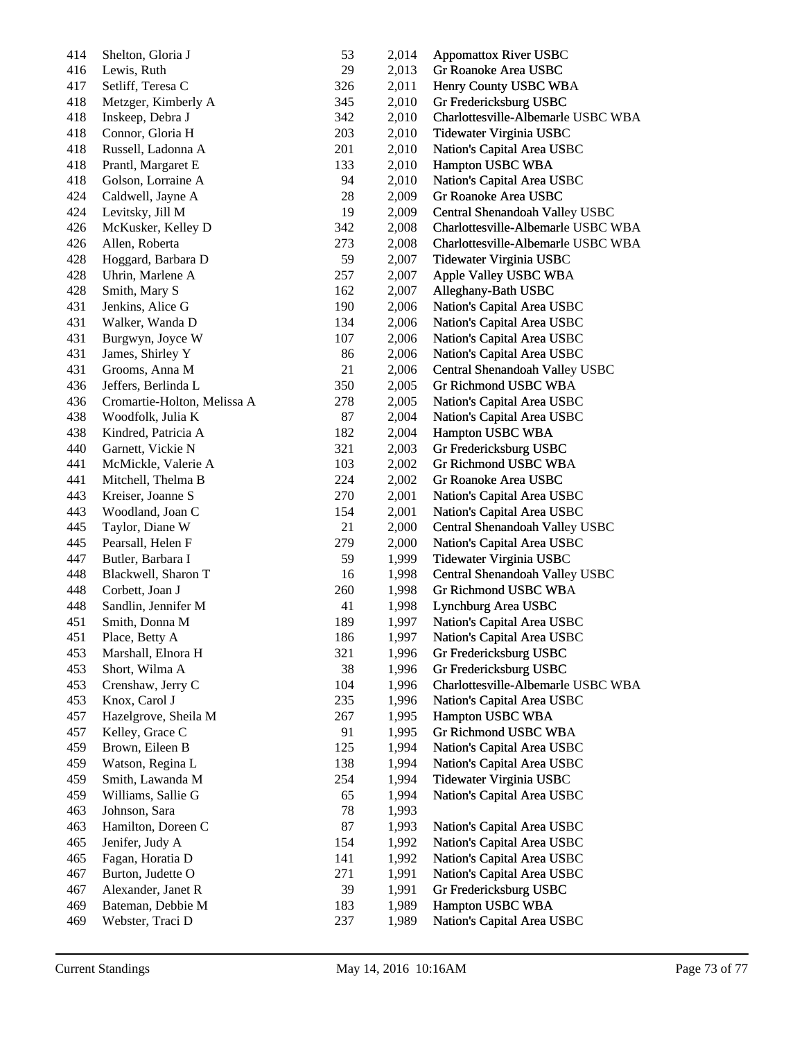| 414 | Shelton, Gloria J           | 53  | 2,014 | <b>Appomattox River USBC</b>       |
|-----|-----------------------------|-----|-------|------------------------------------|
| 416 | Lewis, Ruth                 | 29  | 2,013 | Gr Roanoke Area USBC               |
| 417 | Setliff, Teresa C           | 326 | 2,011 | Henry County USBC WBA              |
| 418 | Metzger, Kimberly A         | 345 | 2,010 | Gr Fredericksburg USBC             |
| 418 | Inskeep, Debra J            | 342 | 2,010 | Charlottesville-Albemarle USBC WBA |
| 418 | Connor, Gloria H            | 203 | 2,010 | Tidewater Virginia USBC            |
| 418 | Russell, Ladonna A          | 201 | 2,010 | Nation's Capital Area USBC         |
| 418 | Prantl, Margaret E          | 133 | 2,010 | Hampton USBC WBA                   |
| 418 | Golson, Lorraine A          | 94  | 2,010 | Nation's Capital Area USBC         |
| 424 | Caldwell, Jayne A           | 28  | 2,009 | Gr Roanoke Area USBC               |
| 424 | Levitsky, Jill M            | 19  | 2,009 | Central Shenandoah Valley USBC     |
| 426 | McKusker, Kelley D          | 342 | 2,008 | Charlottesville-Albemarle USBC WBA |
| 426 | Allen, Roberta              | 273 | 2,008 | Charlottesville-Albemarle USBC WBA |
| 428 | Hoggard, Barbara D          | 59  | 2,007 | Tidewater Virginia USBC            |
| 428 | Uhrin, Marlene A            | 257 | 2,007 | Apple Valley USBC WBA              |
| 428 | Smith, Mary S               | 162 | 2,007 | Alleghany-Bath USBC                |
| 431 | Jenkins, Alice G            | 190 | 2,006 | Nation's Capital Area USBC         |
| 431 | Walker, Wanda D             | 134 | 2,006 | Nation's Capital Area USBC         |
| 431 | Burgwyn, Joyce W            | 107 | 2,006 | Nation's Capital Area USBC         |
| 431 | James, Shirley Y            | 86  | 2,006 | Nation's Capital Area USBC         |
| 431 | Grooms, Anna M              | 21  | 2,006 | Central Shenandoah Valley USBC     |
| 436 | Jeffers, Berlinda L         | 350 | 2,005 | Gr Richmond USBC WBA               |
| 436 | Cromartie-Holton, Melissa A | 278 | 2,005 | Nation's Capital Area USBC         |
| 438 | Woodfolk, Julia K           | 87  | 2,004 | Nation's Capital Area USBC         |
| 438 | Kindred, Patricia A         | 182 | 2,004 | Hampton USBC WBA                   |
| 440 | Garnett, Vickie N           | 321 | 2,003 | Gr Fredericksburg USBC             |
| 441 | McMickle, Valerie A         | 103 | 2,002 | Gr Richmond USBC WBA               |
| 441 | Mitchell, Thelma B          | 224 | 2,002 | Gr Roanoke Area USBC               |
| 443 | Kreiser, Joanne S           | 270 | 2,001 | Nation's Capital Area USBC         |
| 443 | Woodland, Joan C            | 154 | 2,001 | Nation's Capital Area USBC         |
| 445 | Taylor, Diane W             | 21  | 2,000 | Central Shenandoah Valley USBC     |
| 445 | Pearsall, Helen F           | 279 | 2,000 | Nation's Capital Area USBC         |
| 447 | Butler, Barbara I           | 59  | 1,999 | Tidewater Virginia USBC            |
| 448 | Blackwell, Sharon T         | 16  | 1,998 | Central Shenandoah Valley USBC     |
| 448 | Corbett, Joan J             | 260 | 1,998 | Gr Richmond USBC WBA               |
| 448 | Sandlin, Jennifer M         | 41  | 1,998 | Lynchburg Area USBC                |
| 451 | Smith, Donna M              | 189 | 1,997 | Nation's Capital Area USBC         |
| 451 | Place, Betty A              | 186 | 1,997 | Nation's Capital Area USBC         |
| 453 | Marshall, Elnora H          | 321 | 1,996 | Gr Fredericksburg USBC             |
| 453 | Short, Wilma A              | 38  | 1,996 | Gr Fredericksburg USBC             |
| 453 | Crenshaw, Jerry C           | 104 | 1,996 | Charlottesville-Albemarle USBC WBA |
| 453 | Knox, Carol J               | 235 | 1,996 | Nation's Capital Area USBC         |
| 457 | Hazelgrove, Sheila M        | 267 | 1,995 | Hampton USBC WBA                   |
| 457 | Kelley, Grace C             | 91  | 1,995 | Gr Richmond USBC WBA               |
| 459 | Brown, Eileen B             | 125 | 1,994 | Nation's Capital Area USBC         |
| 459 | Watson, Regina L            | 138 | 1,994 | Nation's Capital Area USBC         |
| 459 | Smith, Lawanda M            | 254 | 1,994 | Tidewater Virginia USBC            |
| 459 | Williams, Sallie G          | 65  | 1,994 | Nation's Capital Area USBC         |
| 463 | Johnson, Sara               | 78  | 1,993 |                                    |
| 463 | Hamilton, Doreen C          | 87  | 1,993 | Nation's Capital Area USBC         |
| 465 | Jenifer, Judy A             | 154 | 1,992 | Nation's Capital Area USBC         |
| 465 | Fagan, Horatia D            | 141 | 1,992 | Nation's Capital Area USBC         |
| 467 | Burton, Judette O           | 271 | 1,991 | Nation's Capital Area USBC         |
| 467 | Alexander, Janet R          | 39  | 1,991 | Gr Fredericksburg USBC             |
| 469 | Bateman, Debbie M           | 183 | 1,989 | Hampton USBC WBA                   |
| 469 | Webster, Traci D            | 237 | 1,989 | Nation's Capital Area USBC         |
|     |                             |     |       |                                    |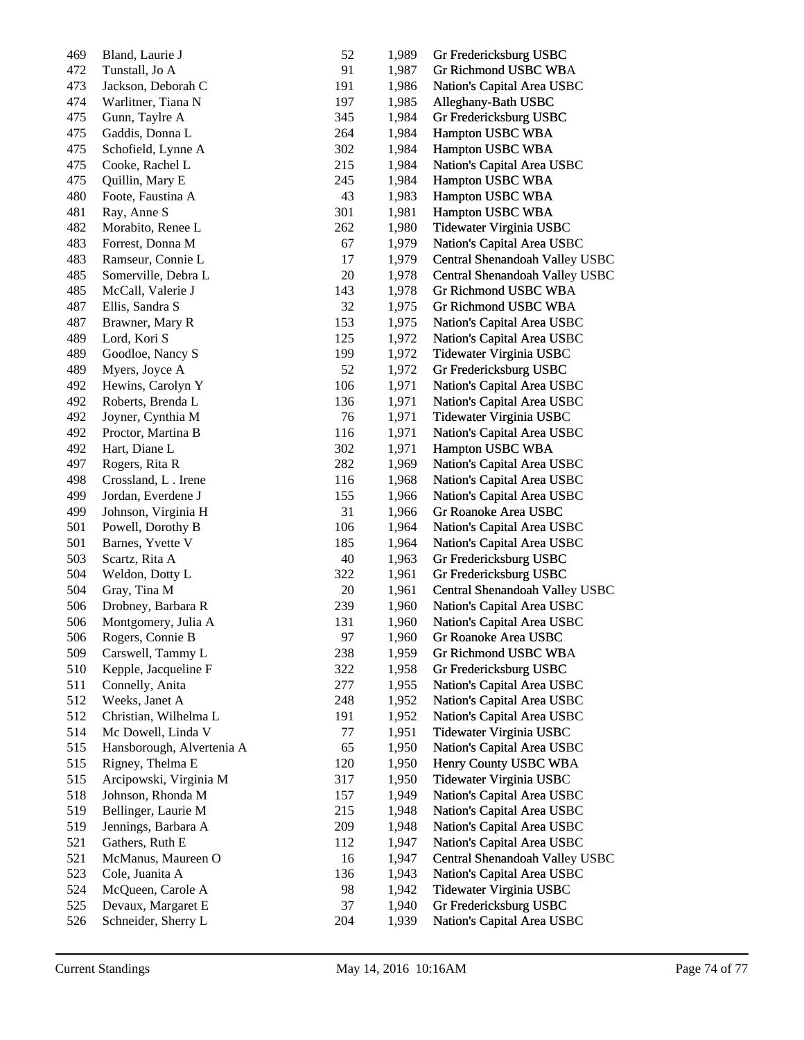| 469 | Bland, Laurie J           | 52     | 1,989 | Gr Fredericksburg USBC         |
|-----|---------------------------|--------|-------|--------------------------------|
| 472 | Tunstall, Jo A            | 91     | 1,987 | Gr Richmond USBC WBA           |
| 473 | Jackson, Deborah C        | 191    | 1,986 | Nation's Capital Area USBC     |
| 474 | Warlitner, Tiana N        | 197    | 1,985 | Alleghany-Bath USBC            |
| 475 | Gunn, Taylre A            | 345    | 1,984 | Gr Fredericksburg USBC         |
| 475 | Gaddis, Donna L           | 264    | 1,984 | Hampton USBC WBA               |
| 475 | Schofield, Lynne A        | 302    | 1,984 | Hampton USBC WBA               |
| 475 | Cooke, Rachel L           | 215    | 1,984 | Nation's Capital Area USBC     |
| 475 | Quillin, Mary E           | 245    | 1,984 | Hampton USBC WBA               |
| 480 | Foote, Faustina A         | 43     | 1,983 | Hampton USBC WBA               |
| 481 | Ray, Anne S               | 301    | 1,981 | Hampton USBC WBA               |
| 482 | Morabito, Renee L         | 262    | 1,980 | Tidewater Virginia USBC        |
| 483 | Forrest, Donna M          | 67     | 1,979 | Nation's Capital Area USBC     |
| 483 | Ramseur, Connie L         | 17     | 1,979 | Central Shenandoah Valley USBC |
| 485 | Somerville, Debra L       | $20\,$ | 1,978 | Central Shenandoah Valley USBC |
| 485 | McCall, Valerie J         | 143    | 1,978 | Gr Richmond USBC WBA           |
| 487 | Ellis, Sandra S           | 32     | 1,975 | Gr Richmond USBC WBA           |
| 487 | Brawner, Mary R           | 153    | 1,975 | Nation's Capital Area USBC     |
| 489 | Lord, Kori S              | 125    | 1,972 | Nation's Capital Area USBC     |
| 489 | Goodloe, Nancy S          | 199    | 1,972 | Tidewater Virginia USBC        |
| 489 | Myers, Joyce A            | 52     | 1,972 | Gr Fredericksburg USBC         |
| 492 | Hewins, Carolyn Y         | 106    | 1,971 | Nation's Capital Area USBC     |
| 492 | Roberts, Brenda L         | 136    | 1,971 | Nation's Capital Area USBC     |
| 492 | Joyner, Cynthia M         | 76     | 1,971 | Tidewater Virginia USBC        |
| 492 | Proctor, Martina B        | 116    | 1,971 | Nation's Capital Area USBC     |
| 492 | Hart, Diane L             | 302    | 1,971 | Hampton USBC WBA               |
| 497 | Rogers, Rita R            | 282    | 1,969 | Nation's Capital Area USBC     |
| 498 | Crossland, L. Irene       | 116    | 1,968 | Nation's Capital Area USBC     |
| 499 | Jordan, Everdene J        | 155    | 1,966 | Nation's Capital Area USBC     |
| 499 | Johnson, Virginia H       | 31     | 1,966 | Gr Roanoke Area USBC           |
| 501 | Powell, Dorothy B         | 106    | 1,964 | Nation's Capital Area USBC     |
| 501 | Barnes, Yvette V          | 185    | 1,964 | Nation's Capital Area USBC     |
| 503 | Scartz, Rita A            | 40     | 1,963 | Gr Fredericksburg USBC         |
| 504 | Weldon, Dotty L           | 322    | 1,961 | Gr Fredericksburg USBC         |
| 504 | Gray, Tina M              | $20\,$ | 1,961 | Central Shenandoah Valley USBC |
| 506 | Drobney, Barbara R        | 239    | 1,960 | Nation's Capital Area USBC     |
| 506 | Montgomery, Julia A       | 131    | 1,960 | Nation's Capital Area USBC     |
| 506 | Rogers, Connie B          | 97     | 1,960 | Gr Roanoke Area USBC           |
| 509 | Carswell, Tammy L         | 238    | 1,959 | Gr Richmond USBC WBA           |
| 510 | Kepple, Jacqueline F      | 322    | 1,958 | Gr Fredericksburg USBC         |
| 511 | Connelly, Anita           | 277    | 1,955 | Nation's Capital Area USBC     |
| 512 | Weeks, Janet A            | 248    | 1,952 | Nation's Capital Area USBC     |
| 512 | Christian, Wilhelma L     | 191    | 1,952 | Nation's Capital Area USBC     |
| 514 | Mc Dowell, Linda V        | 77     | 1,951 | Tidewater Virginia USBC        |
| 515 | Hansborough, Alvertenia A | 65     | 1,950 | Nation's Capital Area USBC     |
| 515 | Rigney, Thelma E          | 120    | 1,950 | Henry County USBC WBA          |
| 515 | Arcipowski, Virginia M    | 317    | 1,950 | Tidewater Virginia USBC        |
| 518 | Johnson, Rhonda M         | 157    | 1,949 | Nation's Capital Area USBC     |
| 519 | Bellinger, Laurie M       | 215    | 1,948 | Nation's Capital Area USBC     |
| 519 | Jennings, Barbara A       | 209    | 1,948 | Nation's Capital Area USBC     |
| 521 | Gathers, Ruth E           | 112    | 1,947 | Nation's Capital Area USBC     |
| 521 | McManus, Maureen O        | 16     | 1,947 | Central Shenandoah Valley USBC |
| 523 | Cole, Juanita A           | 136    | 1,943 | Nation's Capital Area USBC     |
| 524 | McQueen, Carole A         | 98     | 1,942 | Tidewater Virginia USBC        |
| 525 | Devaux, Margaret E        | 37     | 1,940 | Gr Fredericksburg USBC         |
| 526 | Schneider, Sherry L       | 204    | 1,939 | Nation's Capital Area USBC     |
|     |                           |        |       |                                |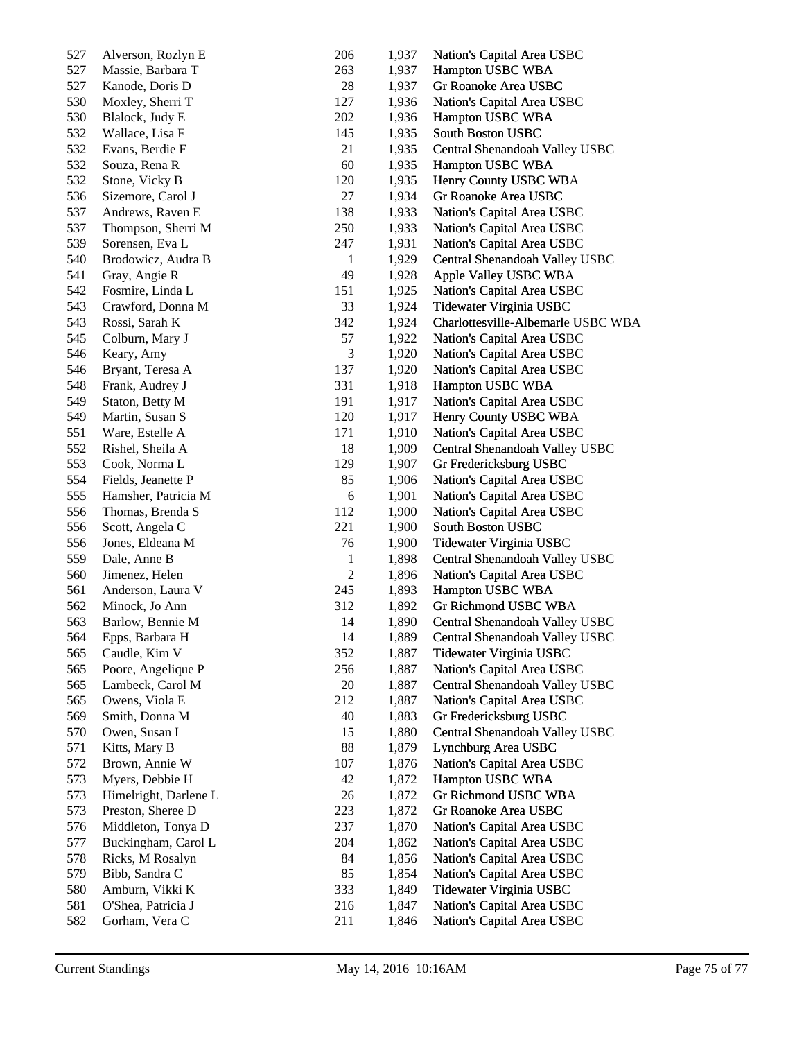| 527 | Alverson, Rozlyn E    | 206          | 1,937 | Nation's Capital Area USBC         |
|-----|-----------------------|--------------|-------|------------------------------------|
| 527 | Massie, Barbara T     | 263          | 1,937 | Hampton USBC WBA                   |
| 527 | Kanode, Doris D       | 28           | 1,937 | Gr Roanoke Area USBC               |
| 530 | Moxley, Sherri T      | 127          | 1,936 | Nation's Capital Area USBC         |
| 530 | Blalock, Judy E       | 202          | 1,936 | Hampton USBC WBA                   |
| 532 | Wallace, Lisa F       | 145          | 1,935 | South Boston USBC                  |
| 532 | Evans, Berdie F       | 21           | 1,935 | Central Shenandoah Valley USBC     |
| 532 | Souza, Rena R         | 60           | 1,935 | Hampton USBC WBA                   |
| 532 | Stone, Vicky B        | 120          | 1,935 | Henry County USBC WBA              |
| 536 | Sizemore, Carol J     | 27           | 1,934 | Gr Roanoke Area USBC               |
| 537 | Andrews, Raven E      | 138          | 1,933 | Nation's Capital Area USBC         |
| 537 | Thompson, Sherri M    | 250          | 1,933 | Nation's Capital Area USBC         |
| 539 | Sorensen, Eva L       | 247          | 1,931 | Nation's Capital Area USBC         |
| 540 | Brodowicz, Audra B    | $\mathbf{1}$ | 1,929 | Central Shenandoah Valley USBC     |
| 541 | Gray, Angie R         | 49           | 1,928 | Apple Valley USBC WBA              |
| 542 | Fosmire, Linda L      | 151          | 1,925 | Nation's Capital Area USBC         |
| 543 | Crawford, Donna M     | 33           | 1,924 | Tidewater Virginia USBC            |
| 543 | Rossi, Sarah K        | 342          | 1,924 | Charlottesville-Albemarle USBC WBA |
| 545 | Colburn, Mary J       | 57           | 1,922 | Nation's Capital Area USBC         |
| 546 | Keary, Amy            | 3            | 1,920 | Nation's Capital Area USBC         |
| 546 | Bryant, Teresa A      | 137          | 1,920 | Nation's Capital Area USBC         |
| 548 | Frank, Audrey J       | 331          | 1,918 | Hampton USBC WBA                   |
| 549 | Staton, Betty M       | 191          | 1,917 | Nation's Capital Area USBC         |
| 549 | Martin, Susan S       | 120          | 1,917 | Henry County USBC WBA              |
| 551 | Ware, Estelle A       | 171          | 1,910 | Nation's Capital Area USBC         |
| 552 | Rishel, Sheila A      | 18           | 1,909 | Central Shenandoah Valley USBC     |
| 553 | Cook, Norma L         | 129          | 1,907 | Gr Fredericksburg USBC             |
| 554 | Fields, Jeanette P    | 85           | 1,906 | Nation's Capital Area USBC         |
| 555 | Hamsher, Patricia M   | 6            | 1,901 | Nation's Capital Area USBC         |
| 556 | Thomas, Brenda S      | 112          | 1,900 | Nation's Capital Area USBC         |
| 556 | Scott, Angela C       | 221          | 1,900 | South Boston USBC                  |
| 556 | Jones, Eldeana M      | 76           | 1,900 | Tidewater Virginia USBC            |
| 559 | Dale, Anne B          | $\mathbf{1}$ | 1,898 | Central Shenandoah Valley USBC     |
| 560 | Jimenez, Helen        | $\sqrt{2}$   | 1,896 | Nation's Capital Area USBC         |
| 561 | Anderson, Laura V     | 245          | 1,893 | Hampton USBC WBA                   |
| 562 | Minock, Jo Ann        | 312          | 1,892 | Gr Richmond USBC WBA               |
| 563 | Barlow, Bennie M      | 14           | 1,890 | Central Shenandoah Valley USBC     |
| 564 | Epps, Barbara H       | 14           | 1,889 | Central Shenandoah Valley USBC     |
| 565 | Caudle, Kim V         | 352          | 1,887 | Tidewater Virginia USBC            |
| 565 | Poore, Angelique P    | 256          | 1,887 | Nation's Capital Area USBC         |
| 565 | Lambeck, Carol M      | 20           | 1,887 | Central Shenandoah Valley USBC     |
| 565 | Owens, Viola E        | 212          | 1,887 | Nation's Capital Area USBC         |
| 569 | Smith, Donna M        | 40           | 1,883 | Gr Fredericksburg USBC             |
| 570 | Owen, Susan I         | 15           | 1,880 | Central Shenandoah Valley USBC     |
| 571 | Kitts, Mary B         | 88           | 1,879 | Lynchburg Area USBC                |
| 572 | Brown, Annie W        | 107          | 1,876 | Nation's Capital Area USBC         |
| 573 | Myers, Debbie H       | 42           | 1,872 | Hampton USBC WBA                   |
| 573 | Himelright, Darlene L | 26           | 1,872 | <b>Gr Richmond USBC WBA</b>        |
| 573 | Preston, Sheree D     | 223          | 1,872 | Gr Roanoke Area USBC               |
| 576 | Middleton, Tonya D    | 237          | 1,870 | Nation's Capital Area USBC         |
| 577 | Buckingham, Carol L   | 204          | 1,862 | Nation's Capital Area USBC         |
| 578 | Ricks, M Rosalyn      | 84           | 1,856 | Nation's Capital Area USBC         |
| 579 | Bibb, Sandra C        | 85           | 1,854 | Nation's Capital Area USBC         |
| 580 | Amburn, Vikki K       | 333          | 1,849 | Tidewater Virginia USBC            |
| 581 | O'Shea, Patricia J    | 216          | 1,847 | Nation's Capital Area USBC         |
| 582 | Gorham, Vera C        | 211          | 1,846 | Nation's Capital Area USBC         |
|     |                       |              |       |                                    |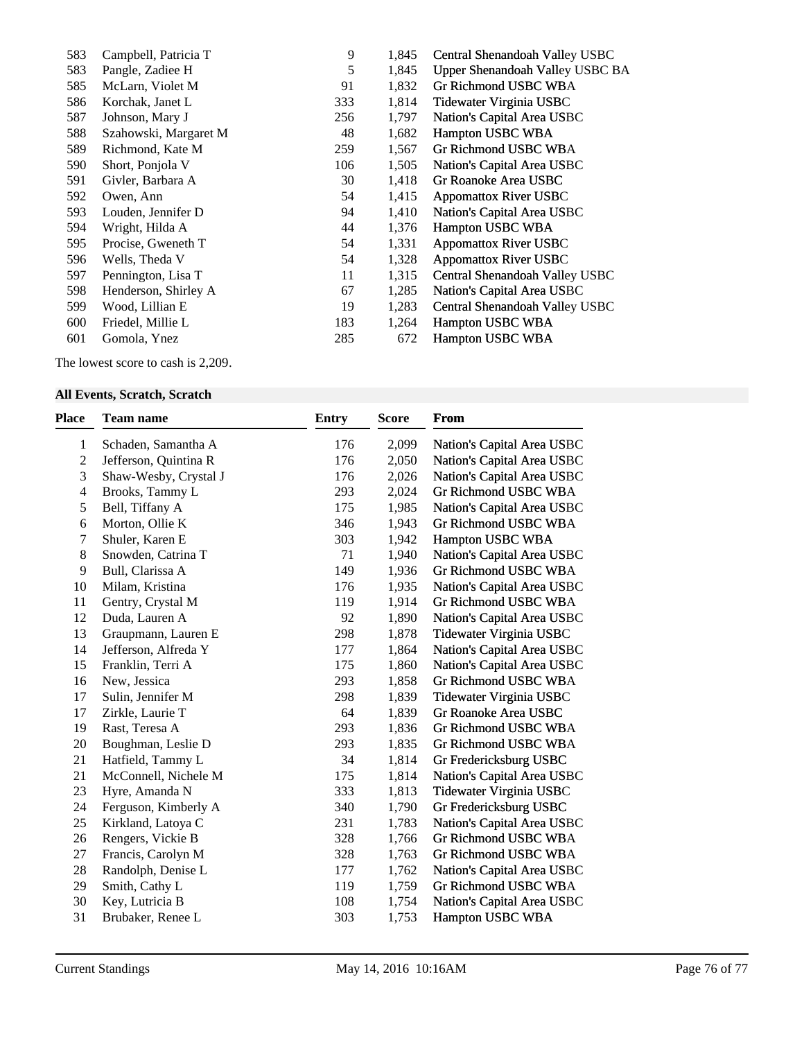| 583 | Campbell, Patricia T  | 9   | 1,845 | Central Shenandoah Valley USBC  |
|-----|-----------------------|-----|-------|---------------------------------|
| 583 | Pangle, Zadiee H      | 5   | 1,845 | Upper Shenandoah Valley USBC BA |
| 585 | McLarn, Violet M      | 91  | 1,832 | Gr Richmond USBC WBA            |
| 586 | Korchak, Janet L      | 333 | 1,814 | Tidewater Virginia USBC         |
| 587 | Johnson, Mary J       | 256 | 1,797 | Nation's Capital Area USBC      |
| 588 | Szahowski, Margaret M | 48  | 1,682 | Hampton USBC WBA                |
| 589 | Richmond, Kate M      | 259 | 1,567 | Gr Richmond USBC WBA            |
| 590 | Short, Ponjola V      | 106 | 1,505 | Nation's Capital Area USBC      |
| 591 | Givler, Barbara A     | 30  | 1,418 | Gr Roanoke Area USBC            |
| 592 | Owen, Ann             | 54  | 1,415 | Appomattox River USBC           |
| 593 | Louden, Jennifer D    | 94  | 1,410 | Nation's Capital Area USBC      |
| 594 | Wright, Hilda A       | 44  | 1,376 | Hampton USBC WBA                |
| 595 | Procise, Gweneth T    | 54  | 1,331 | <b>Appomattox River USBC</b>    |
| 596 | Wells, Theda V        | 54  | 1,328 | <b>Appomattox River USBC</b>    |
| 597 | Pennington, Lisa T    | 11  | 1,315 | Central Shenandoah Valley USBC  |
| 598 | Henderson, Shirley A  | 67  | 1,285 | Nation's Capital Area USBC      |
| 599 | Wood, Lillian E       | 19  | 1,283 | Central Shenandoah Valley USBC  |
| 600 | Friedel, Millie L     | 183 | 1,264 | Hampton USBC WBA                |
| 601 | Gomola, Ynez          | 285 | 672   | <b>Hampton USBC WBA</b>         |
|     |                       |     |       |                                 |

The lowest score to cash is 2,209.

## **All Events, Scratch, Scratch**

| Place          | <b>Team name</b>      | <b>Entry</b> | <b>Score</b> | From                        |
|----------------|-----------------------|--------------|--------------|-----------------------------|
| 1              | Schaden, Samantha A   | 176          | 2,099        | Nation's Capital Area USBC  |
| $\overline{2}$ | Jefferson, Quintina R | 176          | 2,050        | Nation's Capital Area USBC  |
| 3              | Shaw-Wesby, Crystal J | 176          | 2,026        | Nation's Capital Area USBC  |
| 4              | Brooks, Tammy L       | 293          | 2,024        | <b>Gr Richmond USBC WBA</b> |
| 5              | Bell, Tiffany A       | 175          | 1,985        | Nation's Capital Area USBC  |
| 6              | Morton, Ollie K       | 346          | 1,943        | Gr Richmond USBC WBA        |
| 7              | Shuler, Karen E       | 303          | 1,942        | Hampton USBC WBA            |
| 8              | Snowden, Catrina T    | 71           | 1,940        | Nation's Capital Area USBC  |
| 9              | Bull, Clarissa A      | 149          | 1,936        | Gr Richmond USBC WBA        |
| 10             | Milam, Kristina       | 176          | 1,935        | Nation's Capital Area USBC  |
| 11             | Gentry, Crystal M     | 119          | 1,914        | Gr Richmond USBC WBA        |
| 12             | Duda, Lauren A        | 92           | 1,890        | Nation's Capital Area USBC  |
| 13             | Graupmann, Lauren E   | 298          | 1,878        | Tidewater Virginia USBC     |
| 14             | Jefferson, Alfreda Y  | 177          | 1,864        | Nation's Capital Area USBC  |
| 15             | Franklin, Terri A     | 175          | 1,860        | Nation's Capital Area USBC  |
| 16             | New, Jessica          | 293          | 1,858        | Gr Richmond USBC WBA        |
| 17             | Sulin, Jennifer M     | 298          | 1,839        | Tidewater Virginia USBC     |
| 17             | Zirkle, Laurie T      | 64           | 1,839        | Gr Roanoke Area USBC        |
| 19             | Rast, Teresa A        | 293          | 1,836        | Gr Richmond USBC WBA        |
| 20             | Boughman, Leslie D    | 293          | 1,835        | Gr Richmond USBC WBA        |
| 21             | Hatfield, Tammy L     | 34           | 1,814        | Gr Fredericksburg USBC      |
| 21             | McConnell, Nichele M  | 175          | 1,814        | Nation's Capital Area USBC  |
| 23             | Hyre, Amanda N        | 333          | 1,813        | Tidewater Virginia USBC     |
| 24             | Ferguson, Kimberly A  | 340          | 1,790        | Gr Fredericksburg USBC      |
| 25             | Kirkland, Latoya C    | 231          | 1,783        | Nation's Capital Area USBC  |
| 26             | Rengers, Vickie B     | 328          | 1,766        | <b>Gr Richmond USBC WBA</b> |
| 27             | Francis, Carolyn M    | 328          | 1,763        | Gr Richmond USBC WBA        |
| 28             | Randolph, Denise L    | 177          | 1,762        | Nation's Capital Area USBC  |
| 29             | Smith, Cathy L        | 119          | 1,759        | Gr Richmond USBC WBA        |
| 30             | Key, Lutricia B       | 108          | 1,754        | Nation's Capital Area USBC  |
| 31             | Brubaker, Renee L     | 303          | 1,753        | <b>Hampton USBC WBA</b>     |